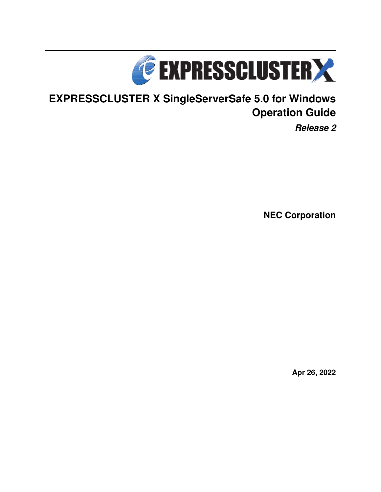

# **EXPRESSCLUSTER X SingleServerSafe 5.0 for Windows Operation Guide**

*Release 2*

**NEC Corporation**

**Apr 26, 2022**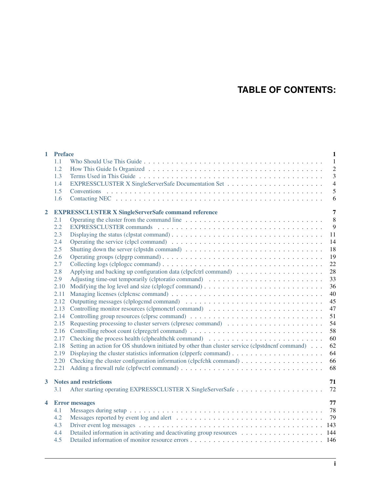# **TABLE OF CONTENTS:**

| $\mathbf{1}$   | <b>Preface</b> | $\mathbf{1}$                                                                                                                        |
|----------------|----------------|-------------------------------------------------------------------------------------------------------------------------------------|
|                | 1.1            | $\mathbf{1}$                                                                                                                        |
|                | 1.2            | $\overline{c}$                                                                                                                      |
|                | 1.3            | $\overline{3}$                                                                                                                      |
|                | 1.4            | $\overline{4}$                                                                                                                      |
|                | 1.5            | 5                                                                                                                                   |
|                | 1.6            | 6                                                                                                                                   |
| $\overline{2}$ |                | $\overline{7}$<br><b>EXPRESSCLUSTER X SingleServerSafe command reference</b>                                                        |
|                | 2.1            | 8                                                                                                                                   |
|                | 2.2            | 9                                                                                                                                   |
|                | 2.3            | Displaying the status (clpstat command) $\ldots \ldots \ldots \ldots \ldots \ldots \ldots \ldots \ldots \ldots \ldots \ldots$<br>11 |
|                | 2.4            | 14                                                                                                                                  |
|                | 2.5            | 18                                                                                                                                  |
|                | 2.6            | 19                                                                                                                                  |
|                | 2.7            | 22                                                                                                                                  |
|                | 2.8            | 28                                                                                                                                  |
|                | 2.9            | 33                                                                                                                                  |
|                | 2.10           | 36                                                                                                                                  |
|                | 2.11           | 40                                                                                                                                  |
|                | 2.12           | 45                                                                                                                                  |
|                | 2.13           | Controlling monitor resources (clpmonctrl command)<br>47                                                                            |
|                | 2.14           | 51                                                                                                                                  |
|                | 2.15           | 54                                                                                                                                  |
|                | 2.16           | 58                                                                                                                                  |
|                | 2.17           | 60                                                                                                                                  |
|                | 2.18           | Setting an action for OS shutdown initiated by other than cluster service (clpstdncnf command)<br>62                                |
|                | 2.19           | 64                                                                                                                                  |
|                | 2.20           | 66                                                                                                                                  |
|                | 2.21           | 68                                                                                                                                  |
| $\mathbf{3}$   |                | 71<br><b>Notes and restrictions</b>                                                                                                 |
|                | 3.1            | 72                                                                                                                                  |
| 4              |                | 77<br><b>Error</b> messages                                                                                                         |
|                | 4.1            | 78                                                                                                                                  |
|                | 4.2            | 79                                                                                                                                  |
|                | 4.3            |                                                                                                                                     |
|                | 4.4            | Detailed information in activating and deactivating group resources 144                                                             |
|                | 4.5            |                                                                                                                                     |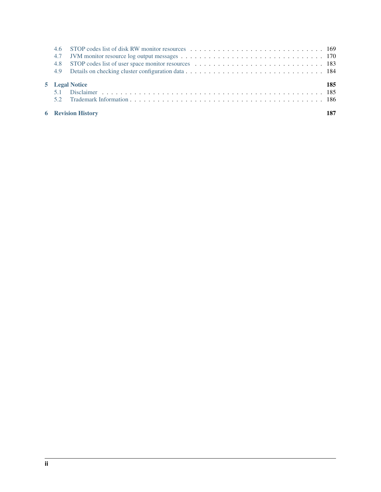|     | <b>6</b> Revision History |     |
|-----|---------------------------|-----|
|     |                           |     |
|     |                           |     |
|     | 5 Legal Notice            | 185 |
|     |                           |     |
|     |                           |     |
| 4.7 |                           |     |
|     |                           |     |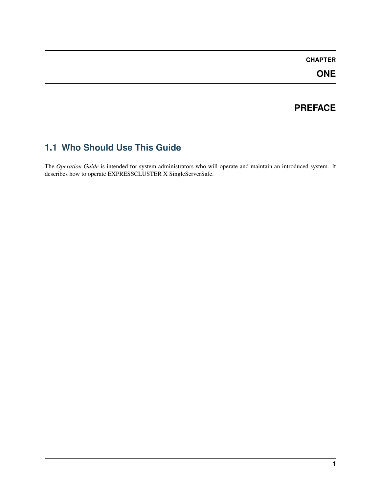### **CHAPTER**

**ONE**

### **PREFACE**

# <span id="page-4-1"></span><span id="page-4-0"></span>**1.1 Who Should Use This Guide**

The *Operation Guide* is intended for system administrators who will operate and maintain an introduced system. It describes how to operate EXPRESSCLUSTER X SingleServerSafe.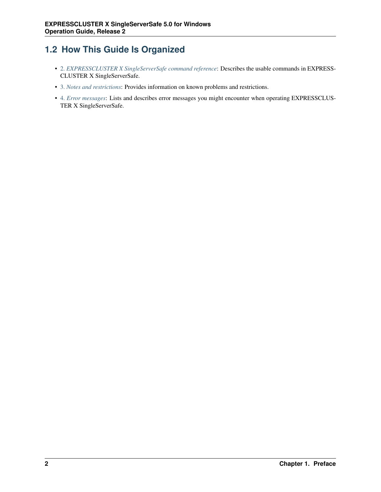# <span id="page-5-0"></span>**1.2 How This Guide Is Organized**

- [2.](#page-10-0) *[EXPRESSCLUSTER X SingleServerSafe command reference](#page-10-0)*: Describes the usable commands in EXPRESS-CLUSTER X SingleServerSafe.
- [3.](#page-74-0) *[Notes and restrictions](#page-74-0)*: Provides information on known problems and restrictions.
- [4.](#page-80-0) *[Error messages](#page-80-0)*: Lists and describes error messages you might encounter when operating EXPRESSCLUS-TER X SingleServerSafe.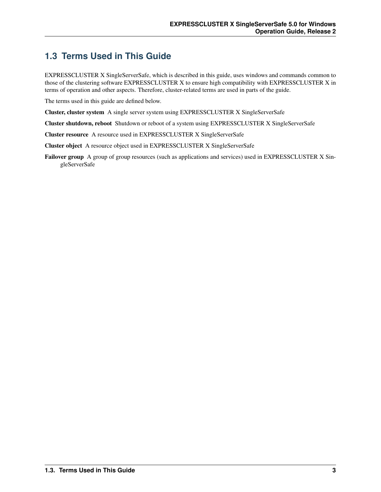### <span id="page-6-0"></span>**1.3 Terms Used in This Guide**

EXPRESSCLUSTER X SingleServerSafe, which is described in this guide, uses windows and commands common to those of the clustering software EXPRESSCLUSTER X to ensure high compatibility with EXPRESSCLUSTER X in terms of operation and other aspects. Therefore, cluster-related terms are used in parts of the guide.

The terms used in this guide are defined below.

Cluster, cluster system A single server system using EXPRESSCLUSTER X SingleServerSafe

Cluster shutdown, reboot Shutdown or reboot of a system using EXPRESSCLUSTER X SingleServerSafe

Cluster resource A resource used in EXPRESSCLUSTER X SingleServerSafe

Cluster object A resource object used in EXPRESSCLUSTER X SingleServerSafe

Failover group A group of group resources (such as applications and services) used in EXPRESSCLUSTER X SingleServerSafe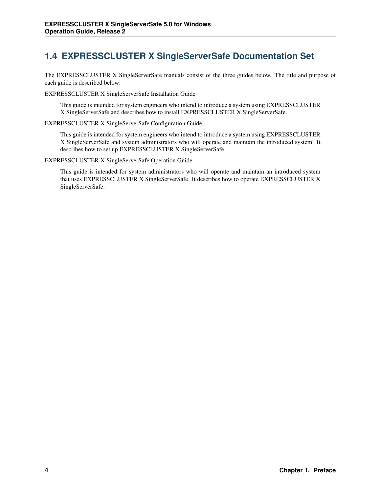# <span id="page-7-0"></span>**1.4 EXPRESSCLUSTER X SingleServerSafe Documentation Set**

The EXPRESSCLUSTER X SingleServerSafe manuals consist of the three guides below. The title and purpose of each guide is described below:

EXPRESSCLUSTER X SingleServerSafe Installation Guide

This guide is intended for system engineers who intend to introduce a system using EXPRESSCLUSTER X SingleServerSafe and describes how to install EXPRESSCLUSTER X SingleServerSafe.

EXPRESSCLUSTER X SingleServerSafe Configuration Guide

This guide is intended for system engineers who intend to introduce a system using EXPRESSCLUSTER X SingleServerSafe and system administrators who will operate and maintain the introduced system. It describes how to set up EXPRESSCLUSTER X SingleServerSafe.

EXPRESSCLUSTER X SingleServerSafe Operation Guide

This guide is intended for system administrators who will operate and maintain an introduced system that uses EXPRESSCLUSTER X SingleServerSafe. It describes how to operate EXPRESSCLUSTER X SingleServerSafe.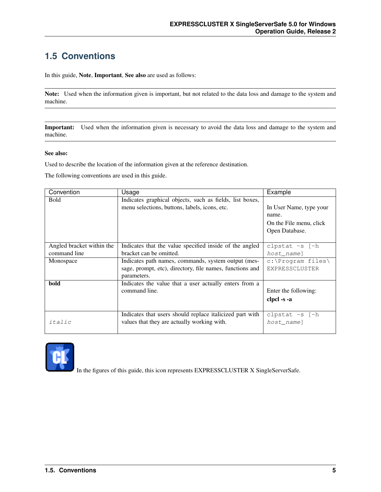# <span id="page-8-0"></span>**1.5 Conventions**

In this guide, Note, Important, See also are used as follows:

Note: Used when the information given is important, but not related to the data loss and damage to the system and machine.

Important: Used when the information given is necessary to avoid the data loss and damage to the system and machine.

#### See also:

Used to describe the location of the information given at the reference destination.

The following conventions are used in this guide.

| Convention                | Usage                                                    | Example                 |
|---------------------------|----------------------------------------------------------|-------------------------|
| <b>Bold</b>               | Indicates graphical objects, such as fields, list boxes, |                         |
|                           | menu selections, buttons, labels, icons, etc.            | In User Name, type your |
|                           |                                                          | name.                   |
|                           |                                                          | On the File menu, click |
|                           |                                                          | Open Database.          |
|                           |                                                          |                         |
| Angled bracket within the | Indicates that the value specified inside of the angled  | clpstat $-s$ $[-h]$     |
| command line              | bracket can be omitted.                                  | host name]              |
| Monospace                 | Indicates path names, commands, system output (mes-      | $c:\P$ roqram files     |
|                           | sage, prompt, etc), directory, file names, functions and | EXPRESSCLUSTER          |
|                           | parameters.                                              |                         |
| bold                      | Indicates the value that a user actually enters from a   |                         |
|                           | command line.                                            | Enter the following:    |
|                           |                                                          | clpcl -s -a             |
|                           |                                                          |                         |
|                           | Indicates that users should replace italicized part with | clpstat $-s$ $[-h]$     |
| italic                    | values that they are actually working with.              | host name]              |
|                           |                                                          |                         |



In the figures of this guide, this icon represents EXPRESSCLUSTER X SingleServerSafe.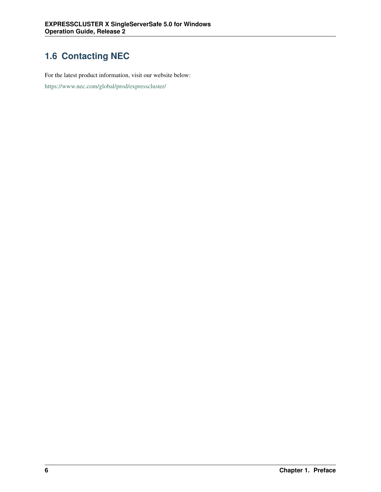# <span id="page-9-0"></span>**1.6 Contacting NEC**

For the latest product information, visit our website below:

<https://www.nec.com/global/prod/expresscluster/>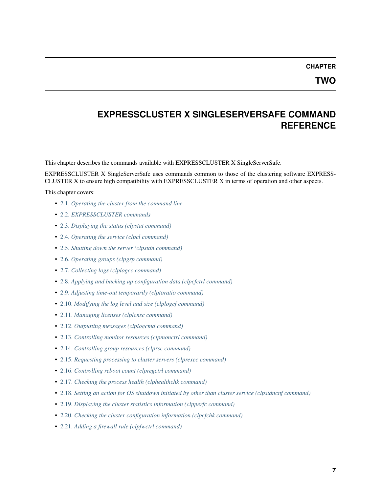**CHAPTER**

### <span id="page-10-0"></span>**EXPRESSCLUSTER X SINGLESERVERSAFE COMMAND REFERENCE**

This chapter describes the commands available with EXPRESSCLUSTER X SingleServerSafe.

EXPRESSCLUSTER X SingleServerSafe uses commands common to those of the clustering software EXPRESS-CLUSTER X to ensure high compatibility with EXPRESSCLUSTER X in terms of operation and other aspects.

This chapter covers:

- [2.1.](#page-11-0) *[Operating the cluster from the command line](#page-11-0)*
- [2.2.](#page-12-0) *[EXPRESSCLUSTER commands](#page-12-0)*
- [2.3.](#page-14-0) *[Displaying the status \(clpstat command\)](#page-14-0)*
- [2.4.](#page-17-0) *[Operating the service \(clpcl command\)](#page-17-0)*
- [2.5.](#page-21-0) *[Shutting down the server \(clpstdn command\)](#page-21-0)*
- [2.6.](#page-22-0) *[Operating groups \(clpgrp command\)](#page-22-0)*
- [2.7.](#page-25-0) *[Collecting logs \(clplogcc command\)](#page-25-0)*
- [2.8.](#page-31-0) *[Applying and backing up configuration data \(clpcfctrl command\)](#page-31-0)*
- [2.9.](#page-36-0) *[Adjusting time-out temporarily \(clptoratio command\)](#page-36-0)*
- [2.10.](#page-39-0) *[Modifying the log level and size \(clplogcf command\)](#page-39-0)*
- [2.11.](#page-43-0) *[Managing licenses \(clplcnsc command\)](#page-43-0)*
- [2.12.](#page-48-0) *[Outputting messages \(clplogcmd command\)](#page-48-0)*
- [2.13.](#page-50-0) *[Controlling monitor resources \(clpmonctrl command\)](#page-50-0)*
- [2.14.](#page-54-0) *[Controlling group resources \(clprsc command\)](#page-54-0)*
- [2.15.](#page-57-0) *[Requesting processing to cluster servers \(clprexec command\)](#page-57-0)*
- [2.16.](#page-61-0) *[Controlling reboot count \(clpregctrl command\)](#page-61-0)*
- [2.17.](#page-63-0) *[Checking the process health \(clphealthchk command\)](#page-63-0)*
- [2.18.](#page-65-0) *[Setting an action for OS shutdown initiated by other than cluster service \(clpstdncnf command\)](#page-65-0)*
- [2.19.](#page-67-0) *[Displaying the cluster statistics information \(clpperfc command\)](#page-67-0)*
- [2.20.](#page-69-0) *[Checking the cluster configuration information \(clpcfchk command\)](#page-69-0)*
- [2.21.](#page-71-0) *[Adding a firewall rule \(clpfwctrl command\)](#page-71-0)*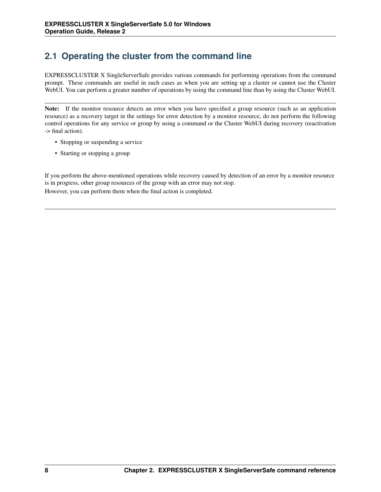# <span id="page-11-0"></span>**2.1 Operating the cluster from the command line**

EXPRESSCLUSTER X SingleServerSafe provides various commands for performing operations from the command prompt. These commands are useful in such cases as when you are setting up a cluster or cannot use the Cluster WebUI. You can perform a greater number of operations by using the command line than by using the Cluster WebUI.

Note: If the monitor resource detects an error when you have specified a group resource (such as an application resource) as a recovery target in the settings for error detection by a monitor resource, do not perform the following control operations for any service or group by using a command or the Cluster WebUI during recovery (reactivation -> final action).

- Stopping or suspending a service
- Starting or stopping a group

If you perform the above-mentioned operations while recovery caused by detection of an error by a monitor resource is in progress, other group resources of the group with an error may not stop. However, you can perform them when the final action is completed.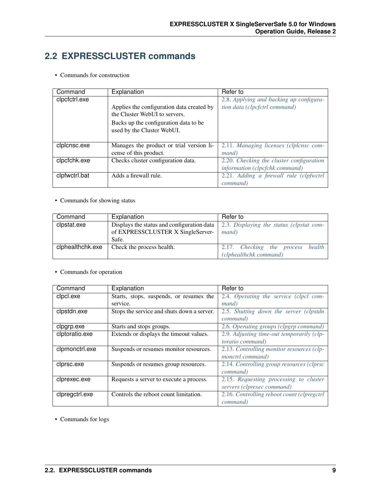### <span id="page-12-0"></span>**2.2 EXPRESSCLUSTER commands**

• Commands for construction

| Command       | Explanation                                                                | Refer to                                 |
|---------------|----------------------------------------------------------------------------|------------------------------------------|
| clpcfctrl.exe |                                                                            | 2.8. Applying and backing up configura-  |
|               | Applies the configuration data created by<br>the Cluster WebUI to servers. | tion data (clpcfctrl command)            |
|               | Backs up the configuration data to be.<br>used by the Cluster WebUI.       |                                          |
| clplcnsc.exe  | Manages the product or trial version li-                                   | 2.11. Managing licenses (clplcnsc com-   |
|               | cense of this product.                                                     | <i>mand</i> )                            |
| clpcfchk.exe  | Checks cluster configuration data.                                         | 2.20. Checking the cluster configuration |
|               |                                                                            | information (clpcfchk command)           |
| clpfwctrl.bat | Adds a firewall rule.                                                      | 2.21. Adding a firewall rule (clpfwctrl) |
|               |                                                                            | command)                                 |

• Commands for showing status

| Command          | Explanation                                | Refer to                                 |
|------------------|--------------------------------------------|------------------------------------------|
| clpstat.exe      | Displays the status and configuration data | 2.3. Displaying the status (clpstat com- |
|                  | of EXPRESSCLUSTER X SingleServer-          | <i>mand</i> )                            |
|                  | Safe.                                      |                                          |
| clphealthchk.exe | Check the process health.                  | 2.17. Checking the process health        |
|                  |                                            | (clphealthchk command)                   |

• Commands for operation

| Command        | Explanation                                | Refer to                                   |
|----------------|--------------------------------------------|--------------------------------------------|
| clpcl.exe      | Starts, stops, suspends, or resumes the    | 2.4. Operating the service (clpcl com-     |
|                | service.                                   | mand)                                      |
| clpstdn.exe    | Stops the service and shuts down a server. | 2.5. Shutting down the server (clpstdn     |
|                |                                            | command)                                   |
| clpgrp.exe     | Starts and stops groups.                   | 2.6. Operating groups (clpgrp command)     |
| clptoratio.exe | Extends or displays the timeout values.    | 2.9. Adjusting time-out temporarily (clp-  |
|                |                                            | <i>toratio command</i> )                   |
| clpmonctrl.exe | Suspends or resumes monitor resources.     | 2.13. Controlling monitor resources (clp-  |
|                |                                            | monctrl command)                           |
| clprsc.exe     | Suspends or resumes group resources.       | 2.14. Controlling group resources (clprsc  |
|                |                                            | command)                                   |
| clprexec.exe   | Requests a server to execute a process.    | 2.15. Requesting processing to cluster     |
|                |                                            | servers (clprexec command)                 |
| clpregctrl.exe | Controls the reboot count limitation.      | 2.16. Controlling reboot count (clpregctrl |
|                |                                            | command)                                   |

• Commands for logs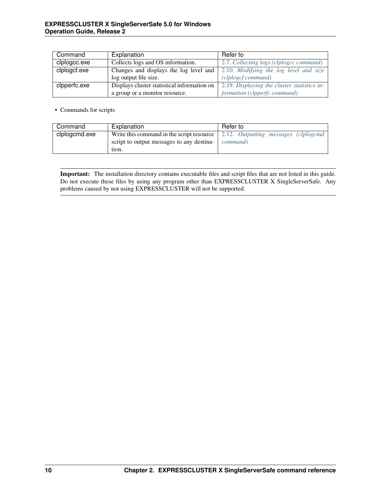| Command      | Explanation                                 | Refer to                                    |
|--------------|---------------------------------------------|---------------------------------------------|
| clplogcc.exe | Collects logs and OS information.           | 2.7. Collecting logs (clplogcc command)     |
| clplogcf.exe | Changes and displays the log level and      | 2.10. Modifying the log level and size      |
|              | log output file size.                       | (clplogcf command)                          |
| clpperfc.exe | Displays cluster statistical information on | 2.19. Displaying the cluster statistics in- |
|              | a group or a monitor resource.              | formation (clpperfc command)                |

• Commands for scripts

| Command       | Explanation                               | Refer to                             |
|---------------|-------------------------------------------|--------------------------------------|
| clplogcmd.exe | Write this command in the script resource | 2.12. Outputting messages (clplogcmd |
|               | script to output messages to any destina- | command)                             |
|               | tion.                                     |                                      |

Important: The installation directory contains executable files and script files that are not listed in this guide. Do not execute these files by using any program other than EXPRESSCLUSTER X SingleServerSafe. Any problems caused by not using EXPRESSCLUSTER will not be supported.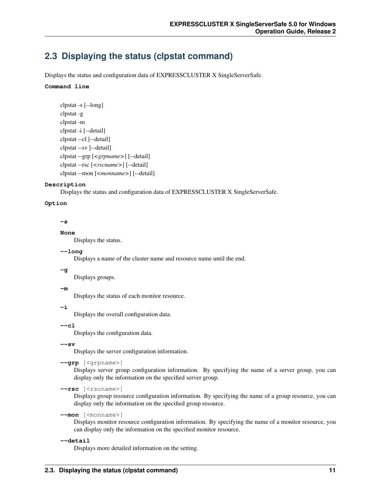### <span id="page-14-0"></span>**2.3 Displaying the status (clpstat command)**

Displays the status and configuration data of EXPRESSCLUSTER X SingleServerSafe.

#### **Command line**

```
clpstat -s [--long]
clpstat -g
clpstat -m
clpstat -i [--detail]
clpstat --cl [--detail]
clpstat --sv [--detail]
clpstat --grp [<grpname>] [--detail]
clpstat --rsc [<rscname>] [--detail]
clpstat --mon [<monname>] [--detail]
```
#### **Description**

Displays the status and configuration data of EXPRESSCLUSTER X SingleServerSafe.

#### **Option**

#### **-s**

#### **None**

Displays the status.

#### **--long**

Displays a name of the cluster name and resource name until the end.

#### **-g**

Displays groups.

#### **-m**

Displays the status of each monitor resource.

#### **-i**

Displays the overall configuration data.

#### **--cl**

Displays the configuration data.

#### **--sv**

Displays the server configuration information.

#### **--grp** [<grpname>]

Displays server group configuration information. By specifying the name of a server group, you can display only the information on the specified server group.

**--rsc** [<rscname>]

Displays group resource configuration information. By specifying the name of a group resource, you can display only the information on the specified group resource.

#### **--mon** [<monname>]

Displays monitor resource configuration information. By specifying the name of a monitor resource, you can display only the information on the specified monitor resource.

#### **--detail**

Displays more detailed information on the setting.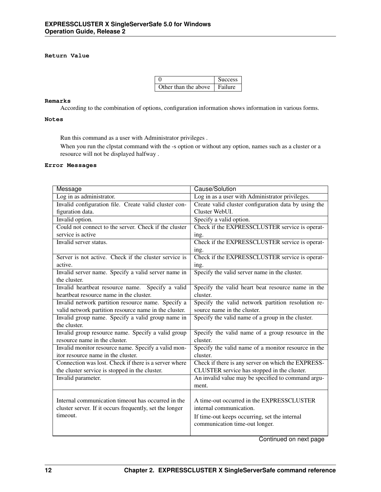### **Return Value**

|                                  | <b>Success</b> |
|----------------------------------|----------------|
| Other than the above $\parallel$ | Failure        |

#### **Remarks**

According to the combination of options, configuration information shows information in various forms.

#### **Notes**

Run this command as a user with Administrator privileges .

When you run the clpstat command with the -s option or without any option, names such as a cluster or a resource will not be displayed halfway .

#### **Error Messages**

| Message                                                 | Cause/Solution                                       |
|---------------------------------------------------------|------------------------------------------------------|
| Log in as administrator.                                | Log in as a user with Administrator privileges.      |
| Invalid configuration file. Create valid cluster con-   | Create valid cluster configuration data by using the |
| figuration data.                                        | Cluster WebUL                                        |
| Invalid option.                                         | Specify a valid option.                              |
| Could not connect to the server. Check if the cluster   | Check if the EXPRESSCLUSTER service is operat-       |
| service is active                                       | ing.                                                 |
| Invalid server status.                                  | Check if the EXPRESSCLUSTER service is operat-       |
|                                                         | ing.                                                 |
| Server is not active. Check if the cluster service is   | Check if the EXPRESSCLUSTER service is operat-       |
| active.                                                 | ing.                                                 |
| Invalid server name. Specify a valid server name in     | Specify the valid server name in the cluster.        |
| the cluster.                                            |                                                      |
| Invalid heartbeat resource name. Specify a valid        | Specify the valid heart beat resource name in the    |
| heartbeat resource name in the cluster.                 | cluster.                                             |
| Invalid network partition resource name. Specify a      | Specify the valid network partition resolution re-   |
| valid network partition resource name in the cluster.   | source name in the cluster.                          |
| Invalid group name. Specify a valid group name in       | Specify the valid name of a group in the cluster.    |
| the cluster.                                            |                                                      |
| Invalid group resource name. Specify a valid group      | Specify the valid name of a group resource in the    |
| resource name in the cluster.                           | cluster.                                             |
| Invalid monitor resource name. Specify a valid mon-     | Specify the valid name of a monitor resource in the  |
| itor resource name in the cluster.                      | cluster.                                             |
| Connection was lost. Check if there is a server where   | Check if there is any server on which the EXPRESS-   |
| the cluster service is stopped in the cluster.          | CLUSTER service has stopped in the cluster.          |
| Invalid parameter.                                      | An invalid value may be specified to command argu-   |
|                                                         | ment.                                                |
|                                                         |                                                      |
| Internal communication timeout has occurred in the      | A time-out occurred in the EXPRESSCLUSTER            |
| cluster server. If it occurs frequently, set the longer | internal communication.                              |
| timeout.                                                | If time-out keeps occurring, set the internal        |
|                                                         | communication time-out longer.                       |
|                                                         |                                                      |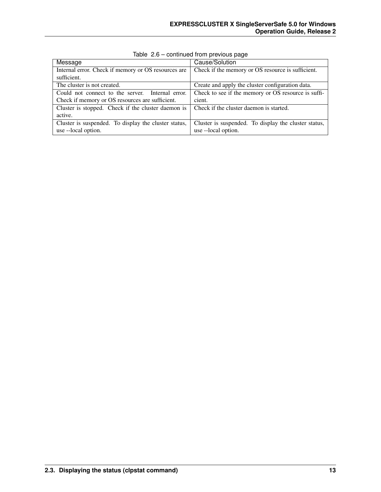| Message                                              | Cause/Solution                                       |
|------------------------------------------------------|------------------------------------------------------|
| Internal error. Check if memory or OS resources are  | Check if the memory or OS resource is sufficient.    |
| sufficient.                                          |                                                      |
| The cluster is not created.                          | Create and apply the cluster configuration data.     |
| Could not connect to the server. Internal error.     | Check to see if the memory or OS resource is suffi-  |
| Check if memory or OS resources are sufficient.      | cient.                                               |
| Cluster is stopped. Check if the cluster daemon is   | Check if the cluster daemon is started.              |
| active.                                              |                                                      |
| Cluster is suspended. To display the cluster status, | Cluster is suspended. To display the cluster status, |
| use --local option.                                  | use --local option.                                  |

Table 2.6 – continued from previous page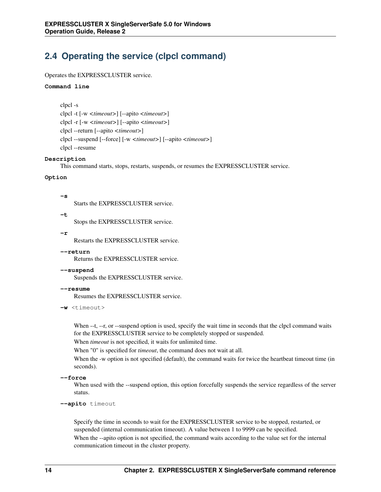## <span id="page-17-0"></span>**2.4 Operating the service (clpcl command)**

#### Operates the EXPRESSCLUSTER service.

#### **Command line**

clpcl -s clpcl -t [-w *<timeout>*] [--apito *<timeout>*] clpcl -r [-w *<timeout>*] [--apito *<timeout>*] clpcl --return [--apito *<timeout>*] clpcl --suspend [--force] [-w *<timeout>*] [--apito *<timeout>*] clpcl --resume

#### **Description**

This command starts, stops, restarts, suspends, or resumes the EXPRESSCLUSTER service.

#### **Option**

**-s**

Starts the EXPRESSCLUSTER service.

**-t**

Stops the EXPRESSCLUSTER service.

**-r**

Restarts the EXPRESSCLUSTER service.

#### **--return**

Returns the EXPRESSCLUSTER service.

#### **--suspend**

Suspends the EXPRESSCLUSTER service.

**--resume**

Resumes the EXPRESSCLUSTER service.

```
-w \leq t \text{ime}
```
When --t, --r, or --suspend option is used, specify the wait time in seconds that the clpcl command waits for the EXPRESSCLUSTER service to be completely stopped or suspended.

When *timeout* is not specified, it waits for unlimited time.

When "0" is specified for *timeout*, the command does not wait at all.

When the -w option is not specified (default), the command waits for twice the heartbeat timeout time (in seconds).

```
--force
```
When used with the --suspend option, this option forcefully suspends the service regardless of the server status.

**--apito** timeout

Specify the time in seconds to wait for the EXPRESSCLUSTER service to be stopped, restarted, or suspended (internal communication timeout). A value between 1 to 9999 can be specified.

When the --apito option is not specified, the command waits according to the value set for the internal communication timeout in the cluster property.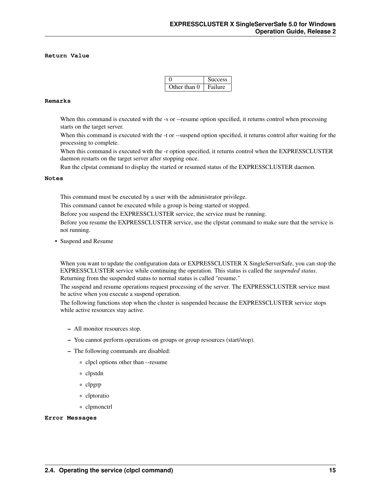#### **Return Value**

|              | <b>Success</b> |
|--------------|----------------|
| Other than 0 | Failure        |

#### **Remarks**

When this command is executed with the -s or --resume option specified, it returns control when processing starts on the target server.

When this command is executed with the -t or --suspend option specified, it returns control after waiting for the processing to complete.

When this command is executed with the -r option specified, it returns control when the EXPRESSCLUSTER daemon restarts on the target server after stopping once.

Run the clpstat command to display the started or resumed status of the EXPRESSCLUSTER daemon.

#### **Notes**

This command must be executed by a user with the administrator privilege.

This command cannot be executed while a group is being started or stopped.

Before you suspend the EXPRESSCLUSTER service, the service must be running.

Before you resume the EXPRESSCLUSTER service, use the clpstat command to make sure that the service is not running.

• Suspend and Resume

When you want to update the configuration data or EXPRESSCLUSTER X SingleServerSafe, you can stop the EXPRESSCLUSTER service while continuing the operation. This status is called the *suspended status*. Returning from the suspended status to normal status is called "resume."

The suspend and resume operations request processing of the server. The EXPRESSCLUSTER service must be active when you execute a suspend operation.

The following functions stop when the cluster is suspended because the EXPRESSCLUSTER service stops while active resources stay active.

- All monitor resources stop.
- You cannot perform operations on groups or group resources (start/stop).
- The following commands are disabled:
	- \* clpcl options other than --resume
	- \* clpstdn
	- \* clpgrp
	- \* clptoratio
	- \* clpmonctrl

#### **Error Messages**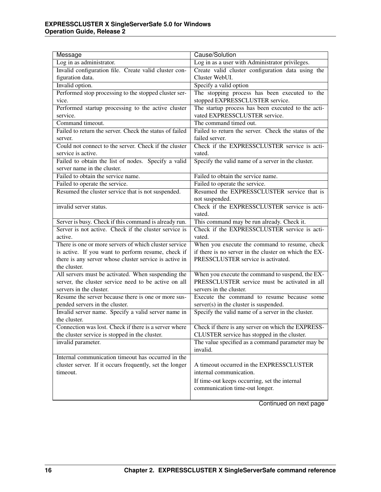| Cause/Solution<br>Message                               |                                                       |  |  |  |  |
|---------------------------------------------------------|-------------------------------------------------------|--|--|--|--|
| Log in as administrator.                                | Log in as a user with Administrator privileges.       |  |  |  |  |
| Invalid configuration file. Create valid cluster con-   | Create valid cluster configuration data using the     |  |  |  |  |
| figuration data.                                        | Cluster WebUI.                                        |  |  |  |  |
| Invalid option.                                         | Specify a valid option                                |  |  |  |  |
| Performed stop processing to the stopped cluster ser-   | The stopping process has been executed to the         |  |  |  |  |
| vice.                                                   | stopped EXPRESSCLUSTER service.                       |  |  |  |  |
| Performed startup processing to the active cluster      | The startup process has been executed to the acti-    |  |  |  |  |
| service.                                                | vated EXPRESSCLUSTER service.                         |  |  |  |  |
| Command timeout.                                        | The command timed out.                                |  |  |  |  |
| Failed to return the server. Check the status of failed | Failed to return the server. Check the status of the  |  |  |  |  |
| server.                                                 | failed server.                                        |  |  |  |  |
| Could not connect to the server. Check if the cluster   | Check if the EXPRESSCLUSTER service is acti-          |  |  |  |  |
| service is active.                                      | vated.                                                |  |  |  |  |
| Failed to obtain the list of nodes. Specify a valid     | Specify the valid name of a server in the cluster.    |  |  |  |  |
| server name in the cluster.                             |                                                       |  |  |  |  |
| Failed to obtain the service name.                      | Failed to obtain the service name.                    |  |  |  |  |
| Failed to operate the service.                          | Failed to operate the service.                        |  |  |  |  |
| Resumed the cluster service that is not suspended.      | Resumed the EXPRESSCLUSTER service that is            |  |  |  |  |
|                                                         | not suspended.                                        |  |  |  |  |
| invalid server status.                                  | Check if the EXPRESSCLUSTER service is acti-          |  |  |  |  |
|                                                         | vated.                                                |  |  |  |  |
| Server is busy. Check if this command is already run.   | This command may be run already. Check it.            |  |  |  |  |
| Server is not active. Check if the cluster service is   | Check if the EXPRESSCLUSTER service is acti-          |  |  |  |  |
| active.                                                 | vated.                                                |  |  |  |  |
| There is one or more servers of which cluster service   | When you execute the command to resume, check         |  |  |  |  |
| is active. If you want to perform resume, check if      | if there is no server in the cluster on which the EX- |  |  |  |  |
| there is any server whose cluster service is active in  | PRESSCLUSTER service is activated.                    |  |  |  |  |
| the cluster.                                            |                                                       |  |  |  |  |
| All servers must be activated. When suspending the      | When you execute the command to suspend, the EX-      |  |  |  |  |
| server, the cluster service need to be active on all    | PRESSCLUSTER service must be activated in all         |  |  |  |  |
| servers in the cluster.                                 | servers in the cluster.                               |  |  |  |  |
| Resume the server because there is one or more sus-     | Execute the command to resume because some            |  |  |  |  |
| pended servers in the cluster.                          | server(s) in the cluster is suspended.                |  |  |  |  |
| Invalid server name. Specify a valid server name in     | Specify the valid name of a server in the cluster.    |  |  |  |  |
| the cluster.                                            |                                                       |  |  |  |  |
| Connection was lost. Check if there is a server where   | Check if there is any server on which the EXPRESS-    |  |  |  |  |
| the cluster service is stopped in the cluster.          | CLUSTER service has stopped in the cluster.           |  |  |  |  |
| invalid parameter.                                      | The value specified as a command parameter may be     |  |  |  |  |
|                                                         | invalid.                                              |  |  |  |  |
| Internal communication timeout has occurred in the      |                                                       |  |  |  |  |
| cluster server. If it occurs frequently, set the longer | A timeout occurred in the EXPRESSCLUSTER              |  |  |  |  |
| timeout.                                                | internal communication.                               |  |  |  |  |
|                                                         | If time-out keeps occurring, set the internal         |  |  |  |  |
|                                                         | communication time-out longer.                        |  |  |  |  |
|                                                         |                                                       |  |  |  |  |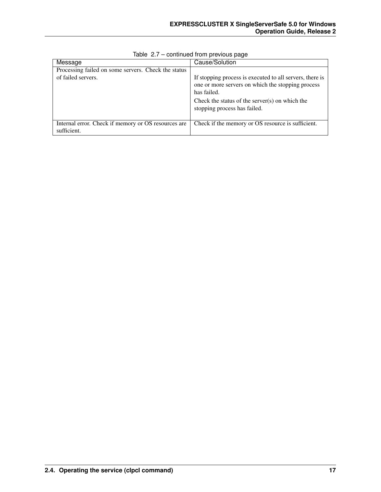| Message                                                                   | Cause/Solution                                                                                                               |
|---------------------------------------------------------------------------|------------------------------------------------------------------------------------------------------------------------------|
| Processing failed on some servers. Check the status<br>of failed servers. | If stopping process is executed to all servers, there is<br>one or more servers on which the stopping process<br>has failed. |
|                                                                           | Check the status of the server $(s)$ on which the<br>stopping process has failed.                                            |
| Internal error. Check if memory or OS resources are<br>sufficient.        | Check if the memory or OS resource is sufficient.                                                                            |

Table 2.7 – continued from previous page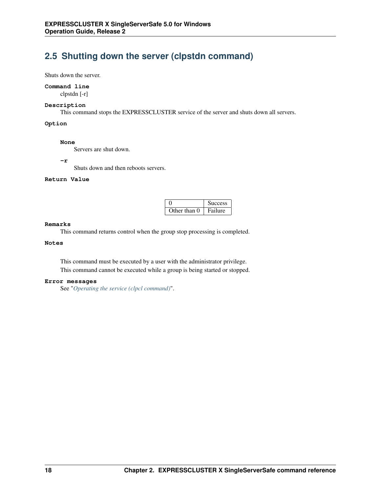### <span id="page-21-0"></span>**2.5 Shutting down the server (clpstdn command)**

Shuts down the server.

#### **Command line**

clpstdn [-r]

#### **Description**

This command stops the EXPRESSCLUSTER service of the server and shuts down all servers.

#### **Option**

#### **None**

Servers are shut down.

#### **-r**

Shuts down and then reboots servers.

### **Return Value**

|              | <b>Success</b> |
|--------------|----------------|
| Other than 0 | Failure        |

#### **Remarks**

This command returns control when the group stop processing is completed.

#### **Notes**

This command must be executed by a user with the administrator privilege. This command cannot be executed while a group is being started or stopped.

#### **Error messages**

See "*[Operating the service \(clpcl command\)](#page-17-0)*".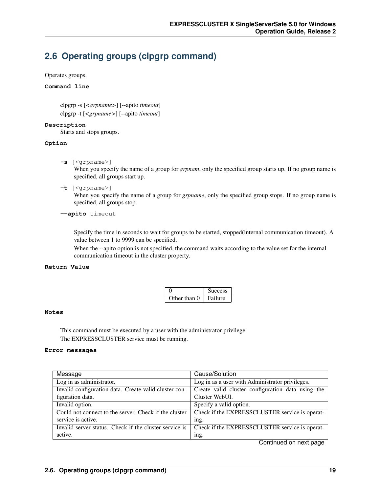### <span id="page-22-0"></span>**2.6 Operating groups (clpgrp command)**

Operates groups.

#### **Command line**

clpgrp -s [*<grpname>*] [--apito *timeout*] clpgrp -t [*<grpname>*] [--apito *timeout*]

**Description**

Starts and stops groups.

#### **Option**

**-s** [<grpname>]

When you specify the name of a group for *grpnam*, only the specified group starts up. If no group name is specified, all groups start up.

**-t** [<grpname>]

When you specify the name of a group for *grpname*, only the specified group stops. If no group name is specified, all groups stop.

#### **--apito** timeout

Specify the time in seconds to wait for groups to be started, stopped(internal communication timeout). A value between 1 to 9999 can be specified.

When the --apito option is not specified, the command waits according to the value set for the internal communication timeout in the cluster property.

#### **Return Value**

|              | <b>Success</b> |  |  |
|--------------|----------------|--|--|
| Other than 0 | Failure        |  |  |

#### **Notes**

This command must be executed by a user with the administrator privilege. The EXPRESSCLUSTER service must be running.

#### **Error messages**

| Message                                                | Cause/Solution                                    |
|--------------------------------------------------------|---------------------------------------------------|
| Log in as administrator.                               | Log in as a user with Administrator privileges.   |
| Invalid configuration data. Create valid cluster con-  | Create valid cluster configuration data using the |
| figuration data.                                       | Cluster WebUI.                                    |
| Invalid option.                                        | Specify a valid option.                           |
| Could not connect to the server. Check if the cluster  | Check if the EXPRESSCLUSTER service is operat-    |
| service is active.                                     | ing.                                              |
| Invalid server status. Check if the cluster service is | Check if the EXPRESSCLUSTER service is operat-    |
| active.                                                | ing.                                              |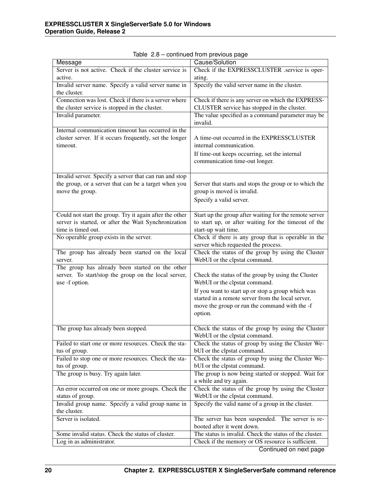| Message                                                 | ◡<br>Cause/Solution                                                           |  |  |  |  |
|---------------------------------------------------------|-------------------------------------------------------------------------------|--|--|--|--|
| Server is not active. Check if the cluster service is   | Check if the EXPRESSCLUSTER .service is oper-                                 |  |  |  |  |
| active.                                                 | ating.                                                                        |  |  |  |  |
| Invalid server name. Specify a valid server name in     | Specify the valid server name in the cluster.                                 |  |  |  |  |
| the cluster.                                            |                                                                               |  |  |  |  |
| Connection was lost. Check if there is a server where   | Check if there is any server on which the EXPRESS-                            |  |  |  |  |
| the cluster service is stopped in the cluster.          | CLUSTER service has stopped in the cluster.                                   |  |  |  |  |
| Invalid parameter.                                      | The value specified as a command parameter may be                             |  |  |  |  |
|                                                         | invalid.                                                                      |  |  |  |  |
| Internal communication timeout has occurred in the      |                                                                               |  |  |  |  |
| cluster server. If it occurs frequently, set the longer | A time-out occurred in the EXPRESSCLUSTER<br>internal communication.          |  |  |  |  |
| timeout.                                                |                                                                               |  |  |  |  |
|                                                         | If time-out keeps occurring, set the internal                                 |  |  |  |  |
|                                                         | communication time-out longer.                                                |  |  |  |  |
| Invalid server. Specify a server that can run and stop  |                                                                               |  |  |  |  |
| the group, or a server that can be a target when you    | Server that starts and stops the group or to which the                        |  |  |  |  |
| move the group.                                         | group is moved is invalid.                                                    |  |  |  |  |
|                                                         | Specify a valid server.                                                       |  |  |  |  |
|                                                         |                                                                               |  |  |  |  |
| Could not start the group. Try it again after the other | Start up the group after waiting for the remote server                        |  |  |  |  |
| server is started, or after the Wait Synchronization    | to start up, or after waiting for the timeout of the                          |  |  |  |  |
| time is timed out.                                      | start-up wait time.                                                           |  |  |  |  |
| No operable group exists in the server.                 | Check if there is any group that is operable in the                           |  |  |  |  |
|                                                         | server which requested the process.                                           |  |  |  |  |
| The group has already been started on the local         | Check the status of the group by using the Cluster                            |  |  |  |  |
| server.                                                 | WebUI or the clpstat command.                                                 |  |  |  |  |
| The group has already been started on the other         |                                                                               |  |  |  |  |
| server. To start/stop the group on the local server,    | Check the status of the group by using the Cluster                            |  |  |  |  |
| use -f option.                                          | WebUI or the clpstat command.                                                 |  |  |  |  |
|                                                         | If you want to start up or stop a group which was                             |  |  |  |  |
|                                                         | started in a remote server from the local server,                             |  |  |  |  |
|                                                         | move the group or run the command with the -f                                 |  |  |  |  |
|                                                         | option.                                                                       |  |  |  |  |
|                                                         |                                                                               |  |  |  |  |
| The group has already been stopped.                     | Check the status of the group by using the Cluster                            |  |  |  |  |
|                                                         | WebUI or the clpstat command.                                                 |  |  |  |  |
| Failed to start one or more resources. Check the sta-   | Check the status of group by using the Cluster We-                            |  |  |  |  |
| tus of group.                                           | bUI or the clpstat command.                                                   |  |  |  |  |
| Failed to stop one or more resources. Check the sta-    | Check the status of group by using the Cluster We-                            |  |  |  |  |
| tus of group.                                           | bUI or the clpstat command.                                                   |  |  |  |  |
| The group is busy. Try again later.                     | The group is now being started or stopped. Wait for<br>a while and try again. |  |  |  |  |
| An error occurred on one or more groups. Check the      | Check the status of the group by using the Cluster                            |  |  |  |  |
| status of group.                                        | WebUI or the clpstat command.                                                 |  |  |  |  |
| Invalid group name. Specify a valid group name in       | Specify the valid name of a group in the cluster.                             |  |  |  |  |
| the cluster.                                            |                                                                               |  |  |  |  |
| Server is isolated.                                     | The server has been suspended. The server is re-                              |  |  |  |  |
|                                                         | booted after it went down.                                                    |  |  |  |  |
| Some invalid status. Check the status of cluster.       | The status is invalid. Check the status of the cluster.                       |  |  |  |  |
| Log in as administrator.                                | Check if the memory or OS resource is sufficient.                             |  |  |  |  |
|                                                         | Continued on next page                                                        |  |  |  |  |

Table 2.8 – continued from previous page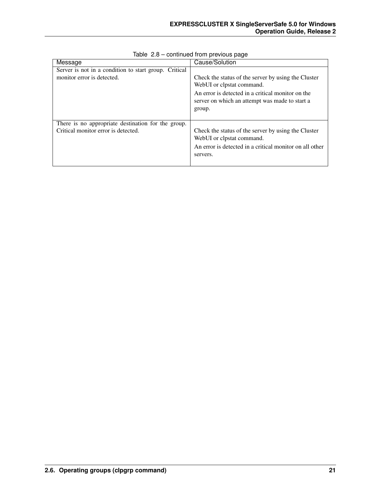| Message                                               | Cause/Solution                                                                                                                                                                                    |  |  |  |
|-------------------------------------------------------|---------------------------------------------------------------------------------------------------------------------------------------------------------------------------------------------------|--|--|--|
| Server is not in a condition to start group. Critical |                                                                                                                                                                                                   |  |  |  |
| monitor error is detected.                            | Check the status of the server by using the Cluster<br>WebUI or clpstat command.<br>An error is detected in a critical monitor on the<br>server on which an attempt was made to start a<br>group. |  |  |  |
| There is no appropriate destination for the group.    |                                                                                                                                                                                                   |  |  |  |
| Critical monitor error is detected.                   | Check the status of the server by using the Cluster<br>WebUI or clpstat command.<br>An error is detected in a critical monitor on all other<br>servers.                                           |  |  |  |

Table 2.8 – continued from previous page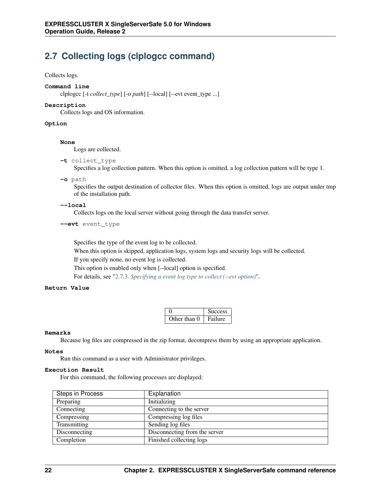# <span id="page-25-0"></span>**2.7 Collecting logs (clplogcc command)**

#### Collects logs.

#### **Command line**

clplogcc [-t *collect\_type*] [-o *path*] [--local] [--evt event\_type ...]

#### **Description**

Collects logs and OS information.

#### **Option**

#### **None**

Logs are collected.

#### **-t** collect\_type

Specifies a log collection pattern. When this option is omitted, a log collection pattern will be type 1.

**-o** path

Specifies the output destination of collector files. When this option is omitted, logs are output under tmp of the installation path.

#### **--local**

Collects logs on the local server without going through the data transfer server.

#### **--evt** event\_type

Specifies the type of the event log to be collected.

When this option is skipped, application logs, system logs and security logs will be collected. If you specify none, no event log is collected.

This option is enabled only when [--local] option is specified.

For details, see ["2.7.3.](#page-30-0) *[Specifying a event log type to collect \(--evt option\)](#page-30-0)*".

#### **Return Value**

|              | <b>Success</b> |
|--------------|----------------|
| Other than 0 | Failure        |

#### **Remarks**

Because log files are compressed in the zip format, decompress them by using an appropriate application.

#### **Notes**

Run this command as a user with Administrator privileges.

#### **Execution Result**

For this command, the following processes are displayed:

| Steps in Process | Explanation                   |
|------------------|-------------------------------|
| Preparing        | Initializing                  |
| Connecting       | Connecting to the server      |
| Compressing      | Compressing log files         |
| Transmitting     | Sending log files             |
| Disconnecting    | Disconnecting from the server |
| Completion       | Finished collecting logs      |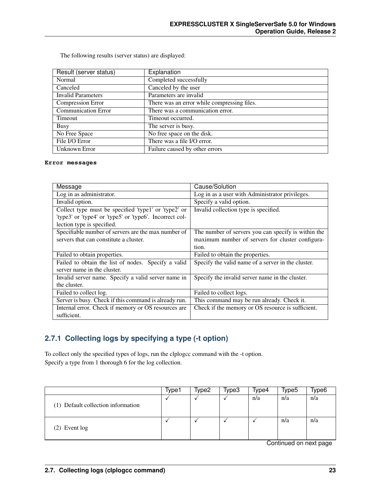The following results (server status) are displayed:

| Result (server status)     | Explanation                                 |
|----------------------------|---------------------------------------------|
| Normal                     | Completed successfully                      |
| Canceled                   | Canceled by the user                        |
| <b>Invalid Parameters</b>  | Parameters are invalid                      |
| Compression Error          | There was an error while compressing files. |
| <b>Communication Error</b> | There was a communication error.            |
| Timeout                    | Timeout occurred.                           |
| <b>Busy</b>                | The server is busy.                         |
| No Free Space              | No free space on the disk.                  |
| File I/O Error             | There was a file I/O error.                 |
| Unknown Error              | Failure caused by other errors              |

#### **Error messages**

| Message                                                  | Cause/Solution                                      |  |  |  |
|----------------------------------------------------------|-----------------------------------------------------|--|--|--|
| Log in as administrator.                                 | Log in as a user with Administrator privileges.     |  |  |  |
| Invalid option.                                          | Specify a valid option.                             |  |  |  |
| Collect type must be specified 'type1' or 'type2' or     | Invalid collection type is specified.               |  |  |  |
| 'type3' or 'type4' or 'type5' or 'type6'. Incorrect col- |                                                     |  |  |  |
| lection type is specified.                               |                                                     |  |  |  |
| Specifiable number of servers are the max number of      | The number of servers you can specify is within the |  |  |  |
| servers that can constitute a cluster.                   | maximum number of servers for cluster configura-    |  |  |  |
|                                                          | tion.                                               |  |  |  |
| Failed to obtain properties.                             | Failed to obtain the properties.                    |  |  |  |
| Failed to obtain the list of nodes. Specify a valid      | Specify the valid name of a server in the cluster.  |  |  |  |
| server name in the cluster.                              |                                                     |  |  |  |
| Invalid server name. Specify a valid server name in      | Specify the invalid server name in the cluster.     |  |  |  |
| the cluster.                                             |                                                     |  |  |  |
| Failed to collect log.                                   | Failed to collect logs.                             |  |  |  |
| Server is busy. Check if this command is already run.    | This command may be run already. Check it.          |  |  |  |
| Internal error. Check if memory or OS resources are      | Check if the memory or OS resource is sufficient.   |  |  |  |
| sufficient.                                              |                                                     |  |  |  |

### **2.7.1 Collecting logs by specifying a type (-t option)**

To collect only the specified types of logs, run the clplogcc command with the -t option. Specify a type from 1 thorough 6 for the log collection.

|                                    | Type1 | Type2 | Type3 | Type4 | Type5 | Type6 |
|------------------------------------|-------|-------|-------|-------|-------|-------|
| (1) Default collection information |       |       |       | n/a   | n/a   | n/a   |
| $(2)$ Event $log$                  |       |       |       |       | n/a   | n/a   |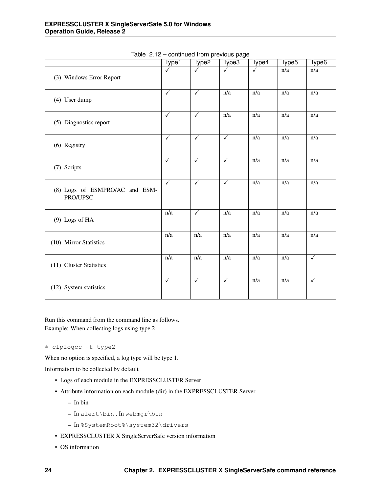|                                            | Type1            | Type <sub>2</sub>       | ---- processor pega<br>Type3 | Type4            | Type <sub>5</sub> | Type <sub>6</sub> |
|--------------------------------------------|------------------|-------------------------|------------------------------|------------------|-------------------|-------------------|
| (3) Windows Error Report                   | ✓                | $\checkmark$            | $\checkmark$                 | ✓                | n/a               | n/a               |
| (4) User dump                              | $\checkmark$     | $\checkmark$            | $\overline{n/a}$             | $\overline{n/a}$ | $\overline{n/a}$  | $\overline{n/a}$  |
| (5) Diagnostics report                     | $\checkmark$     | $\checkmark$            | n/a                          | n/a              | n/a               | n/a               |
| (6) Registry                               | $\checkmark$     | $\checkmark$            | $\checkmark$                 | n/a              | n/a               | n/a               |
| (7) Scripts                                | $\checkmark$     | $\sqrt{}$               | $\checkmark$                 | $\overline{n/a}$ | $\overline{n/a}$  | $\overline{n/a}$  |
| (8) Logs of ESMPRO/AC and ESM-<br>PRO/UPSC | $\checkmark$     | $\overline{\checkmark}$ | $\checkmark$                 | n/a              | n/a               | n/a               |
| (9) Logs of HA                             | n/a              | $\checkmark$            | n/a                          | n/a              | n/a               | n/a               |
| (10) Mirror Statistics                     | $\overline{n/a}$ | $\overline{n/a}$        | $\overline{n/a}$             | $\overline{n/a}$ | $\overline{n/a}$  | $\overline{n/a}$  |
| (11) Cluster Statistics                    | $\overline{n/a}$ | $\overline{n/a}$        | n/a                          | $\overline{n/a}$ | $\overline{n/a}$  | $\checkmark$      |
| (12) System statistics                     | $\checkmark$     | $\checkmark$            | $\checkmark$                 | n/a              | n/a               | $\checkmark$      |

Table 2.12 – continued from previous page

Run this command from the command line as follows. Example: When collecting logs using type 2

#### # clplogcc -t type2

When no option is specified, a log type will be type 1.

Information to be collected by default

- Logs of each module in the EXPRESSCLUSTER Server
- Attribute information on each module (dir) in the EXPRESSCLUSTER Server
	- In bin
	- In alert\bin , In webmgr\bin
	- In %SystemRoot%\system32\drivers
- EXPRESSCLUSTER X SingleServerSafe version information
- OS information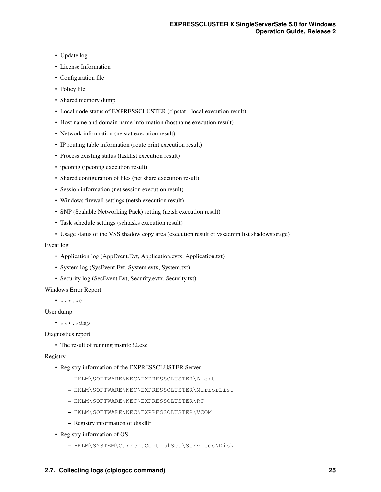- Update log
- License Information
- Configuration file
- Policy file
- Shared memory dump
- Local node status of EXPRESSCLUSTER (clpstat --local execution result)
- Host name and domain name information (hostname execution result)
- Network information (netstat execution result)
- IP routing table information (route print execution result)
- Process existing status (tasklist execution result)
- ipconfig (ipconfig execution result)
- Shared configuration of files (net share execution result)
- Session information (net session execution result)
- Windows firewall settings (netsh execution result)
- SNP (Scalable Networking Pack) setting (netsh execution result)
- Task schedule settings (schtasks execution result)
- Usage status of the VSS shadow copy area (execution result of vssadmin list shadowstorage)

#### Event log

- Application log (AppEvent.Evt, Application.evtx, Application.txt)
- System log (SysEvent.Evt, System.evtx, System.txt)
- Security log (SecEvent.Evt, Security.evtx, Security.txt)

#### Windows Error Report

 $\bullet$  \*\*\*.wer

#### User dump

 $\bullet$  \*\*\*.\*dmp

Diagnostics report

• The result of running msinfo32.exe

#### Registry

- Registry information of the EXPRESSCLUSTER Server
	- HKLM\SOFTWARE\NEC\EXPRESSCLUSTER\Alert
	- HKLM\SOFTWARE\NEC\EXPRESSCLUSTER\MirrorList
	- HKLM\SOFTWARE\NEC\EXPRESSCLUSTER\RC
	- HKLM\SOFTWARE\NEC\EXPRESSCLUSTER\VCOM
	- Registry information of diskfltr
- Registry information of OS
	- HKLM\SYSTEM\CurrentControlSet\Services\Disk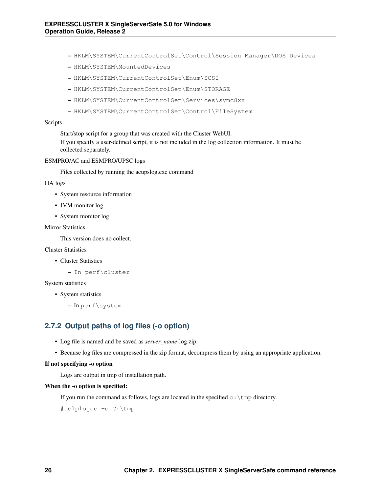- HKLM\SYSTEM\CurrentControlSet\Control\Session Manager\DOS Devices
- HKLM\SYSTEM\MountedDevices
- HKLM\SYSTEM\CurrentControlSet\Enum\SCSI
- HKLM\SYSTEM\CurrentControlSet\Enum\STORAGE
- HKLM\SYSTEM\CurrentControlSet\Services\symc8xx
- HKLM\SYSTEM\CurrentControlSet\Control\FileSystem

#### Scripts

Start/stop script for a group that was created with the Cluster WebUI.

If you specify a user-defined script, it is not included in the log collection information. It must be collected separately.

#### ESMPRO/AC and ESMPRO/UPSC logs

Files collected by running the acupslog.exe command

#### HA logs

- System resource information
- JVM monitor log
- System monitor log

#### **Mirror Statistics**

This version does no collect.

#### Cluster Statistics

- Cluster Statistics
	- In perf\cluster

#### System statistics

- System statistics
	- In perf\system

### **2.7.2 Output paths of log files (-o option)**

- Log file is named and be saved as *server\_name*-log.zip.
- Because log files are compressed in the zip format, decompress them by using an appropriate application.

#### If not specifying -o option

Logs are output in tmp of installation path.

#### When the -o option is specified:

If you run the command as follows, logs are located in the specified  $c:$  \tmp directory.

# clplogcc -o C:\tmp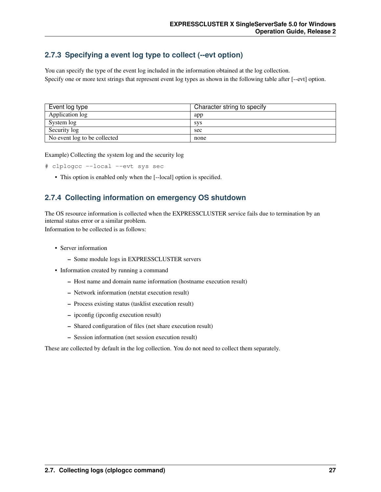### <span id="page-30-0"></span>**2.7.3 Specifying a event log type to collect (--evt option)**

You can specify the type of the event log included in the information obtained at the log collection. Specify one or more text strings that represent event log types as shown in the following table after [--evt] option.

| Event log type               | Character string to specify |
|------------------------------|-----------------------------|
| Application log              | app                         |
| System log                   | <b>SVS</b>                  |
| Security log                 | sec                         |
| No event log to be collected | none                        |

Example) Collecting the system log and the security log

```
# clplogcc --local --evt sys sec
```
• This option is enabled only when the [--local] option is specified.

### **2.7.4 Collecting information on emergency OS shutdown**

The OS resource information is collected when the EXPRESSCLUSTER service fails due to termination by an internal status error or a similar problem.

Information to be collected is as follows:

- Server information
	- Some module logs in EXPRESSCLUSTER servers
- Information created by running a command
	- Host name and domain name information (hostname execution result)
	- Network information (netstat execution result)
	- Process existing status (tasklist execution result)
	- ipconfig (ipconfig execution result)
	- Shared configuration of files (net share execution result)
	- Session information (net session execution result)

These are collected by default in the log collection. You do not need to collect them separately.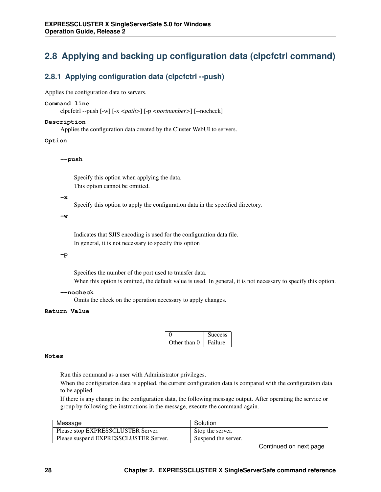# <span id="page-31-0"></span>**2.8 Applying and backing up configuration data (clpcfctrl command)**

### **2.8.1 Applying configuration data (clpcfctrl --push)**

Applies the configuration data to servers.

#### **Command line**

clpcfctrl --push [-w] [-x *<path>*] [-p *<portnumber>*] [--nocheck]

#### **Description**

Applies the configuration data created by the Cluster WebUI to servers.

#### **Option**

**--push**

Specify this option when applying the data. This option cannot be omitted.

#### **-x**

Specify this option to apply the configuration data in the specified directory.

**-w**

Indicates that SJIS encoding is used for the configuration data file. In general, it is not necessary to specify this option

#### **-p**

Specifies the number of the port used to transfer data. When this option is omitted, the default value is used. In general, it is not necessary to specify this option.

#### **--nocheck**

Omits the check on the operation necessary to apply changes.

#### **Return Value**

|              | Success |
|--------------|---------|
| Other than 0 | Failure |

#### **Notes**

Run this command as a user with Administrator privileges.

When the configuration data is applied, the current configuration data is compared with the configuration data to be applied.

If there is any change in the configuration data, the following message output. After operating the service or group by following the instructions in the message, execute the command again.

| Message                               | Solution            |
|---------------------------------------|---------------------|
| Please stop EXPRESSCLUSTER Server.    | Stop the server.    |
| Please suspend EXPRESSCLUSTER Server. | Suspend the server. |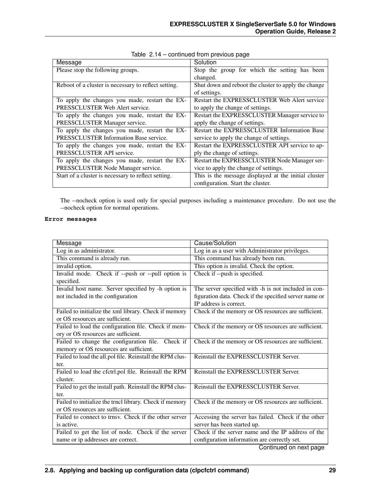| Message                                              | Solution                                             |
|------------------------------------------------------|------------------------------------------------------|
| Please stop the following groups.                    | Stop the group for which the setting has been        |
|                                                      | changed.                                             |
| Reboot of a cluster is necessary to reflect setting. | Shut down and reboot the cluster to apply the change |
|                                                      | of settings.                                         |
| To apply the changes you made, restart the EX-       | Restart the EXPRESSCLUSTER Web Alert service         |
| PRESSCLUSTER Web Alert service.                      | to apply the change of settings.                     |
| To apply the changes you made, restart the EX-       | Restart the EXPRESSCLUSTER Manager service to        |
| PRESSCLUSTER Manager service.                        | apply the change of settings.                        |
| To apply the changes you made, restart the EX-       | Restart the EXPRESSCLUSTER Information Base          |
| PRESSCLUSTER Information Base service.               | service to apply the change of settings.             |
| To apply the changes you made, restart the EX-       | Restart the EXPRESSCLUSTER API service to ap-        |
| PRESSCLUSTER API service.                            | ply the change of settings.                          |
| To apply the changes you made, restart the EX-       | Restart the EXPRESSCLUSTER Node Manager ser-         |
| PRESSCLUSTER Node Manager service.                   | vice to apply the change of settings.                |
| Start of a cluster is necessary to reflect setting.  | This is the message displayed at the initial cluster |
|                                                      | configuration. Start the cluster.                    |

Table 2.14 – continued from previous page

The --nocheck option is used only for special purposes including a maintenance procedure. Do not use the --nocheck option for normal operations.

#### **Error messages**

| Message                                                  | Cause/Solution                                         |
|----------------------------------------------------------|--------------------------------------------------------|
| Log in as administrator.                                 | Log in as a user with Administrator privileges.        |
| This command is already run.                             | This command has already been run.                     |
| invalid option.                                          | This option is invalid. Check the option.              |
| Invalid mode. Check if --push or --pull option is        | Check if --push is specified.                          |
| specified.                                               |                                                        |
| Invalid host name. Server specified by -h option is      | The server specified with -h is not included in con-   |
| not included in the configuration                        | figuration data. Check if the specified server name or |
|                                                          | IP address is correct.                                 |
| Failed to initialize the xml library. Check if memory    | Check if the memory or OS resources are sufficient.    |
| or OS resources are sufficient.                          |                                                        |
| Failed to load the configuration file. Check if mem-     | Check if the memory or OS resources are sufficient.    |
| ory or OS resources are sufficient.                      |                                                        |
| Failed to change the configuration file. Check if        | Check if the memory or OS resources are sufficient.    |
| memory or OS resources are sufficient.                   |                                                        |
| Failed to load the all.pol file. Reinstall the RPM clus- | Reinstall the EXPRESSCLUSTER Server.                   |
| ter.                                                     |                                                        |
| Failed to load the cfctrl.pol file. Reinstall the RPM    | Reinstall the EXPRESSCLUSTER Server.                   |
| cluster.                                                 |                                                        |
| Failed to get the install path. Reinstall the RPM clus-  | Reinstall the EXPRESSCLUSTER Server.                   |
| ter.                                                     |                                                        |
| Failed to initialize the trncl library. Check if memory  | Check if the memory or OS resources are sufficient.    |
| or OS resources are sufficient.                          |                                                        |
| Failed to connect to trnsv. Check if the other server    | Accessing the server has failed. Check if the other    |
| is active.                                               | server has been started up.                            |
| Failed to get the list of node. Check if the server      | Check if the server name and the IP address of the     |
| name or ip addresses are correct.                        | configuration information are correctly set.           |
|                                                          | Continued on next page                                 |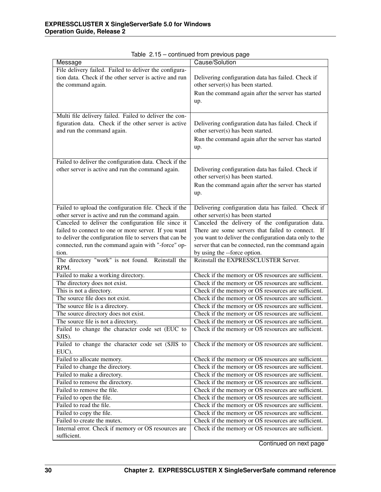| Message                                                  | Cause/Solution                                                   |
|----------------------------------------------------------|------------------------------------------------------------------|
| File delivery failed. Failed to deliver the configura-   |                                                                  |
| tion data. Check if the other server is active and run   | Delivering configuration data has failed. Check if               |
| the command again.                                       | other server(s) has been started.                                |
|                                                          | Run the command again after the server has started               |
|                                                          |                                                                  |
|                                                          | up.                                                              |
| Multi file delivery failed. Failed to deliver the con-   |                                                                  |
| figuration data. Check if the other server is active     | Delivering configuration data has failed. Check if               |
| and run the command again.                               | other server(s) has been started.                                |
|                                                          |                                                                  |
|                                                          | Run the command again after the server has started               |
|                                                          | up.                                                              |
|                                                          |                                                                  |
| Failed to deliver the configuration data. Check if the   |                                                                  |
| other server is active and run the command again.        | Delivering configuration data has failed. Check if               |
|                                                          | other server(s) has been started.                                |
|                                                          | Run the command again after the server has started               |
|                                                          | up.                                                              |
|                                                          |                                                                  |
| Failed to upload the configuration file. Check if the    | Delivering configuration data has failed. Check if               |
| other server is active and run the command again.        | other server(s) has been started                                 |
| Canceled to deliver the configuration file since it      | Canceled the delivery of the configuration data.                 |
| failed to connect to one or more server. If you want     | There are some servers that failed to connect. If                |
| to deliver the configuration file to servers that can be | you want to deliver the configuration data only to the           |
| connected, run the command again with "-force" op-       | server that can be connected, run the command again              |
| tion.                                                    | by using the --force option.                                     |
| The directory "work" is not found. Reinstall the         | Reinstall the EXPRESSCLUSTER Server.                             |
| RPM.                                                     |                                                                  |
| Failed to make a working directory.                      | Check if the memory or OS resources are sufficient.              |
| The directory does not exist.                            | Check if the memory or OS resources are sufficient.              |
| This is not a directory.                                 | Check if the memory or OS resources are sufficient.              |
| The source file does not exist.                          | Check if the memory or OS resources are sufficient.              |
| The source file is a directory.                          | Check if the memory or OS resources are sufficient.              |
| The source directory does not exist.                     | Check if the memory or OS resources are sufficient.              |
| The source file is not a directory.                      | Check if the memory or OS resources are sufficient.              |
| Failed to change the character code set (EUC to          | Check if the memory or OS resources are sufficient.              |
| SJIS).                                                   |                                                                  |
| Failed to change the character code set (SJIS to         | Check if the memory or OS resources are sufficient.              |
| EUC).                                                    |                                                                  |
| Failed to allocate memory.                               | Check if the memory or OS resources are sufficient.              |
| Failed to change the directory.                          | Check if the memory or $\overline{OS}$ resources are sufficient. |
| Failed to make a directory.                              | Check if the memory or OS resources are sufficient.              |
| Failed to remove the directory.                          | Check if the memory or OS resources are sufficient.              |
| Failed to remove the file.                               | Check if the memory or OS resources are sufficient.              |
| Failed to open the file.                                 | Check if the memory or OS resources are sufficient.              |
| Failed to read the file.                                 | Check if the memory or OS resources are sufficient.              |
| Failed to copy the file.                                 | Check if the memory or OS resources are sufficient.              |
| Failed to create the mutex.                              | Check if the memory or OS resources are sufficient.              |
| Internal error. Check if memory or OS resources are      | Check if the memory or OS resources are sufficient.              |
| sufficient.                                              |                                                                  |

Table 2.15 – continued from previous page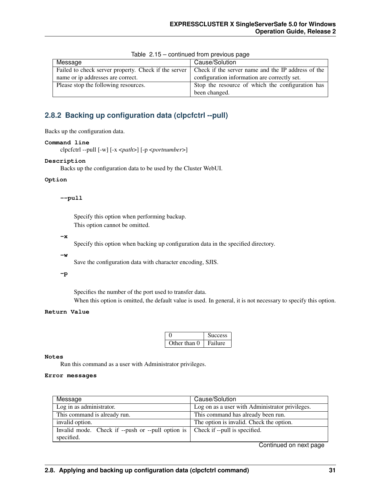| Message                              | Cause/Solution                                                                                            |
|--------------------------------------|-----------------------------------------------------------------------------------------------------------|
|                                      |                                                                                                           |
|                                      | Failed to check server property. Check if the server   Check if the server name and the IP address of the |
| name or ip addresses are correct.    | configuration information are correctly set.                                                              |
| Please stop the following resources. | Stop the resource of which the configuration has                                                          |
|                                      | been changed.                                                                                             |

Table 2.15 – continued from previous page

### **2.8.2 Backing up configuration data (clpcfctrl --pull)**

Backs up the configuration data.

#### **Command line**

```
clpcfctrl --pull [-w] [-x <path>] [-p <portnumber>]
```
### **Description**

Backs up the configuration data to be used by the Cluster WebUI.

#### **Option**

#### **--pull**

Specify this option when performing backup. This option cannot be omitted.

#### **-x**

Specify this option when backing up configuration data in the specified directory.

#### **-w**

Save the configuration data with character encoding, SJIS.

#### **-p**

Specifies the number of the port used to transfer data.

When this option is omitted, the default value is used. In general, it is not necessary to specify this option.

#### **Return Value**

|              | <b>Success</b> |
|--------------|----------------|
| Other than 0 | Failure        |

#### **Notes**

Run this command as a user with Administrator privileges.

#### **Error messages**

| Message                                           | Cause/Solution                                  |
|---------------------------------------------------|-------------------------------------------------|
| Log in as administrator.                          | Log on as a user with Administrator privileges. |
| This command is already run.                      | This command has already been run.              |
| invalid option.                                   | The option is invalid. Check the option.        |
| Invalid mode. Check if --push or --pull option is | Check if --pull is specified.                   |
| specified.                                        |                                                 |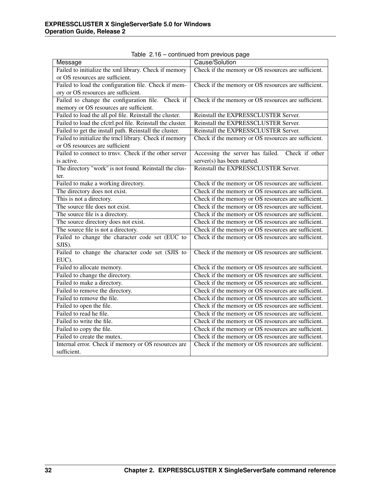| Message                                                    | ◡<br>Cause/Solution                                 |
|------------------------------------------------------------|-----------------------------------------------------|
| Failed to initialize the xml library. Check if memory      | Check if the memory or OS resources are sufficient. |
| or OS resources are sufficient.                            |                                                     |
| Failed to load the configuration file. Check if mem-       | Check if the memory or OS resources are sufficient. |
| ory or OS resources are sufficient.                        |                                                     |
| Failed to change the configuration file. Check if          | Check if the memory or OS resources are sufficient. |
| memory or OS resources are sufficient.                     |                                                     |
| Failed to load the all.pol file. Reinstall the cluster.    | Reinstall the EXPRESSCLUSTER Server.                |
| Failed to load the cfctrl.pol file. Reinstall the cluster. | Reinstall the EXPRESSCLUSTER Server.                |
| Failed to get the install path. Reinstall the cluster.     | Reinstall the EXPRESSCLUSTER Server.                |
| Failed to initialize the trncl library. Check if memory    | Check if the memory or OS resources are sufficient. |
| or OS resources are sufficient                             |                                                     |
| Failed to connect to trnsv. Check if the other server      | Accessing the server has failed.<br>Check if other  |
| is active.                                                 | server(s) has been started.                         |
| The directory "work" is not found. Reinstall the clus-     | Reinstall the EXPRESSCLUSTER Server.                |
| ter.                                                       |                                                     |
| Failed to make a working directory.                        | Check if the memory or OS resources are sufficient. |
| The directory does not exist.                              | Check if the memory or OS resources are sufficient. |
| This is not a directory.                                   | Check if the memory or OS resources are sufficient. |
| The source file does not exist.                            | Check if the memory or OS resources are sufficient. |
| The source file is a directory.                            | Check if the memory or OS resources are sufficient. |
| The source directory does not exist.                       | Check if the memory or OS resources are sufficient. |
| The source file is not a directory.                        | Check if the memory or OS resources are sufficient. |
| Failed to change the character code set (EUC to            | Check if the memory or OS resources are sufficient. |
| SJIS).                                                     |                                                     |
| Failed to change the character code set (SJIS to           | Check if the memory or OS resources are sufficient. |
| EUC).                                                      |                                                     |
| Failed to allocate memory.                                 | Check if the memory or OS resources are sufficient. |
| Failed to change the directory.                            | Check if the memory or OS resources are sufficient. |
| Failed to make a directory.                                | Check if the memory or OS resources are sufficient. |
| Failed to remove the directory.                            | Check if the memory or OS resources are sufficient. |
| Failed to remove the file.                                 | Check if the memory or OS resources are sufficient. |
| Failed to open the file.                                   | Check if the memory or OS resources are sufficient. |
| Failed to read he file.                                    | Check if the memory or OS resources are sufficient. |
| Failed to write the file.                                  | Check if the memory or OS resources are sufficient. |
| Failed to copy the file.                                   | Check if the memory or OS resources are sufficient. |
| Failed to create the mutex.                                | Check if the memory or OS resources are sufficient. |
| Internal error. Check if memory or OS resources are        | Check if the memory or OS resources are sufficient. |
| sufficient.                                                |                                                     |

Table 2.16 – continued from previous page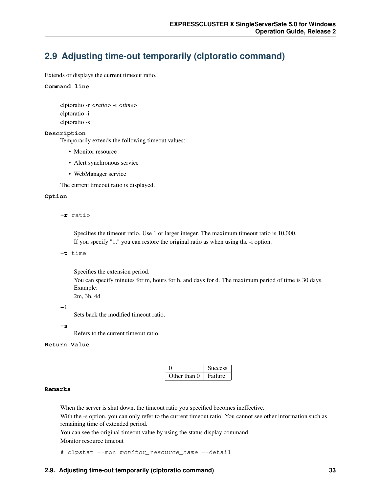# **2.9 Adjusting time-out temporarily (clptoratio command)**

Extends or displays the current timeout ratio.

## **Command line**

clptoratio -r *<ratio>* -t *<time>* clptoratio -i clptoratio -s

## **Description**

Temporarily extends the following timeout values:

- Monitor resource
- Alert synchronous service
- WebManager service

The current timeout ratio is displayed.

#### **Option**

**-r** ratio

Specifies the timeout ratio. Use 1 or larger integer. The maximum timeout ratio is 10,000. If you specify "1," you can restore the original ratio as when using the -i option.

**-t** time

Specifies the extension period.

You can specify minutes for m, hours for h, and days for d. The maximum period of time is 30 days. Example:

2m, 3h, 4d

**-i**

Sets back the modified timeout ratio.

**-s**

Refers to the current timeout ratio.

## **Return Value**

|              | <b>Success</b> |
|--------------|----------------|
| Other than 0 | Failure        |

#### **Remarks**

When the server is shut down, the timeout ratio you specified becomes ineffective.

With the -s option, you can only refer to the current timeout ratio. You cannot see other information such as remaining time of extended period.

You can see the original timeout value by using the status display command.

Monitor resource timeout

# clpstat --mon monitor\_resource\_name --detail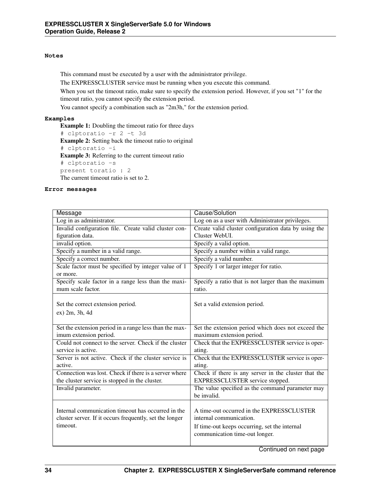## **Notes**

This command must be executed by a user with the administrator privilege.

The EXPRESSCLUSTER service must be running when you execute this command.

When you set the timeout ratio, make sure to specify the extension period. However, if you set "1" for the timeout ratio, you cannot specify the extension period.

You cannot specify a combination such as "2m3h," for the extension period.

## **Examples**

Example 1: Doubling the timeout ratio for three days # clptoratio -r 2 -t 3d Example 2: Setting back the timeout ratio to original # clptoratio -i Example 3: Referring to the current timeout ratio # clptoratio -s present toratio : 2 The current timeout ratio is set to 2.

## **Error messages**

| Message                                                 | Cause/Solution                                       |
|---------------------------------------------------------|------------------------------------------------------|
| Log in as administrator.                                | Log on as a user with Administrator privileges.      |
| Invalid configuration file. Create valid cluster con-   | Create valid cluster configuration data by using the |
| figuration data.                                        | Cluster WebUI.                                       |
| invalid option.                                         | Specify a valid option.                              |
| Specify a number in a valid range.                      | Specify a number within a valid range.               |
| Specify a correct number.                               | Specify a valid number.                              |
| Scale factor must be specified by integer value of 1    | Specify 1 or larger integer for ratio.               |
| or more.                                                |                                                      |
| Specify scale factor in a range less than the maxi-     | Specify a ratio that is not larger than the maximum  |
| mum scale factor.                                       | ratio.                                               |
|                                                         |                                                      |
| Set the correct extension period.                       | Set a valid extension period.                        |
| ex) 2m, 3h, 4d                                          |                                                      |
|                                                         |                                                      |
| Set the extension period in a range less than the max-  | Set the extension period which does not exceed the   |
| imum extension period.                                  | maximum extension period.                            |
| Could not connect to the server. Check if the cluster   | Check that the EXPRESSCLUSTER service is oper-       |
| service is active.                                      | ating.                                               |
| Server is not active. Check if the cluster service is   | Check that the EXPRESSCLUSTER service is oper-       |
| active.                                                 | ating.                                               |
| Connection was lost. Check if there is a server where   | Check if there is any server in the cluster that the |
| the cluster service is stopped in the cluster.          | EXPRESSCLUSTER service stopped.                      |
| Invalid parameter.                                      | The value specified as the command parameter may     |
|                                                         | be invalid.                                          |
|                                                         |                                                      |
| Internal communication timeout has occurred in the      | A time-out occurred in the EXPRESSCLUSTER            |
| cluster server. If it occurs frequently, set the longer | internal communication.                              |
| timeout.                                                | If time-out keeps occurring, set the internal        |
|                                                         | communication time-out longer.                       |
|                                                         |                                                      |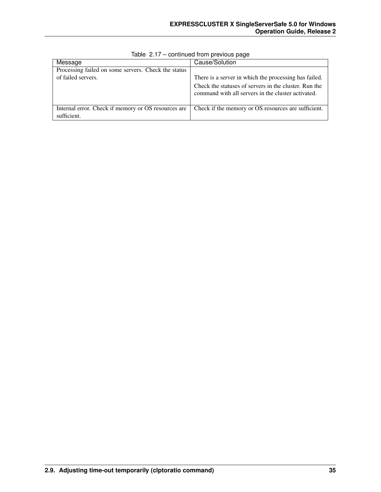| Message                                             | Cause/Solution                                                                                              |
|-----------------------------------------------------|-------------------------------------------------------------------------------------------------------------|
| Processing failed on some servers. Check the status |                                                                                                             |
| of failed servers.                                  | There is a server in which the processing has failed.                                                       |
|                                                     | Check the statuses of servers in the cluster. Run the<br>command with all servers in the cluster activated. |
| Internal error. Check if memory or OS resources are | Check if the memory or OS resources are sufficient.                                                         |
| sufficient.                                         |                                                                                                             |

Table 2.17 – continued from previous page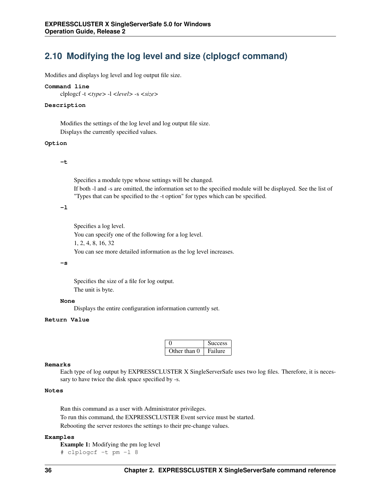# **2.10 Modifying the log level and size (clplogcf command)**

Modifies and displays log level and log output file size.

#### **Command line**

clplogcf -t *<type>* -l *<level>* -s *<size>*

#### **Description**

Modifies the settings of the log level and log output file size. Displays the currently specified values.

#### **Option**

#### **-t**

Specifies a module type whose settings will be changed.

If both -l and -s are omitted, the information set to the specified module will be displayed. See the list of "Types that can be specified to the -t option" for types which can be specified.

## **-l**

Specifies a log level. You can specify one of the following for a log level. 1, 2, 4, 8, 16, 32 You can see more detailed information as the log level increases.

#### **-s**

Specifies the size of a file for log output. The unit is byte.

#### **None**

Displays the entire configuration information currently set.

## **Return Value**

|              | <b>Success</b> |
|--------------|----------------|
| Other than 0 | Failure        |

#### **Remarks**

Each type of log output by EXPRESSCLUSTER X SingleServerSafe uses two log files. Therefore, it is necessary to have twice the disk space specified by -s.

## **Notes**

Run this command as a user with Administrator privileges. To run this command, the EXPRESSCLUSTER Event service must be started. Rebooting the server restores the settings to their pre-change values.

## **Examples**

Example 1: Modifying the pm log level # clplogcf -t pm -l 8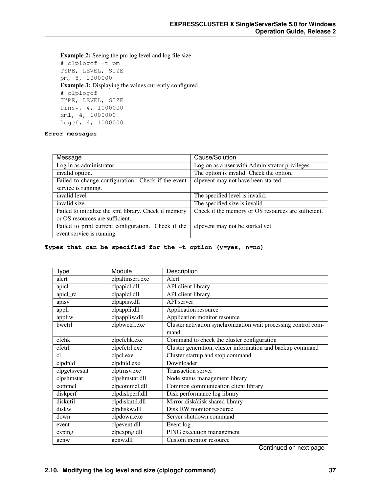Example 2: Seeing the pm log level and log file size # clplogcf -t pm TYPE, LEVEL, SIZE pm, 8, 1000000 Example 3: Displaying the values currently configured # clplogcf TYPE, LEVEL, SIZE trnsv, 4, 1000000 xml, 4, 1000000 logcf, 4, 1000000

## **Error messages**

| Message                                               | Cause/Solution                                      |
|-------------------------------------------------------|-----------------------------------------------------|
| Log in as administrator.                              | Log on as a user with Administrator privileges.     |
| invalid option.                                       | The option is invalid. Check the option.            |
| Failed to change configuration. Check if the event    | clpevent may not have been started.                 |
| service is running.                                   |                                                     |
| invalid level                                         | The specified level is invalid.                     |
| invalid size                                          | The specified size is invalid.                      |
| Failed to initialize the xml library. Check if memory | Check if the memory or OS resources are sufficient. |
| or OS resources are sufficient.                       |                                                     |
| Failed to print current configuration. Check if the   | clpevent may not be started yet.                    |
| event service is running.                             |                                                     |

#### **Types that can be specified for the -t option (y=yes, n=no)**

| Type          | Module           | Description                                                     |
|---------------|------------------|-----------------------------------------------------------------|
| alert         | clpaltinsert.exe | Alert                                                           |
| apicl         | clpapicl.dll     | API client library                                              |
| apicl_rc      | clpapicl.dll     | API client library                                              |
| apisv         | clpapisv.dll     | API server                                                      |
| appli         | clpappli.dll     | Application resource                                            |
| appliw        | clpappliw.dll    | Application monitor resource                                    |
| bwctrl        | clpbwctrl.exe    | Cluster activation synchronization wait processing control com- |
|               |                  | mand                                                            |
| cfchk         | clpcfchk.exe     | Command to check the cluster configuration                      |
| cfctrl        | clpcfctrl.exe    | Cluster generation, cluster information and backup command      |
| c1            | clpcl.exe        | Cluster startup and stop command                                |
| clpdnld       | clpdnld.exe      | Downloader                                                      |
| clpgetsvcstat | clptrnsv.exe     | Transaction server                                              |
| clpshmstat    | clpshmstat.dll   | Node status management library                                  |
| commel        | clpcommcl.dll    | Common communication client library                             |
| diskperf      | clpdiskperf.dll  | Disk performance log library                                    |
| diskutil      | clpdiskutil.dll  | Mirror disk/disk shared library                                 |
| diskw         | clpdiskw.dll     | Disk RW monitor resource                                        |
| down          | clpdown.exe      | Server shutdown command                                         |
| event         | clpevent.dll     | Event log                                                       |
| exping        | clpexpng.dll     | PING execution management                                       |
| genw          | genw.dll         | Custom monitor resource                                         |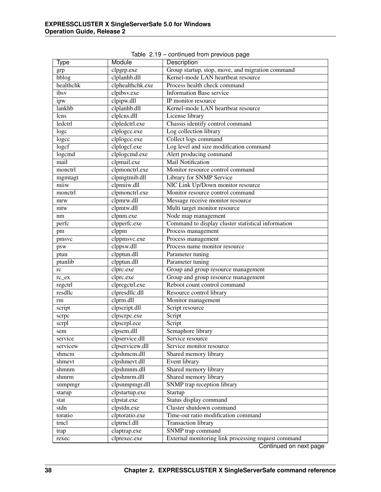| Type      | Module           | Description                                         |
|-----------|------------------|-----------------------------------------------------|
| grp       | clpgrp.exe       | Group startup, stop, move, and migration command    |
| hblog     | clplanhb.dll     | Kernel-mode LAN heartbeat resource                  |
| healthchk | clphealthchk.exe | Process health check command                        |
| ibsv      | clpibsv.exe      | <b>Information Base service</b>                     |
| ipw       | clpipw.dll       | IP monitor resource                                 |
| lankhb    | clplanhb.dll     | Kernel-mode LAN heartbeat resource                  |
| lcns      | clplcns.dll      | License library                                     |
| ledctrl   | clpledctrl.exe   | Chassis identify control command                    |
| logc      | clplogcc.exe     | Log collection library                              |
| logcc     | clplogcc.exe     | Collect logs command                                |
| logcf     | clplogcf.exe     | Log level and size modification command             |
| $logc$ md | clplogcmd.exe    | Alert producing command                             |
| mail      | clpmail.exe      | <b>Mail Notification</b>                            |
| monctrl   | clpmonetrl.exe   | Monitor resource control command                    |
| mgmtagt   | clpmgtmib.dll    | Library for SNMP Service                            |
| miiw      | clpmiiw.dll      | NIC Link Up/Down monitor resource                   |
| monctrl   | clpmonctrl.exe   | Monitor resource control command                    |
| mrw       | clpmrw.dll       | Message receive monitor resource                    |
| mtw       | clpmtw.dll       | Multi target monitor resource                       |
| nm        | clpnm.exe        | Node map management                                 |
| perfc     | clpperfc.exe     | Command to display cluster statistical information  |
| pm        | clppm            | Process management                                  |
| pmsvc     | clppmsvc.exe     | Process management                                  |
| psw       | clppsw.dll       | Process name monitor resource                       |
| ptun      | clpptun.dll      | Parameter tuning                                    |
| ptunlib   | clpptun.dll      | Parameter tuning                                    |
| rc        | clprc.exe        | Group and group resource management                 |
| $rc\_ex$  | clprc.exe        | Group and group resource management                 |
| regetrl   | clpregctrl.exe   | Reboot count control command                        |
| resdllc   | clpresdllc.dll   | Resource control library                            |
| rm        | clprm.dll        | Monitor management                                  |
| script    | clpscript.dll    | Script resource                                     |
| scrpc     | clpscrpc.exe     | Script                                              |
| scrpl     | clpscrpl.ece     | Script                                              |
| sem       | clpsem.dll       | Semaphore library                                   |
| service   | clpservice.dll   | Service resource                                    |
| servicew  | clpservicew.dll  | Service monitor resource                            |
| shmcm     | clpshmcm.dll     | Shared memory library                               |
| shmevt    | clpshmevt.dll    | Event library                                       |
| shmnm     | clpshmnm.dll     | Shared memory library                               |
| shmrm     | clpshmrm.dll     | Shared memory library                               |
| snmpmgr   | clpsnmpmgr.dll   | SNMP trap reception library                         |
| starup    | clpstartup.exe   | Startup                                             |
| stat      | clpstat.exe      | Status display command                              |
| stdn      | clpstdn.exe      | Cluster shutdown command                            |
| toratio   | clptoratio.exe   | Time-out ratio modification command                 |
| trncl     | clptrncl.dll     | Transaction library                                 |
| trap      | claptrap.exe     | SNMP trap command                                   |
| rexec     | clprexec.exe     | External monitoring link processing request command |
|           |                  |                                                     |

Table 2.19 – continued from previous page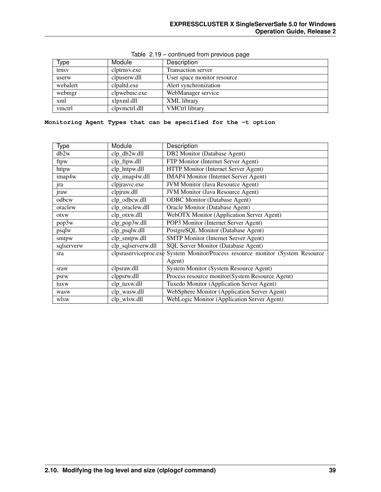| Type     | Module        | Description                 |
|----------|---------------|-----------------------------|
| trnsy    | clptrnsv.exe  | <b>Transaction server</b>   |
| userw    | clpuserw.dll  | User space monitor resource |
| webalert | clpaltd.exe   | Alert synchronization       |
| webmgr   | clpwebmc.exe  | WebManager service          |
| xml      | xlpxml.dll    | XML library                 |
| vmctrl   | clpymetrl.dll | <b>VMCtrl library</b>       |

## Table 2.19 – continued from previous page

## **Monitoring Agent Types that can be specified for the -t option**

| Type       | Module             | Description                                                                    |
|------------|--------------------|--------------------------------------------------------------------------------|
| db2w       | clp_db2w.dll       | DB2 Monitor (Database Agent)                                                   |
| ftpw       | clp_ftpw.dll       | FTP Monitor (Internet Server Agent)                                            |
| httpw      | clp_httpw.dll      | HTTP Monitor (Internet Server Agent)                                           |
| imap4w     | clp_imap4w.dll     | <b>IMAP4 Monitor (Internet Server Agent)</b>                                   |
| jra        | clpjrasvc.exe      | <b>JVM Monitor (Java Resource Agent)</b>                                       |
| jraw       | clpjraw.dll        | <b>JVM Monitor (Java Resource Agent)</b>                                       |
| odbcw      | clp_odbcw.dll      | <b>ODBC</b> Monitor (Database Agent)                                           |
| oraclew    | clp_oraclew.dll    | Oracle Monitor (Database Agent)                                                |
| otxw       | clp_otxw.dll       | WebOTX Monitor (Application Server Agent)                                      |
| pop3w      | clp_pop3w.dll      | POP3 Monitor (Internet Server Agent)                                           |
| psqlw      | clp_psqlw.dll      | PostgreSQL Monitor (Database Agent)                                            |
| smtpw      | clp_smtpw.dll      | <b>SMTP Monitor (Internet Server Agent)</b>                                    |
| sqlserverw | clp_sqlserverw.dll | <b>SQL Server Monitor (Database Agent)</b>                                     |
| sra        |                    | clpsraserviceproc.exe System Monitor/Process resource monitor (System Resource |
|            |                    | Agent)                                                                         |
| sraw       | clpsraw.dll        | System Monitor (System Resource Agent)                                         |
| psrw       | clppsrw.dll        | Process resource monitor(System Resource Agent)                                |
| tuxw       | clp_tuxw.dll       | Tuxedo Monitor (Application Server Agent)                                      |
| wasw       | clp_wasw.dll       | WebSphere Monitor (Application Server Agent)                                   |
| wlsw       | clp_wlsw.dll       | WebLogic Monitor (Application Server Agent)                                    |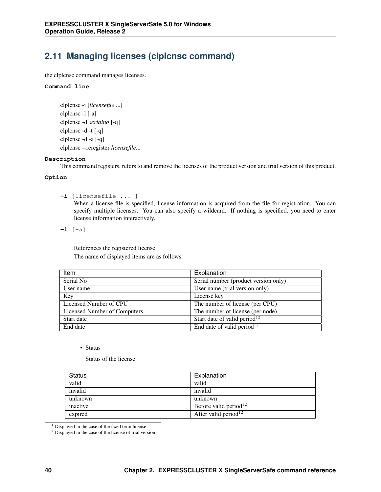# **2.11 Managing licenses (clplcnsc command)**

the clplcnsc command manages licenses.

## **Command line**

```
clplcnsc -i [licensefile ...]
clplcnsc -l [-a]
clplcnsc -d serialno [-q]
clplcnsc -d -t [-q]
clplcnsc -d -a [-q]
clplcnsc --reregister licensefile...
```
## **Description**

This command registers, refers to and remove the licenses of the product version and trial version of this product.

## **Option**

**-i** [licensefile ... ]

When a license file is specified, license information is acquired from the file for registration. You can specify multiple licenses. You can also specify a wildcard. If nothing is specified, you need to enter license information interactively.

**-l** [-a]

References the registered license. The name of displayed items are as follows.

| Item                         | Explanation                              |
|------------------------------|------------------------------------------|
| Serial No                    | Serial number (product version only)     |
| User name                    | User name (trial version only)           |
| Key                          | License key                              |
| Licensed Number of CPU       | The number of license (per CPU)          |
| Licensed Number of Computers | The number of license (per node)         |
| Start date                   | Start date of valid period <sup>12</sup> |
| End date                     | End date of valid period <sup>12</sup>   |

• Status

Status of the license

| Status   | Explanation                       |
|----------|-----------------------------------|
| valid    | valid                             |
| invalid  | invalid                           |
| unknown  | unknown                           |
| inactive | Before valid period <sup>12</sup> |
| expired  | After valid period <sup>12</sup>  |

<span id="page-43-0"></span><sup>1</sup> Displayed in the case of the fixed term license

<span id="page-43-1"></span><sup>2</sup> Displayed in the case of the license of trial version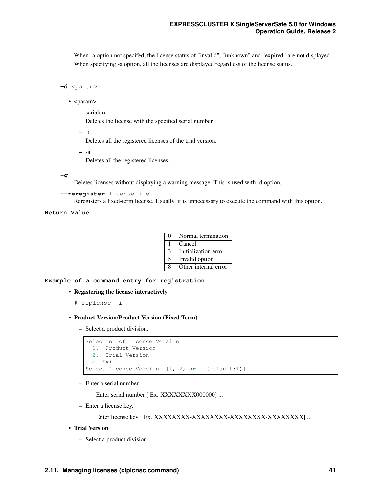When -a option not specifed, the license status of "invalid", "unknown" and "expired" are not displayed. When specifying -a option, all the licenses are displayed regardless of the license status.

```
-d <param>
```
- <param>
	- serialno

Deletes the license with the specified serial number.

– -t

Deletes all the registered licenses of the trial version.

– -a

Deletes all the registered licenses.

```
-q
```
Deletes licenses without displaying a warning message. This is used with -d option.

**--reregister** licensefile...

Reregisters a fixed-term license. Usually, it is unnecessary to execute the command with this option.

## **Return Value**

| $\mathbf{\Omega}$ | Normal termination   |
|-------------------|----------------------|
|                   | Cancel               |
| $\mathcal{R}$     | Initialization error |
| 5                 | Invalid option       |
| 8                 | Other internal error |

## **Example of a command entry for registration**

• Registering the license interactively

```
# clplcnsc -i
```
- Product Version/Product Version (Fixed Term)
	- Select a product division.

```
Selection of License Version
 1. Product Version
 2. Trial Version
 e. Exit
Select License Version. [1, 2, or e (default:1)] ...
```
– Enter a serial number.

Enter serial number [ Ex. XXXXXXXX000000] ...

– Enter a license key.

Enter license key [ Ex. XXXXXXXX-XXXXXXXX-XXXXXXXX-XXXXXXXX] ...

#### • Trial Version

– Select a product division.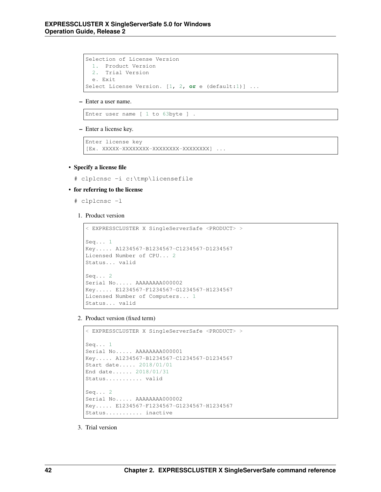```
Selection of License Version
 1. Product Version
 2. Trial Version
 e. Exit
Select License Version. [1, 2, or e (default:1)] ...
```
#### – Enter a user name.

Enter user name [ 1 to 63byte ] .

– Enter a license key.

```
Enter license key
[Ex. XXXXX-XXXXXXXX-XXXXXXXX-XXXXXXXX] ...
```
## • Specify a license file

# clplcnsc -i c:\tmp\licensefile

#### • for referring to the license

- # clplcnsc -l
- 1. Product version

```
< EXPRESSCLUSTER X SingleServerSafe <PRODUCT> >
Seq... 1
Key..... A1234567-B1234567-C1234567-D1234567
Licensed Number of CPU... 2
Status... valid
Seq... 2
Serial No..... AAAAAAAA000002
Key..... E1234567-F1234567-G1234567-H1234567
Licensed Number of Computers... 1
Status... valid
```
2. Product version (fixed term)

```
< EXPRESSCLUSTER X SingleServerSafe <PRODUCT> >
Seq... 1
Serial No..... AAAAAAAA000001
Key..... A1234567-B1234567-C1234567-D1234567
Start date..... 2018/01/01
End date...... 2018/01/31
Status........... valid
Seq... 2
Serial No..... AAAAAAAA000002
Key..... E1234567-F1234567-G1234567-H1234567
Status........... inactive
```
3. Trial version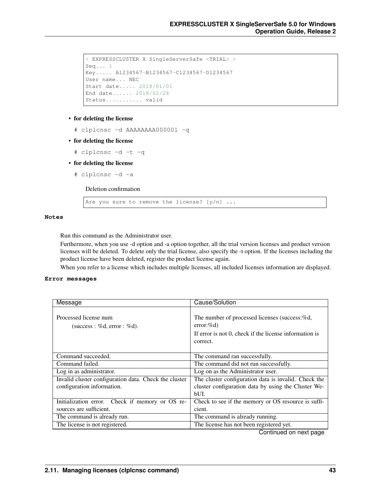```
< EXPRESSCLUSTER X SingleServerSafe <TRIAL> >
Seq... 1
Key..... A1234567-B1234567-C1234567-D1234567
User name... NEC
Start date..... 2018/01/01
End date...... 2018/02/28
Status........... valid
```
## • for deleting the license

```
# clplcnsc -d AAAAAAAA000001 -q
```
• for deleting the license

# clplcnsc -d -t -q

- for deleting the license
	- # clplcnsc -d -a

Deletion confirmation

Are you sure to remove the license?  $[y/n]$  ...

## **Notes**

Run this command as the Administrator user.

Furthermore, when you use -d option and -a option together, all the trial version licenses and product version licenses will be deleted. To delete only the trial license, also specify the -t option. If the licenses including the product license have been deleted, register the product license again.

When you refer to a license which includes multiple licenses, all included licenses information are displayed.

## **Error messages**

| Message                                               | Cause/Solution                                                                                                                      |
|-------------------------------------------------------|-------------------------------------------------------------------------------------------------------------------------------------|
| Processed license num<br>(success : %d, error : %d).  | The number of processed licenses (success:%d,<br>$error:\%d)$<br>If error is not 0, check if the license information is<br>correct. |
| Command succeeded.                                    | The command ran successfully.                                                                                                       |
| Command failed.                                       | The command did not run successfully.                                                                                               |
| Log in as administrator.                              | Log on as the Administrator user.                                                                                                   |
| Invalid cluster configuration data. Check the cluster | The cluster configuration data is invalid. Check the                                                                                |
| configuration information.                            | cluster configuration data by using the Cluster We-                                                                                 |
|                                                       | $b$ UI.                                                                                                                             |
| Initialization error. Check if memory or OS re-       | Check to see if the memory or OS resource is suffi-                                                                                 |
| sources are sufficient.                               | cient.                                                                                                                              |
| The command is already run.                           | The command is already running.                                                                                                     |
| The license is not registered.                        | The license has not been registered yet.                                                                                            |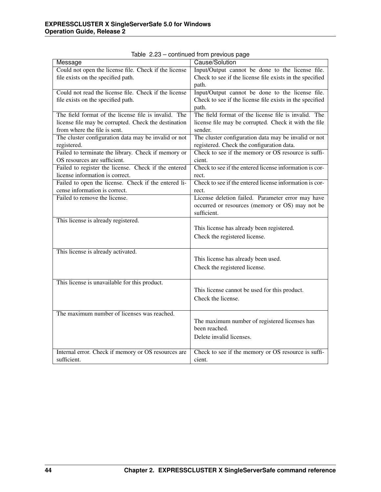| Message                                               | Cause/Solution                                           |
|-------------------------------------------------------|----------------------------------------------------------|
| Could not open the license file. Check if the license | Input/Output cannot be done to the license file.         |
| file exists on the specified path.                    | Check to see if the license file exists in the specified |
|                                                       | path.                                                    |
| Could not read the license file. Check if the license | Input/Output cannot be done to the license file.         |
| file exists on the specified path.                    | Check to see if the license file exists in the specified |
|                                                       | path.                                                    |
| The field format of the license file is invalid. The  | The field format of the license file is invalid. The     |
| license file may be corrupted. Check the destination  | license file may be corrupted. Check it with the file    |
| from where the file is sent.                          | sender.                                                  |
| The cluster configuration data may be invalid or not  | The cluster configuration data may be invalid or not     |
| registered.                                           | registered. Check the configuration data.                |
| Failed to terminate the library. Check if memory or   | Check to see if the memory or OS resource is suffi-      |
| OS resources are sufficient.                          | cient.                                                   |
| Failed to register the license. Check if the entered  | Check to see if the entered license information is cor-  |
| license information is correct.                       | rect.                                                    |
| Failed to open the license. Check if the entered li-  | Check to see if the entered license information is cor-  |
| cense information is correct.                         | rect.                                                    |
| Failed to remove the license.                         | License deletion failed. Parameter error may have        |
|                                                       | occurred or resources (memory or OS) may not be          |
|                                                       | sufficient.                                              |
| This license is already registered.                   |                                                          |
|                                                       | This license has already been registered.                |
|                                                       | Check the registered license.                            |
|                                                       |                                                          |
| This license is already activated.                    |                                                          |
|                                                       | This license has already been used.                      |
|                                                       | Check the registered license.                            |
|                                                       |                                                          |
| This license is unavailable for this product.         |                                                          |
|                                                       | This license cannot be used for this product.            |
|                                                       | Check the license.                                       |
|                                                       |                                                          |
| The maximum number of licenses was reached.           |                                                          |
|                                                       | The maximum number of registered licenses has            |
|                                                       | been reached.                                            |
|                                                       | Delete invalid licenses.                                 |
|                                                       |                                                          |
| Internal error. Check if memory or OS resources are   | Check to see if the memory or OS resource is suffi-      |
| sufficient.                                           | cient.                                                   |
|                                                       |                                                          |

Table 2.23 – continued from previous page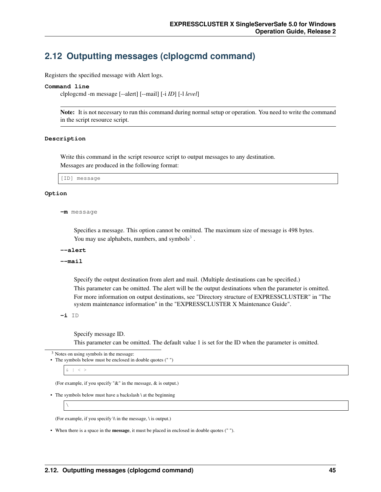## **2.12 Outputting messages (clplogcmd command)**

Registers the specified message with Alert logs.

#### **Command line**

clplogcmd -m message [--alert] [--mail] [-i *ID*] [-l *level*]

Note: It is not necessary to run this command during normal setup or operation. You need to write the command in the script resource script.

#### **Description**

Write this command in the script resource script to output messages to any destination. Messages are produced in the following format:

[ID] message

#### **Option**

```
-m message
```
Specifies a message. This option cannot be omitted. The maximum size of message is 498 bytes. You may use alphabets, numbers, and symbols $3$ .

#### **--alert**

**--mail**

Specify the output destination from alert and mail. (Multiple destinations can be specified.) This parameter can be omitted. The alert will be the output destinations when the parameter is omitted. For more information on output destinations, see "Directory structure of EXPRESSCLUSTER" in "The system maintenance information" in the "EXPRESSCLUSTER X Maintenance Guide".

**-i** ID

Specify message ID. This parameter can be omitted. The default value 1 is set for the ID when the parameter is omitted.

<span id="page-48-0"></span><sup>3</sup> Notes on using symbols in the message:

```
• The symbols below must be enclosed in double quotes (" ")
```
 $\langle \rangle$ 

(For example, if you specify "&" in the message, & is output.)

```
• The symbols below must have a backslash \ at the beginning
```
 $\setminus$ 

(For example, if you specify  $\setminus$  in the message,  $\setminus$  is output.)

• When there is a space in the message, it must be placed in enclosed in double quotes (" ").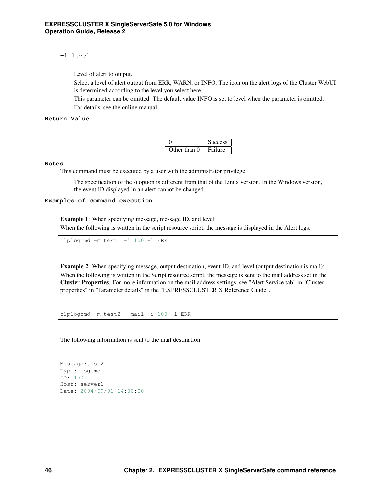## **-l** level

Level of alert to output.

Select a level of alert output from ERR, WARN, or INFO. The icon on the alert logs of the Cluster WebUI is determined according to the level you select here.

This parameter can be omitted. The default value INFO is set to level when the parameter is omitted. For details, see the online manual.

## **Return Value**

|              | <b>Success</b> |
|--------------|----------------|
| Other than 0 | Failure        |

## **Notes**

This command must be executed by a user with the administrator privilege.

The specification of the -i option is different from that of the Linux version. In the Windows version, the event ID displayed in an alert cannot be changed.

## **Examples of command execution**

Example 1: When specifying message, message ID, and level: When the following is written in the script resource script, the message is displayed in the Alert logs.

clplogcmd -m test1 -i 100 -l ERR

Example 2: When specifying message, output destination, event ID, and level (output destination is mail): When the following is written in the Script resource script, the message is sent to the mail address set in the Cluster Properties. For more information on the mail address settings, see "Alert Service tab" in "Cluster properties" in "Parameter details" in the "EXPRESSCLUSTER X Reference Guide".

clplogcmd -m test2 --mail -i 100 -l ERR

The following information is sent to the mail destination:

```
Message:test2
Type: logcmd
ID: 100
Host: server1
Date: 2004/09/01 14:00:00
```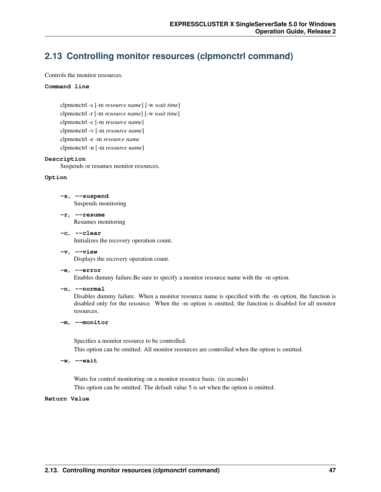## **2.13 Controlling monitor resources (clpmonctrl command)**

Controls the monitor resources.

## **Command line**

clpmonctrl -s [-m *resource name*] [-w *wait time*] clpmonctrl -r [-m *resource name*] [-w *wait time*] clpmonctrl -c [-m *resource name*] clpmonctrl -v [-m *resource name*] clpmonctrl -e -m *resource name* clpmonctrl -n [-m *resource name*]

#### **Description**

Suspends or resumes monitor resources.

#### **Option**

- **-s**, **--suspend** Suspends monitoring
- **-r**, **--resume** Resumes monitoring
- **-c**, **--clear** Initializes the recovery operation count.
- **-v**, **--view** Displays the recovery operation count.

## **-e**, **--error**

Enables dummy failure.Be sure to specify a monitor resource name with the -m option.

**-n**, **--normal**

Disables dummy failure. When a monitor resource name is specified with the -m option, the function is disabled only for the resource. When the -m option is omitted, the function is disabled for all monitor resources.

#### **-m**, **--monitor**

Specifies a monitor resource to be controlled.

This option can be omitted. All monitor resources are controlled when the option is omitted.

**-w**, **--wait**

Waits for control monitoring on a monitor resource basis. (in seconds) This option can be omitted. The default value 5 is set when the option is omitted.

## **Return Value**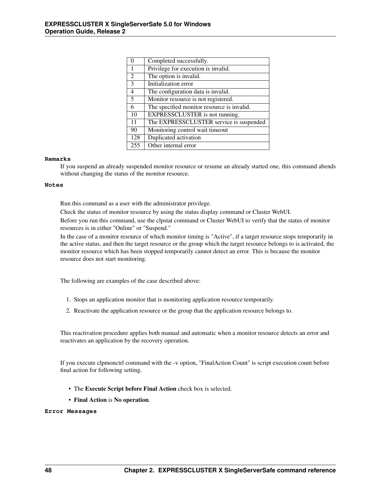|     | Completed successfully.                    |
|-----|--------------------------------------------|
| 1   | Privilege for execution is invalid.        |
| 2   | The option is invalid.                     |
| 3   | Initialization error                       |
| 4   | The configuration data is invalid.         |
| 5   | Monitor resource is not registered.        |
| 6   | The specified monitor resource is invalid. |
| 10  | EXPRESSCLUSTER is not running.             |
| 11  | The EXPRESSCLUSTER service is suspended    |
| 90  | Monitoring control wait timeout            |
| 128 | Duplicated activation                      |
| 255 | Other internal error                       |

#### **Remarks**

If you suspend an already suspended monitor resource or resume an already started one, this command abends without changing the status of the monitor resource.

#### **Notes**

Run this command as a user with the administrator privilege.

Check the status of monitor resource by using the status display command or Cluster WebUI.

Before you run this command, use the clpstat command or Cluster WebUI to verify that the status of monitor resources is in either "Online" or "Suspend."

In the case of a monitor resource of which monitor timing is "Active", if a target resource stops temporarily in the active status, and then the target resource or the group which the target resource belongs to is activated, the monitor resource which has been stopped temporarily cannot detect an error. This is because the monitor resource does not start monitoring.

The following are examples of the case described above:

- 1. Stops an application monitor that is monitoring application resource temporarily.
- 2. Reactivate the application resource or the group that the application resource belongs to.

This reactivation procedure applies both manual and automatic when a monitor resource detects an error and reactivates an application by the recovery operation.

If you execute clpmonctrl command with the -v option, "FinalAction Count" is script execution count before final action for following setting.

- The Execute Script before Final Action check box is selected.
- Final Action is No operation.

## **Error Messages**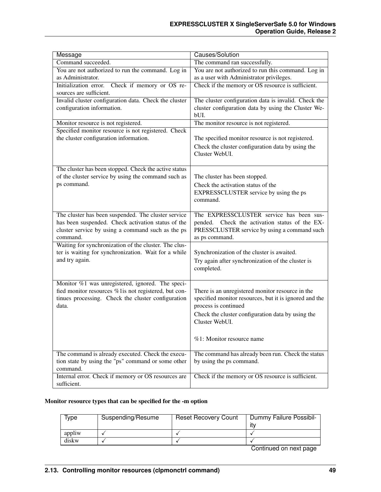| Message                                                                                                    | Causes/Solution                                                                                                     |
|------------------------------------------------------------------------------------------------------------|---------------------------------------------------------------------------------------------------------------------|
| Command succeeded.                                                                                         | The command ran successfully.                                                                                       |
| You are not authorized to run the command. Log in                                                          | You are not authorized to run this command. Log in                                                                  |
| as Administrator.                                                                                          | as a user with Administrator privileges.                                                                            |
| Initialization error.<br>Check if memory or OS re-<br>sources are sufficient.                              | Check if the memory or OS resource is sufficient.                                                                   |
| Invalid cluster configuration data. Check the cluster<br>configuration information.                        | The cluster configuration data is invalid. Check the<br>cluster configuration data by using the Cluster We-<br>bUI. |
| Monitor resource is not registered.                                                                        | The monitor resource is not registered.                                                                             |
| Specified monitor resource is not registered. Check                                                        |                                                                                                                     |
| the cluster configuration information.                                                                     | The specified monitor resource is not registered.                                                                   |
|                                                                                                            | Check the cluster configuration data by using the<br>Cluster WebUI.                                                 |
| The cluster has been stopped. Check the active status                                                      |                                                                                                                     |
| of the cluster service by using the command such as                                                        | The cluster has been stopped.                                                                                       |
| ps command.                                                                                                | Check the activation status of the                                                                                  |
|                                                                                                            | EXPRESSCLUSTER service by using the ps                                                                              |
|                                                                                                            | command.                                                                                                            |
| The cluster has been suspended. The cluster service                                                        | The EXPRESSCLUSTER service has been sus-                                                                            |
| has been suspended. Check activation status of the                                                         | pended.<br>Check the activation status of the EX-                                                                   |
| cluster service by using a command such as the ps                                                          | PRESSCLUSTER service by using a command such                                                                        |
| command.                                                                                                   | as ps command.                                                                                                      |
| Waiting for synchronization of the cluster. The clus-                                                      |                                                                                                                     |
| ter is waiting for synchronization. Wait for a while                                                       | Synchronization of the cluster is awaited.                                                                          |
| and try again.                                                                                             | Try again after synchronization of the cluster is                                                                   |
|                                                                                                            | completed.                                                                                                          |
|                                                                                                            |                                                                                                                     |
| Monitor %1 was unregistered, ignored. The speci-                                                           |                                                                                                                     |
| fied monitor resources %1is not registered, but con-<br>tinues processing. Check the cluster configuration | There is an unregistered monitor resource in the<br>specified monitor resources, but it is ignored and the          |
| data.                                                                                                      | process is continued                                                                                                |
|                                                                                                            |                                                                                                                     |
|                                                                                                            | Check the cluster configuration data by using the<br>Cluster WebUI.                                                 |
|                                                                                                            |                                                                                                                     |
|                                                                                                            | %1: Monitor resource name                                                                                           |
|                                                                                                            |                                                                                                                     |
| The command is already executed. Check the execu-                                                          | The command has already been run. Check the status                                                                  |
| tion state by using the "ps" command or some other                                                         | by using the ps command.                                                                                            |
| command.                                                                                                   |                                                                                                                     |
| Internal error. Check if memory or OS resources are                                                        | Check if the memory or OS resource is sufficient.                                                                   |
| sufficient.                                                                                                |                                                                                                                     |

## Monitor resource types that can be specified for the -m option

| Type   | Suspending/Resume | <b>Reset Recovery Count</b> | Dummy Failure Possibil-<br>itv |
|--------|-------------------|-----------------------------|--------------------------------|
| appliw |                   |                             |                                |
| diskw  |                   |                             |                                |
|        |                   |                             |                                |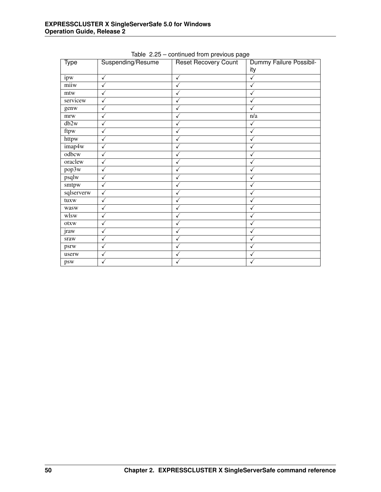| <b>Type</b> | Suspending/Resume | <b>Reset Recovery Count</b> | Dummy Failure Possibil-<br>ity |
|-------------|-------------------|-----------------------------|--------------------------------|
| ipw         | $\checkmark$      | $\checkmark$                | ✓                              |
| miiw        | $\checkmark$      | $\checkmark$                | ✓                              |
| mtw         | $\checkmark$      | ✓                           | ✓                              |
| servicew    | ✓                 | $\checkmark$                | ✓                              |
| genw        | ✓                 | $\checkmark$                | ✓                              |
| mrw         | $\checkmark$      | $\checkmark$                | n/a                            |
| db2w        | ✓                 | ✓                           | ✓                              |
| ftpw        | ✓                 | $\checkmark$                | ✓                              |
| httpw       | ✓                 |                             | ✓                              |
| imap4w      | $\checkmark$      | $\checkmark$                | ✓                              |
| odbcw       | ✓                 |                             | ✓                              |
| oraclew     | $\checkmark$      | ✓                           | ✓                              |
| pop3w       | $\checkmark$      | ✓                           | ✓                              |
| psqlw       | $\checkmark$      | $\checkmark$                | ✓                              |
| smtpw       | $\checkmark$      | ✓                           | ✓                              |
| sqlserverw  | $\checkmark$      | ✓                           | ✓                              |
| tuxw        | ✓                 | ✓                           | ✓                              |
| wasw        | $\checkmark$      | $\checkmark$                | ✓                              |
| wlsw        | ✓                 | ✓                           | ✓                              |
| otxw        | $\checkmark$      | ✓                           | ✓                              |
| jraw        | $\checkmark$      | $\checkmark$                | ✓                              |
| sraw        | $\checkmark$      | $\checkmark$                | ✓                              |
| psrw        | ✓                 | ✓                           | ✓                              |
| userw       | ✓                 | $\checkmark$                | ✓                              |
| psw         | ✓                 | $\checkmark$                | ✓                              |

Table 2.25 – continued from previous page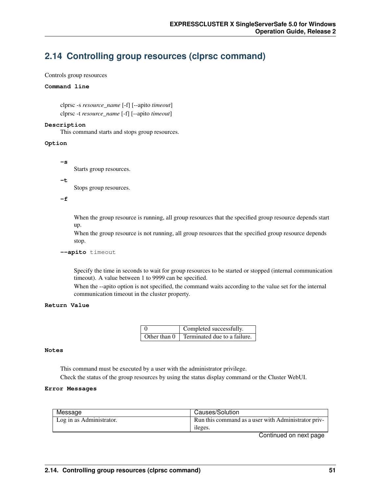# **2.14 Controlling group resources (clprsc command)**

## Controls group resources

## **Command line**

clprsc -s *resource\_name* [-f] [--apito *timeout*] clprsc -t *resource\_name* [-f] [--apito *timeout*]

## **Description**

This command starts and stops group resources.

## **Option**

**-s**

Starts group resources.

#### **-t**

Stops group resources.

**-f**

When the group resource is running, all group resources that the specified group resource depends start up.

When the group resource is not running, all group resources that the specified group resource depends stop.

#### **--apito** timeout

Specify the time in seconds to wait for group resources to be started or stopped (internal communication timeout). A value between 1 to 9999 can be specified.

When the --apito option is not specified, the command waits according to the value set for the internal communication timeout in the cluster property.

## **Return Value**

| $\left($       | Completed successfully.      |
|----------------|------------------------------|
| Other than $0$ | Terminated due to a failure. |

## **Notes**

This command must be executed by a user with the administrator privilege. Check the status of the group resources by using the status display command or the Cluster WebUI.

## **Error Messages**

| Message                  | Causes/Solution                                     |
|--------------------------|-----------------------------------------------------|
| Log in as Administrator. | Run this command as a user with Administrator priv- |
|                          | ileges.                                             |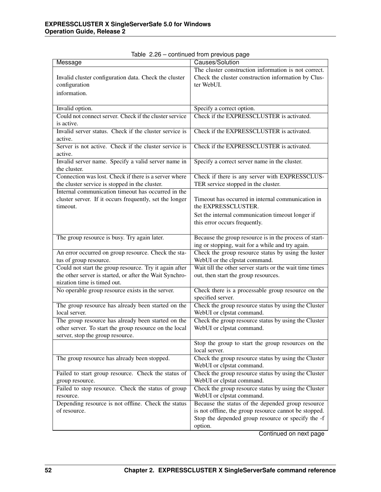| Message                                                 | Causes/Solution                                                                                            |
|---------------------------------------------------------|------------------------------------------------------------------------------------------------------------|
|                                                         | The cluster construction information is not correct.                                                       |
| Invalid cluster configuration data. Check the cluster   | Check the cluster construction information by Clus-                                                        |
| configuration                                           | ter WebUI.                                                                                                 |
| information.                                            |                                                                                                            |
|                                                         |                                                                                                            |
| Invalid option.                                         | Specify a correct option.                                                                                  |
| Could not connect server. Check if the cluster service  | Check if the EXPRESSCLUSTER is activated.                                                                  |
| is active.                                              |                                                                                                            |
| Invalid server status. Check if the cluster service is  | Check if the EXPRESSCLUSTER is activated.                                                                  |
| active.                                                 |                                                                                                            |
| Server is not active. Check if the cluster service is   | Check if the EXPRESSCLUSTER is activated.                                                                  |
| active.                                                 |                                                                                                            |
| Invalid server name. Specify a valid server name in     | Specify a correct server name in the cluster.                                                              |
| the cluster.                                            |                                                                                                            |
| Connection was lost. Check if there is a server where   | Check if there is any server with EXPRESSCLUS-                                                             |
| the cluster service is stopped in the cluster.          | TER service stopped in the cluster.                                                                        |
| Internal communication timeout has occurred in the      |                                                                                                            |
| cluster server. If it occurs frequently, set the longer | Timeout has occurred in internal communication in                                                          |
| timeout.                                                | the EXPRESSCLUSTER.                                                                                        |
|                                                         | Set the internal communication timeout longer if                                                           |
|                                                         | this error occurs frequently.                                                                              |
|                                                         |                                                                                                            |
| The group resource is busy. Try again later.            | Because the group resource is in the process of start-<br>ing or stopping, wait for a while and try again. |
| An error occurred on group resource. Check the sta-     | Check the group resource status by using the luster                                                        |
| tus of group resource.                                  | WebUI or the clpstat command.                                                                              |
| Could not start the group resource. Try it again after  | Wait till the other server starts or the wait time times                                                   |
| the other server is started, or after the Wait Synchro- | out, then start the group resources.                                                                       |
| nization time is timed out.                             |                                                                                                            |
| No operable group resource exists in the server.        | Check there is a processable group resource on the                                                         |
|                                                         | specified server.                                                                                          |
| The group resource has already been started on the      | Check the group resource status by using the Cluster                                                       |
| local server.                                           | WebUI or clpstat command.                                                                                  |
| The group resource has already been started on the      | Check the group resource status by using the Cluster                                                       |
| other server. To start the group resource on the local  | WebUI or clpstat command.                                                                                  |
| server, stop the group resource.                        |                                                                                                            |
|                                                         | Stop the group to start the group resources on the                                                         |
|                                                         | local server.                                                                                              |
| The group resource has already been stopped.            | Check the group resource status by using the Cluster                                                       |
|                                                         | WebUI or clpstat command.                                                                                  |
| Failed to start group resource. Check the status of     | Check the group resource status by using the Cluster                                                       |
| group resource.                                         | WebUI or clpstat command.                                                                                  |
| Failed to stop resource. Check the status of group      | Check the group resource status by using the Cluster                                                       |
| resource.                                               | WebUI or clpstat command.                                                                                  |
| Depending resource is not offline. Check the status     | Because the status of the depended group resource                                                          |
| of resource.                                            | is not offline, the group resource cannot be stopped.                                                      |
|                                                         | Stop the depended group resource or specify the -f                                                         |
|                                                         | option.                                                                                                    |

| Table 2.26 - continued from previous page |
|-------------------------------------------|
|-------------------------------------------|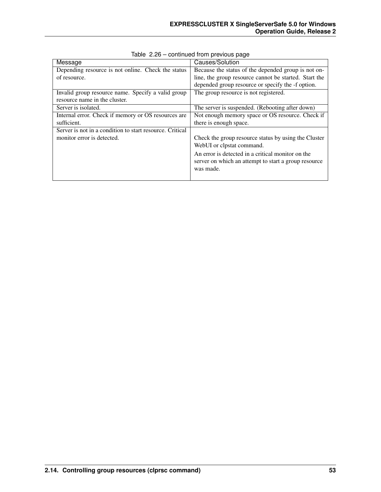| Message                                                  | Causes/Solution                                       |
|----------------------------------------------------------|-------------------------------------------------------|
| Depending resource is not online. Check the status       | Because the status of the depended group is not on-   |
| of resource.                                             | line, the group resource cannot be started. Start the |
|                                                          | depended group resource or specify the -f option.     |
| Invalid group resource name. Specify a valid group       | The group resource is not registered.                 |
| resource name in the cluster.                            |                                                       |
| Server is isolated.                                      | The server is suspended. (Rebooting after down)       |
| Internal error. Check if memory or OS resources are      | Not enough memory space or OS resource. Check if      |
| sufficient.                                              | there is enough space.                                |
| Server is not in a condition to start resource. Critical |                                                       |
| monitor error is detected.                               | Check the group resource status by using the Cluster  |
|                                                          | WebUI or clpstat command.                             |
|                                                          | An error is detected in a critical monitor on the     |
|                                                          | server on which an attempt to start a group resource  |
|                                                          | was made.                                             |
|                                                          |                                                       |

Table 2.26 – continued from previous page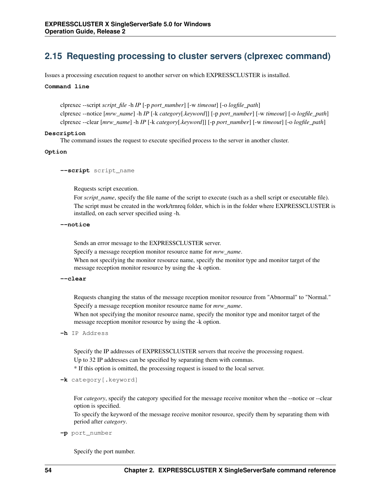# **2.15 Requesting processing to cluster servers (clprexec command)**

Issues a processing execution request to another server on which EXPRESSCLUSTER is installed.

#### **Command line**

clprexec --script *script\_file* -h *IP* [-p *port\_number*] [-w *timeout*] [-o *logfile\_path*] clprexec --notice [*mrw\_name*] -h *IP* [-k *category*[.*keyword*]] [-p *port\_number*] [-w *timeout*] [-o *logfile\_path*] clprexec --clear [*mrw\_name*] -h *IP* [-k *category*[.*keyword*]] [-p *port\_number*] [-w *timeout*] [-o *logfile\_path*]

#### **Description**

The command issues the request to execute specified process to the server in another cluster.

#### **Option**

**--script** script\_name

Requests script execution.

For *script\_name*, specify the file name of the script to execute (such as a shell script or executable file). The script must be created in the work/trnreq folder, which is in the folder where EXPRESSCLUSTER is installed, on each server specified using -h.

#### **--notice**

Sends an error message to the EXPRESSCLUSTER server.

Specify a message reception monitor resource name for *mrw\_name*.

When not specifying the monitor resource name, specify the monitor type and monitor target of the message reception monitor resource by using the -k option.

#### **--clear**

Requests changing the status of the message reception monitor resource from "Abnormal" to "Normal." Specify a message reception monitor resource name for *mrw\_name*.

When not specifying the monitor resource name, specify the monitor type and monitor target of the message reception monitor resource by using the -k option.

#### **-h** IP Address

Specify the IP addresses of EXPRESSCLUSTER servers that receive the processing request. Up to 32 IP addresses can be specified by separating them with commas.

\* If this option is omitted, the processing request is issued to the local server.

**-k** category[.keyword]

For *category*, specify the category specified for the message receive monitor when the --notice or --clear option is specified.

To specify the keyword of the message receive monitor resource, specify them by separating them with period after *category*.

## **-p** port\_number

Specify the port number.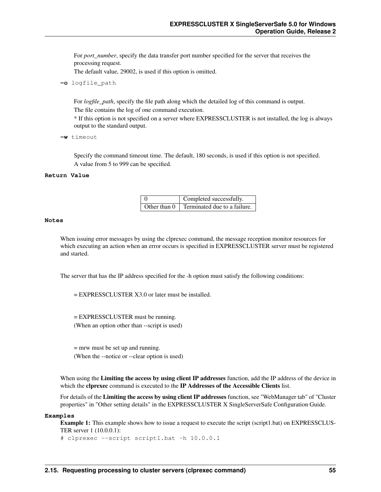For *port* number, specify the data transfer port number specified for the server that receives the processing request.

The default value, 29002, is used if this option is omitted.

**-o** logfile\_path

For *logfile\_path*, specify the file path along which the detailed log of this command is output. The file contains the log of one command execution.

\* If this option is not specified on a server where EXPRESSCLUSTER is not installed, the log is always output to the standard output.

**-w** timeout

Specify the command timeout time. The default, 180 seconds, is used if this option is not specified. A value from 5 to 999 can be specified.

## **Return Value**

| Completed successfully.                          |  |
|--------------------------------------------------|--|
| Other than $0 \mid$ Terminated due to a failure. |  |

#### **Notes**

When issuing error messages by using the clprexec command, the message reception monitor resources for which executing an action when an error occurs is specified in EXPRESSCLUSTER server must be registered and started.

The server that has the IP address specified for the -h option must satisfy the following conditions:

= EXPRESSCLUSTER X3.0 or later must be installed.

= EXPRESSCLUSTER must be running. (When an option other than --script is used)

= mrw must be set up and running. (When the --notice or --clear option is used)

When using the Limiting the access by using client IP addresses function, add the IP address of the device in which the clprexec command is executed to the IP Addresses of the Accessible Clients list.

For details of the Limiting the access by using client IP addresses function, see "WebManager tab" of "Cluster properties" in "Other setting details" in the EXPRESSCLUSTER X SingleServerSafe Configuration Guide.

#### **Examples**

Example 1: This example shows how to issue a request to execute the script (script1.bat) on EXPRESSCLUS-TER server 1 (10.0.0.1):

```
# clprexec --script script1.bat -h 10.0.0.1
```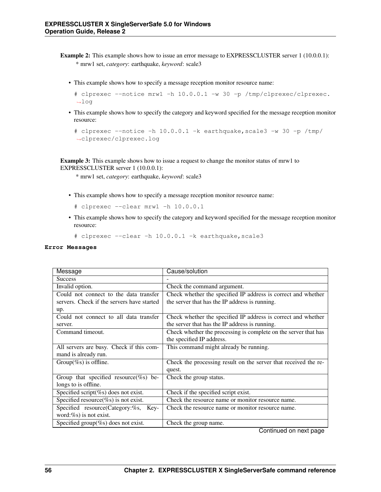- Example 2: This example shows how to issue an error message to EXPRESSCLUSTER server 1 (10.0.0.1): \* mrw1 set, *category*: earthquake, *keyword*: scale3
	- This example shows how to specify a message reception monitor resource name:

```
# clprexec --notice mrw1 -h 10.0.0.1 -w 30 -p /tmp/clprexec/clprexec.
˓→log
```
• This example shows how to specify the category and keyword specified for the message reception monitor resource:

```
# clprexec --notice -h 10.0.0.1 -k earthquake,scale3 -w 30 -p /tmp/
˓→clprexec/clprexec.log
```
Example 3: This example shows how to issue a request to change the monitor status of mrw1 to EXPRESSCLUSTER server 1 (10.0.0.1):

\* mrw1 set, *category*: earthquake, *keyword*: scale3

• This example shows how to specify a message reception monitor resource name:

```
# clprexec --clear mrw1 -h 10.0.0.1
```
• This example shows how to specify the category and keyword specified for the message reception monitor resource:

```
# clprexec --clear -h 10.0.0.1 -k earthquake,scale3
```
#### **Error Messages**

| Message                                    | Cause/solution                                                  |
|--------------------------------------------|-----------------------------------------------------------------|
| <b>Success</b>                             |                                                                 |
| Invalid option.                            | Check the command argument.                                     |
| Could not connect to the data transfer     | Check whether the specified IP address is correct and whether   |
| servers. Check if the servers have started | the server that has the IP address is running.                  |
| up.                                        |                                                                 |
| Could not connect to all data transfer     | Check whether the specified IP address is correct and whether   |
| server.                                    | the server that has the IP address is running.                  |
| Command timeout.                           | Check whether the processing is complete on the server that has |
|                                            | the specified IP address.                                       |
| All servers are busy. Check if this com-   | This command might already be running.                          |
| mand is already run.                       |                                                                 |
| Group(%s) is offline.                      | Check the processing result on the server that received the re- |
|                                            | quest.                                                          |
| Group that specified resource(%s) be-      | Check the group status.                                         |
| longs to is offline.                       |                                                                 |
| Specified script(%s) does not exist.       | Check if the specified script exist.                            |
| Specified resource(%s) is not exist.       | Check the resource name or monitor resource name.               |
| Specified resource(Category:%s,<br>Key-    | Check the resource name or monitor resource name.               |
| word: $\%$ s) is not exist.                |                                                                 |
| Specified group(%s) does not exist.        | Check the group name.                                           |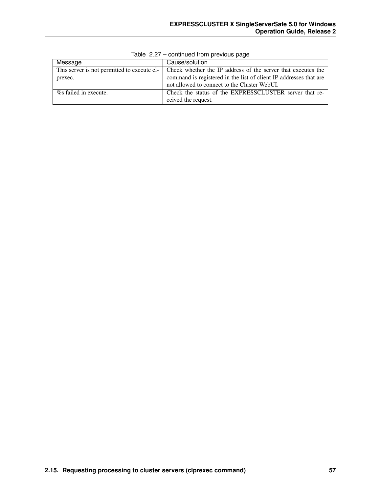| Message                                     | Cause/solution                                                    |
|---------------------------------------------|-------------------------------------------------------------------|
| This server is not permitted to execute cl- | Check whether the IP address of the server that executes the      |
| prexec.                                     | command is registered in the list of client IP addresses that are |
|                                             | not allowed to connect to the Cluster WebUI.                      |
| % failed in execute.                        | Check the status of the EXPRESSCLUSTER server that re-            |
|                                             | ceived the request.                                               |

Table 2.27 – continued from previous page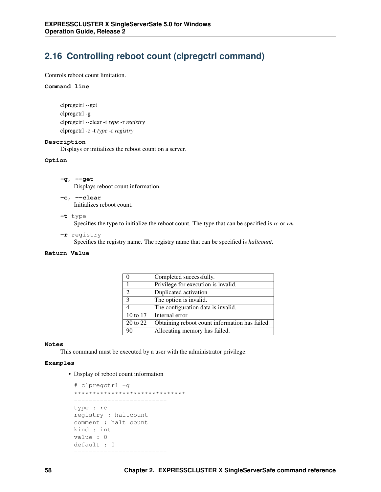# **2.16 Controlling reboot count (clpregctrl command)**

Controls reboot count limitation.

#### **Command line**

```
clpregctrl --get
clpregctrl -g
clpregctrl --clear -t type -r registry
clpregctrl -c -t type -r registry
```
#### **Description**

Displays or initializes the reboot count on a server.

#### **Option**

- **-g**, **--get** Displays reboot count information.
- **-c**, **--clear** Initializes reboot count.
- **-t** type

Specifies the type to initialize the reboot count. The type that can be specified is *rc* or *rm*

**-r** registry

Specifies the registry name. The registry name that can be specified is *haltcount*.

## **Return Value**

|               | Completed successfully.                        |
|---------------|------------------------------------------------|
|               | Privilege for execution is invalid.            |
| $\mathcal{D}$ | Duplicated activation                          |
| 3             | The option is invalid.                         |
|               | The configuration data is invalid.             |
| 10 to 17      | Internal error                                 |
| 20 to 22      | Obtaining reboot count information has failed. |
| 90            | Allocating memory has failed.                  |

#### **Notes**

This command must be executed by a user with the administrator privilege.

## **Examples**

• Display of reboot count information

```
# clpregctrl -g
******************************
 -------------------------
type : rc
registry : haltcount
comment : halt count
kind : int
value : 0
default : 0
-------------------------
```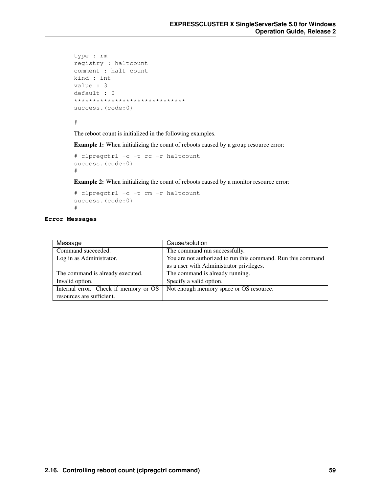```
type : rm
registry : haltcount
comment : halt count
kind : int
value : 3
default : 0
******************************
success.(code:0)
```
#

The reboot count is initialized in the following examples.

Example 1: When initializing the count of reboots caused by a group resource error:

```
# clpregctrl -c -t rc -r haltcount
success.(code:0)
#
```
Example 2: When initializing the count of reboots caused by a monitor resource error:

```
# clpregctrl -c -t rm -r haltcount
success.(code:0)
#
```
## **Error Messages**

| Message                               | Cause/solution                                               |
|---------------------------------------|--------------------------------------------------------------|
| Command succeeded.                    | The command ran successfully.                                |
| Log in as Administrator.              | You are not authorized to run this command. Run this command |
|                                       | as a user with Administrator privileges.                     |
| The command is already executed.      | The command is already running.                              |
| Invalid option.                       | Specify a valid option.                                      |
| Internal error. Check if memory or OS | Not enough memory space or OS resource.                      |
| resources are sufficient.             |                                                              |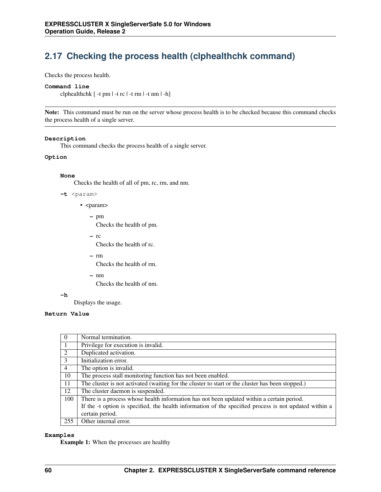# **2.17 Checking the process health (clphealthchk command)**

Checks the process health.

## **Command line**

clphealthchk [ -t pm | -t rc | -t rm | -t nm | -h]

Note: This command must be run on the server whose process health is to be checked because this command checks the process health of a single server.

#### **Description**

This command checks the process health of a single server.

## **Option**

#### **None**

Checks the health of all of pm, rc, rm, and nm.

- **-t** <param>
	- <param>
		- pm

Checks the health of pm.

– rc

Checks the health of rc.

– rm

Checks the health of rm.

– nm

Checks the health of nm.

**-h**

Displays the usage.

## **Return Value**

| 0              | Normal termination.                                                                                    |
|----------------|--------------------------------------------------------------------------------------------------------|
|                | Privilege for execution is invalid.                                                                    |
| 2              | Duplicated activation.                                                                                 |
| 3              | Initialization error.                                                                                  |
| $\overline{4}$ | The option is invalid.                                                                                 |
| 10             | The process stall monitoring function has not been enabled.                                            |
| 11             | The cluster is not activated (waiting for the cluster to start or the cluster has been stopped.)       |
| 12             | The cluster daemon is suspended.                                                                       |
| 100            | There is a process whose health information has not been updated within a certain period.              |
|                | If the -t option is specified, the health information of the specified process is not updated within a |
|                | certain period.                                                                                        |
| 255            | Other internal error.                                                                                  |

## **Examples**

Example 1: When the processes are healthy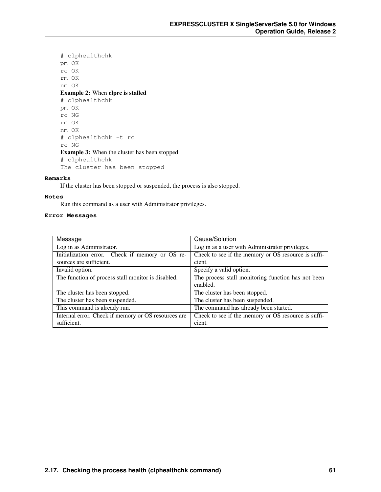```
# clphealthchk
pm OK
rc OK
rm OK
nm OK
Example 2: When clprc is stalled
# clphealthchk
pm OK
rc NG
rm OK
nm OK
# clphealthchk -t rc
rc NG
Example 3: When the cluster has been stopped
# clphealthchk
The cluster has been stopped
```
## **Remarks**

If the cluster has been stopped or suspended, the process is also stopped.

#### **Notes**

Run this command as a user with Administrator privileges.

## **Error Messages**

| Message                                             | Cause/Solution                                      |
|-----------------------------------------------------|-----------------------------------------------------|
| Log in as Administrator.                            | Log in as a user with Administrator privileges.     |
| Initialization error. Check if memory or OS re-     | Check to see if the memory or OS resource is suffi- |
| sources are sufficient.                             | cient.                                              |
| Invalid option.                                     | Specify a valid option.                             |
| The function of process stall monitor is disabled.  | The process stall monitoring function has not been  |
|                                                     | enabled.                                            |
| The cluster has been stopped.                       | The cluster has been stopped.                       |
| The cluster has been suspended.                     | The cluster has been suspended.                     |
| This command is already run.                        | The command has already been started.               |
| Internal error. Check if memory or OS resources are | Check to see if the memory or OS resource is suffi- |
| sufficient.                                         | cient.                                              |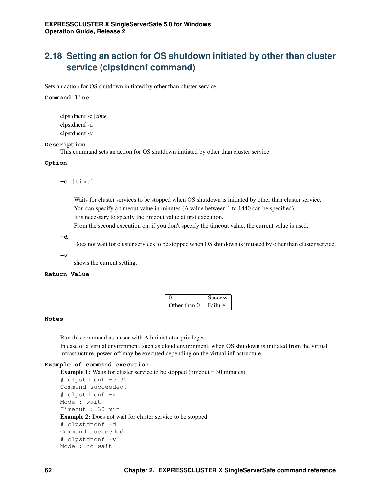# **2.18 Setting an action for OS shutdown initiated by other than cluster service (clpstdncnf command)**

Sets an action for OS shutdown initiated by other than cluster service..

#### **Command line**

clpstdncnf -e [*time*] clpstdncnf -d clpstdncnf -v

## **Description**

This command sets an action for OS shutdown initiated by other than cluster service.

## **Option**

**-e** [time]

Waits for cluster services to be stopped when OS shutdown is initiated by other than cluster service. You can specify a timeout value in minutes (A value between 1 to 1440 can be specified). It is necessary to specify the timeout value at first execution.

From the second execution on, if you don't specify the timeout value, the current value is used.

## **-d**

Does not wait for cluster services to be stopped when OS shutdown is initiated by other than cluster service.

## **-v**

shows the current setting.

## **Return Value**

|              | <b>Success</b> |
|--------------|----------------|
| Other than 0 | Failure        |

## **Notes**

Run this command as a user with Administrator privileges.

In case of a virtual environment, such as cloud environment, when OS shutdown is initiated from the virtual infrastructure, power-off may be executed depending on the virtual infrastructure.

## **Example of command execution**

```
Example 1: Waits for cluster service to be stopped (timeout = 30 minutes)
# clpstdncnf -e 30
Command succeeded.
# clpstdncnf -v
Mode : wait
Timeout : 30 min
Example 2: Does not wait for cluster service to be stopped
# clpstdncnf -d
Command succeeded.
# clpstdncnf -v
Mode : no wait
```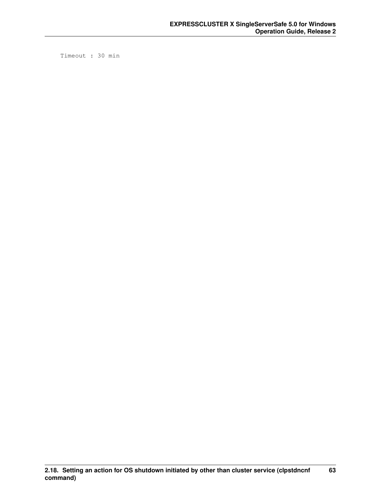Timeout : 30 min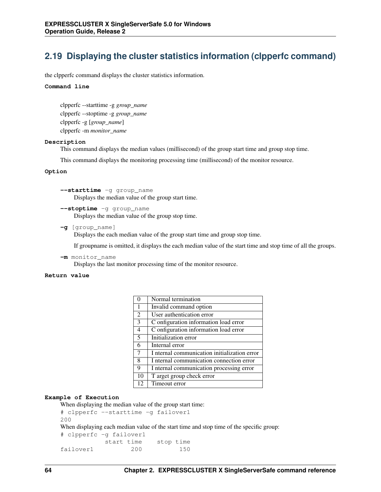## **2.19 Displaying the cluster statistics information (clpperfc command)**

the clpperfc command displays the cluster statistics information.

#### **Command line**

clpperfc --starttime -g *group\_name* clpperfc --stoptime -g *group\_name* clpperfc -g [*group\_name*] clpperfc -m *monitor\_name*

#### **Description**

This command displays the median values (millisecond) of the group start time and group stop time.

This command displays the monitoring processing time (millisecond) of the monitor resource.

## **Option**

**--starttime** -g group\_name Displays the median value of the group start time.

**--stoptime** -g group\_name Displays the median value of the group stop time.

**-g** [group\_name]

Displays the each median value of the group start time and group stop time.

If groupname is omitted, it displays the each median value of the start time and stop time of all the groups.

**-m** monitor\_name Displays the last monitor processing time of the monitor resource.

#### **Return value**

|                | Normal termination                           |
|----------------|----------------------------------------------|
| $\mathbf{1}$   | Invalid command option                       |
| 2              | User authentication error                    |
| 3              | C onfiguration information load error        |
| $\overline{4}$ | C onfiguration information load error        |
| 5              | Initialization error                         |
| 6              | Internal error                               |
| 7              | I nternal communication initialization error |
| 8              | I nternal communication connection error     |
| 9              | I nternal communication processing error     |
| 10             | T arget group check error                    |
| 12             | Timeout error                                |

## **Example of Execution**

When displaying the median value of the group start time:

```
# clpperfc --starttime -g failover1
200
```
When displaying each median value of the start time and stop time of the specific group:

```
# clpperfc -g failover1
        start time stop time
failover1 200 150
```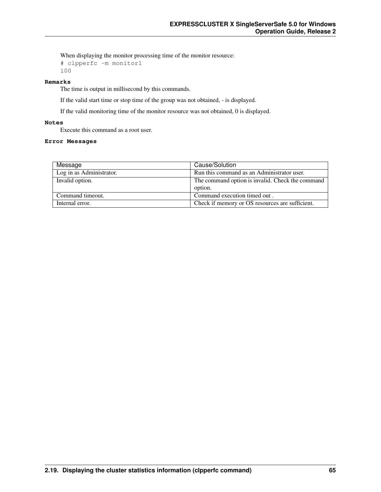When displaying the monitor processing time of the monitor resource:

```
# clpperfc -m monitor1
100
```
## **Remarks**

The time is output in millisecond by this commands.

If the valid start time or stop time of the group was not obtained, - is displayed.

If the valid monitoring time of the monitor resource was not obtained, 0 is displayed.

## **Notes**

Execute this command as a root user.

## **Error Messages**

| Message                  | Cause/Solution                                   |
|--------------------------|--------------------------------------------------|
| Log in as Administrator. | Run this command as an Administrator user.       |
| Invalid option.          | The command option is invalid. Check the command |
|                          | option.                                          |
| Command timeout.         | Command execution timed out.                     |
| Internal error.          | Check if memory or OS resources are sufficient.  |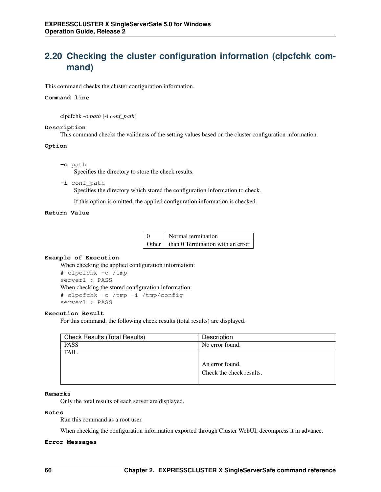# **2.20 Checking the cluster configuration information (clpcfchk command)**

This command checks the cluster configuration information.

## **Command line**

clpcfchk -o *path* [-i *conf\_path*]

## **Description**

This command checks the validness of the setting values based on the cluster configuration information.

## **Option**

**-o** path

Specifies the directory to store the check results.

**-i** conf\_path Specifies the directory which stored the configuration information to check.

If this option is omitted, the applied configuration information is checked.

## **Return Value**

| Normal termination                                 |
|----------------------------------------------------|
| Other $\parallel$ than 0 Termination with an error |

## **Example of Execution**

When checking the applied configuration information: # clpcfchk -o /tmp server1 : PASS When checking the stored configuration information: # clpcfchk -o /tmp -i /tmp/config server1 : PASS

## **Execution Result**

For this command, the following check results (total results) are displayed.

| <b>Check Results (Total Results)</b> | Description              |
|--------------------------------------|--------------------------|
| <b>PASS</b>                          | No error found.          |
| <b>FAIL</b>                          |                          |
|                                      |                          |
|                                      | An error found.          |
|                                      | Check the check results. |
|                                      |                          |

## **Remarks**

Only the total results of each server are displayed.

## **Notes**

Run this command as a root user.

When checking the configuration information exported through Cluster WebUI, decompress it in advance.

## **Error Messages**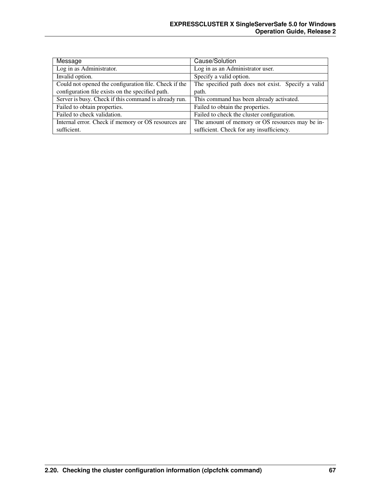| Message                                               | Cause/Solution                                     |
|-------------------------------------------------------|----------------------------------------------------|
| Log in as Administrator.                              | Log in as an Administrator user.                   |
| Invalid option.                                       | Specify a valid option.                            |
| Could not opened the configuration file. Check if the | The specified path does not exist. Specify a valid |
| configuration file exists on the specified path.      | path.                                              |
| Server is busy. Check if this command is already run. | This command has been already activated.           |
| Failed to obtain properties.                          | Failed to obtain the properties.                   |
| Failed to check validation.                           | Failed to check the cluster configuration.         |
| Internal error. Check if memory or OS resources are   | The amount of memory or OS resources may be in-    |
| sufficient.                                           | sufficient. Check for any insufficiency.           |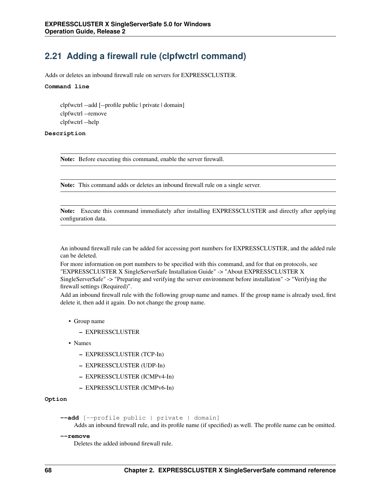## **2.21 Adding a firewall rule (clpfwctrl command)**

Adds or deletes an inbound firewall rule on servers for EXPRESSCLUSTER.

#### **Command line**

clpfwctrl --add [--profile public | private | domain] clpfwctrl --remove clpfwctrl --help

## **Description**

Note: Before executing this command, enable the server firewall.

Note: This command adds or deletes an inbound firewall rule on a single server.

Note: Execute this command immediately after installing EXPRESSCLUSTER and directly after applying configuration data.

An inbound firewall rule can be added for accessing port numbers for EXPRESSCLUSTER, and the added rule can be deleted.

For more information on port numbers to be specified with this command, and for that on protocols, see "EXPRESSCLUSTER X SingleServerSafe Installation Guide" -> "About EXPRESSCLUSTER X SingleServerSafe" -> "Preparing and verifying the server environment before installation" -> "Verifying the firewall settings (Required)".

Add an inbound firewall rule with the following group name and names. If the group name is already used, first delete it, then add it again. Do not change the group name.

- Group name
	- EXPRESSCLUSTER
- Names
	- EXPRESSCLUSTER (TCP-In)
	- EXPRESSCLUSTER (UDP-In)
	- EXPRESSCLUSTER (ICMPv4-In)
	- EXPRESSCLUSTER (ICMPv6-In)

**Option**

```
--add [--profile public | private | domain]
```
Adds an inbound firewall rule, and its profile name (if specified) as well. The profile name can be omitted.

#### **--remove**

Deletes the added inbound firewall rule.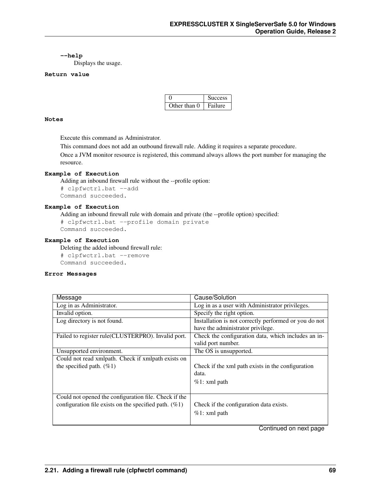#### **--help**

Displays the usage.

#### **Return value**

|              | <b>Success</b> |
|--------------|----------------|
| Other than 0 | Failure        |

#### **Notes**

Execute this command as Administrator.

This command does not add an outbound firewall rule. Adding it requires a separate procedure.

Once a JVM monitor resource is registered, this command always allows the port number for managing the resource.

#### **Example of Execution**

Adding an inbound firewall rule without the --profile option:

# clpfwctrl.bat --add Command succeeded.

#### **Example of Execution**

Adding an inbound firewall rule with domain and private (the --profile option) specified:

```
# clpfwctrl.bat --profile domain private
Command succeeded.
```
#### **Example of Execution**

Deleting the added inbound firewall rule:

# clpfwctrl.bat --remove Command succeeded.

#### **Error Messages**

| Message                                                  | Cause/Solution                                        |
|----------------------------------------------------------|-------------------------------------------------------|
| Log in as Administrator.                                 | Log in as a user with Administrator privileges.       |
| Invalid option.                                          | Specify the right option.                             |
| Log directory is not found.                              | Installation is not correctly performed or you do not |
|                                                          | have the administrator privilege.                     |
| Failed to register rule(CLUSTERPRO). Invalid port.       | Check the configuration data, which includes an in-   |
|                                                          | valid port number.                                    |
| Unsupported environment.                                 | The OS is unsupported.                                |
| Could not read xmlpath. Check if xmlpath exists on       |                                                       |
| the specified path. $(\%1)$                              | Check if the xml path exists in the configuration     |
|                                                          | data.                                                 |
|                                                          | $%1:$ xml path                                        |
|                                                          |                                                       |
| Could not opened the configuration file. Check if the    |                                                       |
| configuration file exists on the specified path. $(\%1)$ | Check if the configuration data exists.               |
|                                                          | $%1:$ xml path                                        |
|                                                          |                                                       |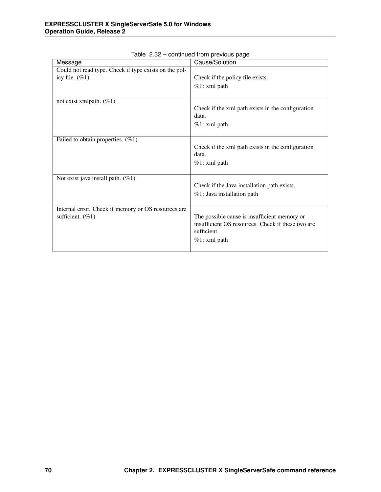| Message                                               | Cause/Solution                                             |
|-------------------------------------------------------|------------------------------------------------------------|
| Could not read type. Check if type exists on the pol- |                                                            |
| icy file. $(\%1)$                                     | Check if the policy file exists.                           |
|                                                       | $%1:$ xml path                                             |
|                                                       |                                                            |
| not exist xmlpath. $(\%1)$                            |                                                            |
|                                                       | Check if the xml path exists in the configuration          |
|                                                       | data.                                                      |
|                                                       | $%1:$ xml path                                             |
|                                                       |                                                            |
| Failed to obtain properties. $(\%1)$                  |                                                            |
|                                                       | Check if the xml path exists in the configuration<br>data. |
|                                                       | $%1:$ xml path                                             |
|                                                       |                                                            |
| Not exist java install path. $(\%1)$                  |                                                            |
|                                                       | Check if the Java installation path exists.                |
|                                                       | %1: Java installation path                                 |
|                                                       |                                                            |
| Internal error. Check if memory or OS resources are   |                                                            |
| sufficient. $(\%1)$                                   | The possible cause is insufficient memory or               |
|                                                       | insufficient OS resources. Check if these two are          |
|                                                       | sufficient.                                                |
|                                                       | $%1:$ xml path                                             |
|                                                       |                                                            |

Table 2.32 – continued from previous page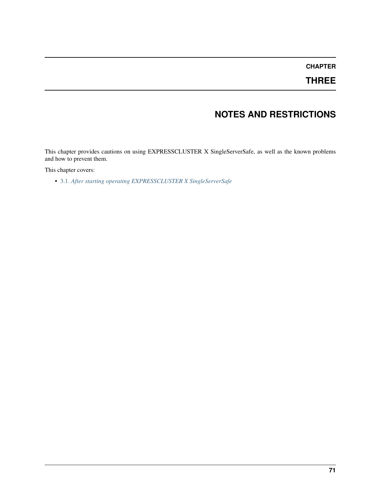## **CHAPTER**

## **THREE**

# **NOTES AND RESTRICTIONS**

This chapter provides cautions on using EXPRESSCLUSTER X SingleServerSafe, as well as the known problems and how to prevent them.

This chapter covers:

• [3.1.](#page-75-0) *[After starting operating EXPRESSCLUSTER X SingleServerSafe](#page-75-0)*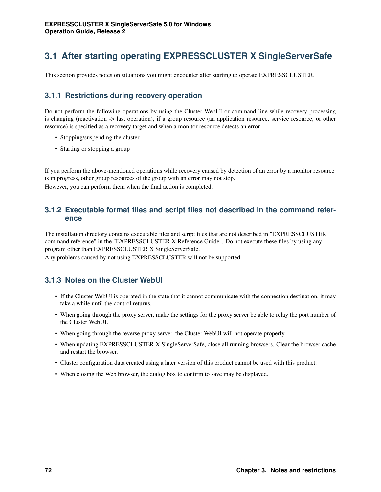# <span id="page-75-0"></span>**3.1 After starting operating EXPRESSCLUSTER X SingleServerSafe**

This section provides notes on situations you might encounter after starting to operate EXPRESSCLUSTER.

## **3.1.1 Restrictions during recovery operation**

Do not perform the following operations by using the Cluster WebUI or command line while recovery processing is changing (reactivation -> last operation), if a group resource (an application resource, service resource, or other resource) is specified as a recovery target and when a monitor resource detects an error.

- Stopping/suspending the cluster
- Starting or stopping a group

If you perform the above-mentioned operations while recovery caused by detection of an error by a monitor resource is in progress, other group resources of the group with an error may not stop. However, you can perform them when the final action is completed.

### **3.1.2 Executable format files and script files not described in the command reference**

The installation directory contains executable files and script files that are not described in "EXPRESSCLUSTER command reference" in the "EXPRESSCLUSTER X Reference Guide". Do not execute these files by using any program other than EXPRESSCLUSTER X SingleServerSafe.

Any problems caused by not using EXPRESSCLUSTER will not be supported.

### **3.1.3 Notes on the Cluster WebUI**

- If the Cluster WebUI is operated in the state that it cannot communicate with the connection destination, it may take a while until the control returns.
- When going through the proxy server, make the settings for the proxy server be able to relay the port number of the Cluster WebUI.
- When going through the reverse proxy server, the Cluster WebUI will not operate properly.
- When updating EXPRESSCLUSTER X SingleServerSafe, close all running browsers. Clear the browser cache and restart the browser.
- Cluster configuration data created using a later version of this product cannot be used with this product.
- When closing the Web browser, the dialog box to confirm to save may be displayed.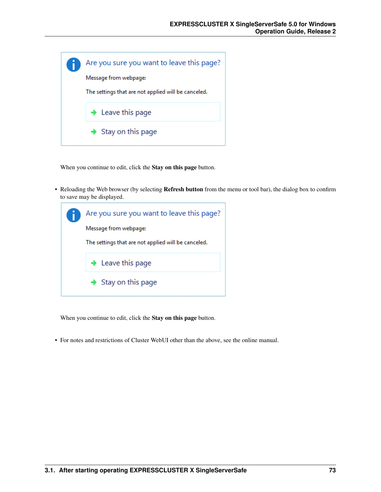

When you continue to edit, click the Stay on this page button.

• Reloading the Web browser (by selecting **Refresh button** from the menu or tool bar), the dialog box to confirm to save may be displayed.

| Are you sure you want to leave this page?           |
|-----------------------------------------------------|
| Message from webpage:                               |
| The settings that are not applied will be canceled. |
| $\rightarrow$ Leave this page                       |
| $\rightarrow$ Stay on this page                     |

When you continue to edit, click the Stay on this page button.

• For notes and restrictions of Cluster WebUI other than the above, see the online manual.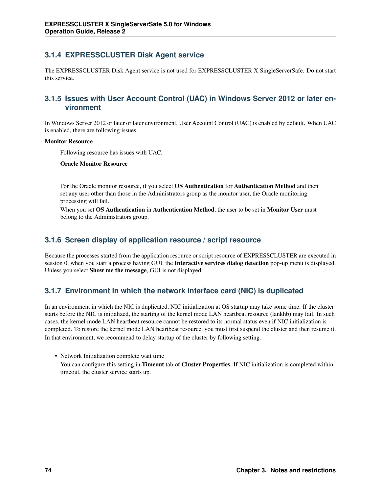## **3.1.4 EXPRESSCLUSTER Disk Agent service**

The EXPRESSCLUSTER Disk Agent service is not used for EXPRESSCLUSTER X SingleServerSafe. Do not start this service.

### **3.1.5 Issues with User Account Control (UAC) in Windows Server 2012 or later environment**

In Windows Server 2012 or later or later environment, User Account Control (UAC) is enabled by default. When UAC is enabled, there are following issues.

#### Monitor Resource

Following resource has issues with UAC.

Oracle Monitor Resource

For the Oracle monitor resource, if you select OS Authentication for Authentication Method and then set any user other than those in the Administrators group as the monitor user, the Oracle monitoring processing will fail.

When you set OS Authentication in Authentication Method, the user to be set in Monitor User must belong to the Administrators group.

### **3.1.6 Screen display of application resource / script resource**

Because the processes started from the application resource or script resource of EXPRESSCLUSTER are executed in session 0, when you start a process having GUI, the Interactive services dialog detection pop-up menu is displayed. Unless you select Show me the message, GUI is not displayed.

## **3.1.7 Environment in which the network interface card (NIC) is duplicated**

In an environment in which the NIC is duplicated, NIC initialization at OS startup may take some time. If the cluster starts before the NIC is initialized, the starting of the kernel mode LAN heartbeat resource (lankhb) may fail. In such cases, the kernel mode LAN heartbeat resource cannot be restored to its normal status even if NIC initialization is completed. To restore the kernel mode LAN heartbeat resource, you must first suspend the cluster and then resume it. In that environment, we recommend to delay startup of the cluster by following setting.

• Network Initialization complete wait time

You can configure this setting in **Timeout** tab of **Cluster Properties**. If NIC initialization is completed within timeout, the cluster service starts up.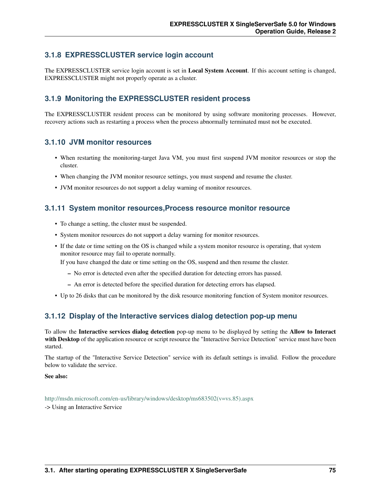### **3.1.8 EXPRESSCLUSTER service login account**

The EXPRESSCLUSTER service login account is set in Local System Account. If this account setting is changed, EXPRESSCLUSTER might not properly operate as a cluster.

### **3.1.9 Monitoring the EXPRESSCLUSTER resident process**

The EXPRESSCLUSTER resident process can be monitored by using software monitoring processes. However, recovery actions such as restarting a process when the process abnormally terminated must not be executed.

#### **3.1.10 JVM monitor resources**

- When restarting the monitoring-target Java VM, you must first suspend JVM monitor resources or stop the cluster.
- When changing the JVM monitor resource settings, you must suspend and resume the cluster.
- JVM monitor resources do not support a delay warning of monitor resources.

#### **3.1.11 System monitor resources,Process resource monitor resource**

- To change a setting, the cluster must be suspended.
- System monitor resources do not support a delay warning for monitor resources.
- If the date or time setting on the OS is changed while a system monitor resource is operating, that system monitor resource may fail to operate normally.

If you have changed the date or time setting on the OS, suspend and then resume the cluster.

- No error is detected even after the specified duration for detecting errors has passed.
- An error is detected before the specified duration for detecting errors has elapsed.
- Up to 26 disks that can be monitored by the disk resource monitoring function of System monitor resources.

#### **3.1.12 Display of the Interactive services dialog detection pop-up menu**

To allow the Interactive services dialog detection pop-up menu to be displayed by setting the Allow to Interact with Desktop of the application resource or script resource the "Interactive Service Detection" service must have been started.

The startup of the "Interactive Service Detection" service with its default settings is invalid. Follow the procedure below to validate the service.

See also:

[http://msdn.microsoft.com/en-us/library/windows/desktop/ms683502\(v=vs.85\).aspx](http://msdn.microsoft.com/en-us/library/windows/desktop/ms683502(v=vs.85).aspx) -> Using an Interactive Service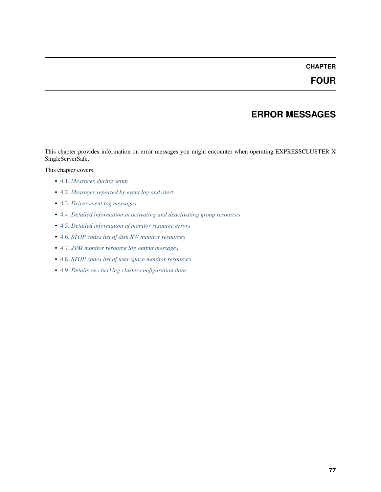## **CHAPTER**

## **ERROR MESSAGES**

This chapter provides information on error messages you might encounter when operating EXPRESSCLUSTER X SingleServerSafe.

This chapter covers:

- [4.1.](#page-81-0) *[Messages during setup](#page-81-0)*
- [4.2.](#page-82-0) *[Messages reported by event log and alert](#page-82-0)*
- [4.3.](#page-146-0) *[Driver event log messages](#page-146-0)*
- [4.4.](#page-147-0) *[Detailed information in activating and deactivating group resources](#page-147-0)*
- [4.5.](#page-149-0) *[Detailed information of monitor resource errors](#page-149-0)*
- [4.6.](#page-172-0) *[STOP codes list of disk RW monitor resources](#page-172-0)*
- [4.7.](#page-173-0) *[JVM monitor resource log output messages](#page-173-0)*
- [4.8.](#page-186-0) *[STOP codes list of user space monitor resources](#page-186-0)*
- [4.9.](#page-187-0) *[Details on checking cluster configuration data](#page-187-0)*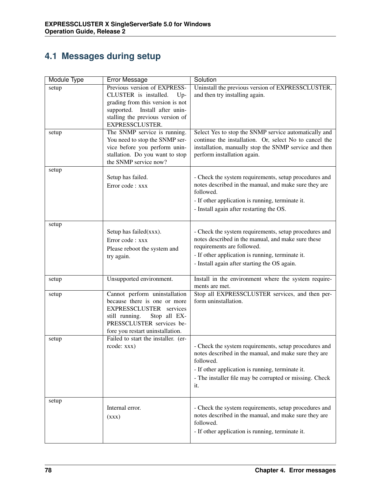# <span id="page-81-0"></span>**4.1 Messages during setup**

| Module Type | <b>Error Message</b>                | Solution                                                                                                       |
|-------------|-------------------------------------|----------------------------------------------------------------------------------------------------------------|
| setup       | Previous version of EXPRESS-        | Uninstall the previous version of EXPRESSCLUSTER,                                                              |
|             | CLUSTER is installed.<br>$Up-$      | and then try installing again.                                                                                 |
|             | grading from this version is not    |                                                                                                                |
|             | supported. Install after unin-      |                                                                                                                |
|             | stalling the previous version of    |                                                                                                                |
|             | EXPRESSCLUSTER.                     |                                                                                                                |
| setup       | The SNMP service is running.        | Select Yes to stop the SNMP service automatically and                                                          |
|             | You need to stop the SNMP ser-      | continue the installation. Or, select No to cancel the                                                         |
|             | vice before you perform unin-       | installation, manually stop the SNMP service and then                                                          |
|             | stallation. Do you want to stop     | perform installation again.                                                                                    |
|             | the SNMP service now?               |                                                                                                                |
| setup       |                                     |                                                                                                                |
|             | Setup has failed.                   | - Check the system requirements, setup procedures and<br>notes described in the manual, and make sure they are |
|             | Error code: xxx                     | followed.                                                                                                      |
|             |                                     |                                                                                                                |
|             |                                     | - If other application is running, terminate it.                                                               |
|             |                                     | - Install again after restarting the OS.                                                                       |
| setup       |                                     |                                                                                                                |
|             | Setup has failed(xxx).              | - Check the system requirements, setup procedures and                                                          |
|             | Error code: xxx                     | notes described in the manual, and make sure these                                                             |
|             |                                     | requirements are followed.                                                                                     |
|             | Please reboot the system and        | - If other application is running, terminate it.                                                               |
|             | try again.                          | - Install again after starting the OS again.                                                                   |
|             |                                     |                                                                                                                |
| setup       | Unsupported environment.            | Install in the environment where the system require-                                                           |
|             |                                     | ments are met.                                                                                                 |
| setup       | Cannot perform uninstallation       | Stop all EXPRESSCLUSTER services, and then per-                                                                |
|             | because there is one or more        | form uninstallation.                                                                                           |
|             | EXPRESSCLUSTER services             |                                                                                                                |
|             | still running.<br>Stop all EX-      |                                                                                                                |
|             | PRESSCLUSTER services be-           |                                                                                                                |
|             | fore you restart uninstallation.    |                                                                                                                |
| setup       | Failed to start the installer. (er- |                                                                                                                |
|             | rcode: xxx)                         | - Check the system requirements, setup procedures and                                                          |
|             |                                     | notes described in the manual, and make sure they are<br>followed.                                             |
|             |                                     |                                                                                                                |
|             |                                     | - If other application is running, terminate it.                                                               |
|             |                                     | - The installer file may be corrupted or missing. Check                                                        |
|             |                                     | it.                                                                                                            |
| setup       |                                     |                                                                                                                |
|             | Internal error.                     | - Check the system requirements, setup procedures and                                                          |
|             | (xxx)                               | notes described in the manual, and make sure they are                                                          |
|             |                                     | followed.                                                                                                      |
|             |                                     | - If other application is running, terminate it.                                                               |
|             |                                     |                                                                                                                |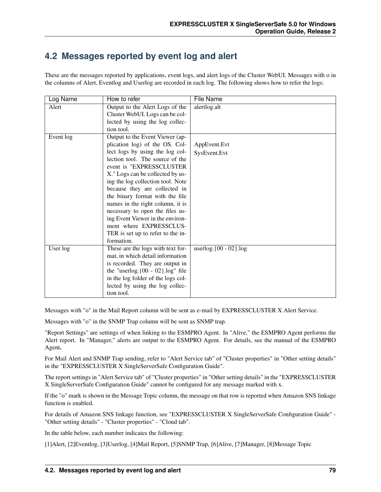## <span id="page-82-0"></span>**4.2 Messages reported by event log and alert**

These are the messages reported by applications, event logs, and alert logs of the Cluster WebUI. Messages with o in the columns of Alert, Eventlog and Userlog are recorded in each log. The following shows how to refer the logs:

| Log Name  | How to refer                         | <b>File Name</b>             |
|-----------|--------------------------------------|------------------------------|
| Alert     | Output to the Alert Logs of the      | alertlog.alt                 |
|           | Cluster WebUI. Logs can be col-      |                              |
|           | lected by using the log collec-      |                              |
|           | tion tool.                           |                              |
| Event log | Output to the Event Viewer (ap-      |                              |
|           | plication log) of the OS. Col-       | AppEvent.Evt                 |
|           | lect logs by using the log col-      | SysEvent.Evt                 |
|           | lection tool. The source of the      |                              |
|           | event is "EXPRESSCLUSTER             |                              |
|           | X." Logs can be collected by us-     |                              |
|           | ing the log collection tool. Note    |                              |
|           | because they are collected in        |                              |
|           | the binary format with the file      |                              |
|           | names in the right column, it is     |                              |
|           | necessary to open the files us-      |                              |
|           | ing Event Viewer in the environ-     |                              |
|           | ment where EXPRESSCLUS-              |                              |
|           | TER is set up to refer to the in-    |                              |
|           | formation.                           |                              |
| User log  | These are the logs with text for-    | user $log.$ {00 - 02}. $log$ |
|           | mat, in which detail information     |                              |
|           | is recorded. They are output in      |                              |
|           | the "userlog. ${00 - 02}$ .log" file |                              |
|           | in the log folder of the logs col-   |                              |
|           | lected by using the log collec-      |                              |
|           | tion tool.                           |                              |

Messages with "o" in the Mail Report column will be sent as e-mail by EXPRESSCLUSTER X Alert Service.

Messages with "o" in the SNMP Trap column will be sent as SNMP trap.

"Report Settings" are settings of when linking to the ESMPRO Agent. In "Alive," the ESMPRO Agent performs the Alert report. In "Manager," alerts are output to the ESMPRO Agent. For details, see the manual of the ESMPRO Agent.

For Mail Alert and SNMP Trap sending, refer to "Alert Service tab" of "Cluster properties" in "Other setting details" in the "EXPRESSCLUSTER X SingleServerSafe Configuration Guide".

The report settings in "Alert Service tab" of "Cluster properties" in "Other setting details" in the "EXPRESSCLUSTER X SingleServerSafe Configuration Guide" cannot be configured for any message marked with x.

If the "o" mark is shown in the Message Topic column, the message on that row is reported when Amazon SNS linkage function is enabled.

For details of Amazon SNS linkage function, see "EXPRESSCLUSTER X SingleServerSafe Configuration Guide" - "Other setting details" - "Cluster properties" - "Cloud tab".

In the table below, each number indicates the following:

[1]Alert, [2]Eventlog, [3]Userlog, [4]Mail Report, [5]SNMP Trap, [6]Alive, [7]Manager, [8]Message Topic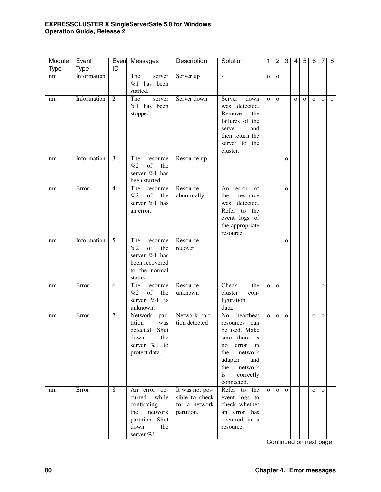| Module | Event       |                | Event Messages                                                                                                  | Description                                                      | Solution                                                                                                                                                                          | 1              | $\overline{2}$ | $\overline{3}$ | 4           | $\overline{5}$ | 6            | 7            | $\overline{8}$ |
|--------|-------------|----------------|-----------------------------------------------------------------------------------------------------------------|------------------------------------------------------------------|-----------------------------------------------------------------------------------------------------------------------------------------------------------------------------------|----------------|----------------|----------------|-------------|----------------|--------------|--------------|----------------|
| Type   | Type        | ID             |                                                                                                                 |                                                                  |                                                                                                                                                                                   |                |                |                |             |                |              |              |                |
| nm     | Information | $\mathbf{1}$   | The<br>server<br>$%1$ has been<br>started.                                                                      | Server up                                                        | $\sim$                                                                                                                                                                            | $\mathbf 0$    | $\mathbf{O}$   |                |             |                |              |              |                |
| nm     | Information | $\overline{2}$ | The<br>server<br>$%1$ has been<br>stopped.                                                                      | Server down                                                      | down<br>Server<br>detected.<br>was<br>Remove<br>the<br>failures of the<br>and<br>server<br>then return the<br>server to the<br>cluster.                                           | $\overline{O}$ | $\mathbf{O}$   |                | $\mathbf O$ | $\mathbf O$    | $\mathbf{o}$ | $\mathbf{O}$ | $\mathbf{o}$   |
| nm     | Information | $\overline{3}$ | The<br>resource<br>of<br>%2<br>the<br>server %1 has<br>been started.                                            | Resource up                                                      | $\overline{a}$                                                                                                                                                                    |                |                | $\mathbf{o}$   |             |                |              |              |                |
| nm     | Error       | $\overline{4}$ | The<br>resource<br>%2<br>of<br>the<br>server %1 has<br>an error.                                                | Resource<br>abnormally                                           | An<br>of<br>error<br>the<br>resource<br>detected.<br>was<br>Refer to the<br>event logs of<br>the appropriate<br>resource.                                                         |                |                | $\mathbf{o}$   |             |                |              |              |                |
| nm     | Information | $\overline{5}$ | The<br>resource<br>%2<br>of<br>the<br>server %1 has<br>been recovered<br>to the normal<br>status.               | Resource<br>recover                                              |                                                                                                                                                                                   |                |                | $\mathbf{O}$   |             |                |              |              |                |
| nm     | Error       | 6              | The<br>resource<br>%2<br>of<br>the<br>server %1<br>is<br>unknown.                                               | Resource<br>unknown                                              | Check<br>the<br>cluster<br>con-<br>figuration<br>data.                                                                                                                            | $\overline{O}$ | $\mathbf{O}$   |                |             |                |              | $\mathbf{o}$ |                |
| nm     | Error       | $\overline{7}$ | Network<br>par-<br>tition<br>was<br>detected. Shut<br>down<br>the<br>server %1 to<br>protect data.              | Network parti-<br>tion detected                                  | No<br>heartbeat<br>resources<br>can<br>be used. Make<br>sure there is<br>in<br>error<br>no<br>network<br>the<br>adapter<br>and<br>network<br>the<br>is<br>correctly<br>connected. | $\overline{O}$ | $\mathbf{O}$   | $\mathbf{O}$   |             |                | $\mathbf O$  | $\mathbf O$  |                |
| nm     | Error       | 8              | An error oc-<br>curred<br>while<br>confirming<br>network<br>the<br>partition. Shut<br>down<br>the<br>server %1. | It was not pos-<br>sible to check<br>for a network<br>partition. | Refer to the<br>event logs to<br>check whether<br>an error has<br>occurred in a<br>resource.                                                                                      | $\mathbf{O}$   | $\mathbf{o}$   | $\mathbf{O}$   |             |                | $\mathbf{o}$ | $\mathbf{O}$ |                |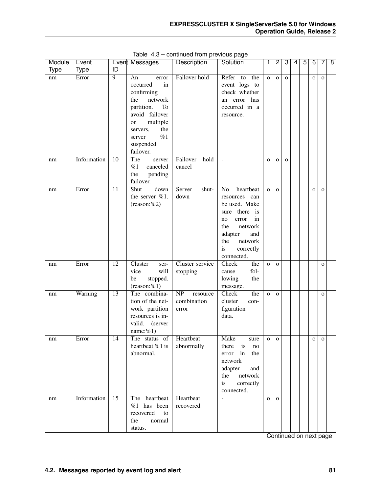| Module | Event       |                 | Event Messages                                                                                                                                                                     | Description                            | Solution                                                                                                                                                                       | 1            | $\overline{2}$ | 3            | 4 | 5 | 6           | 7            | $\overline{\mathbf{8}}$ |
|--------|-------------|-----------------|------------------------------------------------------------------------------------------------------------------------------------------------------------------------------------|----------------------------------------|--------------------------------------------------------------------------------------------------------------------------------------------------------------------------------|--------------|----------------|--------------|---|---|-------------|--------------|-------------------------|
| Type   | <b>Type</b> | ID              |                                                                                                                                                                                    |                                        |                                                                                                                                                                                |              |                |              |   |   |             |              |                         |
| nm     | Error       | $\overline{9}$  | An<br>error<br>occurred<br>in<br>confirming<br>network<br>the<br>partition.<br>To<br>avoid failover<br>multiple<br>on<br>the<br>servers,<br>%1<br>server<br>suspended<br>failover. | Failover hold                          | Refer<br>to<br>the<br>event logs to<br>check whether<br>an error has<br>occurred in a<br>resource.                                                                             | $\mathbf{O}$ | $\mathbf{O}$   | $\mathbf{O}$ |   |   | $\mathbf O$ | $\mathbf{O}$ |                         |
| nm     | Information | 10              | The<br>server<br>%1<br>canceled<br>the<br>pending<br>failover.                                                                                                                     | Failover<br>hold<br>cancel             | $\blacksquare$                                                                                                                                                                 | $\mathbf O$  | $\mathbf{O}$   | $\mathbf{o}$ |   |   |             |              |                         |
| nm     | Error       | 11              | Shut<br>down<br>the server %1.<br>$(reason: \%2)$                                                                                                                                  | Server<br>shut-<br>down                | heartbeat<br>No<br>resources can<br>be used. Make<br>sure there is<br>error<br>in<br>no<br>network<br>the<br>adapter<br>and<br>network<br>the<br>is<br>correctly<br>connected. | $\mathbf{o}$ | $\mathbf{o}$   |              |   |   | $\mathbf O$ | $\mathbf{O}$ |                         |
| nm     | Error       | 12              | Cluster<br>ser-<br>vice<br>will<br>stopped.<br>be<br>$(reason: \% 1)$                                                                                                              | Cluster service<br>stopping            | Check<br>the<br>fol-<br>cause<br>lowing<br>the<br>message.                                                                                                                     | $\mathbf O$  | $\mathbf{o}$   |              |   |   |             | $\mathbf{O}$ |                         |
| nm     | Warning     | 13              | The combina-<br>tion of the net-<br>work partition<br>resources is in-<br>valid.<br>(server<br>name: $%1$ )                                                                        | NP<br>resource<br>combination<br>error | the<br>Check<br>cluster<br>con-<br>figuration<br>data.                                                                                                                         | $\mathbf O$  | $\mathbf{o}$   |              |   |   |             | $\mathbf{O}$ |                         |
| nm     | Error       | 14              | The status of<br>heartbeat %1 is<br>abnormal.                                                                                                                                      | Heartbeat<br>abnormally                | Make<br>sure<br>there<br>is<br>no<br>in<br>the<br>error<br>network<br>adapter<br>and<br>network<br>the<br>is<br>correctly<br>connected.                                        | 0            | $\mathbf{O}$   |              |   |   | o           | $\mathbf{O}$ |                         |
| nm     | Information | $\overline{15}$ | The heartbeat<br>$%1$ has been<br>recovered<br>to<br>the<br>normal<br>status.                                                                                                      | Heartbeat<br>recovered                 | $\overline{a}$                                                                                                                                                                 | $\mathbf O$  | $\mathbf{O}$   |              |   |   |             |              |                         |

Table 4.3 – continued from previous page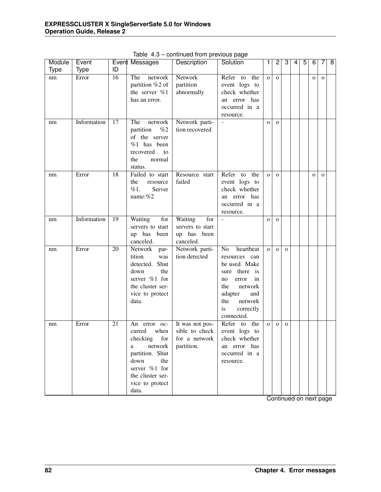| Module      | Event       |    | Event Messages                                                                                                                                                                                                    | Description                                                      | Solution                                                                                                                                                      | 1              | $\overline{c}$ | 3            | 4 | $\overline{5}$ | $\overline{6}$ | 7            | $\overline{8}$ |
|-------------|-------------|----|-------------------------------------------------------------------------------------------------------------------------------------------------------------------------------------------------------------------|------------------------------------------------------------------|---------------------------------------------------------------------------------------------------------------------------------------------------------------|----------------|----------------|--------------|---|----------------|----------------|--------------|----------------|
| <b>Type</b> | <b>Type</b> | ID |                                                                                                                                                                                                                   |                                                                  |                                                                                                                                                               |                |                |              |   |                |                |              |                |
| nm          | Error       | 16 | The<br>network                                                                                                                                                                                                    | Network                                                          | Refer<br>to<br>the                                                                                                                                            | $\mathbf{o}$   | $\mathbf{O}$   |              |   |                | $\mathbf{o}$   | $\mathbf O$  |                |
|             |             |    | partition %2 of                                                                                                                                                                                                   | partition                                                        | event logs to                                                                                                                                                 |                |                |              |   |                |                |              |                |
|             |             |    | the server %1                                                                                                                                                                                                     | abnormally                                                       | check whether                                                                                                                                                 |                |                |              |   |                |                |              |                |
|             |             |    | has an error.                                                                                                                                                                                                     |                                                                  | an error has                                                                                                                                                  |                |                |              |   |                |                |              |                |
|             |             |    |                                                                                                                                                                                                                   |                                                                  | occurred in a                                                                                                                                                 |                |                |              |   |                |                |              |                |
|             |             |    |                                                                                                                                                                                                                   |                                                                  | resource.                                                                                                                                                     |                |                |              |   |                |                |              |                |
| nm          | Information | 17 | The<br>network                                                                                                                                                                                                    | Network parti-                                                   | $\bar{\phantom{a}}$                                                                                                                                           | $\mathbf{o}$   | $\mathbf{O}$   |              |   |                |                |              |                |
|             |             |    | partition<br>%2                                                                                                                                                                                                   | tion recovered                                                   |                                                                                                                                                               |                |                |              |   |                |                |              |                |
|             |             |    | of the server                                                                                                                                                                                                     |                                                                  |                                                                                                                                                               |                |                |              |   |                |                |              |                |
|             |             |    | %1<br>has been                                                                                                                                                                                                    |                                                                  |                                                                                                                                                               |                |                |              |   |                |                |              |                |
|             |             |    | recovered<br>to                                                                                                                                                                                                   |                                                                  |                                                                                                                                                               |                |                |              |   |                |                |              |                |
|             |             |    | the<br>normal                                                                                                                                                                                                     |                                                                  |                                                                                                                                                               |                |                |              |   |                |                |              |                |
|             | Error       | 18 | status.<br>Failed to start                                                                                                                                                                                        | Resource start                                                   | Refer<br>the                                                                                                                                                  |                |                |              |   |                |                |              |                |
| nm          |             |    | the<br>resource                                                                                                                                                                                                   | failed                                                           | to<br>event logs to                                                                                                                                           | $\overline{O}$ | $\mathbf{O}$   |              |   |                | $\mathbf{o}$   | $\mathbf{o}$ |                |
|             |             |    | %1.<br>Server                                                                                                                                                                                                     |                                                                  | check whether                                                                                                                                                 |                |                |              |   |                |                |              |                |
|             |             |    | name:%2                                                                                                                                                                                                           |                                                                  | an error has                                                                                                                                                  |                |                |              |   |                |                |              |                |
|             |             |    |                                                                                                                                                                                                                   |                                                                  | occurred in a                                                                                                                                                 |                |                |              |   |                |                |              |                |
|             |             |    |                                                                                                                                                                                                                   |                                                                  | resource.                                                                                                                                                     |                |                |              |   |                |                |              |                |
| nm          | Information | 19 | Waiting<br>for                                                                                                                                                                                                    | Waiting<br>for                                                   |                                                                                                                                                               | $\mathbf{o}$   | $\mathbf{O}$   |              |   |                |                |              |                |
|             |             |    | servers to start                                                                                                                                                                                                  | servers to start                                                 |                                                                                                                                                               |                |                |              |   |                |                |              |                |
|             |             |    | up has<br>been                                                                                                                                                                                                    | up has been                                                      |                                                                                                                                                               |                |                |              |   |                |                |              |                |
|             |             |    | canceled.                                                                                                                                                                                                         | canceled.                                                        |                                                                                                                                                               |                |                |              |   |                |                |              |                |
| nm          | Error       | 20 | Network<br>par-                                                                                                                                                                                                   | Network parti-                                                   | heartbeat<br>No                                                                                                                                               | $\overline{O}$ | $\mathbf{O}$   | $\mathbf{o}$ |   |                |                |              |                |
|             |             |    | tition<br>was                                                                                                                                                                                                     | tion detected                                                    | resources can                                                                                                                                                 |                |                |              |   |                |                |              |                |
|             |             |    | detected. Shut                                                                                                                                                                                                    |                                                                  | be used. Make                                                                                                                                                 |                |                |              |   |                |                |              |                |
|             |             |    | the<br>down                                                                                                                                                                                                       |                                                                  | there is<br>sure                                                                                                                                              |                |                |              |   |                |                |              |                |
|             |             |    |                                                                                                                                                                                                                   |                                                                  | in<br>error<br>no                                                                                                                                             |                |                |              |   |                |                |              |                |
|             |             |    | the cluster ser-                                                                                                                                                                                                  |                                                                  | network<br>the                                                                                                                                                |                |                |              |   |                |                |              |                |
|             |             |    |                                                                                                                                                                                                                   |                                                                  | and                                                                                                                                                           |                |                |              |   |                |                |              |                |
|             |             |    |                                                                                                                                                                                                                   |                                                                  |                                                                                                                                                               |                |                |              |   |                |                |              |                |
|             |             |    |                                                                                                                                                                                                                   |                                                                  |                                                                                                                                                               |                |                |              |   |                |                |              |                |
|             |             |    |                                                                                                                                                                                                                   |                                                                  |                                                                                                                                                               |                |                |              |   |                |                |              |                |
|             |             |    |                                                                                                                                                                                                                   |                                                                  |                                                                                                                                                               |                |                |              |   |                |                |              |                |
|             |             |    |                                                                                                                                                                                                                   |                                                                  |                                                                                                                                                               |                |                |              |   |                |                |              |                |
|             |             |    |                                                                                                                                                                                                                   |                                                                  |                                                                                                                                                               |                |                |              |   |                |                |              |                |
|             |             |    |                                                                                                                                                                                                                   |                                                                  |                                                                                                                                                               |                |                |              |   |                |                |              |                |
|             |             |    |                                                                                                                                                                                                                   |                                                                  |                                                                                                                                                               |                |                |              |   |                |                |              |                |
|             |             |    |                                                                                                                                                                                                                   |                                                                  |                                                                                                                                                               |                |                |              |   |                |                |              |                |
|             |             |    |                                                                                                                                                                                                                   |                                                                  |                                                                                                                                                               |                |                |              |   |                |                |              |                |
|             |             |    |                                                                                                                                                                                                                   |                                                                  |                                                                                                                                                               |                |                |              |   |                |                |              |                |
|             |             |    |                                                                                                                                                                                                                   |                                                                  |                                                                                                                                                               |                |                |              |   |                |                |              |                |
| nm          | Error       | 21 | server %1 for<br>vice to protect<br>data.<br>An error oc-<br>when<br>curred<br>checking<br>for<br>network<br>a<br>partition. Shut<br>down<br>the<br>server %1 for<br>the cluster ser-<br>vice to protect<br>data. | It was not pos-<br>sible to check<br>for a network<br>partition. | adapter<br>the<br>network<br>is<br>correctly<br>connected.<br>Refer to<br>the<br>event logs to<br>check whether<br>an error has<br>occurred in a<br>resource. | $\mathbf 0$    | $\mathbf{O}$   | $\mathbf O$  |   |                |                |              |                |

Table 4.3 – continued from previous page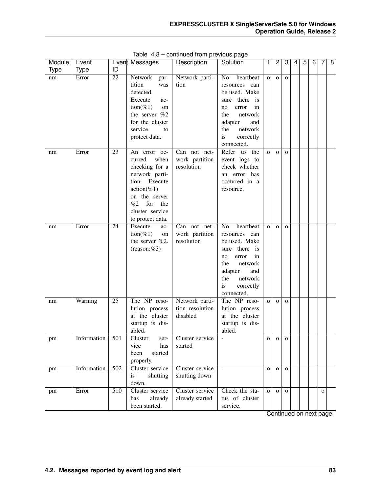| Module      | Event          |          | Event Messages                                                                                                                                                                                                        | Description                                                            | Solution                                                                                                                                                                                                                                        | 1                              | 2                            | 3                            | 4 | 5 | 6 | 7            | 8 |
|-------------|----------------|----------|-----------------------------------------------------------------------------------------------------------------------------------------------------------------------------------------------------------------------|------------------------------------------------------------------------|-------------------------------------------------------------------------------------------------------------------------------------------------------------------------------------------------------------------------------------------------|--------------------------------|------------------------------|------------------------------|---|---|---|--------------|---|
| <b>Type</b> | <b>Type</b>    | ID       |                                                                                                                                                                                                                       |                                                                        |                                                                                                                                                                                                                                                 |                                |                              |                              |   |   |   |              |   |
| nm<br>nm    | Error<br>Error | 22<br>23 | Network<br>par-<br>tition<br>was<br>detected.<br>Execute<br>ac-<br>$\text{tion}(\%1)$<br>on<br>the server %2<br>for the cluster<br>service<br>to<br>protect data.<br>An error oc-<br>curred<br>when<br>checking for a | Network parti-<br>tion<br>Can not net-<br>work partition<br>resolution | heartbeat<br>N <sub>o</sub><br>resources can<br>be used. Make<br>sure there is<br>in<br>error<br>no<br>the<br>network<br>adapter<br>and<br>network<br>the<br>is<br>correctly<br>connected.<br>Refer<br>to the<br>event logs to<br>check whether | $\overline{O}$<br>$\mathbf{o}$ | $\mathbf{O}$<br>$\mathbf{O}$ | $\mathbf{O}$<br>$\mathbf{O}$ |   |   |   |              |   |
|             |                |          | network parti-<br>Execute<br>tion.<br>$action(\%1)$<br>on the server<br>%2<br>for<br>the<br>cluster service<br>to protect data.                                                                                       |                                                                        | an error has<br>occurred in a<br>resource.                                                                                                                                                                                                      |                                |                              |                              |   |   |   |              |   |
| nm          | Error          | 24       | Execute<br>ac-<br>$\text{tion}(\%1)$<br>on<br>the server $\%2$ .<br>(reason: %3)                                                                                                                                      | Can not net-<br>work partition<br>resolution                           | heartbeat<br>No<br>resources can<br>be used. Make<br>there is<br>sure<br>in<br>error<br>no<br>the<br>network<br>adapter<br>and<br>the<br>network<br>is<br>correctly<br>connected.                                                               | $\overline{O}$                 | $\mathbf{O}$                 | $\mathbf{O}$                 |   |   |   |              |   |
| nm          | Warning        | 25       | The NP reso-<br>lution process<br>at the cluster<br>startup is dis-<br>abled.                                                                                                                                         | Network parti-<br>tion resolution<br>disabled                          | The NP reso-<br>lution process<br>at the cluster<br>startup is dis-<br>abled.                                                                                                                                                                   | $\mathbf{o}$                   | $\mathbf{O}$                 | $\mathbf{O}$                 |   |   |   |              |   |
| pm          | Information    | 501      | Cluster<br>ser-<br>vice<br>has<br>been<br>started<br>properly.                                                                                                                                                        | Cluster service<br>started                                             | $\overline{\phantom{a}}$                                                                                                                                                                                                                        | o                              | $\mathbf{O}$                 | $\mathbf O$                  |   |   |   |              |   |
| pm          | Information    | 502      | Cluster service<br>shutting<br>is<br>down.                                                                                                                                                                            | Cluster service<br>shutting down                                       | $\blacksquare$                                                                                                                                                                                                                                  | $\mathbf O$                    | $\mathbf 0$                  | $\mathbf 0$                  |   |   |   |              |   |
| pm          | Error          | 510      | Cluster service<br>already<br>has<br>been started.                                                                                                                                                                    | Cluster service<br>already started                                     | Check the sta-<br>tus of cluster<br>service.                                                                                                                                                                                                    | $\mathbf{o}$                   | $\mathbf 0$                  | $\mathbf{O}$                 |   |   |   | $\mathbf{o}$ |   |

Table 4.3 – continued from previous page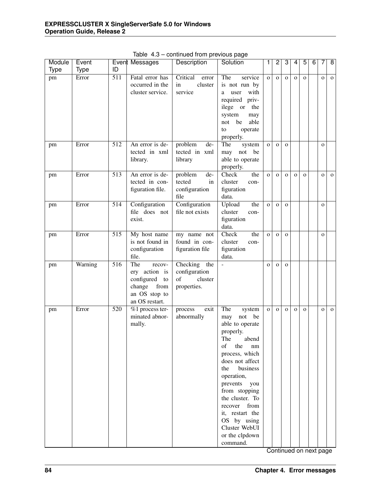| Module      | Event       |                  | Event Messages                                                                                          | Description                                                      | Solution                                                                                                                                                                                                                                                                                                                              | 1            | $\overline{2}$ | 3            | 4            | 5            | $\overline{6}$ | 7            | $\overline{8}$ |
|-------------|-------------|------------------|---------------------------------------------------------------------------------------------------------|------------------------------------------------------------------|---------------------------------------------------------------------------------------------------------------------------------------------------------------------------------------------------------------------------------------------------------------------------------------------------------------------------------------|--------------|----------------|--------------|--------------|--------------|----------------|--------------|----------------|
| <b>Type</b> | <b>Type</b> | ID               |                                                                                                         |                                                                  |                                                                                                                                                                                                                                                                                                                                       |              |                |              |              |              |                |              |                |
| pm          | Error       | $\overline{511}$ | Fatal error has<br>occurred in the<br>cluster service.                                                  | Critical<br>error<br>cluster<br>in<br>service                    | The<br>service<br>is not run by<br>with<br>user<br>a<br>required priv-<br>ilege or<br>the                                                                                                                                                                                                                                             | $\mathbf{o}$ | $\mathbf O$    | $\mathbf{O}$ | $\mathbf O$  | $\mathbf{o}$ |                | $\mathbf 0$  | $\mathbf{O}$   |
| pm          | Error       | 512              | An error is de-                                                                                         | problem<br>de-                                                   | system<br>may<br>not<br>be<br>able<br>operate<br>to<br>properly.<br>The<br>system                                                                                                                                                                                                                                                     | $\mathbf{O}$ | $\mathbf O$    | $\mathbf{o}$ |              |              |                | $\mathbf 0$  |                |
|             |             |                  | tected in xml<br>library.                                                                               | tected in xml<br>library                                         | not<br>be<br>may<br>able to operate<br>properly.                                                                                                                                                                                                                                                                                      |              |                |              |              |              |                |              |                |
| pm          | Error       | 513              | An error is de-<br>tected in con-<br>figuration file.                                                   | problem<br>de-<br>tected<br>in<br>configuration<br>file          | Check<br>the<br>cluster<br>con-<br>figuration<br>data.                                                                                                                                                                                                                                                                                | $\mathbf{O}$ | $\mathbf O$    | $\mathbf{O}$ | $\mathbf O$  | $\mathbf{o}$ |                | $\mathbf 0$  | $\mathbf{o}$   |
| pm          | Error       | 514              | Configuration<br>file does not<br>exist.                                                                | Configuration<br>file not exists                                 | Upload<br>the<br>cluster<br>con-<br>figuration<br>data.                                                                                                                                                                                                                                                                               | $\mathbf{O}$ | $\mathbf O$    | $\mathbf{O}$ |              |              |                | $\mathbf{o}$ |                |
| pm          | Error       | 515              | My host name<br>is not found in<br>configuration<br>file.                                               | $\overline{my}$ name not<br>found in con-<br>figuration file     | Check<br>the<br>cluster<br>con-<br>figuration<br>data.                                                                                                                                                                                                                                                                                | $\mathbf O$  | $\mathbf O$    | $\mathbf{o}$ |              |              |                | $\mathbf{o}$ |                |
| pm          | Warning     | $\overline{516}$ | The<br>recov-<br>ery action is<br>configured<br>to<br>from<br>change<br>an OS stop to<br>an OS restart. | Checking<br>the<br>configuration<br>of<br>cluster<br>properties. | $\overline{a}$                                                                                                                                                                                                                                                                                                                        | $\mathbf O$  | $\mathbf{O}$   | $\mathbf{o}$ |              |              |                |              |                |
| pm          | Error       | 520              | %1 process ter-<br>minated abnor-<br>mally.                                                             | exit<br>process<br>abnormally                                    | The<br>system<br>not<br>be<br>may<br>able to operate<br>properly.<br>The<br>abend<br>of<br>the<br>nm<br>process, which<br>does not affect<br>business<br>the<br>operation,<br>prevents<br>you<br>from stopping<br>the cluster. To<br>recover<br>from<br>it, restart the<br>OS by using<br>Cluster WebUI<br>or the clpdown<br>command. | $\mathbf{o}$ | $\mathbf{O}$   | $\mathbf{O}$ | $\mathbf{O}$ | $\mathbf{o}$ |                | $\mathbf 0$  | $\mathbf 0$    |

Table 4.3 – continued from previous page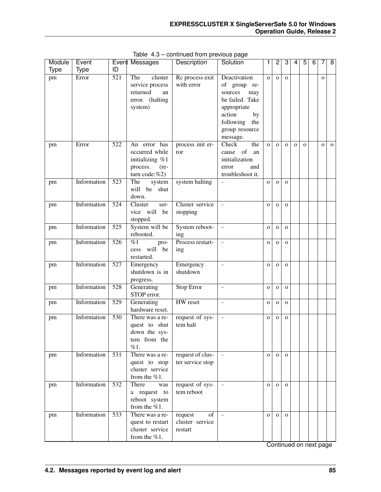| Module      | Event       |                  | Event Messages                                                                           | Description                                 | Solution                                                                                | 1              | $\overline{2}$ | $\overline{3}$ | 4            | $\overline{5}$ | $\overline{6}$ | 7            | $\overline{8}$ |
|-------------|-------------|------------------|------------------------------------------------------------------------------------------|---------------------------------------------|-----------------------------------------------------------------------------------------|----------------|----------------|----------------|--------------|----------------|----------------|--------------|----------------|
| <b>Type</b> | <b>Type</b> | ID               |                                                                                          |                                             |                                                                                         |                |                |                |              |                |                |              |                |
| pm          | Error       | 521              | The<br>cluster<br>service process<br>returned<br>an<br>error. (halting                   | Rc process exit<br>with error               | Deactivation<br>of group re-<br>may<br>sources<br>be failed. Take                       | $\mathbf{o}$   | $\mathbf{o}$   | $\mathbf{o}$   |              |                |                | $\mathbf{O}$ |                |
|             |             |                  | system)                                                                                  |                                             | appropriate<br>action<br>by<br>following<br>the<br>group resource<br>message.           |                |                |                |              |                |                |              |                |
| pm          | Error       | 522              | An error has<br>occurred while<br>initializing %1<br>process.<br>$(re-$<br>turn code:%2) | process init er-<br>ror                     | the<br>Check<br>of<br>cause<br>an<br>initialization<br>and<br>error<br>troubleshoot it. | $\overline{O}$ | $\mathbf{o}$   | $\mathbf O$    | $\mathbf{o}$ | $\mathbf{o}$   |                | $\mathbf{o}$ | $\mathbf{o}$   |
| pm          | Information | 523              | The<br>system<br>will be shut<br>down.                                                   | system halting                              |                                                                                         | $\mathbf 0$    | $\mathbf{O}$   | $\mathbf 0$    |              |                |                |              |                |
| pm          | Information | 524              | Cluster<br>ser-<br>vice will<br>be<br>stopped.                                           | Cluster service<br>stopping                 | $\overline{\phantom{a}}$                                                                | $\mathbf 0$    | $\mathbf{O}$   | $\mathbf{o}$   |              |                |                |              |                |
| pm          | Information | $\overline{525}$ | System will be<br>rebooted.                                                              | System reboot-<br>ing                       | $\blacksquare$                                                                          | $\mathbf O$    | $\mathbf O$    | $\mathbf{O}$   |              |                |                |              |                |
| pm          | Information | 526              | $\%1$<br>pro-<br>will<br>be<br>cess<br>restarted.                                        | Process restart-<br>ing                     | $\Box$                                                                                  | $\mathbf O$    | $\mathbf{O}$   | $\mathbf{O}$   |              |                |                |              |                |
| pm          | Information | 527              | Emergency<br>shutdown is in<br>progress.                                                 | Emergency<br>shutdown                       | $\equiv$                                                                                | $\mathbf O$    | $\mathbf{O}$   | $\mathbf{o}$   |              |                |                |              |                |
| pm          | Information | 528              | Generating<br>STOP error.                                                                | <b>Stop Error</b>                           | $\overline{\phantom{a}}$                                                                | $\mathbf O$    | $\mathbf{O}$   | $\mathbf{O}$   |              |                |                |              |                |
| pm          | Information | $\overline{529}$ | Generating<br>hardware reset.                                                            | <b>HW</b> reset                             | $\equiv$                                                                                | $\mathbf O$    | $\mathbf{O}$   | $\mathbf{o}$   |              |                |                |              |                |
| pm          | Information | 530              | There was a re-<br>quest to shut<br>down the sys-<br>tem from the<br>%1.                 | request of sys-<br>tem halt                 | $\overline{\phantom{a}}$                                                                | $\mathbf{o}$   | $\mathbf{O}$   | $\mathbf{O}$   |              |                |                |              |                |
| pm          | Information | 531              | There was a re-<br>quest to stop<br>cluster service<br>from the $%1$ .                   | request of clus-<br>ter service stop        | $\equiv$                                                                                | $\mathbf{O}$   | $\mathbf{o}$   | $\mathbf{O}$   |              |                |                |              |                |
| pm          | Information | 532              | There<br>was<br>a request to<br>reboot system<br>from the $%1$ .                         | request of sys-<br>tem reboot               | $\mathbf{r}$                                                                            | $\mathbf{O}$   | $\mathbf{O}$   | $\mathbf{O}$   |              |                |                |              |                |
| pm          | Information | 533              | There was a re-<br>quest to restart<br>cluster service<br>from the %1.                   | of<br>request<br>cluster service<br>restart | $\sim$                                                                                  | $\mathbf{O}$   | $\mathbf{o}$   | $\mathbf{O}$   |              |                |                |              |                |

Table 4.3 – continued from previous page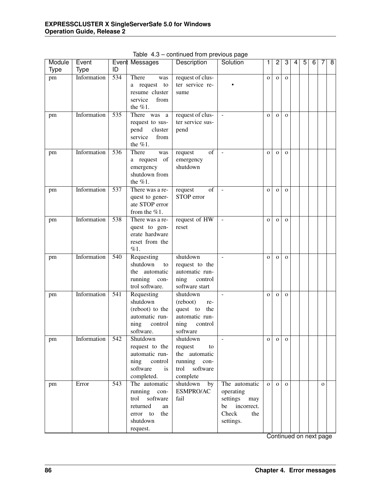| Module      | Event       |                  | Event Messages                                                                                                 | Description                                                                                     | Solution                                                                                    | 1            | $\overline{2}$ | 3            | 4 | 5 | 6 | 7            | $\overline{\mathbf{8}}$ |
|-------------|-------------|------------------|----------------------------------------------------------------------------------------------------------------|-------------------------------------------------------------------------------------------------|---------------------------------------------------------------------------------------------|--------------|----------------|--------------|---|---|---|--------------|-------------------------|
| <b>Type</b> | <b>Type</b> | ID               |                                                                                                                |                                                                                                 |                                                                                             |              |                |              |   |   |   |              |                         |
| pm          | Information | 534              | There<br>was<br>a request to<br>resume cluster<br>service<br>from<br>the $%1$ .                                | request of clus-<br>ter service re-<br>sume                                                     |                                                                                             | $\mathbf 0$  | $\mathbf{O}$   | $\mathbf{O}$ |   |   |   |              |                         |
| pm          | Information | 535              | There was a<br>request to sus-<br>pend<br>cluster<br>service<br>from<br>the $%1$ .                             | request of clus-<br>ter service sus-<br>pend                                                    | $\overline{\phantom{a}}$                                                                    | $\mathbf O$  | $\mathbf{O}$   | $\mathbf{O}$ |   |   |   |              |                         |
| pm          | Information | 536              | There<br>was<br>a request of<br>emergency<br>shutdown from<br>the $%1$ .                                       | of<br>request<br>emergency<br>shutdown                                                          | $\overline{\phantom{a}}$                                                                    | $\mathbf O$  | $\mathbf{O}$   | $\mathbf{O}$ |   |   |   |              |                         |
| pm          | Information | 537              | There was a re-<br>quest to gener-<br>ate STOP error<br>from the %1.                                           | $\overline{of}$<br>request<br>STOP error                                                        | $\frac{1}{2}$                                                                               | $\mathbf O$  | $\mathbf{O}$   | $\mathbf{O}$ |   |   |   |              |                         |
| pm          | Information | 538              | There was a re-<br>quest to gen-<br>erate hardware<br>reset from the<br>%1.                                    | request of HW<br>reset                                                                          | $\blacksquare$                                                                              | $\mathbf{o}$ | $\mathbf{O}$   | $\mathbf{O}$ |   |   |   |              |                         |
| pm          | Information | $\overline{540}$ | Requesting<br>shutdown<br>to<br>the automatic<br>running<br>con-<br>trol software.                             | shutdown<br>request to the<br>automatic run-<br>ning<br>control<br>software start               | $\sim$                                                                                      | $\mathbf{o}$ | $\mathbf{O}$   | $\mathbf{O}$ |   |   |   |              |                         |
| pm          | Information | 541              | Requesting<br>shutdown<br>(reboot) to the<br>automatic run-<br>ning<br>control<br>software.                    | shutdown<br>(reboot)<br>re-<br>quest to<br>the<br>automatic run-<br>ning<br>control<br>software | $\overline{\phantom{a}}$                                                                    | $\mathbf O$  | $\Omega$       | $\mathbf{O}$ |   |   |   |              |                         |
| pm          | Information | 542              | Shutdown<br>request to the<br>automatic run-<br>ning<br>control<br>software<br>is<br>completed.                | shutdown<br>request<br>to<br>the automatic<br>running<br>con-<br>software<br>trol<br>complete   |                                                                                             | $\mathbf O$  | $\mathbf{O}$   | $\mathbf{o}$ |   |   |   |              |                         |
| pm          | Error       | 543              | The automatic<br>running con-<br>software<br>trol<br>returned<br>an<br>error to<br>the<br>shutdown<br>request. | shutdown<br>by<br>ESMPRO/AC<br>fail                                                             | The automatic<br>operating<br>settings may<br>incorrect.<br>be<br>Check<br>the<br>settings. | $\mathbf{o}$ | $\Omega$       | $\mathbf{o}$ |   |   |   | $\mathbf{O}$ |                         |

Table 4.3 – continued from previous page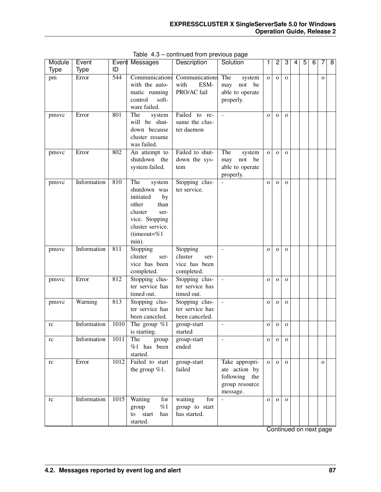| Module      | Event       |                  | Event Messages                                                                                                                                        | <b>Description</b>                                         | Solution                                                                       | 1              | $\overline{c}$ | 3            | 4 | 5 | 6 | 7            | 8 |
|-------------|-------------|------------------|-------------------------------------------------------------------------------------------------------------------------------------------------------|------------------------------------------------------------|--------------------------------------------------------------------------------|----------------|----------------|--------------|---|---|---|--------------|---|
| <b>Type</b> | <b>Type</b> | ID               |                                                                                                                                                       |                                                            |                                                                                |                |                |              |   |   |   |              |   |
| pm          | Error       | 544              | Communications<br>with the auto-<br>matic running<br>control<br>soft-<br>ware failed.                                                                 | Communications<br>with<br>ESM-<br>PRO/AC fail              | The<br>system<br>not<br>be<br>may<br>able to operate<br>properly.              | $\mathbf{o}$   | $\mathbf{O}$   | $\mathbf{O}$ |   |   |   | $\mathbf{o}$ |   |
| pmsvc       | Error       | 801              | The<br>system<br>will be shut-<br>down because<br>cluster resume<br>was failed.                                                                       | Failed to re-<br>sume the clus-<br>ter daemon              |                                                                                | $\mathbf{o}$   | $\mathbf{O}$   | $\mathbf{O}$ |   |   |   |              |   |
| pmsvc       | Error       | 802              | An attempt to<br>shutdown the<br>system failed.                                                                                                       | Failed to shut-<br>down the sys-<br>tem                    | The<br>system<br>not<br>be<br>may<br>able to operate<br>properly.              | $\mathbf{o}$   | $\mathbf{O}$   | $\mathbf{O}$ |   |   |   |              |   |
| pmsvc       | Information | 810              | The<br>system<br>shutdown was<br>initiated<br>by<br>other<br>than<br>cluster<br>ser-<br>vice. Stopping<br>cluster service.<br>(timeout=% $1$<br>min). | Stopping clus-<br>ter service.                             |                                                                                | $\mathbf{o}$   | $\mathbf{o}$   | $\mathbf{O}$ |   |   |   |              |   |
| pmsvc       | Information | $\overline{811}$ | Stopping<br>cluster<br>ser-<br>vice has been<br>completed.                                                                                            | Stopping<br>cluster<br>ser-<br>vice has been<br>completed. | $\sim$                                                                         | $\mathbf{O}$   | $\mathbf{o}$   | $\mathbf{O}$ |   |   |   |              |   |
| pmsvc       | Error       | 812              | Stopping clus-<br>ter service has<br>timed out.                                                                                                       | Stopping clus-<br>ter service has<br>timed out.            | $\blacksquare$                                                                 | $\mathbf{o}$   | $\mathbf{O}$   | $\mathbf{O}$ |   |   |   |              |   |
| pmsvc       | Warning     | 813              | Stopping clus-<br>ter service has<br>been canceled.                                                                                                   | Stopping clus-<br>ter service has<br>been canceled.        | $\equiv$                                                                       | $\mathbf{o}$   | $\mathbf{O}$   | $\mathbf O$  |   |   |   |              |   |
| rc          | Information | 1010             | The group $%1$<br>is starting.                                                                                                                        | group-start<br>started                                     | $\equiv$                                                                       | $\mathbf 0$    | $\mathbf{O}$   | $\mathbf O$  |   |   |   |              |   |
| $\rm rc$    | Information | 1011             | The<br>group<br>$%1$ has been<br>started.                                                                                                             | group-start<br>ended                                       | $\blacksquare$                                                                 | $\overline{O}$ | $\circ$        | $\mathbf 0$  |   |   |   |              |   |
| rc          | Error       | 1012             | Failed to start<br>the group $%1$ .                                                                                                                   | group-start<br>failed                                      | Take appropri-<br>ate action by<br>following the<br>group resource<br>message. | $\mathbf{O}$   | $\mathbf{O}$   | $\mathbf{O}$ |   |   |   | $\mathbf{O}$ |   |
| rc          | Information | 1015             | Waiting<br>for<br>%1<br>group<br>to start<br>has<br>started.                                                                                          | waiting<br>for<br>group to start<br>has started.           |                                                                                | $\mathbf{O}$   | $\mathbf 0$    | $\mathbf{O}$ |   |   |   |              |   |

Table 4.3 – continued from previous page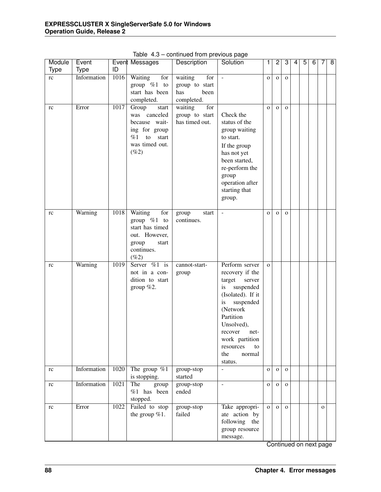| Module | Event       |      | Event Messages                                                                                                     | Description                                                   | Solution                                                                                                                                                                                                                                    | 1            | $\overline{2}$ | 3            | 4 | $\overline{5}$ | $\overline{6}$ | 7            | $\overline{\mathbf{8}}$ |
|--------|-------------|------|--------------------------------------------------------------------------------------------------------------------|---------------------------------------------------------------|---------------------------------------------------------------------------------------------------------------------------------------------------------------------------------------------------------------------------------------------|--------------|----------------|--------------|---|----------------|----------------|--------------|-------------------------|
| Type   | <b>Type</b> | ID   |                                                                                                                    |                                                               |                                                                                                                                                                                                                                             |              |                |              |   |                |                |              |                         |
| rc     | Information | 1016 | Waiting<br>for<br>group $%1$ to<br>start has been<br>completed.                                                    | waiting<br>for<br>group to start<br>been<br>has<br>completed. | $\overline{\phantom{a}}$                                                                                                                                                                                                                    | $\mathbf{O}$ | $\mathbf{O}$   | $\mathbf{O}$ |   |                |                |              |                         |
| rc     | Error       | 1017 | Group<br>start<br>was canceled<br>because wait-<br>ing for group<br>start<br>%1<br>to<br>was timed out.<br>$(\%2)$ | waiting<br>for<br>group to start<br>has timed out.            | Check the<br>status of the<br>group waiting<br>to start.<br>If the group<br>has not yet<br>been started,<br>re-perform the<br>group<br>operation after<br>starting that<br>group.                                                           | $\mathbf{o}$ | $\mathbf{O}$   | $\mathbf{o}$ |   |                |                |              |                         |
| rc     | Warning     | 1018 | Waiting<br>for<br>group $%1$ to<br>start has timed<br>out. However,<br>group<br>start<br>continues.<br>$(\%2)$     | group<br>start<br>continues.                                  | $\mathbb{Z}$                                                                                                                                                                                                                                | $\mathbf{o}$ | $\Omega$       | $\mathbf{O}$ |   |                |                |              |                         |
| rc     | Warning     | 1019 | Server $\%1$ is<br>not in a con-<br>dition to start<br>group $%2.$                                                 | cannot-start-<br>group                                        | Perform server<br>recovery if the<br>target<br>server<br>suspended<br>is<br>(Isolated). If it<br>suspended<br>is<br>(Network<br>Partition<br>Unsolved),<br>recover<br>net-<br>work partition<br>resources<br>to<br>the<br>normal<br>status. | $\mathbf{o}$ |                |              |   |                |                |              |                         |
| rc     | Information | 1020 | The group $\%1$<br>is stopping.                                                                                    | group-stop<br>started                                         | $\overline{a}$                                                                                                                                                                                                                              | $\mathbf{o}$ | $\mathbf{O}$   | $\mathbf{O}$ |   |                |                |              |                         |
| rc     | Information | 1021 | The<br>group<br>$%1$ has been<br>stopped.                                                                          | group-stop<br>ended                                           | $\overline{a}$                                                                                                                                                                                                                              | $\mathbf O$  | $\mathbf{O}$   | $\mathbf{O}$ |   |                |                |              |                         |
| rc     | Error       | 1022 | Failed to stop<br>the group %1.                                                                                    | group-stop<br>failed                                          | Take appropri-<br>ate action by<br>following the<br>group resource<br>message.                                                                                                                                                              | $\mathbf{o}$ | $\mathbf{O}$   | $\mathbf{O}$ |   |                |                | $\mathbf{O}$ |                         |

Table 4.3 – continued from previous page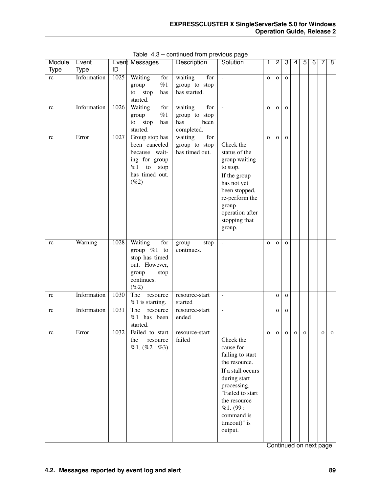| Module      | Event       |      | Event Messages                                                                                                     | Description                                                  | Solution                                                                                                                                                                                                 | 1            | $\overline{c}$ | 3            | 4           | 5           | 6 | 7 | $\overline{8}$ |
|-------------|-------------|------|--------------------------------------------------------------------------------------------------------------------|--------------------------------------------------------------|----------------------------------------------------------------------------------------------------------------------------------------------------------------------------------------------------------|--------------|----------------|--------------|-------------|-------------|---|---|----------------|
| <b>Type</b> | <b>Type</b> | ID   |                                                                                                                    |                                                              |                                                                                                                                                                                                          |              |                |              |             |             |   |   |                |
| rc          | Information | 1025 | Waiting<br>for<br>%1<br>group<br>stop<br>to<br>has<br>started.                                                     | waiting<br>for<br>group to stop<br>has started.              | $\sim$                                                                                                                                                                                                   | $\mathbf{o}$ | $\mathbf{O}$   | $\mathbf{O}$ |             |             |   |   |                |
| rc          | Information | 1026 | Waiting<br>for<br>%1<br>group<br>to<br>stop<br>has<br>started.                                                     | waiting<br>for<br>group to stop<br>has<br>been<br>completed. | $\overline{\phantom{a}}$                                                                                                                                                                                 | $\mathbf{O}$ | $\mathbf{O}$   | $\mathbf{o}$ |             |             |   |   |                |
| rc          | Error       | 1027 | Group stop has<br>been canceled<br>because wait-<br>ing for group<br>%1<br>to<br>stop<br>has timed out.<br>$(\%2)$ | for<br>waiting<br>group to stop<br>has timed out.            | Check the<br>status of the<br>group waiting<br>to stop.<br>If the group<br>has not yet<br>been stopped,<br>re-perform the<br>group<br>operation after<br>stopping that<br>group.                         | $\mathbf{O}$ | $\mathbf{O}$   | $\mathbf{o}$ |             |             |   |   |                |
| rc          | Warning     | 1028 | Waiting<br>for<br>group $%1$ to<br>stop has timed<br>out. However,<br>group<br>stop<br>continues.<br>(%2)          | group<br>stop<br>continues.                                  | $\overline{\phantom{a}}$                                                                                                                                                                                 | $\mathbf{o}$ | $\mathbf{O}$   | $\mathbf{O}$ |             |             |   |   |                |
| rc          | Information | 1030 | The<br>resource<br>%1 is starting.                                                                                 | resource-start<br>started                                    | $\blacksquare$                                                                                                                                                                                           |              | $\mathbf O$    | $\mathbf{O}$ |             |             |   |   |                |
| rc          | Information | 1031 | The<br>resource<br>$%1$ has been<br>started.                                                                       | resource-start<br>ended                                      | $\bar{\phantom{a}}$                                                                                                                                                                                      |              | $\mathbf{O}$   | $\mathbf{O}$ |             |             |   |   |                |
| rc          | Error       | 1032 | Failed to start<br>the<br>resource<br>%1. (%2: %3)                                                                 | resource-start<br>failed                                     | Check the<br>cause for<br>failing to start<br>the resource.<br>If a stall occurs<br>during start<br>processing,<br>"Failed to start<br>the resource<br>%1. (99:<br>command is<br>timeout)" is<br>output. | o            | $\mathbf 0$    | $\mathbf O$  | $\mathbf O$ | $\mathbf 0$ |   | o | $\mathbf{o}$   |

Table 4.3 – continued from previous page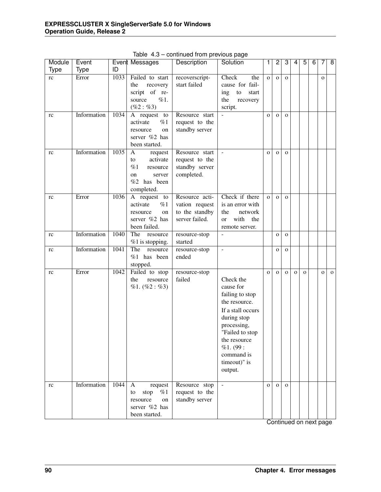| Module | Event       |                   | Event Messages                       | Description              | ن- <sub>1</sub><br>Solution  | 1            | $\overline{2}$ | 3            | 4            | $\overline{5}$ | 6 | 7            | 8           |
|--------|-------------|-------------------|--------------------------------------|--------------------------|------------------------------|--------------|----------------|--------------|--------------|----------------|---|--------------|-------------|
| Type   | <b>Type</b> | ID                |                                      |                          |                              |              |                |              |              |                |   |              |             |
| rc     | Error       | 1033              | Failed to start                      | recoverscript-           | Check<br>the                 | $\mathbf{o}$ | $\mathbf{O}$   | $\mathbf{O}$ |              |                |   | $\mathbf O$  |             |
|        |             |                   | the<br>recovery                      | start failed             | cause for fail-              |              |                |              |              |                |   |              |             |
|        |             |                   | script of re-                        |                          | ${\rm to}$<br>ing<br>start   |              |                |              |              |                |   |              |             |
|        |             |                   | %1.<br>source                        |                          | the<br>recovery              |              |                |              |              |                |   |              |             |
|        |             |                   | $(\%2:\%3)$                          |                          | script.                      |              |                |              |              |                |   |              |             |
| rc     | Information | 1034              | A request<br>to                      | Resource start           | $\overline{a}$               | $\mathbf{o}$ | $\mathbf{o}$   | $\mathbf{O}$ |              |                |   |              |             |
|        |             |                   | %1<br>activate                       | request to the           |                              |              |                |              |              |                |   |              |             |
|        |             |                   | resource<br>on                       | standby server           |                              |              |                |              |              |                |   |              |             |
|        |             |                   | server %2 has                        |                          |                              |              |                |              |              |                |   |              |             |
|        |             |                   | been started.                        |                          |                              |              |                |              |              |                |   |              |             |
| rc     | Information | 1035              | A<br>request                         | Resource start           | $\equiv$                     | $\mathbf{O}$ | $\mathbf{o}$   | $\mathbf{o}$ |              |                |   |              |             |
|        |             |                   | activate<br>to                       | request to the           |                              |              |                |              |              |                |   |              |             |
|        |             |                   | %1<br>resource                       | standby server           |                              |              |                |              |              |                |   |              |             |
|        |             |                   | on<br>server                         | completed.               |                              |              |                |              |              |                |   |              |             |
|        |             |                   | $%2$ has been                        |                          |                              |              |                |              |              |                |   |              |             |
|        |             |                   | completed.                           |                          |                              |              |                |              |              |                |   |              |             |
| rc     | Error       | 1036              | A request to                         | Resource acti-           | Check if there               | $\mathbf{o}$ | $\Omega$       | $\mathbf{O}$ |              |                |   |              |             |
|        |             |                   | activate<br>%1                       | vation request           | is an error with             |              |                |              |              |                |   |              |             |
|        |             |                   | resource<br>on                       | to the standby           | network<br>the               |              |                |              |              |                |   |              |             |
|        |             |                   | server %2 has                        | server failed.           | with<br>the<br><sub>or</sub> |              |                |              |              |                |   |              |             |
|        |             |                   | been failed.                         |                          | remote server.               |              |                |              |              |                |   |              |             |
| rc     | Information | 1040              | The<br>resource                      | resource-stop<br>started | L.                           |              | $\mathbf{o}$   | $\mathbf O$  |              |                |   |              |             |
|        | Information | 1041              | $%1$ is stopping.<br>The<br>resource | resource-stop            | $\overline{a}$               |              | $\mathbf{o}$   |              |              |                |   |              |             |
| rc     |             |                   | %1 has been                          | ended                    |                              |              |                | $\mathbf O$  |              |                |   |              |             |
|        |             |                   | stopped.                             |                          |                              |              |                |              |              |                |   |              |             |
| rc     | Error       | $1\overline{042}$ | Failed to stop                       | resource-stop            |                              | $\mathbf O$  | $\mathbf{O}$   | $\mathbf{o}$ | $\mathbf{o}$ | $\mathbf{o}$   |   | $\mathbf{o}$ | $\mathbf 0$ |
|        |             |                   | the<br>resource                      | failed                   | Check the                    |              |                |              |              |                |   |              |             |
|        |             |                   | %1. (%2: %3)                         |                          | cause for                    |              |                |              |              |                |   |              |             |
|        |             |                   |                                      |                          | failing to stop              |              |                |              |              |                |   |              |             |
|        |             |                   |                                      |                          | the resource.                |              |                |              |              |                |   |              |             |
|        |             |                   |                                      |                          | If a stall occurs            |              |                |              |              |                |   |              |             |
|        |             |                   |                                      |                          | during stop                  |              |                |              |              |                |   |              |             |
|        |             |                   |                                      |                          | processing,                  |              |                |              |              |                |   |              |             |
|        |             |                   |                                      |                          | "Failed to stop              |              |                |              |              |                |   |              |             |
|        |             |                   |                                      |                          | the resource                 |              |                |              |              |                |   |              |             |
|        |             |                   |                                      |                          | %1. (99:                     |              |                |              |              |                |   |              |             |
|        |             |                   |                                      |                          | command is                   |              |                |              |              |                |   |              |             |
|        |             |                   |                                      |                          | timeout)" is                 |              |                |              |              |                |   |              |             |
|        |             |                   |                                      |                          | output.                      |              |                |              |              |                |   |              |             |
|        |             |                   |                                      |                          |                              |              |                |              |              |                |   |              |             |
| rc     | Information | 1044              | $\mathbf{A}$<br>request              | Resource stop            |                              | $\mathbf{O}$ | $\Omega$       | $\mathbf{o}$ |              |                |   |              |             |
|        |             |                   | stop<br>%1<br>to                     | request to the           |                              |              |                |              |              |                |   |              |             |
|        |             |                   | resource<br>on                       | standby server           |                              |              |                |              |              |                |   |              |             |
|        |             |                   | server %2 has                        |                          |                              |              |                |              |              |                |   |              |             |
|        |             |                   | been started.                        |                          |                              |              |                |              |              |                |   |              |             |

Table 4.3 – continued from previous page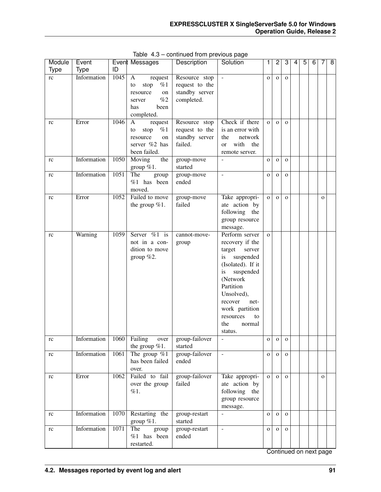| Module   | Event       |      | Event Messages                                                                                  | Description                                                     | Solution                                                                                                                                                                                                                                    | 1            | 2            | 3            | 4 | 5 | 6 | 7            | $\overline{8}$ |
|----------|-------------|------|-------------------------------------------------------------------------------------------------|-----------------------------------------------------------------|---------------------------------------------------------------------------------------------------------------------------------------------------------------------------------------------------------------------------------------------|--------------|--------------|--------------|---|---|---|--------------|----------------|
| Type     | <b>Type</b> | ID   |                                                                                                 |                                                                 |                                                                                                                                                                                                                                             |              |              |              |   |   |   |              |                |
| rc       | Information | 1045 | A<br>request<br>%1<br>to<br>stop<br>resource<br>on<br>%2<br>server<br>has<br>been<br>completed. | Resource stop<br>request to the<br>standby server<br>completed. | $\omega$                                                                                                                                                                                                                                    | $\mathbf{o}$ | $\mathbf{O}$ | $\mathbf{O}$ |   |   |   |              |                |
| rc       | Error       | 1046 | A<br>request<br>%1<br>stop<br>to<br>resource<br>on<br>server %2 has<br>been failed.             | Resource stop<br>request to the<br>standby server<br>failed.    | Check if there<br>is an error with<br>network<br>the<br>with<br>the<br><sub>or</sub><br>remote server.                                                                                                                                      | $\mathbf{o}$ | $\mathbf{o}$ | $\mathbf{O}$ |   |   |   |              |                |
| rc       | Information | 1050 | Moving<br>the<br>group $%1$ .                                                                   | group-move<br>started                                           |                                                                                                                                                                                                                                             | $\mathbf O$  | $\mathbf O$  | $\mathbf O$  |   |   |   |              |                |
| rc       | Information | 1051 | The<br>group<br>%1 has been<br>moved.                                                           | group-move<br>ended                                             | $\bar{\phantom{a}}$                                                                                                                                                                                                                         | $\mathbf 0$  | $\mathbf O$  | $\mathbf O$  |   |   |   |              |                |
| rc       | Error       | 1052 | Failed to move<br>the group $%1$ .                                                              | group-move<br>failed                                            | Take appropri-<br>ate action by<br>following the<br>group resource<br>message.                                                                                                                                                              | $\mathbf 0$  | $\mathbf O$  | $\mathbf O$  |   |   |   | $\mathbf{o}$ |                |
| rc       | Warning     | 1059 | Server %1 is<br>not in a con-<br>dition to move<br>group $%2$ .                                 | cannot-move-<br>group                                           | Perform server<br>recovery if the<br>target<br>server<br>suspended<br>is<br>(Isolated). If it<br>suspended<br>is<br>(Network<br>Partition<br>Unsolved),<br>recover<br>net-<br>work partition<br>resources<br>to<br>the<br>normal<br>status. | $\mathbf{o}$ |              |              |   |   |   |              |                |
| $\rm rc$ | Information | 1060 | Failing<br>over<br>the group $%1$ .                                                             | group-failover<br>started                                       |                                                                                                                                                                                                                                             | $\mathbf{O}$ | $\circ$      | $\mathbf 0$  |   |   |   |              |                |
| rc       | Information | 1061 | The group $\%$ 1<br>has been failed<br>over.                                                    | group-failover<br>ended                                         | $\blacksquare$                                                                                                                                                                                                                              | $\mathbf O$  | $\mathbf{O}$ | $\mathbf{O}$ |   |   |   |              |                |
| rc       | Error       | 1062 | Failed to fail<br>over the group<br>%1.                                                         | group-failover<br>failed                                        | Take appropri-<br>ate action by<br>following the<br>group resource<br>message.                                                                                                                                                              | $\mathbf{o}$ | $\mathbf{O}$ | $\mathbf 0$  |   |   |   | $\mathbf{O}$ |                |
| rc       | Information | 1070 | Restarting the<br>group $%1$ .                                                                  | group-restart<br>started                                        | $\overline{a}$                                                                                                                                                                                                                              | $\mathbf{o}$ | $\mathbf{O}$ | $\mathbf 0$  |   |   |   |              |                |
| rc       | Information | 1071 | The<br>group<br>%1 has been<br>restarted.                                                       | group-restart<br>ended                                          | $\overline{\phantom{a}}$                                                                                                                                                                                                                    | $\mathbf{O}$ | $\mathbf{o}$ | $\mathbf 0$  |   |   |   |              |                |

Table 4.3 – continued from previous page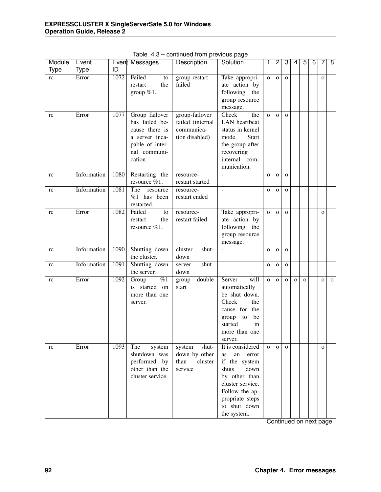| Module | Event       |      | Event Messages            | Description                  | Solution                 | 1              | $\overline{2}$ | 3            | 4           | $\overline{5}$ | 6 | 7            | 8            |
|--------|-------------|------|---------------------------|------------------------------|--------------------------|----------------|----------------|--------------|-------------|----------------|---|--------------|--------------|
| Type   | <b>Type</b> | ID   |                           |                              |                          |                |                |              |             |                |   |              |              |
| rc     | Error       | 1072 | Failed<br>to              | group-restart                | Take appropri-           | $\overline{O}$ | $\mathbf{o}$   | $\mathbf{o}$ |             |                |   | $\mathbf{o}$ |              |
|        |             |      | restart<br>the            | failed                       | ate action by            |                |                |              |             |                |   |              |              |
|        |             |      | group $%1$ .              |                              | following the            |                |                |              |             |                |   |              |              |
|        |             |      |                           |                              | group resource           |                |                |              |             |                |   |              |              |
|        |             |      |                           |                              | message.                 |                |                |              |             |                |   |              |              |
| rc     | Error       | 1077 | Group failover            | group-failover               | the<br>Check             | $\overline{O}$ | $\mathbf O$    | $\mathbf{o}$ |             |                |   |              |              |
|        |             |      | has failed be-            | failed (internal             | LAN heartbeat            |                |                |              |             |                |   |              |              |
|        |             |      | cause there is            | communica-                   | status in kernel         |                |                |              |             |                |   |              |              |
|        |             |      | a server inca-            | tion disabled)               | mode.<br><b>Start</b>    |                |                |              |             |                |   |              |              |
|        |             |      | pable of inter-           |                              | the group after          |                |                |              |             |                |   |              |              |
|        |             |      | nal communi-              |                              | recovering               |                |                |              |             |                |   |              |              |
|        |             |      | cation.                   |                              | internal com-            |                |                |              |             |                |   |              |              |
|        |             |      |                           |                              | munication.              |                |                |              |             |                |   |              |              |
| rc     | Information | 1080 | Restarting the            | resource-                    |                          | $\mathbf O$    | $\mathbf{O}$   | $\mathbf O$  |             |                |   |              |              |
|        | Information | 1081 | resource %1.<br>The       | restart started<br>resource- | $\overline{\phantom{a}}$ |                |                |              |             |                |   |              |              |
| rc     |             |      | resource<br>$%1$ has been | restart ended                |                          | $\mathbf O$    | $\mathbf{O}$   | $\mathbf{o}$ |             |                |   |              |              |
|        |             |      | restarted.                |                              |                          |                |                |              |             |                |   |              |              |
| rc     | Error       | 1082 | Failed<br>to              | resource-                    | Take appropri-           | $\mathbf{o}$   | $\mathbf{O}$   | $\mathbf{o}$ |             |                |   | $\mathbf{o}$ |              |
|        |             |      | restart<br>the            | restart failed               | ate action by            |                |                |              |             |                |   |              |              |
|        |             |      | resource %1.              |                              | following the            |                |                |              |             |                |   |              |              |
|        |             |      |                           |                              | group resource           |                |                |              |             |                |   |              |              |
|        |             |      |                           |                              | message.                 |                |                |              |             |                |   |              |              |
| rc     | Information | 1090 | Shutting down             | cluster<br>shut-             | $\frac{1}{2}$            | $\mathbf{o}$   | $\mathbf{O}$   | $\mathbf{o}$ |             |                |   |              |              |
|        |             |      | the cluster.              | down                         |                          |                |                |              |             |                |   |              |              |
| rc     | Information | 1091 | Shutting down             | shut-<br>server              | $\Box$                   | $\mathbf O$    | $\mathbf O$    | $\mathbf O$  |             |                |   |              |              |
|        |             |      | the server.               | down                         |                          |                |                |              |             |                |   |              |              |
| rc     | Error       | 1092 | $\overline{\%1}$<br>Group | double<br>group              | will<br>Server           | $\mathbf{o}$   | $\mathbf{O}$   | $\mathbf{o}$ | $\mathbf O$ | $\mathbf{O}$   |   | $\mathbf 0$  | $\mathbf{o}$ |
|        |             |      | is started on             | start                        | automatically            |                |                |              |             |                |   |              |              |
|        |             |      | more than one             |                              | be shut down.            |                |                |              |             |                |   |              |              |
|        |             |      | server.                   |                              | Check<br>the             |                |                |              |             |                |   |              |              |
|        |             |      |                           |                              | cause for the            |                |                |              |             |                |   |              |              |
|        |             |      |                           |                              | be<br>to<br>group        |                |                |              |             |                |   |              |              |
|        |             |      |                           |                              | started<br>in            |                |                |              |             |                |   |              |              |
|        |             |      |                           |                              | more than one            |                |                |              |             |                |   |              |              |
|        |             |      |                           |                              | server.                  |                |                |              |             |                |   |              |              |
| rc     | Error       | 1093 | The<br>system             | shut-<br>system              | It is considered         | $\mathbf{O}$   | $\mathbf{o}$   | $\mathbf{O}$ |             |                |   | $\mathbf{o}$ |              |
|        |             |      | shutdown was              | down by other                | an<br>as<br>error        |                |                |              |             |                |   |              |              |
|        |             |      | performed by              | than<br>cluster              | if the system            |                |                |              |             |                |   |              |              |
|        |             |      | other than the            | service                      | down<br>shuts            |                |                |              |             |                |   |              |              |
|        |             |      | cluster service.          |                              | by other than            |                |                |              |             |                |   |              |              |
|        |             |      |                           |                              | cluster service.         |                |                |              |             |                |   |              |              |
|        |             |      |                           |                              | Follow the ap-           |                |                |              |             |                |   |              |              |
|        |             |      |                           |                              | propriate steps          |                |                |              |             |                |   |              |              |
|        |             |      |                           |                              | to shut down             |                |                |              |             |                |   |              |              |
|        |             |      |                           |                              | the system.              |                |                |              |             |                |   |              |              |

Table 4.3 – continued from previous page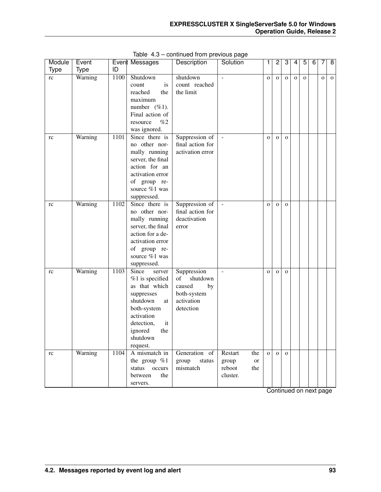| Module      | Event       |      | Event Messages            | Description      | Solution                            | 1              | $\overline{c}$ | 3            | 4           | 5        | 6 | 7           | $\overline{8}$ |
|-------------|-------------|------|---------------------------|------------------|-------------------------------------|----------------|----------------|--------------|-------------|----------|---|-------------|----------------|
| <b>Type</b> | <b>Type</b> | ID   |                           |                  |                                     |                |                |              |             |          |   |             |                |
| rc          | Warning     | 1100 | Shutdown                  | shutdown         |                                     | $\mathbf{o}$   | $\mathbf 0$    | $\mathbf{O}$ | $\mathbf O$ | $\Omega$ |   | $\mathbf 0$ | $\mathbf{o}$   |
|             |             |      | is<br>count               | count reached    |                                     |                |                |              |             |          |   |             |                |
|             |             |      | reached<br>the            | the limit        |                                     |                |                |              |             |          |   |             |                |
|             |             |      | maximum                   |                  |                                     |                |                |              |             |          |   |             |                |
|             |             |      | number $(\%1)$ .          |                  |                                     |                |                |              |             |          |   |             |                |
|             |             |      | Final action of           |                  |                                     |                |                |              |             |          |   |             |                |
|             |             |      | $\%2$<br>resource         |                  |                                     |                |                |              |             |          |   |             |                |
|             |             |      | was ignored.              |                  |                                     |                |                |              |             |          |   |             |                |
| rc          | Warning     | 1101 | Since there is            | Suppression of   |                                     | $\mathbf{o}$   | $\mathbf 0$    | $\mathbf{O}$ |             |          |   |             |                |
|             |             |      | no other nor-             | final action for |                                     |                |                |              |             |          |   |             |                |
|             |             |      | mally running             | activation error |                                     |                |                |              |             |          |   |             |                |
|             |             |      | server, the final         |                  |                                     |                |                |              |             |          |   |             |                |
|             |             |      | action for an             |                  |                                     |                |                |              |             |          |   |             |                |
|             |             |      | activation error          |                  |                                     |                |                |              |             |          |   |             |                |
|             |             |      | of group re-              |                  |                                     |                |                |              |             |          |   |             |                |
|             |             |      | source %1 was             |                  |                                     |                |                |              |             |          |   |             |                |
|             |             |      | suppressed.               |                  |                                     |                |                |              |             |          |   |             |                |
| rc          | Warning     | 1102 | Since there is            | Suppression of   |                                     | $\mathbf{o}$   | $\mathbf 0$    | $\mathbf{O}$ |             |          |   |             |                |
|             |             |      | no other nor-             | final action for |                                     |                |                |              |             |          |   |             |                |
|             |             |      | mally running             | deactivation     |                                     |                |                |              |             |          |   |             |                |
|             |             |      | server, the final         | error            |                                     |                |                |              |             |          |   |             |                |
|             |             |      | action for a de-          |                  |                                     |                |                |              |             |          |   |             |                |
|             |             |      | activation error          |                  |                                     |                |                |              |             |          |   |             |                |
|             |             |      | of group re-              |                  |                                     |                |                |              |             |          |   |             |                |
|             |             |      | source %1 was             |                  |                                     |                |                |              |             |          |   |             |                |
|             |             |      | suppressed.               |                  |                                     |                |                |              |             |          |   |             |                |
| rc          | Warning     | 1103 | Since<br>server           | Suppression      |                                     | $\mathbf{o}$   | $\mathbf 0$    | $\mathbf{O}$ |             |          |   |             |                |
|             |             |      | %1 is specified           | of<br>shutdown   |                                     |                |                |              |             |          |   |             |                |
|             |             |      | as that which             | caused<br>by     |                                     |                |                |              |             |          |   |             |                |
|             |             |      | suppresses                | both-system      |                                     |                |                |              |             |          |   |             |                |
|             |             |      | shutdown<br>at            | activation       |                                     |                |                |              |             |          |   |             |                |
|             |             |      | both-system<br>activation | detection        |                                     |                |                |              |             |          |   |             |                |
|             |             |      |                           |                  |                                     |                |                |              |             |          |   |             |                |
|             |             |      | detection,<br>it          |                  |                                     |                |                |              |             |          |   |             |                |
|             |             |      | ignored<br>the            |                  |                                     |                |                |              |             |          |   |             |                |
|             |             |      | shutdown                  |                  |                                     |                |                |              |             |          |   |             |                |
|             | Warning     | 1104 | request.<br>A mismatch in | Generation of    | Restart<br>the                      | $\overline{O}$ |                | $\mathbf{O}$ |             |          |   |             |                |
| rc          |             |      | the group $\%1$           | group<br>status  |                                     |                | $\mathbf{o}$   |              |             |          |   |             |                |
|             |             |      | status occurs             | mismatch         | group<br><b>or</b><br>reboot<br>the |                |                |              |             |          |   |             |                |
|             |             |      | between<br>the            |                  | cluster.                            |                |                |              |             |          |   |             |                |
|             |             |      |                           |                  |                                     |                |                |              |             |          |   |             |                |
|             |             |      | servers.                  |                  |                                     |                |                |              |             |          |   |             |                |

Table 4.3 – continued from previous page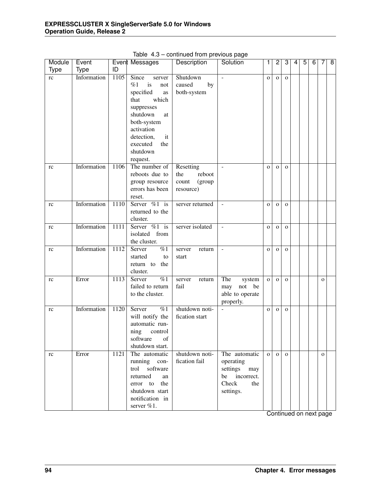| Module      | Event       |                   | Event Messages             | oorimada nom providad paga<br>Description | Solution                 | 1            | $\overline{c}$ | 3            | 4 | 5 | 6 | 7            | 8 |
|-------------|-------------|-------------------|----------------------------|-------------------------------------------|--------------------------|--------------|----------------|--------------|---|---|---|--------------|---|
| <b>Type</b> | <b>Type</b> | ID                |                            |                                           |                          |              |                |              |   |   |   |              |   |
| rc          | Information | $1\overline{105}$ | Since<br>server            | Shutdown                                  | L.                       | $\mathbf O$  | $\mathbf O$    | $\mathbf{o}$ |   |   |   |              |   |
|             |             |                   | %1<br>is<br>not            | caused<br>by                              |                          |              |                |              |   |   |   |              |   |
|             |             |                   | specified<br>as            | both-system                               |                          |              |                |              |   |   |   |              |   |
|             |             |                   | which<br>that              |                                           |                          |              |                |              |   |   |   |              |   |
|             |             |                   | suppresses                 |                                           |                          |              |                |              |   |   |   |              |   |
|             |             |                   | shutdown<br>at             |                                           |                          |              |                |              |   |   |   |              |   |
|             |             |                   | both-system                |                                           |                          |              |                |              |   |   |   |              |   |
|             |             |                   | activation                 |                                           |                          |              |                |              |   |   |   |              |   |
|             |             |                   | detection,<br>it           |                                           |                          |              |                |              |   |   |   |              |   |
|             |             |                   | executed<br>the            |                                           |                          |              |                |              |   |   |   |              |   |
|             |             |                   | shutdown                   |                                           |                          |              |                |              |   |   |   |              |   |
|             |             |                   | request.                   |                                           |                          |              |                |              |   |   |   |              |   |
| rc          | Information | $1\overline{106}$ | The number of              | Resetting                                 | $\overline{a}$           | $\mathbf O$  | $\mathbf{O}$   | $\mathbf{o}$ |   |   |   |              |   |
|             |             |                   | reboots due to             | reboot<br>the                             |                          |              |                |              |   |   |   |              |   |
|             |             |                   | group resource             | (group<br>count                           |                          |              |                |              |   |   |   |              |   |
|             |             |                   | errors has been            | resource)                                 |                          |              |                |              |   |   |   |              |   |
|             |             |                   | reset.                     |                                           |                          |              |                |              |   |   |   |              |   |
| rc          | Information | 1110              | Server $\%1$ is            | server returned                           | $\mathbf{r}$             | $\mathbf O$  | $\mathbf O$    | $\mathbf{o}$ |   |   |   |              |   |
|             |             |                   | returned to the            |                                           |                          |              |                |              |   |   |   |              |   |
|             |             |                   | cluster.                   |                                           |                          |              |                |              |   |   |   |              |   |
| rc          | Information | 1111              | Server $\%1$ is            | server isolated                           | L.                       | $\mathbf{O}$ | $\mathbf O$    | $\mathbf{o}$ |   |   |   |              |   |
|             |             |                   | isolated from              |                                           |                          |              |                |              |   |   |   |              |   |
|             |             |                   | the cluster.               |                                           |                          |              |                |              |   |   |   |              |   |
| rc          | Information | $1\overline{112}$ | $\overline{\%1}$<br>Server | server<br>return                          | $\overline{\phantom{a}}$ | $\mathbf O$  | $\mathbf{O}$   | $\mathbf{O}$ |   |   |   |              |   |
|             |             |                   | started<br>to              | start                                     |                          |              |                |              |   |   |   |              |   |
|             |             |                   | return to<br>the           |                                           |                          |              |                |              |   |   |   |              |   |
|             |             |                   | cluster.                   |                                           |                          |              |                |              |   |   |   |              |   |
| rc          | Error       | 1113              | $\overline{\%1}$<br>Server | server<br>return                          | The<br>system            | $\mathbf O$  | $\mathbf{O}$   | $\mathbf{o}$ |   |   |   | $\mathbf{o}$ |   |
|             |             |                   | failed to return           | fail                                      | not be<br>may            |              |                |              |   |   |   |              |   |
|             |             |                   | to the cluster.            |                                           | able to operate          |              |                |              |   |   |   |              |   |
|             |             |                   |                            |                                           | properly.                |              |                |              |   |   |   |              |   |
| rc          | Information | 1120              | $\overline{\%1}$<br>Server | shutdown noti-                            | $\mathbb{L}$             | $\mathbf O$  | $\mathbf{O}$   | $\mathbf{O}$ |   |   |   |              |   |
|             |             |                   | will notify the            | fication start                            |                          |              |                |              |   |   |   |              |   |
|             |             |                   | automatic run-             |                                           |                          |              |                |              |   |   |   |              |   |
|             |             |                   | ning<br>control            |                                           |                          |              |                |              |   |   |   |              |   |
|             |             |                   | software<br>of             |                                           |                          |              |                |              |   |   |   |              |   |
|             |             |                   | shutdown start.            |                                           |                          |              |                |              |   |   |   |              |   |
| rc          | Error       | 1121              | The automatic              | shutdown noti-                            | The automatic            | $\mathbf{O}$ | $\mathbf{O}$   | $\Omega$     |   |   |   | $\mathbf{O}$ |   |
|             |             |                   | running con-               | fication fail                             | operating                |              |                |              |   |   |   |              |   |
|             |             |                   | trol software              |                                           | settings<br>may          |              |                |              |   |   |   |              |   |
|             |             |                   | returned<br>an             |                                           | be incorrect.            |              |                |              |   |   |   |              |   |
|             |             |                   | the<br>error to            |                                           | Check<br>the             |              |                |              |   |   |   |              |   |
|             |             |                   | shutdown start             |                                           | settings.                |              |                |              |   |   |   |              |   |
|             |             |                   | notification in            |                                           |                          |              |                |              |   |   |   |              |   |
|             |             |                   | server %1.                 |                                           |                          |              |                |              |   |   |   |              |   |

Table 4.3 – continued from previous page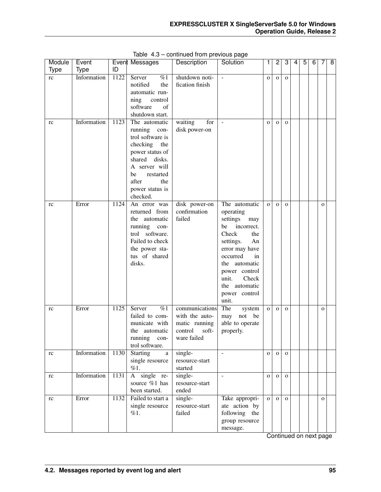| Module      | Event       |      | Event Messages                                                                                                                                                                                    | Description                                                                          | Solution                                                                                                                                                                                                                                | 1            | $\overline{2}$ | 3            | 4 | $\overline{5}$ | $\overline{6}$ | 7            | $\overline{8}$ |
|-------------|-------------|------|---------------------------------------------------------------------------------------------------------------------------------------------------------------------------------------------------|--------------------------------------------------------------------------------------|-----------------------------------------------------------------------------------------------------------------------------------------------------------------------------------------------------------------------------------------|--------------|----------------|--------------|---|----------------|----------------|--------------|----------------|
| <b>Type</b> | <b>Type</b> | ID   |                                                                                                                                                                                                   |                                                                                      |                                                                                                                                                                                                                                         |              |                |              |   |                |                |              |                |
| rc          | Information | 1122 | Server<br>%1<br>notified<br>the<br>automatic run-<br>ning<br>control<br>software<br>of<br>shutdown start.                                                                                         | shutdown noti-<br>fication finish                                                    | $\overline{\phantom{a}}$                                                                                                                                                                                                                | $\mathbf{o}$ | $\mathbf{o}$   | $\mathbf O$  |   |                |                |              |                |
| rc          | Information | 1123 | The automatic<br>running<br>con-<br>trol software is<br>checking<br>the<br>power status of<br>shared<br>disks.<br>A server will<br>be<br>restarted<br>after<br>the<br>power status is<br>checked. | for<br>waiting<br>disk power-on                                                      | $\equiv$                                                                                                                                                                                                                                | $\mathbf{o}$ | $\mathbf{O}$   | $\mathbf{O}$ |   |                |                |              |                |
| rc          | Error       | 1124 | An error was<br>returned from<br>the automatic<br>running<br>con-<br>software.<br>trol<br>Failed to check<br>the power sta-<br>tus of shared<br>disks.                                            | disk power-on<br>confirmation<br>failed                                              | The automatic<br>operating<br>settings<br>may<br>incorrect.<br>be<br>Check<br>the<br>settings.<br>An<br>error may have<br>occurred<br>in<br>the automatic<br>power control<br>Check<br>unit.<br>the automatic<br>power control<br>unit. | $\mathbf{o}$ | $\mathbf{o}$   | $\mathbf{O}$ |   |                |                | $\mathbf{o}$ |                |
| rc          | Error       | 1125 | $\overline{\%1}$<br>Server<br>failed to com-<br>municate with<br>the automatic<br>running<br>con-<br>trol software.                                                                               | communications<br>with the auto-<br>matic running<br>control<br>soft-<br>ware failed | The<br>system<br>not<br>be<br>may<br>able to operate<br>properly.                                                                                                                                                                       | $\mathbf{o}$ | $\mathbf{O}$   | $\mathbf{O}$ |   |                |                | $\mathbf{o}$ |                |
| rc          | Information | 1130 | <b>Starting</b><br>a<br>single resource<br>%1.                                                                                                                                                    | single-<br>resource-start<br>started                                                 | $\mathcal{L}$                                                                                                                                                                                                                           | $\mathbf{O}$ | $\mathbf 0$    | $\mathbf 0$  |   |                |                |              |                |
| rc          | Information | 1131 | A single re-<br>source %1 has<br>been started.                                                                                                                                                    | single-<br>resource-start<br>ended                                                   | $\equiv$                                                                                                                                                                                                                                | $\mathbf{o}$ | $\mathbf 0$    | $\mathbf 0$  |   |                |                |              |                |
| rc          | Error       | 1132 | Failed to start a<br>single resource<br>%1.                                                                                                                                                       | single-<br>resource-start<br>failed                                                  | Take appropri-<br>ate action by<br>following the<br>group resource<br>message.                                                                                                                                                          | $\mathbf{O}$ | $\mathbf{O}$   | $\mathbf{O}$ |   |                |                | $\mathbf{O}$ |                |

Table 4.3 – continued from previous page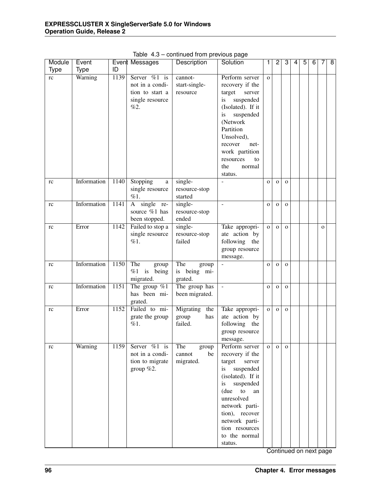| Module      | Event       |      | Event Messages   | portunada nomi providad pago<br>Description | Solution                 | 1            | $\overline{c}$ | 3            | 4 | 5 | 6 | 7            | 8 |
|-------------|-------------|------|------------------|---------------------------------------------|--------------------------|--------------|----------------|--------------|---|---|---|--------------|---|
|             |             | ID   |                  |                                             |                          |              |                |              |   |   |   |              |   |
| <b>Type</b> | <b>Type</b> |      |                  |                                             |                          |              |                |              |   |   |   |              |   |
| rc          | Warning     | 1139 | Server $\%1$ is  | cannot-                                     | Perform server           | $\mathbf{o}$ |                |              |   |   |   |              |   |
|             |             |      | not in a condi-  | start-single-                               | recovery if the          |              |                |              |   |   |   |              |   |
|             |             |      | tion to start a  | resource                                    | target server            |              |                |              |   |   |   |              |   |
|             |             |      | single resource  |                                             | suspended<br>is          |              |                |              |   |   |   |              |   |
|             |             |      | %2.              |                                             | (Isolated). If it        |              |                |              |   |   |   |              |   |
|             |             |      |                  |                                             | suspended<br>is          |              |                |              |   |   |   |              |   |
|             |             |      |                  |                                             | (Network                 |              |                |              |   |   |   |              |   |
|             |             |      |                  |                                             | Partition                |              |                |              |   |   |   |              |   |
|             |             |      |                  |                                             | Unsolved),               |              |                |              |   |   |   |              |   |
|             |             |      |                  |                                             | recover<br>net-          |              |                |              |   |   |   |              |   |
|             |             |      |                  |                                             | work partition           |              |                |              |   |   |   |              |   |
|             |             |      |                  |                                             |                          |              |                |              |   |   |   |              |   |
|             |             |      |                  |                                             | resources<br>to          |              |                |              |   |   |   |              |   |
|             |             |      |                  |                                             | the<br>normal            |              |                |              |   |   |   |              |   |
|             |             |      |                  |                                             | status.                  |              |                |              |   |   |   |              |   |
| rc          | Information | 1140 | Stopping<br>a    | single-                                     | $\overline{a}$           | $\mathbf{o}$ | $\mathbf{O}$   | $\mathbf{O}$ |   |   |   |              |   |
|             |             |      | single resource  | resource-stop                               |                          |              |                |              |   |   |   |              |   |
|             |             |      | %1.              | started                                     |                          |              |                |              |   |   |   |              |   |
| rc          | Information | 1141 | A single re-     | single-                                     |                          | $\mathbf{o}$ | $\mathbf{O}$   | $\mathbf{O}$ |   |   |   |              |   |
|             |             |      | source %1 has    | resource-stop                               |                          |              |                |              |   |   |   |              |   |
|             |             |      | been stopped.    | ended                                       |                          |              |                |              |   |   |   |              |   |
| rc          | Error       | 1142 | Failed to stop a | single-                                     | Take appropri-           | $\mathbf{o}$ | $\mathbf{O}$   | $\mathbf{O}$ |   |   |   | $\mathbf{O}$ |   |
|             |             |      | single resource  | resource-stop                               | ate action by            |              |                |              |   |   |   |              |   |
|             |             |      | %1.              | failed                                      | following the            |              |                |              |   |   |   |              |   |
|             |             |      |                  |                                             | group resource           |              |                |              |   |   |   |              |   |
|             |             |      |                  |                                             | message.                 |              |                |              |   |   |   |              |   |
| rc          | Information | 1150 | The<br>group     | The<br>group                                |                          | $\mathbf{o}$ | $\mathbf{O}$   | $\mathbf{O}$ |   |   |   |              |   |
|             |             |      | $%1$ is being    | is being mi-                                |                          |              |                |              |   |   |   |              |   |
|             |             |      | migrated.        | grated.                                     |                          |              |                |              |   |   |   |              |   |
| rc          | Information | 1151 | The group $\%1$  | The group has                               | $\sim$                   | $\mathbf O$  | $\mathbf{O}$   | $\mathbf 0$  |   |   |   |              |   |
|             |             |      | has been mi-     | been migrated.                              |                          |              |                |              |   |   |   |              |   |
|             |             |      | grated.          |                                             |                          |              |                |              |   |   |   |              |   |
|             | Error       | 1152 | Failed to mi-    | Migrating<br>the                            | Take appropri-           |              |                |              |   |   |   |              |   |
| rc          |             |      |                  |                                             |                          | $\mathbf{o}$ | $\mathbf{O}$   | $\mathbf 0$  |   |   |   |              |   |
|             |             |      | grate the group  | group<br>has                                | ate action by            |              |                |              |   |   |   |              |   |
|             |             |      | %1.              | failed.                                     | following the            |              |                |              |   |   |   |              |   |
|             |             |      |                  |                                             | group resource           |              |                |              |   |   |   |              |   |
|             |             |      |                  |                                             | message.                 |              |                |              |   |   |   |              |   |
| rc          | Warning     | 1159 | Server $\%1$ is  | The<br>group                                | Perform server           | $\mathbf{O}$ | $\mathbf{O}$   | $\mathbf{o}$ |   |   |   |              |   |
|             |             |      | not in a condi-  | cannot<br>be                                | recovery if the          |              |                |              |   |   |   |              |   |
|             |             |      | tion to migrate  | migrated.                                   | target<br>server         |              |                |              |   |   |   |              |   |
|             |             |      | group $%2.$      |                                             | suspended<br>is          |              |                |              |   |   |   |              |   |
|             |             |      |                  |                                             | (isolated). If it        |              |                |              |   |   |   |              |   |
|             |             |      |                  |                                             | suspended<br>is          |              |                |              |   |   |   |              |   |
|             |             |      |                  |                                             | (due<br>${\rm to}$<br>an |              |                |              |   |   |   |              |   |
|             |             |      |                  |                                             | unresolved               |              |                |              |   |   |   |              |   |
|             |             |      |                  |                                             | network parti-           |              |                |              |   |   |   |              |   |
|             |             |      |                  |                                             | tion), recover           |              |                |              |   |   |   |              |   |
|             |             |      |                  |                                             | network parti-           |              |                |              |   |   |   |              |   |
|             |             |      |                  |                                             | tion resources           |              |                |              |   |   |   |              |   |
|             |             |      |                  |                                             | to the normal            |              |                |              |   |   |   |              |   |
|             |             |      |                  |                                             | status.                  |              |                |              |   |   |   |              |   |

Table 4.3 – continued from previous page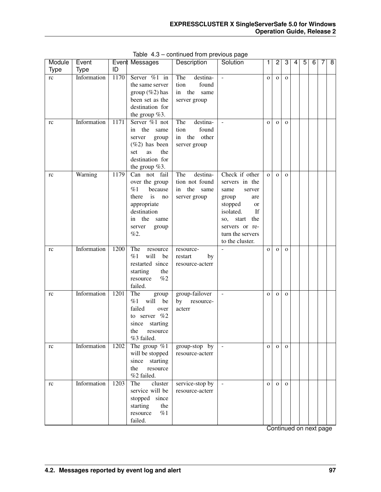| Module      | Event       |      | Event Messages                                                                                                                                    | Description                                                        | Solution                                                                                                                                                                                   | 1            | $\overline{c}$ | 3            | 4 | 5 | 6 | 7 | $\overline{8}$ |
|-------------|-------------|------|---------------------------------------------------------------------------------------------------------------------------------------------------|--------------------------------------------------------------------|--------------------------------------------------------------------------------------------------------------------------------------------------------------------------------------------|--------------|----------------|--------------|---|---|---|---|----------------|
| <b>Type</b> | <b>Type</b> | ID   |                                                                                                                                                   |                                                                    |                                                                                                                                                                                            |              |                |              |   |   |   |   |                |
| rc          | Information | 1170 | Server %1 in<br>the same server<br>group $(\%2)$ has<br>been set as the<br>destination for<br>the group $%3$ .                                    | The<br>destina-<br>found<br>tion<br>in the<br>same<br>server group | $\sim$                                                                                                                                                                                     | $\mathbf{O}$ | $\mathbf{O}$   | $\mathbf 0$  |   |   |   |   |                |
| rc          | Information | 1171 | Server %1 not<br>the same<br>in<br>server<br>group<br>$(\%2)$ has been<br>the<br>set<br>as<br>destination for<br>the group $%3$ .                 | The<br>destina-<br>found<br>tion<br>in the other<br>server group   |                                                                                                                                                                                            | $\mathbf{O}$ | $\mathbf{O}$   | $\mathbf{O}$ |   |   |   |   |                |
| rc          | Warning     | 1179 | Can not fail<br>over the group<br>%1<br>because<br>is<br>there<br>no<br>appropriate<br>destination<br>the<br>in<br>same<br>server<br>group<br>%2. | The<br>destina-<br>tion not found<br>in the same<br>server group   | Check if other<br>servers in the<br>same<br>server<br>group<br>are<br>stopped<br><b>or</b><br>isolated.<br>If<br>start the<br>SO,<br>servers or re-<br>turn the servers<br>to the cluster. | $\mathbf{O}$ | $\mathbf{O}$   | $\mathbf{O}$ |   |   |   |   |                |
| rc          | Information | 1200 | The<br>resource<br>%1<br>will<br>be<br>restarted since<br>starting<br>the<br>$\%2$<br>resource<br>failed.                                         | resource-<br>restart<br>by<br>resource-acterr                      |                                                                                                                                                                                            | $\mathbf{O}$ | $\mathbf{O}$   | $\mathbf{O}$ |   |   |   |   |                |
| rc          | Information | 1201 | The<br>group<br>%1<br>will<br>be<br>failed<br>over<br>to server %2<br>since<br>starting<br>the<br>resource<br>%3 failed.                          | group-failover<br>by<br>resource-<br>acterr                        |                                                                                                                                                                                            | $\mathbf{O}$ | $\mathbf{O}$   | $\mathbf{O}$ |   |   |   |   |                |
| rc          | Information | 1202 | The group $%1$<br>will be stopped<br>since starting<br>the<br>resource<br>%2 failed.                                                              | group-stop by<br>resource-acterr                                   | $\overline{\phantom{a}}$                                                                                                                                                                   | $\mathbf{O}$ | $\mathbf{O}$   | $\mathbf{O}$ |   |   |   |   |                |
| rc          | Information | 1203 | The<br>cluster<br>service will be<br>stopped since<br>starting<br>the<br>$\%1$<br>resource<br>failed.                                             | service-stop by<br>resource-acterr                                 | $\overline{\phantom{a}}$                                                                                                                                                                   | $\mathbf{O}$ | $\mathbf{O}$   | $\Omega$     |   |   |   |   |                |

Table 4.3 – continued from previous page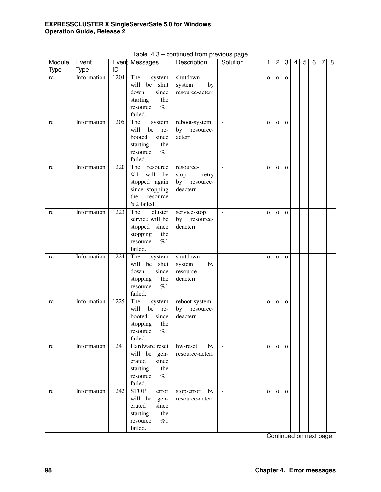| Module      | Event       |      | Event Messages                 | Description                       | Solution       | 1            | $\overline{2}$ | 3            | 4 | 5 | 6 | 7 | 8 |
|-------------|-------------|------|--------------------------------|-----------------------------------|----------------|--------------|----------------|--------------|---|---|---|---|---|
| <b>Type</b> | Type        | ID   |                                |                                   |                |              |                |              |   |   |   |   |   |
| rc          | Information | 1204 | The<br>system                  | shutdown-                         | $\sim$         | $\mathbf O$  | $\mathbf{O}$   | $\mathbf{o}$ |   |   |   |   |   |
|             |             |      | will be shut                   | system<br>by                      |                |              |                |              |   |   |   |   |   |
|             |             |      | since<br>down                  | resource-acterr                   |                |              |                |              |   |   |   |   |   |
|             |             |      | the<br>starting                |                                   |                |              |                |              |   |   |   |   |   |
|             |             |      | %1<br>resource                 |                                   |                |              |                |              |   |   |   |   |   |
|             |             |      | failed.                        |                                   |                |              |                |              |   |   |   |   |   |
| rc          | Information | 1205 | The<br>system                  | reboot-system                     | $\equiv$       | $\mathbf O$  | $\mathbf{O}$   | $\mathbf{o}$ |   |   |   |   |   |
|             |             |      | will<br>be re-                 | by resource-                      |                |              |                |              |   |   |   |   |   |
|             |             |      | booted<br>since                | acterr                            |                |              |                |              |   |   |   |   |   |
|             |             |      | starting<br>the                |                                   |                |              |                |              |   |   |   |   |   |
|             |             |      | %1<br>resource                 |                                   |                |              |                |              |   |   |   |   |   |
|             | Information | 1220 | failed.<br>The<br>resource     |                                   | $\sim$         |              |                |              |   |   |   |   |   |
| rc          |             |      | %1<br>will<br>be               | resource-                         |                | $\mathbf O$  | $\mathbf 0$    | $\mathbf{o}$ |   |   |   |   |   |
|             |             |      | stopped again                  | retry<br>stop<br>by resource-     |                |              |                |              |   |   |   |   |   |
|             |             |      | since stopping                 | deacterr                          |                |              |                |              |   |   |   |   |   |
|             |             |      | the<br>resource                |                                   |                |              |                |              |   |   |   |   |   |
|             |             |      | %2 failed.                     |                                   |                |              |                |              |   |   |   |   |   |
| rc          | Information | 1223 | cluster<br>The                 | service-stop                      | $\sim$         | $\mathbf O$  | $\mathbf 0$    | $\mathbf{o}$ |   |   |   |   |   |
|             |             |      | service will be                | by resource-                      |                |              |                |              |   |   |   |   |   |
|             |             |      | stopped since                  | deacterr                          |                |              |                |              |   |   |   |   |   |
|             |             |      | stopping<br>the                |                                   |                |              |                |              |   |   |   |   |   |
|             |             |      | %1<br>resource                 |                                   |                |              |                |              |   |   |   |   |   |
|             |             |      | failed.                        |                                   |                |              |                |              |   |   |   |   |   |
| rc          | Information | 1224 | The<br>system                  | shutdown-                         | $\sim$         | $\mathbf O$  | $\mathbf 0$    | $\mathbf{o}$ |   |   |   |   |   |
|             |             |      | will be shut                   | by<br>system                      |                |              |                |              |   |   |   |   |   |
|             |             |      | since<br>down                  | resource-                         |                |              |                |              |   |   |   |   |   |
|             |             |      | stopping<br>the                | deacterr                          |                |              |                |              |   |   |   |   |   |
|             |             |      | %1<br>resource                 |                                   |                |              |                |              |   |   |   |   |   |
|             |             |      | failed.                        |                                   |                |              |                |              |   |   |   |   |   |
| rc          | Information | 1225 | The<br>system                  | reboot-system                     | $\blacksquare$ | $\mathbf O$  | $\mathbf 0$    | $\mathbf{o}$ |   |   |   |   |   |
|             |             |      | will<br>be<br>re-              | by<br>resource-                   |                |              |                |              |   |   |   |   |   |
|             |             |      | booted<br>since                | deacterr                          |                |              |                |              |   |   |   |   |   |
|             |             |      | stopping<br>the                |                                   |                |              |                |              |   |   |   |   |   |
|             |             |      | %1<br>resource                 |                                   |                |              |                |              |   |   |   |   |   |
|             |             |      | failed.                        |                                   |                |              |                |              |   |   |   |   |   |
| rc          | Information | 1241 | Hardware reset<br>will be gen- | hw-reset<br>by<br>resource-acterr | $\blacksquare$ | $\mathbf{O}$ | $\mathbf{o}$   | $\mathbf{O}$ |   |   |   |   |   |
|             |             |      | since<br>erated                |                                   |                |              |                |              |   |   |   |   |   |
|             |             |      | the<br>starting                |                                   |                |              |                |              |   |   |   |   |   |
|             |             |      | %1<br>resource                 |                                   |                |              |                |              |   |   |   |   |   |
|             |             |      | failed.                        |                                   |                |              |                |              |   |   |   |   |   |
| rc          | Information | 1242 | <b>STOP</b><br>error           | stop-error<br>by                  | $\blacksquare$ | $\mathbf{O}$ | $\mathbf{o}$   | $\mathbf{O}$ |   |   |   |   |   |
|             |             |      | will be gen-                   | resource-acterr                   |                |              |                |              |   |   |   |   |   |
|             |             |      | since<br>erated                |                                   |                |              |                |              |   |   |   |   |   |
|             |             |      | the<br>starting                |                                   |                |              |                |              |   |   |   |   |   |
|             |             |      | $\%1$<br>resource              |                                   |                |              |                |              |   |   |   |   |   |
|             |             |      | failed.                        |                                   |                |              |                |              |   |   |   |   |   |

Table 4.3 – continued from previous page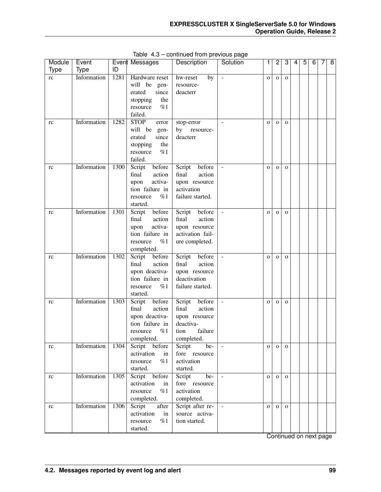| Module      | Event       |      | Event Messages                      | Description                      | Solution       | 1            | 2            | 3            | 4 | 5 | 6 | 7 | 8 |
|-------------|-------------|------|-------------------------------------|----------------------------------|----------------|--------------|--------------|--------------|---|---|---|---|---|
| <b>Type</b> | Type        | ID   |                                     |                                  |                |              |              |              |   |   |   |   |   |
| rc          | Information | 1281 | Hardware reset                      | hw-reset<br>by                   | $\sim$         | $\mathbf{O}$ | $\mathbf{O}$ | $\mathbf{O}$ |   |   |   |   |   |
|             |             |      | will be gen-                        | resource-                        |                |              |              |              |   |   |   |   |   |
|             |             |      | erated<br>since                     | deacterr                         |                |              |              |              |   |   |   |   |   |
|             |             |      | stopping<br>the                     |                                  |                |              |              |              |   |   |   |   |   |
|             |             |      | %1<br>resource                      |                                  |                |              |              |              |   |   |   |   |   |
|             |             |      | failed.                             |                                  |                |              |              |              |   |   |   |   |   |
| rc          | Information | 1282 | <b>STOP</b><br>error                | stop-error                       |                | $\mathbf{O}$ | $\mathbf{O}$ | $\mathbf{O}$ |   |   |   |   |   |
|             |             |      | will be<br>gen-                     | by resource-                     |                |              |              |              |   |   |   |   |   |
|             |             |      | erated<br>since                     | deacterr                         |                |              |              |              |   |   |   |   |   |
|             |             |      | the<br>stopping                     |                                  |                |              |              |              |   |   |   |   |   |
|             |             |      | %1<br>resource                      |                                  |                |              |              |              |   |   |   |   |   |
|             |             |      | failed.                             |                                  |                |              |              |              |   |   |   |   |   |
| rc          | Information | 1300 | before<br>Script                    | Script<br>before                 |                | $\mathbf{O}$ | $\mathbf{o}$ | $\mathbf{O}$ |   |   |   |   |   |
|             |             |      | final<br>action                     | final<br>action                  |                |              |              |              |   |   |   |   |   |
|             |             |      | activa-<br>upon                     | upon resource                    |                |              |              |              |   |   |   |   |   |
|             |             |      | tion failure in                     | activation                       |                |              |              |              |   |   |   |   |   |
|             |             |      | %1<br>resource                      | failure started.                 |                |              |              |              |   |   |   |   |   |
|             |             |      | started.                            |                                  |                |              |              |              |   |   |   |   |   |
| rc          | Information | 1301 | before<br>Script                    | Script<br>before                 |                | $\mathbf{O}$ | $\mathbf{o}$ | $\mathbf{O}$ |   |   |   |   |   |
|             |             |      | final<br>action                     | final<br>action                  |                |              |              |              |   |   |   |   |   |
|             |             |      | activa-<br>upon                     | upon resource                    |                |              |              |              |   |   |   |   |   |
|             |             |      | tion failure in                     | activation fail-                 |                |              |              |              |   |   |   |   |   |
|             |             |      | %1<br>resource                      | ure completed.                   |                |              |              |              |   |   |   |   |   |
|             | Information |      | completed.                          |                                  |                |              |              |              |   |   |   |   |   |
| rc          |             | 1302 | Script<br>before<br>action<br>final | Script before<br>final<br>action |                | $\mathbf{O}$ | $\mathbf{o}$ | $\mathbf{O}$ |   |   |   |   |   |
|             |             |      | upon deactiva-                      |                                  |                |              |              |              |   |   |   |   |   |
|             |             |      | tion failure in                     | upon resource<br>deactivation    |                |              |              |              |   |   |   |   |   |
|             |             |      | %1<br>resource                      | failure started.                 |                |              |              |              |   |   |   |   |   |
|             |             |      | started.                            |                                  |                |              |              |              |   |   |   |   |   |
| rc          | Information | 1303 | before<br>Script                    | before<br>Script                 |                | $\mathbf{O}$ | $\mathbf{o}$ | $\mathbf{O}$ |   |   |   |   |   |
|             |             |      | final<br>action                     | final<br>action                  |                |              |              |              |   |   |   |   |   |
|             |             |      | upon deactiva-                      | upon resource                    |                |              |              |              |   |   |   |   |   |
|             |             |      | tion failure in                     | deactiva-                        |                |              |              |              |   |   |   |   |   |
|             |             |      | %1<br>resource                      | tion<br>failure                  |                |              |              |              |   |   |   |   |   |
|             |             |      | completed.                          | completed.                       |                |              |              |              |   |   |   |   |   |
| rc          | Information | 1304 | Script before                       | Script<br>be-                    | $\blacksquare$ | $\mathbf{O}$ | $\mathbf{o}$ | $\mathbf{O}$ |   |   |   |   |   |
|             |             |      | activation<br>in                    | fore resource                    |                |              |              |              |   |   |   |   |   |
|             |             |      | %1<br>resource                      | activation                       |                |              |              |              |   |   |   |   |   |
|             |             |      | started.                            | started.                         |                |              |              |              |   |   |   |   |   |
| rc          | Information | 1305 | Script before                       | $be-$<br>Script                  | $\equiv$       | $\mathbf{O}$ | $\mathbf{o}$ | $\mathbf{O}$ |   |   |   |   |   |
|             |             |      | activation<br>in                    | fore resource                    |                |              |              |              |   |   |   |   |   |
|             |             |      | %1<br>resource                      | activation                       |                |              |              |              |   |   |   |   |   |
|             |             |      | completed.                          | completed.                       |                |              |              |              |   |   |   |   |   |
| rc          | Information | 1306 | Script<br>after                     | Script after re-                 | $\omega$       | $\mathbf{O}$ | $\mathbf{O}$ | $\mathbf{O}$ |   |   |   |   |   |
|             |             |      | activation<br>in                    | source activa-                   |                |              |              |              |   |   |   |   |   |
|             |             |      | %1<br>resource                      | tion started.                    |                |              |              |              |   |   |   |   |   |
|             |             |      | started.                            |                                  |                |              |              |              |   |   |   |   |   |

Table 4.3 – continued from previous page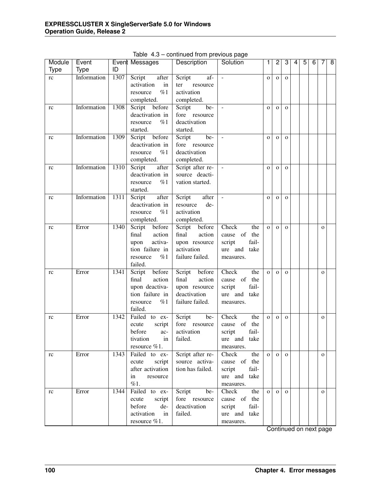| Module      | Event       |      | Event Messages   | Description      | Solution                 | 1            | $\overline{2}$ | 3            | 4 | $\overline{5}$ | 6 | 7            | $\overline{8}$ |
|-------------|-------------|------|------------------|------------------|--------------------------|--------------|----------------|--------------|---|----------------|---|--------------|----------------|
| <b>Type</b> | <b>Type</b> | ID   |                  |                  |                          |              |                |              |   |                |   |              |                |
| rc          | Information | 1307 | Script<br>after  | af-<br>Script    | $\overline{\phantom{a}}$ | $\mathbf{o}$ | $\mathbf{o}$   | $\mathbf{O}$ |   |                |   |              |                |
|             |             |      | activation<br>in | resource<br>ter  |                          |              |                |              |   |                |   |              |                |
|             |             |      | %1<br>resource   | activation       |                          |              |                |              |   |                |   |              |                |
|             |             |      | completed.       | completed.       |                          |              |                |              |   |                |   |              |                |
| rc          | Information | 1308 | Script before    | Script<br>be-    |                          | $\mathbf{o}$ | $\mathbf{O}$   | $\mathbf{o}$ |   |                |   |              |                |
|             |             |      | deactivation in  | fore resource    |                          |              |                |              |   |                |   |              |                |
|             |             |      | %1<br>resource   | deactivation     |                          |              |                |              |   |                |   |              |                |
|             |             |      | started.         | started.         |                          |              |                |              |   |                |   |              |                |
| rc          | Information | 1309 | before<br>Script | Script<br>be-    | $\blacksquare$           | $\mathbf{o}$ | $\mathbf{O}$   | $\mathbf{O}$ |   |                |   |              |                |
|             |             |      | deactivation in  | fore resource    |                          |              |                |              |   |                |   |              |                |
|             |             |      | %1<br>resource   | deactivation     |                          |              |                |              |   |                |   |              |                |
|             |             |      | completed.       | completed.       |                          |              |                |              |   |                |   |              |                |
| rc          | Information | 1310 | Script<br>after  | Script after re- | $\blacksquare$           | $\mathbf{o}$ | $\mathbf{O}$   | $\mathbf{o}$ |   |                |   |              |                |
|             |             |      | deactivation in  | source deacti-   |                          |              |                |              |   |                |   |              |                |
|             |             |      | %1<br>resource   | vation started.  |                          |              |                |              |   |                |   |              |                |
|             |             |      | started.         |                  |                          |              |                |              |   |                |   |              |                |
| rc          | Information | 1311 | Script<br>after  | after<br>Script  | $\bar{\mathcal{L}}$      | $\mathbf{o}$ | $\mathbf O$    | $\mathbf{o}$ |   |                |   |              |                |
|             |             |      | deactivation in  | de-<br>resource  |                          |              |                |              |   |                |   |              |                |
|             |             |      | %1<br>resource   | activation       |                          |              |                |              |   |                |   |              |                |
|             |             |      | completed.       | completed.       |                          |              |                |              |   |                |   |              |                |
| rc          | Error       | 1340 | before<br>Script | Script<br>before | Check<br>the             | $\mathbf{o}$ | $\mathbf{O}$   | $\mathbf{O}$ |   |                |   | $\mathbf{o}$ |                |
|             |             |      | final<br>action  | final<br>action  | cause of<br>the          |              |                |              |   |                |   |              |                |
|             |             |      | activa-<br>upon  | upon resource    | fail-<br>script          |              |                |              |   |                |   |              |                |
|             |             |      | tion failure in  | activation       | ure and take             |              |                |              |   |                |   |              |                |
|             |             |      | %1<br>resource   | failure failed.  | measures.                |              |                |              |   |                |   |              |                |
|             |             |      | failed.          |                  |                          |              |                |              |   |                |   |              |                |
| rc          | Error       | 1341 | before<br>Script | before<br>Script | Check<br>the             | $\mathbf{o}$ | $\mathbf{o}$   | $\mathbf{o}$ |   |                |   | $\mathbf{o}$ |                |
|             |             |      | action<br>final  | final<br>action  | cause of<br>the          |              |                |              |   |                |   |              |                |
|             |             |      | upon deactiva-   | upon resource    | fail-<br>script          |              |                |              |   |                |   |              |                |
|             |             |      | tion failure in  | deactivation     | ure and<br>take          |              |                |              |   |                |   |              |                |
|             |             |      | %1<br>resource   | failure failed.  | measures.                |              |                |              |   |                |   |              |                |
|             |             |      | failed.          |                  |                          |              |                |              |   |                |   |              |                |
| rc          | Error       | 1342 | Failed to ex-    | be-<br>Script    | Check<br>the             | $\mathbf{o}$ | $\mathbf{o}$   | $\mathbf{o}$ |   |                |   | $\mathbf{o}$ |                |
|             |             |      | ecute<br>script  | fore resource    | of<br>the<br>cause       |              |                |              |   |                |   |              |                |
|             |             |      | before<br>ac-    | activation       | fail-<br>script          |              |                |              |   |                |   |              |                |
|             |             |      | tivation<br>in   | failed.          | ure and take             |              |                |              |   |                |   |              |                |
|             |             |      | resource %1.     |                  | measures.                |              |                |              |   |                |   |              |                |
| rc          | Error       | 1343 | Failed to ex-    | Script after re- | Check<br>the             | $\mathbf{O}$ | $\mathbf{o}$   | $\mathbf{O}$ |   |                |   | $\mathbf{O}$ |                |
|             |             |      | script<br>ecute  | source activa-   | cause of the             |              |                |              |   |                |   |              |                |
|             |             |      | after activation | tion has failed. | fail-<br>script          |              |                |              |   |                |   |              |                |
|             |             |      | in<br>resource   |                  | ure and take             |              |                |              |   |                |   |              |                |
|             |             |      | %1.              |                  | measures.                |              |                |              |   |                |   |              |                |
| rc          | Error       | 1344 | Failed to ex-    | Script<br>be-    | Check<br>the             | $\mathbf{O}$ | $\mathbf{o}$   | $\Omega$     |   |                |   | $\mathbf{O}$ |                |
|             |             |      | script<br>ecute  | fore resource    | cause of the             |              |                |              |   |                |   |              |                |
|             |             |      | before<br>de-    | deactivation     | fail-<br>script          |              |                |              |   |                |   |              |                |
|             |             |      | activation<br>in | failed.          | ure and take             |              |                |              |   |                |   |              |                |
|             |             |      | resource %1.     |                  | measures.                |              |                |              |   |                |   |              |                |

Table 4.3 – continued from previous page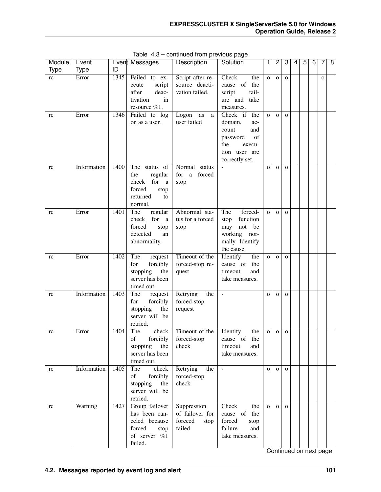| Module      | Event       |      | Event Messages                                                                                      | Description                                                 | Solution                                                                                                                | 1              | $\overline{c}$ | 3            | 4 | 5 | 6 | 7            | $\overline{8}$ |
|-------------|-------------|------|-----------------------------------------------------------------------------------------------------|-------------------------------------------------------------|-------------------------------------------------------------------------------------------------------------------------|----------------|----------------|--------------|---|---|---|--------------|----------------|
| <b>Type</b> | <b>Type</b> | ID   |                                                                                                     |                                                             |                                                                                                                         |                |                |              |   |   |   |              |                |
| rc          | Error       | 1345 | Failed to ex-<br>script<br>ecute<br>deac-<br>after<br>tivation<br>in<br>resource %1.                | Script after re-<br>source deacti-<br>vation failed.        | Check<br>the<br>of<br>the<br>cause<br>fail-<br>script<br>ure and<br>take<br>measures.                                   | $\overline{O}$ | $\mathbf{O}$   | $\mathbf{O}$ |   |   |   | $\mathbf{o}$ |                |
| rc          | Error       | 1346 | Failed to log<br>on as a user.                                                                      | Logon<br>as<br>a<br>user failed                             | the<br>Check if<br>domain,<br>ac-<br>count<br>and<br>of<br>password<br>the<br>execu-<br>tion user are<br>correctly set. | $\overline{O}$ | $\mathbf{O}$   | $\mathbf{o}$ |   |   |   |              |                |
| rc          | Information | 1400 | The status of<br>the<br>regular<br>check<br>for<br>a<br>forced<br>stop<br>returned<br>to<br>normal. | Normal<br>status<br>forced<br>for<br>a<br>stop              |                                                                                                                         | $\mathbf{o}$   | $\mathbf{O}$   | $\mathbf{o}$ |   |   |   |              |                |
| rc          | Error       | 1401 | The<br>regular<br>for<br>check<br>a<br>forced<br>stop<br>detected<br>an<br>abnormality.             | Abnormal sta-<br>tus for a forced<br>stop                   | forced-<br>The<br>function<br>stop<br>be<br>not<br>may<br>working nor-<br>mally. Identify<br>the cause.                 | $\overline{O}$ | $\mathbf{O}$   | $\mathbf{O}$ |   |   |   |              |                |
| rc          | Error       | 1402 | The<br>request<br>forcibly<br>for<br>stopping<br>the<br>server has been<br>timed out.               | Timeout of the<br>forced-stop re-<br>quest                  | Identify<br>the<br>cause of the<br>timeout<br>and<br>take measures.                                                     | $\mathbf{o}$   | $\mathbf{O}$   | $\mathbf{O}$ |   |   |   |              |                |
| rc          | Information | 1403 | The<br>request<br>for<br>forcibly<br>stopping<br>the<br>server will be<br>retried.                  | Retrying<br>the<br>forced-stop<br>request                   | $\Box$                                                                                                                  | $\mathbf{o}$   | $\mathbf{O}$   | $\mathbf O$  |   |   |   |              |                |
| rc          | Error       | 1404 | The<br>check<br>forcibly<br>of<br>stopping<br>the<br>server has been<br>timed out.                  | Timeout of the<br>forced-stop<br>check                      | Identify<br>the<br>cause of the<br>timeout<br>and<br>take measures.                                                     | $\mathbf{o}$   | $\mathbf{O}$   | $\mathbf 0$  |   |   |   |              |                |
| rc          | Information | 1405 | The<br>check<br>of<br>forcibly<br>stopping<br>the<br>server will be<br>retried.                     | Retrying<br>the<br>forced-stop<br>check                     | $\overline{\phantom{a}}$                                                                                                | $\mathbf{O}$   | $\mathbf{o}$   | $\mathbf{o}$ |   |   |   |              |                |
| rc          | Warning     | 1427 | Group failover<br>has been can-<br>celed because<br>forced<br>stop<br>of server %1<br>failed.       | Suppression<br>of failover for<br>forceed<br>stop<br>failed | Check<br>the<br>cause of<br>the<br>forced<br>stop<br>failure<br>and<br>take measures.                                   | $\overline{O}$ | $\mathbf{o}$   | $\mathbf{O}$ |   |   |   |              |                |

Table 4.3 – continued from previous page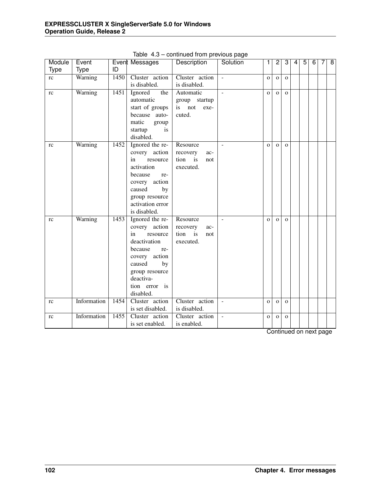| Module      | Event       |      | Event Messages                  | Description                | Solution                 | 1              | $\overline{2}$ | $\overline{3}$ | 4 | $\overline{5}$ | $\overline{6}$         | 7 | $\overline{8}$ |
|-------------|-------------|------|---------------------------------|----------------------------|--------------------------|----------------|----------------|----------------|---|----------------|------------------------|---|----------------|
| <b>Type</b> | Type        | ID   |                                 |                            |                          |                |                |                |   |                |                        |   |                |
| rc          | Warning     | 1450 | Cluster action                  | Cluster action             | $\sim$                   | $\overline{O}$ | $\mathbf O$    | $\mathbf{o}$   |   |                |                        |   |                |
|             |             |      | is disabled.                    | is disabled.               |                          |                |                |                |   |                |                        |   |                |
| rc          | Warning     | 1451 | Ignored<br>the                  | Automatic                  | $\overline{\phantom{a}}$ | $\mathbf{o}$   | $\Omega$       | $\mathbf{O}$   |   |                |                        |   |                |
|             |             |      | automatic                       | group startup              |                          |                |                |                |   |                |                        |   |                |
|             |             |      | start of groups                 | is not<br>exe-             |                          |                |                |                |   |                |                        |   |                |
|             |             |      | because auto-                   | cuted.                     |                          |                |                |                |   |                |                        |   |                |
|             |             |      | matic<br>group                  |                            |                          |                |                |                |   |                |                        |   |                |
|             |             |      | startup<br>is                   |                            |                          |                |                |                |   |                |                        |   |                |
|             |             |      | disabled.                       |                            |                          |                |                |                |   |                |                        |   |                |
| <b>rc</b>   | Warning     | 1452 | Ignored the re-                 | Resource                   |                          | $\Omega$       | $\Omega$       | $\Omega$       |   |                |                        |   |                |
|             |             |      | covery action<br>in<br>resource | recovery<br>ac-<br>tion is |                          |                |                |                |   |                |                        |   |                |
|             |             |      | activation                      | not<br>executed.           |                          |                |                |                |   |                |                        |   |                |
|             |             |      | because<br>re-                  |                            |                          |                |                |                |   |                |                        |   |                |
|             |             |      | covery action                   |                            |                          |                |                |                |   |                |                        |   |                |
|             |             |      | caused<br>by                    |                            |                          |                |                |                |   |                |                        |   |                |
|             |             |      | group resource                  |                            |                          |                |                |                |   |                |                        |   |                |
|             |             |      | activation error                |                            |                          |                |                |                |   |                |                        |   |                |
|             |             |      | is disabled.                    |                            |                          |                |                |                |   |                |                        |   |                |
| rc          | Warning     | 1453 | Ignored the re-                 | Resource                   | $\overline{\phantom{a}}$ | $\Omega$       | $\Omega$       | $\Omega$       |   |                |                        |   |                |
|             |             |      | covery action                   | recovery<br>ac-            |                          |                |                |                |   |                |                        |   |                |
|             |             |      | resource<br>in                  | tion<br>is<br>not          |                          |                |                |                |   |                |                        |   |                |
|             |             |      | deactivation                    | executed.                  |                          |                |                |                |   |                |                        |   |                |
|             |             |      | because<br>re-                  |                            |                          |                |                |                |   |                |                        |   |                |
|             |             |      | covery action                   |                            |                          |                |                |                |   |                |                        |   |                |
|             |             |      | caused<br>by                    |                            |                          |                |                |                |   |                |                        |   |                |
|             |             |      | group resource<br>deactiva-     |                            |                          |                |                |                |   |                |                        |   |                |
|             |             |      | tion error is                   |                            |                          |                |                |                |   |                |                        |   |                |
|             |             |      | disabled.                       |                            |                          |                |                |                |   |                |                        |   |                |
| rc          | Information | 1454 | Cluster action                  | Cluster action             | $\sim$                   | $\mathbf{o}$   | $\mathbf{O}$   | $\mathbf{O}$   |   |                |                        |   |                |
|             |             |      | is set disabled.                | is disabled.               |                          |                |                |                |   |                |                        |   |                |
| rc          | Information | 1455 | Cluster action                  | Cluster action             | $\sim$                   | $\mathbf{O}$   | $\Omega$       | $\Omega$       |   |                |                        |   |                |
|             |             |      | is set enabled.                 | is enabled.                |                          |                |                |                |   |                |                        |   |                |
|             |             |      |                                 |                            |                          |                |                |                |   |                | Continued on next nage |   |                |

Table 4.3 – continued from previous page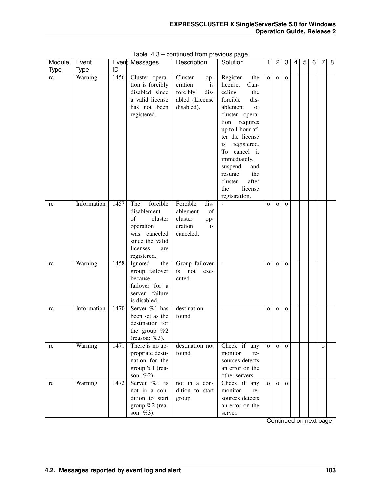| Module | Event       |      | Event Messages   | <b>Description</b> | Solution                 | 1              | 2            | 3            | 4 | 5 | 6 | 7            | 8 |
|--------|-------------|------|------------------|--------------------|--------------------------|----------------|--------------|--------------|---|---|---|--------------|---|
| Type   | <b>Type</b> | ID   |                  |                    |                          |                |              |              |   |   |   |              |   |
| rc     | Warning     | 1456 | Cluster opera-   | Cluster<br>op-     | Register<br>the          | $\overline{O}$ | $\mathbf{O}$ | $\mathbf{O}$ |   |   |   |              |   |
|        |             |      | tion is forcibly | eration<br>is      | license.<br>Can-         |                |              |              |   |   |   |              |   |
|        |             |      | disabled since   | forcibly<br>dis-   | celing<br>the            |                |              |              |   |   |   |              |   |
|        |             |      | a valid license  | abled (License     | forcible<br>dis-         |                |              |              |   |   |   |              |   |
|        |             |      | has not been     | disabled).         | of<br>ablement           |                |              |              |   |   |   |              |   |
|        |             |      | registered.      |                    | cluster opera-           |                |              |              |   |   |   |              |   |
|        |             |      |                  |                    | tion requires            |                |              |              |   |   |   |              |   |
|        |             |      |                  |                    | up to 1 hour af-         |                |              |              |   |   |   |              |   |
|        |             |      |                  |                    | ter the license          |                |              |              |   |   |   |              |   |
|        |             |      |                  |                    | registered.<br>is.       |                |              |              |   |   |   |              |   |
|        |             |      |                  |                    | To cancel it             |                |              |              |   |   |   |              |   |
|        |             |      |                  |                    | immediately,             |                |              |              |   |   |   |              |   |
|        |             |      |                  |                    | suspend<br>and           |                |              |              |   |   |   |              |   |
|        |             |      |                  |                    | the<br>resume            |                |              |              |   |   |   |              |   |
|        |             |      |                  |                    | after<br>cluster         |                |              |              |   |   |   |              |   |
|        |             |      |                  |                    | license<br>the           |                |              |              |   |   |   |              |   |
|        |             |      |                  |                    | registration.            |                |              |              |   |   |   |              |   |
| rc     | Information | 1457 | forcible<br>The  | Forcible<br>dis-   |                          | $\Omega$       | $\mathbf{O}$ | $\mathbf{O}$ |   |   |   |              |   |
|        |             |      | disablement      | ablement<br>of     |                          |                |              |              |   |   |   |              |   |
|        |             |      | of<br>cluster    | cluster<br>op-     |                          |                |              |              |   |   |   |              |   |
|        |             |      | operation        | eration<br>is      |                          |                |              |              |   |   |   |              |   |
|        |             |      | canceled<br>was  | canceled.          |                          |                |              |              |   |   |   |              |   |
|        |             |      | since the valid  |                    |                          |                |              |              |   |   |   |              |   |
|        |             |      | licenses<br>are  |                    |                          |                |              |              |   |   |   |              |   |
|        |             |      | registered.      |                    |                          |                |              |              |   |   |   |              |   |
| rc     | Warning     | 1458 | Ignored<br>the   | Group failover     |                          | $\Omega$       | $\mathbf{O}$ | $\mathbf{O}$ |   |   |   |              |   |
|        |             |      | group failover   | is<br>not<br>exe-  |                          |                |              |              |   |   |   |              |   |
|        |             |      | because          | cuted.             |                          |                |              |              |   |   |   |              |   |
|        |             |      | failover for a   |                    |                          |                |              |              |   |   |   |              |   |
|        |             |      | server failure   |                    |                          |                |              |              |   |   |   |              |   |
|        |             |      | is disabled.     |                    |                          |                |              |              |   |   |   |              |   |
| rc     | Information | 1470 | Server %1 has    | destination        | $\overline{\phantom{a}}$ | $\Omega$       | $\mathbf{O}$ | $\mathbf{O}$ |   |   |   |              |   |
|        |             |      | been set as the  | found              |                          |                |              |              |   |   |   |              |   |
|        |             |      | destination for  |                    |                          |                |              |              |   |   |   |              |   |
|        |             |      | the group $%2$   |                    |                          |                |              |              |   |   |   |              |   |
|        |             |      | (reason: $%3$ ). |                    |                          |                |              |              |   |   |   |              |   |
| rc     | Warning     | 1471 | There is no ap-  | destination not    | Check if any             | $\Omega$       | $\mathbf{O}$ | $\mathbf{O}$ |   |   |   | $\mathbf{O}$ |   |
|        |             |      | propriate desti- | found              | monitor<br>re-           |                |              |              |   |   |   |              |   |
|        |             |      | nation for the   |                    | sources detects          |                |              |              |   |   |   |              |   |
|        |             |      | group %1 (rea-   |                    | an error on the          |                |              |              |   |   |   |              |   |
|        |             |      | son: %2).        |                    | other servers.           |                |              |              |   |   |   |              |   |
| rc     | Warning     | 1472 | Server $\%1$ is  | not in a con-      | Check if any             | $\Omega$       | $\mathbf{O}$ | $\mathbf{O}$ |   |   |   |              |   |
|        |             |      | not in a con-    | dition to start    | monitor<br>re-           |                |              |              |   |   |   |              |   |
|        |             |      | dition to start  | group              | sources detects          |                |              |              |   |   |   |              |   |
|        |             |      | group %2 (rea-   |                    | an error on the          |                |              |              |   |   |   |              |   |
|        |             |      | son: %3).        |                    | server.                  |                |              |              |   |   |   |              |   |

Table 4.3 – continued from previous page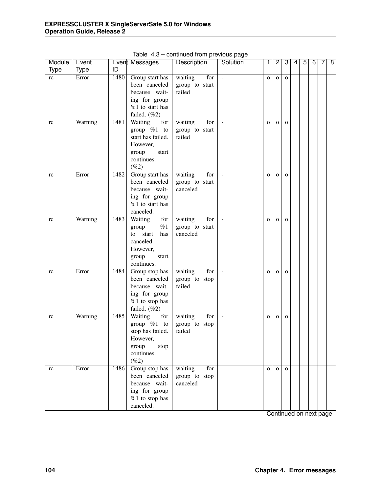| Module      | Event       |      | Event Messages               | <b>T</b><br>Description | <u> Fro</u><br>Solution | 1            | $\overline{c}$ | 3            | 4 | $\overline{5}$ | 6 | 7 | 8 |
|-------------|-------------|------|------------------------------|-------------------------|-------------------------|--------------|----------------|--------------|---|----------------|---|---|---|
| <b>Type</b> | <b>Type</b> | ID   |                              |                         |                         |              |                |              |   |                |   |   |   |
| rc          | Error       | 1480 | Group start has              | waiting<br>for          | $\blacksquare$          | $\mathbf{o}$ | $\mathbf{o}$   | $\mathbf{o}$ |   |                |   |   |   |
|             |             |      | been canceled                | group to start          |                         |              |                |              |   |                |   |   |   |
|             |             |      | because wait-                | failed                  |                         |              |                |              |   |                |   |   |   |
|             |             |      | ing for group                |                         |                         |              |                |              |   |                |   |   |   |
|             |             |      | $%1$ to start has            |                         |                         |              |                |              |   |                |   |   |   |
|             |             |      | failed. $(\%2)$              |                         |                         |              |                |              |   |                |   |   |   |
| rc          | Warning     | 1481 | Waiting<br>for               | waiting<br>for          | $\blacksquare$          | $\mathbf{O}$ | $\mathbf{O}$   | $\mathbf{o}$ |   |                |   |   |   |
|             |             |      | group $\%1$ to               | group to start          |                         |              |                |              |   |                |   |   |   |
|             |             |      | start has failed.            | failed                  |                         |              |                |              |   |                |   |   |   |
|             |             |      | However,                     |                         |                         |              |                |              |   |                |   |   |   |
|             |             |      | start<br>group               |                         |                         |              |                |              |   |                |   |   |   |
|             |             |      | continues.                   |                         |                         |              |                |              |   |                |   |   |   |
|             | Error       | 1482 | $(\%2)$<br>Group start has   | waiting<br>for          | $\equiv$                |              |                |              |   |                |   |   |   |
| rc          |             |      | been canceled                | group to start          |                         | $\mathbf{O}$ | $\mathbf{O}$   | $\mathbf{o}$ |   |                |   |   |   |
|             |             |      | because wait-                | canceled                |                         |              |                |              |   |                |   |   |   |
|             |             |      | ing for group                |                         |                         |              |                |              |   |                |   |   |   |
|             |             |      | $%1$ to start has            |                         |                         |              |                |              |   |                |   |   |   |
|             |             |      | canceled.                    |                         |                         |              |                |              |   |                |   |   |   |
| rc          | Warning     | 1483 | Waiting<br>for               | waiting<br>for          | $\equiv$                | $\mathbf{O}$ | $\mathbf{O}$   | $\mathbf{o}$ |   |                |   |   |   |
|             |             |      | %1<br>group                  | group to start          |                         |              |                |              |   |                |   |   |   |
|             |             |      | to start<br>has              | canceled                |                         |              |                |              |   |                |   |   |   |
|             |             |      | canceled.                    |                         |                         |              |                |              |   |                |   |   |   |
|             |             |      | However,                     |                         |                         |              |                |              |   |                |   |   |   |
|             |             |      | group<br>start               |                         |                         |              |                |              |   |                |   |   |   |
|             |             |      | continues.                   |                         |                         |              |                |              |   |                |   |   |   |
| rc          | Error       | 1484 | Group stop has               | waiting<br>for          | $\equiv$                | $\mathbf{O}$ | $\mathbf{O}$   | $\mathbf{o}$ |   |                |   |   |   |
|             |             |      | been canceled                | group to stop           |                         |              |                |              |   |                |   |   |   |
|             |             |      | because wait-                | failed                  |                         |              |                |              |   |                |   |   |   |
|             |             |      | ing for group                |                         |                         |              |                |              |   |                |   |   |   |
|             |             |      | $%1$ to stop has             |                         |                         |              |                |              |   |                |   |   |   |
|             |             |      | failed. $(\%2)$              |                         |                         |              |                |              |   |                |   |   |   |
| rc          | Warning     | 1485 | Waiting<br>for               | waiting<br>for          | $\Box$                  | $\mathbf O$  | $\mathbf{O}$   | $\mathbf O$  |   |                |   |   |   |
|             |             |      | group $\%1$ to               | group to stop<br>failed |                         |              |                |              |   |                |   |   |   |
|             |             |      | stop has failed.<br>However, |                         |                         |              |                |              |   |                |   |   |   |
|             |             |      | group<br>stop                |                         |                         |              |                |              |   |                |   |   |   |
|             |             |      | continues.                   |                         |                         |              |                |              |   |                |   |   |   |
|             |             |      | $(\%2)$                      |                         |                         |              |                |              |   |                |   |   |   |
| rc          | Error       | 1486 | Group stop has               | waiting<br>for          | $\sim$                  | $\mathbf{O}$ | $\mathbf{O}$   | $\mathbf{O}$ |   |                |   |   |   |
|             |             |      | been canceled                | group to stop           |                         |              |                |              |   |                |   |   |   |
|             |             |      | because wait-                | canceled                |                         |              |                |              |   |                |   |   |   |
|             |             |      | ing for group                |                         |                         |              |                |              |   |                |   |   |   |
|             |             |      | $%1$ to stop has             |                         |                         |              |                |              |   |                |   |   |   |
|             |             |      | canceled.                    |                         |                         |              |                |              |   |                |   |   |   |
|             |             |      |                              |                         |                         |              |                |              |   |                |   |   |   |

Table 4.3 – continued from previous page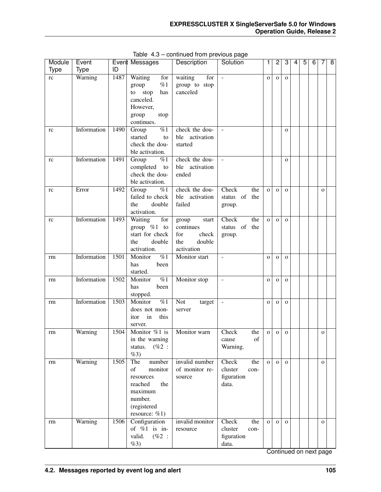| Module | Event       |      | <b>Event Messages</b>                                                                                               | Description                                                                | Solution                                               | 1              | $\overline{c}$ | 3            | 4 | $\overline{5}$ | $\overline{6}$ | 7            | $\overline{8}$ |
|--------|-------------|------|---------------------------------------------------------------------------------------------------------------------|----------------------------------------------------------------------------|--------------------------------------------------------|----------------|----------------|--------------|---|----------------|----------------|--------------|----------------|
| Type   | <b>Type</b> | ID   |                                                                                                                     |                                                                            |                                                        |                |                |              |   |                |                |              |                |
| rc     | Warning     | 1487 | Waiting<br>for<br>%1<br>group<br>stop<br>has<br>to<br>canceled.<br>However,<br>group<br>stop<br>continues.          | for<br>waiting<br>group to stop<br>canceled                                | $\sim$                                                 | $\mathbf 0$    | $\mathbf{O}$   | $\mathbf{o}$ |   |                |                |              |                |
| rc     | Information | 1490 | $\overline{\%1}$<br>Group<br>started<br>to<br>check the dou-<br>ble activation.                                     | check the dou-<br>activation<br>ble<br>started                             | $\Box$                                                 |                |                | $\mathbf{o}$ |   |                |                |              |                |
| rc     | Information | 1491 | %1<br>Group<br>completed<br>to<br>check the dou-<br>ble activation.                                                 | check the dou-<br>ble activation<br>ended                                  | $\sim$                                                 |                |                | $\mathbf{o}$ |   |                |                |              |                |
| rc     | Error       | 1492 | $\%1$<br>Group<br>failed to check<br>the<br>double<br>activation.                                                   | check the dou-<br>ble activation<br>failed                                 | Check<br>the<br>status of<br>the<br>group.             | $\overline{O}$ | $\mathbf{o}$   | $\mathbf{o}$ |   |                |                | $\mathbf{o}$ |                |
| rc     | Information | 1493 | Waiting<br>for<br>group $%1$ to<br>start for check<br>double<br>the<br>activation.                                  | start<br>group<br>continues<br>check<br>for<br>double<br>the<br>activation | Check<br>the<br>status of<br>the<br>group.             | $\overline{O}$ | $\mathbf{O}$   | $\mathbf{o}$ |   |                |                |              |                |
| rm     | Information | 1501 | $\overline{\%1}$<br>Monitor<br>has<br>been<br>started.                                                              | Monitor start                                                              | ÷,                                                     | $\mathbf O$    | $\mathbf{O}$   | $\mathbf{O}$ |   |                |                |              |                |
| rm     | Information | 1502 | $\overline{\%1}$<br>Monitor<br>been<br>has<br>stopped.                                                              | Monitor stop                                                               | $\overline{a}$                                         | $\mathbf{o}$   | $\mathbf{O}$   | $\mathbf O$  |   |                |                |              |                |
| rm     | Information | 1503 | Monitor<br>$\overline{\%1}$<br>does not mon-<br>in<br>this<br>itor<br>server.                                       | Not<br>target<br>server                                                    | $\Box$                                                 | $\mathbf{o}$   | $\mathbf{O}$   | $\mathbf{o}$ |   |                |                |              |                |
| rm     | Warning     | 1504 | Monitor %1 is<br>in the warning<br>$(\%2:$<br>status.<br>%3)                                                        | Monitor warn                                                               | Check<br>the<br>of<br>cause<br>Warning.                | O              | $\mathbf O$    | $\mathbf{O}$ |   |                |                | 0            |                |
| rm     | Warning     | 1505 | The<br>number<br>of<br>monitor<br>resources<br>reached<br>the<br>maximum<br>number.<br>(registered<br>resource: %1) | invalid number<br>of monitor re-<br>source                                 | Check<br>the<br>cluster<br>con-<br>figuration<br>data. | $\mathbf{o}$   | $\mathbf{O}$   | $\mathbf{O}$ |   |                |                | $\mathbf{O}$ |                |
| rm     | Warning     | 1506 | Configuration<br>of $%1$ is in-<br>valid.<br>$(\%2:$<br>%3)                                                         | invalid monitor<br>resource                                                | Check<br>the<br>cluster<br>con-<br>figuration<br>data. | $\mathbf{o}$   | $\mathbf{O}$   | $\mathbf{O}$ |   |                |                | $\mathbf{O}$ |                |

Table 4.3 – continued from previous page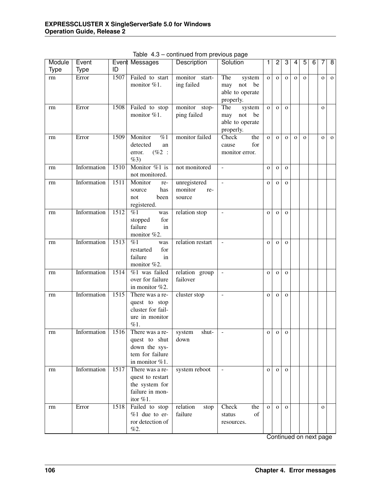| Module      | Event       |      | Event Messages                                                                         | Description                              | Solution                                                          | 1              | 2            | 3            | 4            | 5            | $\overline{6}$ | 7            | $\overline{8}$ |
|-------------|-------------|------|----------------------------------------------------------------------------------------|------------------------------------------|-------------------------------------------------------------------|----------------|--------------|--------------|--------------|--------------|----------------|--------------|----------------|
| <b>Type</b> | <b>Type</b> | ID   |                                                                                        |                                          |                                                                   |                |              |              |              |              |                |              |                |
| rm          | Error       | 1507 | Failed to start<br>monitor %1.                                                         | monitor start-<br>ing failed             | The<br>system<br>not<br>be<br>may<br>able to operate<br>properly. | $\mathbf{o}$   | $\mathbf{O}$ | $\mathbf O$  | $\mathbf 0$  | $\mathbf{O}$ |                | $\mathbf 0$  | $\mathbf{o}$   |
| rm          | Error       | 1508 | Failed to stop<br>monitor %1.                                                          | monitor stop-<br>ping failed             | The<br>system<br>not be<br>may<br>able to operate<br>properly.    | $\mathbf{o}$   | $\mathbf{O}$ | $\mathbf{o}$ |              |              |                | $\mathbf{O}$ |                |
| rm          | Error       | 1509 | Monitor<br>%1<br>detected<br>an<br>$(\%2:$<br>error.<br>$\%3)$                         | monitor failed                           | Check<br>the<br>for<br>cause<br>monitor error.                    | $\overline{O}$ | $\mathbf{O}$ | $\mathbf{o}$ | $\mathbf{O}$ | $\mathbf{o}$ |                | $\mathbf O$  | $\mathbf{o}$   |
| rm          | Information | 1510 | Monitor $%1$ is<br>not monitored.                                                      | not monitored                            | $\blacksquare$                                                    | $\mathbf 0$    | $\mathbf{O}$ | $\mathbf{O}$ |              |              |                |              |                |
| rm          | Information | 1511 | Monitor<br>re-<br>has<br>source<br>not<br>been<br>registered.                          | unregistered<br>monitor<br>re-<br>source | $\blacksquare$                                                    | $\mathbf{o}$   | $\mathbf{O}$ | $\mathbf{O}$ |              |              |                |              |                |
| rm          | Information | 1512 | %1<br>was<br>for<br>stopped<br>failure<br>in<br>monitor %2.                            | relation stop                            | $\blacksquare$                                                    | $\mathbf{o}$   | $\mathbf{O}$ | $\mathbf{O}$ |              |              |                |              |                |
| rm          | Information | 1513 | %1<br>was<br>for<br>restarted<br>failure<br>in<br>monitor %2.                          | relation restart                         | $\blacksquare$                                                    | $\mathbf{o}$   | $\mathbf{O}$ | $\mathbf{O}$ |              |              |                |              |                |
| rm          | Information | 1514 | $%1$ was failed<br>over for failure<br>in monitor %2.                                  | relation group<br>failover               | $\overline{\phantom{a}}$                                          | $\mathbf{O}$   | $\mathbf{O}$ | $\mathbf{O}$ |              |              |                |              |                |
| rm          | Information | 1515 | There was a re-<br>quest to stop<br>cluster for fail-<br>ure in monitor<br>%1.         | cluster stop                             | $\bar{\phantom{a}}$                                               | $\mathbf{o}$   | $\mathbf{O}$ | $\mathbf O$  |              |              |                |              |                |
| rm          | Information | 1516 | There was a re-<br>quest to shut<br>down the sys-<br>tem for failure<br>in monitor %1. | shut-<br>system<br>down                  | $\overline{a}$                                                    | $\mathbf O$    | $\mathbf O$  | $\mathbf{O}$ |              |              |                |              |                |
| rm          | Information | 1517 | There was a re-<br>quest to restart<br>the system for<br>failure in mon-<br>itor %1.   | system reboot                            | $\overline{\phantom{a}}$                                          | $\mathbf{O}$   | $\mathbf{o}$ | $\mathbf{O}$ |              |              |                |              |                |
| rm          | Error       | 1518 | Failed to stop<br>$%1$ due to er-<br>ror detection of<br>%2.                           | relation<br>stop<br>failure              | Check<br>the<br>of<br>status<br>resources.                        | $\mathbf{O}$   | $\mathbf{o}$ | $\mathbf{o}$ |              |              |                | $\mathbf{O}$ |                |

Table 4.3 – continued from previous page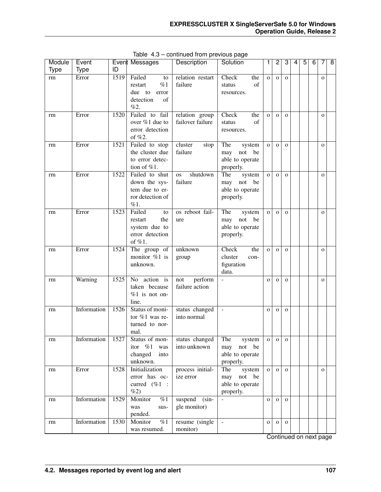| Module      | Event       |      | Event Messages                     | Description          | Solution                         | 1            | 2            | 3            | 4 | 5 | $\overline{6}$ | 7            | $\overline{8}$ |
|-------------|-------------|------|------------------------------------|----------------------|----------------------------------|--------------|--------------|--------------|---|---|----------------|--------------|----------------|
| <b>Type</b> | <b>Type</b> | ID   |                                    |                      |                                  |              |              |              |   |   |                |              |                |
| rm          | Error       | 1519 | Failed<br>to                       | relation restart     | Check<br>the                     | $\mathbf{o}$ | $\mathbf{o}$ | $\mathbf{o}$ |   |   |                | $\mathbf{o}$ |                |
|             |             |      | %1<br>restart                      | failure              | of<br>status                     |              |              |              |   |   |                |              |                |
|             |             |      | due to<br>error                    |                      | resources.                       |              |              |              |   |   |                |              |                |
|             |             |      | detection<br>of                    |                      |                                  |              |              |              |   |   |                |              |                |
|             |             |      | %2.                                |                      |                                  |              |              |              |   |   |                |              |                |
| rm          | Error       | 1520 | Failed to fail                     | relation group       | Check<br>the                     | $\mathbf{o}$ | $\mathbf{O}$ | $\mathbf{O}$ |   |   |                | $\mathbf{o}$ |                |
|             |             |      | over %1 due to                     | failover failure     | of<br>status                     |              |              |              |   |   |                |              |                |
|             |             |      | error detection                    |                      | resources.                       |              |              |              |   |   |                |              |                |
|             |             |      | of %2.                             |                      |                                  |              |              |              |   |   |                |              |                |
| rm          | Error       | 1521 | Failed to stop                     | cluster<br>stop      | The<br>system                    | $\mathbf{o}$ | $\mathbf{o}$ | $\mathbf{O}$ |   |   |                | $\mathbf{o}$ |                |
|             |             |      | the cluster due                    | failure              | not<br>be<br>may                 |              |              |              |   |   |                |              |                |
|             |             |      | to error detec-                    |                      | able to operate                  |              |              |              |   |   |                |              |                |
|             | Error       | 1522 | tion of %1.<br>Failed to shut      | shutdown             | properly.                        |              |              |              |   |   |                |              |                |
| rm          |             |      |                                    | <b>OS</b><br>failure | The<br>system                    | $\mathbf 0$  | $\mathbf{O}$ | $\mathbf{O}$ |   |   |                | $\mathbf{O}$ |                |
|             |             |      | down the sys-<br>tem due to er-    |                      | not be<br>may<br>able to operate |              |              |              |   |   |                |              |                |
|             |             |      | ror detection of                   |                      | properly.                        |              |              |              |   |   |                |              |                |
|             |             |      | %1.                                |                      |                                  |              |              |              |   |   |                |              |                |
| rm          | Error       | 1523 | Failed<br>to                       | os reboot fail-      | The<br>system                    | $\mathbf{o}$ | $\mathbf{O}$ | $\mathbf{O}$ |   |   |                | $\mathbf{O}$ |                |
|             |             |      | the<br>restart                     | ure                  | not<br>be<br>may                 |              |              |              |   |   |                |              |                |
|             |             |      | system due to                      |                      | able to operate                  |              |              |              |   |   |                |              |                |
|             |             |      | error detection                    |                      | properly.                        |              |              |              |   |   |                |              |                |
|             |             |      | of $%1$ .                          |                      |                                  |              |              |              |   |   |                |              |                |
| rm          | Error       | 1524 | The group of                       | unknown              | Check<br>the                     | $\mathbf{o}$ | $\mathbf O$  | $\mathbf{O}$ |   |   |                | $\mathbf O$  |                |
|             |             |      | monitor %1 is                      | group                | cluster<br>con-                  |              |              |              |   |   |                |              |                |
|             |             |      | unknown.                           |                      | figuration                       |              |              |              |   |   |                |              |                |
|             |             |      |                                    |                      | data.                            |              |              |              |   |   |                |              |                |
| rm          | Warning     | 1525 | No action is                       | perform<br>not       | $\overline{a}$                   | $\mathbf 0$  | $\mathbf O$  | $\mathbf O$  |   |   |                | $\mathbf O$  |                |
|             |             |      | taken because                      | failure action       |                                  |              |              |              |   |   |                |              |                |
|             |             |      | $%1$ is not on-                    |                      |                                  |              |              |              |   |   |                |              |                |
|             |             |      | line.                              |                      |                                  |              |              |              |   |   |                |              |                |
| rm          | Information | 1526 | Status of moni-                    | status changed       | $\blacksquare$                   | $\mathbf{o}$ | $\mathbf O$  | $\mathbf{O}$ |   |   |                |              |                |
|             |             |      | tor $%1$ was re-<br>turned to nor- | into normal          |                                  |              |              |              |   |   |                |              |                |
|             |             |      | mal.                               |                      |                                  |              |              |              |   |   |                |              |                |
| rm          | Information | 1527 | Status of mon-                     | status changed       | The<br>system                    | 0            | $\mathbf{O}$ | $\mathbf 0$  |   |   |                |              |                |
|             |             |      | itor %1<br>was                     | into unknown         | not<br>be<br>may                 |              |              |              |   |   |                |              |                |
|             |             |      | changed<br>into                    |                      | able to operate                  |              |              |              |   |   |                |              |                |
|             |             |      | unknown.                           |                      | properly.                        |              |              |              |   |   |                |              |                |
| rm          | Error       | 1528 | Initialization                     | process initial-     | The<br>system                    | $\mathbf{O}$ | $\mathbf{o}$ | $\mathbf{O}$ |   |   |                | $\mathbf{O}$ |                |
|             |             |      | error has oc-                      | ize error            | not<br>be<br>may                 |              |              |              |   |   |                |              |                |
|             |             |      | curred (%1 :                       |                      | able to operate                  |              |              |              |   |   |                |              |                |
|             |             |      | %2)                                |                      | properly.                        |              |              |              |   |   |                |              |                |
| rm          | Information | 1529 | $\sqrt{61}$<br>Monitor             | suspend<br>$(sin-$   | $\Box$                           | $\mathbf{O}$ | $\mathbf{O}$ | $\mathbf{O}$ |   |   |                |              |                |
|             |             |      | was<br>sus-                        | gle monitor)         |                                  |              |              |              |   |   |                |              |                |
|             |             |      | pended.                            |                      |                                  |              |              |              |   |   |                |              |                |
| rm          | Information | 1530 | Monitor<br>$\sqrt{61}$             | resume (single       | $\sim$                           | $\mathbf{O}$ | $\mathbf{O}$ | $\mathbf{O}$ |   |   |                |              |                |
|             |             |      | was resumed.                       | monitor)             |                                  |              |              |              |   |   |                |              |                |

Table 4.3 – continued from previous page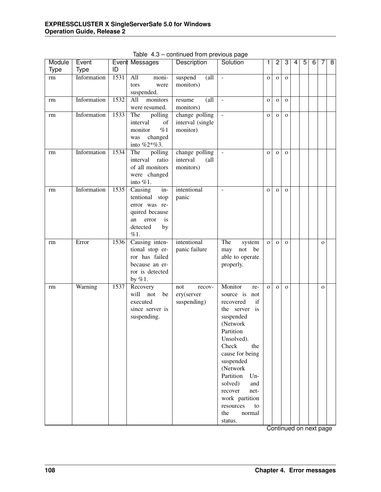| Module      | Event       |      | Event Messages                    | Description                            | Solution                 | 1              | 2            | 3            | 4 | $\overline{5}$ | 6 | 7            | $\overline{8}$ |
|-------------|-------------|------|-----------------------------------|----------------------------------------|--------------------------|----------------|--------------|--------------|---|----------------|---|--------------|----------------|
| <b>Type</b> | <b>Type</b> | ID   |                                   |                                        |                          |                |              |              |   |                |   |              |                |
| rm          | Information | 1531 | All<br>moni-                      | $\left( \text{all} \right)$<br>suspend | $\blacksquare$           | $\mathbf 0$    | $\mathbf{O}$ | $\mathbf O$  |   |                |   |              |                |
|             |             |      | tors<br>were                      | monitors)                              |                          |                |              |              |   |                |   |              |                |
|             |             |      | suspended.                        |                                        |                          |                |              |              |   |                |   |              |                |
| rm          | Information | 1532 | monitors<br>All                   | $\text{all}$<br>resume                 | $\overline{\phantom{a}}$ | $\mathbf O$    | $\mathbf{O}$ | $\mathbf{o}$ |   |                |   |              |                |
|             |             |      | were resumed.                     | monitors)                              |                          |                |              |              |   |                |   |              |                |
| rm          | Information | 1533 | The<br>polling                    | change polling                         | $\overline{\phantom{a}}$ | $\mathbf O$    | $\mathbf{O}$ | $\mathbf{o}$ |   |                |   |              |                |
|             |             |      | interval<br>of                    | interval (single                       |                          |                |              |              |   |                |   |              |                |
|             |             |      | %1<br>monitor                     | monitor)                               |                          |                |              |              |   |                |   |              |                |
|             |             |      | changed<br>was                    |                                        |                          |                |              |              |   |                |   |              |                |
|             |             |      | into %2*%3.                       |                                        |                          |                |              |              |   |                |   |              |                |
| rm          | Information | 1534 | polling<br>The                    | change polling                         | $\blacksquare$           | $\mathbf O$    | $\mathbf{O}$ | $\mathbf O$  |   |                |   |              |                |
|             |             |      | interval<br>ratio                 | interval<br>$\alpha$ ll                |                          |                |              |              |   |                |   |              |                |
|             |             |      | of all monitors                   | monitors)                              |                          |                |              |              |   |                |   |              |                |
|             |             |      | were changed                      |                                        |                          |                |              |              |   |                |   |              |                |
|             |             |      | into $%1$ .                       |                                        |                          |                |              |              |   |                |   |              |                |
| rm          | Information | 1535 | Causing<br>in-                    | intentional                            | $\sim$                   | $\mathbf O$    | $\mathbf{O}$ | $\mathbf{O}$ |   |                |   |              |                |
|             |             |      | tentional stop                    | panic                                  |                          |                |              |              |   |                |   |              |                |
|             |             |      | error was re-                     |                                        |                          |                |              |              |   |                |   |              |                |
|             |             |      | quired because                    |                                        |                          |                |              |              |   |                |   |              |                |
|             |             |      | an<br>error<br><i>is</i>          |                                        |                          |                |              |              |   |                |   |              |                |
|             |             |      | detected<br>by                    |                                        |                          |                |              |              |   |                |   |              |                |
|             |             |      | %1.                               |                                        |                          |                |              |              |   |                |   |              |                |
| rm          | Error       | 1536 | Causing inten-                    | intentional                            | The<br>system            | $\mathbf{o}$   | $\mathbf{O}$ | $\mathbf{o}$ |   |                |   | $\mathbf{o}$ |                |
|             |             |      | tional stop er-                   | panic failure                          | may not<br>be            |                |              |              |   |                |   |              |                |
|             |             |      | ror has failed                    |                                        | able to operate          |                |              |              |   |                |   |              |                |
|             |             |      | because an er-<br>ror is detected |                                        | properly.                |                |              |              |   |                |   |              |                |
|             |             |      | by $%1.$                          |                                        |                          |                |              |              |   |                |   |              |                |
| rm          | Warning     | 1537 | Recovery                          | recov-<br>not                          | Monitor<br>re-           | $\overline{O}$ | $\mathbf{O}$ | $\mathbf{o}$ |   |                |   | $\mathbf{o}$ |                |
|             |             |      | will<br>not<br>be                 | ery(server                             | source is not            |                |              |              |   |                |   |              |                |
|             |             |      | executed                          | suspending)                            | recovered<br>if          |                |              |              |   |                |   |              |                |
|             |             |      | since server is                   |                                        | the server<br>is         |                |              |              |   |                |   |              |                |
|             |             |      | suspending.                       |                                        | suspended                |                |              |              |   |                |   |              |                |
|             |             |      |                                   |                                        | (Network                 |                |              |              |   |                |   |              |                |
|             |             |      |                                   |                                        | Partition                |                |              |              |   |                |   |              |                |
|             |             |      |                                   |                                        | Unsolved).               |                |              |              |   |                |   |              |                |
|             |             |      |                                   |                                        | Check<br>the             |                |              |              |   |                |   |              |                |
|             |             |      |                                   |                                        | cause for being          |                |              |              |   |                |   |              |                |
|             |             |      |                                   |                                        | suspended                |                |              |              |   |                |   |              |                |
|             |             |      |                                   |                                        | (Network                 |                |              |              |   |                |   |              |                |
|             |             |      |                                   |                                        | Partition<br>$Un-$       |                |              |              |   |                |   |              |                |
|             |             |      |                                   |                                        | solved)<br>and           |                |              |              |   |                |   |              |                |
|             |             |      |                                   |                                        | recover<br>net-          |                |              |              |   |                |   |              |                |
|             |             |      |                                   |                                        | work partition           |                |              |              |   |                |   |              |                |
|             |             |      |                                   |                                        | resources<br>to          |                |              |              |   |                |   |              |                |
|             |             |      |                                   |                                        | the<br>normal            |                |              |              |   |                |   |              |                |
|             |             |      |                                   |                                        | status.                  |                |              |              |   |                |   |              |                |

Table 4.3 – continued from previous page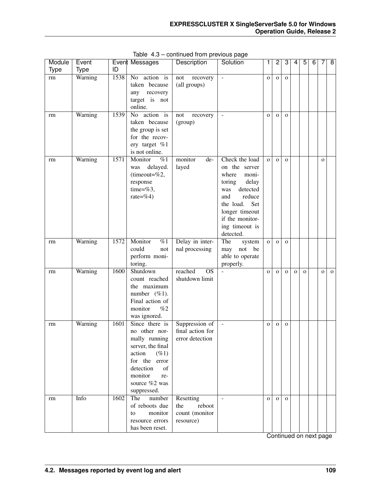| Module      | Event       |      | Event Messages                                                                                                                                                                     | Description                                               | Solution                                                                                                                                                                                         | 1            | $\overline{c}$ | 3            | 4            | 5        | 6 | 7            | $\overline{8}$ |
|-------------|-------------|------|------------------------------------------------------------------------------------------------------------------------------------------------------------------------------------|-----------------------------------------------------------|--------------------------------------------------------------------------------------------------------------------------------------------------------------------------------------------------|--------------|----------------|--------------|--------------|----------|---|--------------|----------------|
| <b>Type</b> | <b>Type</b> | ID   |                                                                                                                                                                                    |                                                           |                                                                                                                                                                                                  |              |                |              |              |          |   |              |                |
| rm          | Warning     | 1538 | action is<br>No.<br>taken because<br>any recovery<br>target is not<br>online.                                                                                                      | recovery<br>not<br>(all groups)                           | $\overline{a}$                                                                                                                                                                                   | $\mathbf{O}$ | $\mathbf{O}$   | $\mathbf{O}$ |              |          |   |              |                |
| rm          | Warning     | 1539 | $\overline{No}$<br>action is<br>taken because<br>the group is set<br>for the recov-<br>ery target %1<br>is not online.                                                             | not<br>recovery<br>(group)                                | $\overline{\phantom{a}}$                                                                                                                                                                         | $\mathbf{O}$ | $\mathbf{O}$   | $\mathbf{O}$ |              |          |   |              |                |
| rm          | Warning     | 1571 | Monitor<br>%1<br>delayed.<br>was<br>(timeout= $%2,$<br>response<br>time= $%3,$<br>rate=%4)                                                                                         | monitor<br>de-<br>layed                                   | Check the load<br>on the server<br>where<br>moni-<br>toring<br>delay<br>detected<br>was<br>reduce<br>and<br>the load.<br>Set<br>longer timeout<br>if the monitor-<br>ing timeout is<br>detected. | $\mathbf{O}$ | $\Omega$       | $\Omega$     |              |          |   | $\mathbf{o}$ |                |
| rm          | Warning     | 1572 | Monitor<br>%1<br>could<br>not<br>perform moni-<br>toring.                                                                                                                          | Delay in inter-<br>nal processing                         | The<br>system<br>not be<br>may<br>able to operate<br>properly.                                                                                                                                   | $\mathbf{O}$ | $\mathbf{O}$   | $\Omega$     |              |          |   |              |                |
| rm          | Warning     | 1600 | Shutdown<br>count reached<br>the maximum<br>number (%1).<br>Final action of<br>monitor<br>%2<br>was ignored.                                                                       | reached<br>$\overline{OS}$<br>shutdown limit              |                                                                                                                                                                                                  | $\mathbf{O}$ | $\mathbf{O}$   | $\mathbf{O}$ | $\mathbf{O}$ | $\Omega$ |   | $\mathbf{O}$ | $\Omega$       |
| rm          | Warning     | 1601 | Since there is<br>no other nor-<br>mally running<br>server, the final<br>action<br>$( \% 1)$<br>for the error<br>detection<br>of<br>monitor<br>re-<br>source %2 was<br>suppressed. | Suppression of<br>final action for<br>error detection     | $\overline{a}$                                                                                                                                                                                   | $\mathbf{O}$ | $\mathbf{O}$   | $\mathbf{O}$ |              |          |   |              |                |
| rm          | Info        | 1602 | The<br>number<br>of reboots due<br>monitor<br>to<br>resource errors<br>has been reset.                                                                                             | Resetting<br>reboot<br>the<br>count (monitor<br>resource) | $\sim$                                                                                                                                                                                           | $\mathbf{O}$ | $\Omega$       | $\mathbf{O}$ |              |          |   |              |                |

Table 4.3 – continued from previous page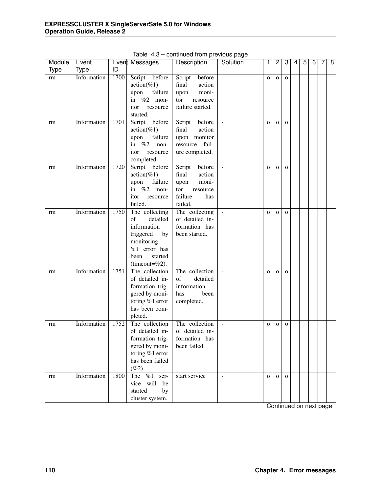| Module      | Event       |      | Event Messages                      | Description       | Solution                 | 1            | $\overline{c}$ | 3            | 4 | $\overline{5}$ | 6 | 7 | $\overline{8}$ |
|-------------|-------------|------|-------------------------------------|-------------------|--------------------------|--------------|----------------|--------------|---|----------------|---|---|----------------|
| <b>Type</b> | <b>Type</b> | ID   |                                     |                   |                          |              |                |              |   |                |   |   |                |
| rm          | Information | 1700 | Script<br>before                    | before<br>Script  | $\bar{\phantom{a}}$      | $\mathbf 0$  | $\mathbf O$    | $\mathbf{o}$ |   |                |   |   |                |
|             |             |      | $action(\%1)$                       | action<br>final   |                          |              |                |              |   |                |   |   |                |
|             |             |      | failure<br>upon                     | moni-<br>upon     |                          |              |                |              |   |                |   |   |                |
|             |             |      | in $%2$ mon-                        | tor<br>resource   |                          |              |                |              |   |                |   |   |                |
|             |             |      | itor<br>resource                    | failure started.  |                          |              |                |              |   |                |   |   |                |
|             |             |      | started.                            |                   |                          |              |                |              |   |                |   |   |                |
| rm          | Information | 1701 | Script<br>before                    | Script<br>before  | $\frac{1}{2}$            | $\mathbf{o}$ | $\mathbf{O}$   | $\mathbf{o}$ |   |                |   |   |                |
|             |             |      | $action(\%1)$                       | action<br>final   |                          |              |                |              |   |                |   |   |                |
|             |             |      | failure<br>upon                     | upon monitor      |                          |              |                |              |   |                |   |   |                |
|             |             |      | in $%2$ mon-                        | fail-<br>resource |                          |              |                |              |   |                |   |   |                |
|             |             |      | itor<br>resource                    | ure completed.    |                          |              |                |              |   |                |   |   |                |
|             |             |      | completed.                          |                   |                          |              |                |              |   |                |   |   |                |
| rm          | Information | 1720 | Script before                       | Script<br>before  | $\equiv$                 | $\mathbf{o}$ | $\mathbf{O}$   | $\mathbf{o}$ |   |                |   |   |                |
|             |             |      | $action(\%1)$                       | action<br>final   |                          |              |                |              |   |                |   |   |                |
|             |             |      | failure<br>upon                     | moni-<br>upon     |                          |              |                |              |   |                |   |   |                |
|             |             |      | in $%2$ mon-                        | tor<br>resource   |                          |              |                |              |   |                |   |   |                |
|             |             |      | itor<br>resource                    | failure<br>has    |                          |              |                |              |   |                |   |   |                |
|             |             |      | failed.                             | failed.           |                          |              |                |              |   |                |   |   |                |
| rm          | Information | 1750 | The collecting                      | The collecting    | $\bar{\mathcal{L}}$      | $\mathbf{o}$ | $\mathbf{O}$   | $\mathbf{o}$ |   |                |   |   |                |
|             |             |      | of<br>detailed                      | of detailed in-   |                          |              |                |              |   |                |   |   |                |
|             |             |      | information                         | formation has     |                          |              |                |              |   |                |   |   |                |
|             |             |      | triggered<br>by                     | been started.     |                          |              |                |              |   |                |   |   |                |
|             |             |      | monitoring                          |                   |                          |              |                |              |   |                |   |   |                |
|             |             |      | %1 error has                        |                   |                          |              |                |              |   |                |   |   |                |
|             |             |      | been<br>started                     |                   |                          |              |                |              |   |                |   |   |                |
|             | Information | 1751 | (timeout= $%2$ ).<br>The collection | The collection    |                          |              |                |              |   |                |   |   |                |
| rm          |             |      | of detailed in-                     | of<br>detailed    | $\equiv$                 | $\mathbf{o}$ | $\mathbf O$    | $\mathbf{O}$ |   |                |   |   |                |
|             |             |      | formation trig-                     | information       |                          |              |                |              |   |                |   |   |                |
|             |             |      | gered by moni-                      | has<br>been       |                          |              |                |              |   |                |   |   |                |
|             |             |      | toring %1 error                     | completed.        |                          |              |                |              |   |                |   |   |                |
|             |             |      | has been com-                       |                   |                          |              |                |              |   |                |   |   |                |
|             |             |      | pleted.                             |                   |                          |              |                |              |   |                |   |   |                |
| rm          | Information | 1752 | The collection                      | The collection    | $\overline{\phantom{a}}$ | $\mathbf{o}$ | $\mathbf{O}$   | $\mathbf O$  |   |                |   |   |                |
|             |             |      | of detailed in-                     | of detailed in-   |                          |              |                |              |   |                |   |   |                |
|             |             |      | formation trig-                     | formation has     |                          |              |                |              |   |                |   |   |                |
|             |             |      | gered by moni-                      | been failed.      |                          |              |                |              |   |                |   |   |                |
|             |             |      | toring %1 error                     |                   |                          |              |                |              |   |                |   |   |                |
|             |             |      | has been failed                     |                   |                          |              |                |              |   |                |   |   |                |
|             |             |      | $(\%2).$                            |                   |                          |              |                |              |   |                |   |   |                |
| rm          | Information | 1800 | The $%1$ ser-                       | start service     | $\blacksquare$           | $\mathbf{o}$ | $\mathbf{o}$   | $\mathbf{O}$ |   |                |   |   |                |
|             |             |      | vice will<br>be                     |                   |                          |              |                |              |   |                |   |   |                |
|             |             |      | started<br>by                       |                   |                          |              |                |              |   |                |   |   |                |
|             |             |      | cluster system.                     |                   |                          |              |                |              |   |                |   |   |                |
|             |             |      |                                     |                   |                          |              |                |              |   |                |   |   |                |

Table 4.3 – continued from previous page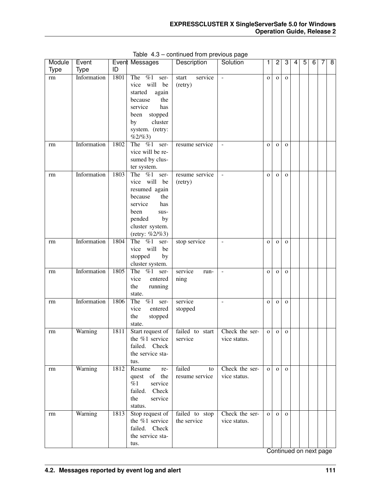| Module<br><b>Type</b> | Event<br><b>Type</b> | ID   | Event Messages                    | Description                 | Solution                 | 1            | $\overline{c}$ | 3            | 4 | 5 | 6 | 7 | 8 |
|-----------------------|----------------------|------|-----------------------------------|-----------------------------|--------------------------|--------------|----------------|--------------|---|---|---|---|---|
| $\rm rm$              | Information          | 1801 | The $\%1$<br>ser-<br>vice will be | service<br>start<br>(retry) | $\overline{\phantom{a}}$ | $\mathbf{o}$ | $\mathbf 0$    | $\mathbf{o}$ |   |   |   |   |   |
|                       |                      |      | started<br>again                  |                             |                          |              |                |              |   |   |   |   |   |
|                       |                      |      | because<br>the                    |                             |                          |              |                |              |   |   |   |   |   |
|                       |                      |      | service<br>has                    |                             |                          |              |                |              |   |   |   |   |   |
|                       |                      |      | stopped<br>been                   |                             |                          |              |                |              |   |   |   |   |   |
|                       |                      |      | cluster<br>by                     |                             |                          |              |                |              |   |   |   |   |   |
|                       |                      |      | system. (retry:<br>%2/%3)         |                             |                          |              |                |              |   |   |   |   |   |
| rm                    | Information          | 1802 | The $\%1$<br>ser-                 | resume service              |                          | $\mathbf O$  | $\mathbf 0$    | $\mathbf{O}$ |   |   |   |   |   |
|                       |                      |      | vice will be re-                  |                             |                          |              |                |              |   |   |   |   |   |
|                       |                      |      | sumed by clus-                    |                             |                          |              |                |              |   |   |   |   |   |
|                       | Information          |      | ter system.                       |                             |                          |              |                |              |   |   |   |   |   |
| rm                    |                      | 1803 | The %1 ser-<br>vice will be       | resume service<br>(retry)   |                          | $\mathbf O$  | $\mathbf{O}$   | $\mathbf{O}$ |   |   |   |   |   |
|                       |                      |      | resumed again                     |                             |                          |              |                |              |   |   |   |   |   |
|                       |                      |      | because<br>the                    |                             |                          |              |                |              |   |   |   |   |   |
|                       |                      |      | service<br>has                    |                             |                          |              |                |              |   |   |   |   |   |
|                       |                      |      | been<br>sus-                      |                             |                          |              |                |              |   |   |   |   |   |
|                       |                      |      | pended<br>by                      |                             |                          |              |                |              |   |   |   |   |   |
|                       |                      |      | cluster system.                   |                             |                          |              |                |              |   |   |   |   |   |
|                       |                      |      | (retry: $%2/%3$ )                 |                             |                          |              |                |              |   |   |   |   |   |
| rm                    | Information          | 1804 | The $\%1$ ser-                    | stop service                |                          | $\mathbf O$  | $\mathbf{O}$   | $\mathbf{O}$ |   |   |   |   |   |
|                       |                      |      | vice will be                      |                             |                          |              |                |              |   |   |   |   |   |
|                       |                      |      | stopped<br>by                     |                             |                          |              |                |              |   |   |   |   |   |
|                       |                      |      | cluster system.                   |                             |                          |              |                |              |   |   |   |   |   |
| rm                    | Information          | 1805 | The %1 ser-                       | service<br>run-             |                          | $\mathbf{o}$ | $\mathbf{o}$   | $\mathbf{O}$ |   |   |   |   |   |
|                       |                      |      | vice<br>entered                   | ning                        |                          |              |                |              |   |   |   |   |   |
|                       |                      |      | the<br>running<br>state.          |                             |                          |              |                |              |   |   |   |   |   |
| rm                    | Information          | 1806 | The<br>$%1$ ser-                  | service                     | $\sim$                   | $\mathbf{O}$ | $\mathbf{O}$   | $\mathbf{O}$ |   |   |   |   |   |
|                       |                      |      | vice<br>entered                   | stopped                     |                          |              |                |              |   |   |   |   |   |
|                       |                      |      | the<br>stopped                    |                             |                          |              |                |              |   |   |   |   |   |
|                       |                      |      | state.                            |                             |                          |              |                |              |   |   |   |   |   |
| rm                    | Warning              | 1811 | Start request of                  | failed to start             | Check the ser-           | $\mathbf{O}$ | $\mathbf{o}$   | $\mathbf{O}$ |   |   |   |   |   |
|                       |                      |      | the %1 service                    | service                     | vice status.             |              |                |              |   |   |   |   |   |
|                       |                      |      | failed. Check                     |                             |                          |              |                |              |   |   |   |   |   |
|                       |                      |      | the service sta-                  |                             |                          |              |                |              |   |   |   |   |   |
|                       |                      |      | tus.                              |                             |                          |              |                |              |   |   |   |   |   |
| rm                    | Warning              | 1812 | Resume<br>re-                     | failed<br>to                | Check the ser-           | $\mathbf{O}$ | $\Omega$       | $\Omega$     |   |   |   |   |   |
|                       |                      |      | quest of the                      | resume service              | vice status.             |              |                |              |   |   |   |   |   |
|                       |                      |      | %1<br>service                     |                             |                          |              |                |              |   |   |   |   |   |
|                       |                      |      | failed. Check<br>the              |                             |                          |              |                |              |   |   |   |   |   |
|                       |                      |      | service<br>status.                |                             |                          |              |                |              |   |   |   |   |   |
| rm                    | Warning              | 1813 | Stop request of                   | failed to stop              | Check the ser-           | $\mathbf{O}$ | $\Omega$       | $\Omega$     |   |   |   |   |   |
|                       |                      |      | the %1 service                    | the service                 | vice status.             |              |                |              |   |   |   |   |   |
|                       |                      |      | failed. Check                     |                             |                          |              |                |              |   |   |   |   |   |
|                       |                      |      | the service sta-                  |                             |                          |              |                |              |   |   |   |   |   |
|                       |                      |      | tus.                              |                             |                          |              |                |              |   |   |   |   |   |

Table 4.3 – continued from previous page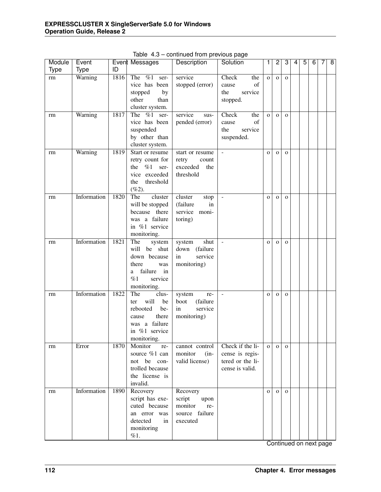| Module      | Event       |      | Event Messages                    | Description       | Solution                 | 1            | 2            | 3            | 4 | 5 | 6 | 7 | $\overline{\mathbf{8}}$ |
|-------------|-------------|------|-----------------------------------|-------------------|--------------------------|--------------|--------------|--------------|---|---|---|---|-------------------------|
| <b>Type</b> | <b>Type</b> | ID   |                                   |                   |                          |              |              |              |   |   |   |   |                         |
| rm          | Warning     | 1816 | The $\%1$ ser-                    | service           | Check<br>the             | $\mathbf{o}$ | $\mathbf{O}$ | $\mathbf{O}$ |   |   |   |   |                         |
|             |             |      | vice has been                     | stopped (error)   | of<br>cause              |              |              |              |   |   |   |   |                         |
|             |             |      | stopped<br>by                     |                   | the<br>service           |              |              |              |   |   |   |   |                         |
|             |             |      | other<br>than                     |                   | stopped.                 |              |              |              |   |   |   |   |                         |
|             |             |      | cluster system.                   |                   |                          |              |              |              |   |   |   |   |                         |
| rm          | Warning     | 1817 | $\sqrt{\%1}$ ser-<br>The          | service<br>sus-   | Check<br>the             | $\mathbf{o}$ | $\mathbf{O}$ | $\mathbf{O}$ |   |   |   |   |                         |
|             |             |      | vice has been                     | pended (error)    | of<br>cause              |              |              |              |   |   |   |   |                         |
|             |             |      | suspended                         |                   | the<br>service           |              |              |              |   |   |   |   |                         |
|             |             |      | by other than                     |                   | suspended.               |              |              |              |   |   |   |   |                         |
|             |             |      | cluster system.                   |                   |                          |              |              |              |   |   |   |   |                         |
| rm          | Warning     | 1819 | Start or resume                   | start or resume   | $\overline{\phantom{a}}$ | $\mathbf O$  | $\mathbf{O}$ | $\mathbf{O}$ |   |   |   |   |                         |
|             |             |      | retry count for                   | retry<br>count    |                          |              |              |              |   |   |   |   |                         |
|             |             |      | $%1$ ser-<br>the                  | exceeded<br>the   |                          |              |              |              |   |   |   |   |                         |
|             |             |      | vice exceeded<br>threshold<br>the | threshold         |                          |              |              |              |   |   |   |   |                         |
|             |             |      | $(\%2).$                          |                   |                          |              |              |              |   |   |   |   |                         |
| rm          | Information | 1820 | The<br>cluster                    | cluster<br>stop   | $\overline{a}$           | $\mathbf{O}$ | $\mathbf O$  | $\mathbf O$  |   |   |   |   |                         |
|             |             |      | will be stopped                   | (failure<br>in    |                          |              |              |              |   |   |   |   |                         |
|             |             |      | because there                     | service moni-     |                          |              |              |              |   |   |   |   |                         |
|             |             |      | was a failure                     | toring)           |                          |              |              |              |   |   |   |   |                         |
|             |             |      | in %1 service                     |                   |                          |              |              |              |   |   |   |   |                         |
|             |             |      | monitoring.                       |                   |                          |              |              |              |   |   |   |   |                         |
| rm          | Information | 1821 | The<br>system                     | shut<br>system    | $\overline{\phantom{a}}$ | $\mathbf O$  | $\mathbf{O}$ | $\mathbf O$  |   |   |   |   |                         |
|             |             |      | will be shut                      | (failure<br>down  |                          |              |              |              |   |   |   |   |                         |
|             |             |      | down because                      | service<br>in     |                          |              |              |              |   |   |   |   |                         |
|             |             |      | there<br>was                      | monitoring)       |                          |              |              |              |   |   |   |   |                         |
|             |             |      | failure<br>in<br>a                |                   |                          |              |              |              |   |   |   |   |                         |
|             |             |      | %1<br>service                     |                   |                          |              |              |              |   |   |   |   |                         |
|             |             |      | monitoring.                       |                   |                          |              |              |              |   |   |   |   |                         |
| rm          | Information | 1822 | The<br>clus-                      | system<br>re-     | $\overline{a}$           | $\mathbf O$  | $\mathbf{O}$ | $\mathbf O$  |   |   |   |   |                         |
|             |             |      | will<br>be<br>ter                 | (failure<br>boot  |                          |              |              |              |   |   |   |   |                         |
|             |             |      | rebooted<br>be-                   | service<br>in     |                          |              |              |              |   |   |   |   |                         |
|             |             |      | there<br>cause                    | monitoring)       |                          |              |              |              |   |   |   |   |                         |
|             |             |      | was a failure                     |                   |                          |              |              |              |   |   |   |   |                         |
|             |             |      | in %1 service                     |                   |                          |              |              |              |   |   |   |   |                         |
|             |             | 1870 | monitoring.<br>Monitor            | cannot control    | Check if the li-         |              |              |              |   |   |   |   |                         |
| rm          | Error       |      | re-<br>source %1 can              | monitor<br>$(in-$ | cense is regis-          | $\mathbf{o}$ | $\mathbf{O}$ | $\mathbf{O}$ |   |   |   |   |                         |
|             |             |      | not be con-                       | valid license)    | tered or the li-         |              |              |              |   |   |   |   |                         |
|             |             |      | trolled because                   |                   | cense is valid.          |              |              |              |   |   |   |   |                         |
|             |             |      | the license is                    |                   |                          |              |              |              |   |   |   |   |                         |
|             |             |      | invalid.                          |                   |                          |              |              |              |   |   |   |   |                         |
| rm          | Information | 1890 | Recovery                          | Recovery          |                          | $\mathbf{O}$ | $\mathbf{O}$ | $\mathbf{O}$ |   |   |   |   |                         |
|             |             |      | script has exe-                   | script<br>upon    |                          |              |              |              |   |   |   |   |                         |
|             |             |      | cuted because                     | monitor<br>re-    |                          |              |              |              |   |   |   |   |                         |
|             |             |      | an error was                      | source failure    |                          |              |              |              |   |   |   |   |                         |
|             |             |      | detected<br>in                    | executed          |                          |              |              |              |   |   |   |   |                         |
|             |             |      | monitoring                        |                   |                          |              |              |              |   |   |   |   |                         |
|             |             |      | %1.                               |                   |                          |              |              |              |   |   |   |   |                         |

Table 4.3 – continued from previous page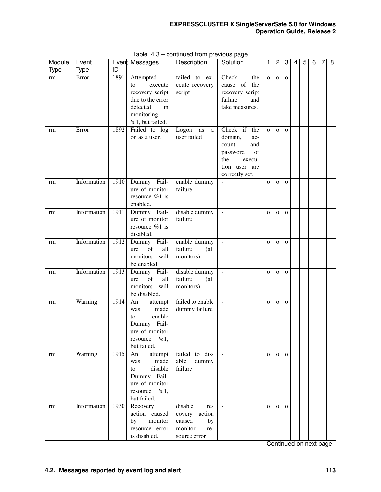| Module | Event       |      | Event Messages                                                                                                       | Description                                                                          | Solution                                                                                                             | 1              | 2            | 3            | 4 | 5 | 6 | 7 | 8 |
|--------|-------------|------|----------------------------------------------------------------------------------------------------------------------|--------------------------------------------------------------------------------------|----------------------------------------------------------------------------------------------------------------------|----------------|--------------|--------------|---|---|---|---|---|
| Type   | <b>Type</b> | ID   |                                                                                                                      |                                                                                      |                                                                                                                      |                |              |              |   |   |   |   |   |
| rm     | Error       | 1891 | Attempted<br>to<br>execute<br>recovery script<br>due to the error<br>detected<br>in<br>monitoring<br>%1, but failed. | failed to ex-<br>ecute recovery<br>script                                            | Check<br>the<br>cause of the<br>recovery script<br>failure<br>and<br>take measures.                                  | $\mathbf{o}$   | $\mathbf O$  | $\mathbf{o}$ |   |   |   |   |   |
| rm     | Error       | 1892 | Failed to log<br>on as a user.                                                                                       | Logon<br>as<br>a<br>user failed                                                      | Check if the<br>domain,<br>ac-<br>count<br>and<br>of<br>password<br>the<br>execu-<br>tion user are<br>correctly set. | $\overline{O}$ | $\mathbf 0$  | $\mathbf{O}$ |   |   |   |   |   |
| rm     | Information | 1910 | Dummy Fail-<br>ure of monitor<br>resource %1 is<br>enabled.                                                          | enable dummy<br>failure                                                              | $\overline{a}$                                                                                                       | $\mathbf{o}$   | $\mathbf{O}$ | $\mathbf{O}$ |   |   |   |   |   |
| rm     | Information | 1911 | Dummy Fail-<br>ure of monitor<br>resource %1 is<br>disabled.                                                         | disable dummy<br>failure                                                             | $\Box$                                                                                                               | $\mathbf{o}$   | $\mathbf{O}$ | $\mathbf{O}$ |   |   |   |   |   |
| rm     | Information | 1912 | Dummy Fail-<br>of<br>all<br>ure<br>monitors will<br>be enabled.                                                      | enable dummy<br>failure<br>(all<br>monitors)                                         | $\Box$                                                                                                               | $\mathbf{o}$   | $\mathbf{O}$ | $\mathbf{O}$ |   |   |   |   |   |
| rm     | Information | 1913 | Dummy Fail-<br>of<br>all<br>ure<br>monitors<br>will<br>be disabled.                                                  | disable dummy<br>failure<br>(all<br>monitors)                                        | $\Box$                                                                                                               | $\mathbf{o}$   | $\mathbf{O}$ | $\mathbf{O}$ |   |   |   |   |   |
| rm     | Warning     | 1914 | An<br>attempt<br>made<br>was<br>enable<br>to<br>Dummy Fail-<br>ure of monitor<br>$\%1,$<br>resource<br>but failed.   | failed to enable<br>dummy failure                                                    | $\sim$                                                                                                               | $\mathbf{O}$   | $\mathbf{o}$ | $\mathbf O$  |   |   |   |   |   |
| rm     | Warning     | 1915 | An<br>attempt<br>made<br>was<br>disable<br>to<br>Dummy Fail-<br>ure of monitor<br>resource $\%1$ ,<br>but failed.    | failed to dis-<br>able<br>dummy<br>failure                                           | $\sim$                                                                                                               | $\mathbf{O}$   | $\mathbf{o}$ | $\mathbf{O}$ |   |   |   |   |   |
| rm     | Information | 1930 | Recovery<br>action caused<br>by monitor<br>resource error<br>is disabled.                                            | disable<br>re-<br>covery<br>action<br>caused<br>by<br>monitor<br>re-<br>source error | $\sim$                                                                                                               | $\mathbf{O}$   | $\mathbf{o}$ | $\mathbf{O}$ |   |   |   |   |   |

Table 4.3 – continued from previous page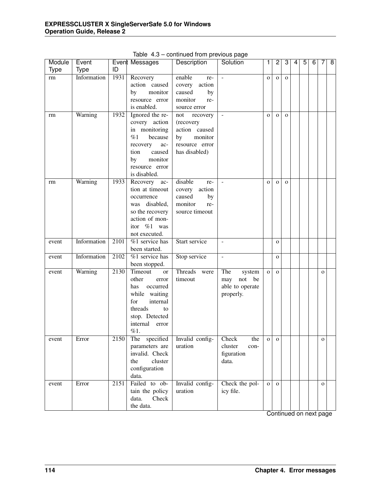| <b>Type</b><br><b>Type</b><br>ID<br>Information<br>1931<br>enable<br>Recovery<br>rm<br>re-<br>$\blacksquare$<br>$\mathbf O$<br>$\mathbf{O}$<br>$\mathbf O$<br>action caused<br>action<br>covery<br>monitor<br>caused<br>by<br>by<br>monitor<br>resource error<br>re-<br>is enabled.<br>source error<br>Warning<br>1932<br>Ignored the re-<br>recovery<br>not<br>$\overline{\phantom{a}}$<br>$\mathbf{O}$<br>rm<br>$\mathbf{O}$<br>$\mathbf{O}$<br>covery action<br>(recovery<br>action caused<br>in monitoring<br>%1<br>because<br>monitor<br>by<br>resource error<br>ac-<br>recovery<br>tion<br>caused<br>has disabled)<br>monitor<br>by<br>resource error<br>is disabled.<br>Warning<br>disable<br>1933<br>Recovery ac-<br>re-<br>$\mathbf{O}$<br>rm<br>$\mathbf{O}$<br>$\mathbf{O}$<br>tion at timeout<br>action<br>covery<br>caused<br>by<br>occurrence<br>monitor<br>was disabled,<br>re-<br>so the recovery<br>source timeout<br>action of mon-<br>itor %1 was<br>not executed.<br>Information<br>$%1$ service has<br>Start service<br>2101<br>event<br>$\overline{\phantom{a}}$<br>$\mathbf{O}$<br>been started.<br>Information<br>2102<br>%1 service has<br>Stop service<br>$\overline{\phantom{a}}$<br>event<br>$\mathbf{O}$<br>been stopped.<br>Threads<br>Warning<br>2130<br>Timeout<br>The<br>were<br>system<br>event<br>or<br>$\mathbf{o}$<br>$\mathbf{O}$<br>$\mathbf{o}$<br>other<br>timeout<br>may not be<br>error<br>occurred<br>able to operate<br>has<br>while waiting<br>properly.<br>for<br>internal<br>threads<br>to<br>stop. Detected<br>internal<br>error<br>%1.<br>Error<br>2150<br>The specified<br>Invalid config-<br>Check<br>the<br>event<br>$\mathbf{O}$<br>$\mathbf 0$<br>о | Module | Event | Event Messages | Description | Solution        | 1 | $\overline{2}$ | 3 | 4 | $\overline{5}$ | 6 | 7 | $\overline{8}$ |
|------------------------------------------------------------------------------------------------------------------------------------------------------------------------------------------------------------------------------------------------------------------------------------------------------------------------------------------------------------------------------------------------------------------------------------------------------------------------------------------------------------------------------------------------------------------------------------------------------------------------------------------------------------------------------------------------------------------------------------------------------------------------------------------------------------------------------------------------------------------------------------------------------------------------------------------------------------------------------------------------------------------------------------------------------------------------------------------------------------------------------------------------------------------------------------------------------------------------------------------------------------------------------------------------------------------------------------------------------------------------------------------------------------------------------------------------------------------------------------------------------------------------------------------------------------------------------------------------------------------------------------------------------------------------------------------------------------|--------|-------|----------------|-------------|-----------------|---|----------------|---|---|----------------|---|---|----------------|
|                                                                                                                                                                                                                                                                                                                                                                                                                                                                                                                                                                                                                                                                                                                                                                                                                                                                                                                                                                                                                                                                                                                                                                                                                                                                                                                                                                                                                                                                                                                                                                                                                                                                                                            |        |       |                |             |                 |   |                |   |   |                |   |   |                |
|                                                                                                                                                                                                                                                                                                                                                                                                                                                                                                                                                                                                                                                                                                                                                                                                                                                                                                                                                                                                                                                                                                                                                                                                                                                                                                                                                                                                                                                                                                                                                                                                                                                                                                            |        |       |                |             |                 |   |                |   |   |                |   |   |                |
|                                                                                                                                                                                                                                                                                                                                                                                                                                                                                                                                                                                                                                                                                                                                                                                                                                                                                                                                                                                                                                                                                                                                                                                                                                                                                                                                                                                                                                                                                                                                                                                                                                                                                                            |        |       |                |             |                 |   |                |   |   |                |   |   |                |
|                                                                                                                                                                                                                                                                                                                                                                                                                                                                                                                                                                                                                                                                                                                                                                                                                                                                                                                                                                                                                                                                                                                                                                                                                                                                                                                                                                                                                                                                                                                                                                                                                                                                                                            |        |       |                |             |                 |   |                |   |   |                |   |   |                |
|                                                                                                                                                                                                                                                                                                                                                                                                                                                                                                                                                                                                                                                                                                                                                                                                                                                                                                                                                                                                                                                                                                                                                                                                                                                                                                                                                                                                                                                                                                                                                                                                                                                                                                            |        |       |                |             |                 |   |                |   |   |                |   |   |                |
|                                                                                                                                                                                                                                                                                                                                                                                                                                                                                                                                                                                                                                                                                                                                                                                                                                                                                                                                                                                                                                                                                                                                                                                                                                                                                                                                                                                                                                                                                                                                                                                                                                                                                                            |        |       |                |             |                 |   |                |   |   |                |   |   |                |
|                                                                                                                                                                                                                                                                                                                                                                                                                                                                                                                                                                                                                                                                                                                                                                                                                                                                                                                                                                                                                                                                                                                                                                                                                                                                                                                                                                                                                                                                                                                                                                                                                                                                                                            |        |       |                |             |                 |   |                |   |   |                |   |   |                |
|                                                                                                                                                                                                                                                                                                                                                                                                                                                                                                                                                                                                                                                                                                                                                                                                                                                                                                                                                                                                                                                                                                                                                                                                                                                                                                                                                                                                                                                                                                                                                                                                                                                                                                            |        |       |                |             |                 |   |                |   |   |                |   |   |                |
|                                                                                                                                                                                                                                                                                                                                                                                                                                                                                                                                                                                                                                                                                                                                                                                                                                                                                                                                                                                                                                                                                                                                                                                                                                                                                                                                                                                                                                                                                                                                                                                                                                                                                                            |        |       |                |             |                 |   |                |   |   |                |   |   |                |
|                                                                                                                                                                                                                                                                                                                                                                                                                                                                                                                                                                                                                                                                                                                                                                                                                                                                                                                                                                                                                                                                                                                                                                                                                                                                                                                                                                                                                                                                                                                                                                                                                                                                                                            |        |       |                |             |                 |   |                |   |   |                |   |   |                |
|                                                                                                                                                                                                                                                                                                                                                                                                                                                                                                                                                                                                                                                                                                                                                                                                                                                                                                                                                                                                                                                                                                                                                                                                                                                                                                                                                                                                                                                                                                                                                                                                                                                                                                            |        |       |                |             |                 |   |                |   |   |                |   |   |                |
|                                                                                                                                                                                                                                                                                                                                                                                                                                                                                                                                                                                                                                                                                                                                                                                                                                                                                                                                                                                                                                                                                                                                                                                                                                                                                                                                                                                                                                                                                                                                                                                                                                                                                                            |        |       |                |             |                 |   |                |   |   |                |   |   |                |
|                                                                                                                                                                                                                                                                                                                                                                                                                                                                                                                                                                                                                                                                                                                                                                                                                                                                                                                                                                                                                                                                                                                                                                                                                                                                                                                                                                                                                                                                                                                                                                                                                                                                                                            |        |       |                |             |                 |   |                |   |   |                |   |   |                |
|                                                                                                                                                                                                                                                                                                                                                                                                                                                                                                                                                                                                                                                                                                                                                                                                                                                                                                                                                                                                                                                                                                                                                                                                                                                                                                                                                                                                                                                                                                                                                                                                                                                                                                            |        |       |                |             |                 |   |                |   |   |                |   |   |                |
|                                                                                                                                                                                                                                                                                                                                                                                                                                                                                                                                                                                                                                                                                                                                                                                                                                                                                                                                                                                                                                                                                                                                                                                                                                                                                                                                                                                                                                                                                                                                                                                                                                                                                                            |        |       |                |             |                 |   |                |   |   |                |   |   |                |
|                                                                                                                                                                                                                                                                                                                                                                                                                                                                                                                                                                                                                                                                                                                                                                                                                                                                                                                                                                                                                                                                                                                                                                                                                                                                                                                                                                                                                                                                                                                                                                                                                                                                                                            |        |       |                |             |                 |   |                |   |   |                |   |   |                |
|                                                                                                                                                                                                                                                                                                                                                                                                                                                                                                                                                                                                                                                                                                                                                                                                                                                                                                                                                                                                                                                                                                                                                                                                                                                                                                                                                                                                                                                                                                                                                                                                                                                                                                            |        |       |                |             |                 |   |                |   |   |                |   |   |                |
|                                                                                                                                                                                                                                                                                                                                                                                                                                                                                                                                                                                                                                                                                                                                                                                                                                                                                                                                                                                                                                                                                                                                                                                                                                                                                                                                                                                                                                                                                                                                                                                                                                                                                                            |        |       |                |             |                 |   |                |   |   |                |   |   |                |
|                                                                                                                                                                                                                                                                                                                                                                                                                                                                                                                                                                                                                                                                                                                                                                                                                                                                                                                                                                                                                                                                                                                                                                                                                                                                                                                                                                                                                                                                                                                                                                                                                                                                                                            |        |       |                |             |                 |   |                |   |   |                |   |   |                |
|                                                                                                                                                                                                                                                                                                                                                                                                                                                                                                                                                                                                                                                                                                                                                                                                                                                                                                                                                                                                                                                                                                                                                                                                                                                                                                                                                                                                                                                                                                                                                                                                                                                                                                            |        |       |                |             |                 |   |                |   |   |                |   |   |                |
|                                                                                                                                                                                                                                                                                                                                                                                                                                                                                                                                                                                                                                                                                                                                                                                                                                                                                                                                                                                                                                                                                                                                                                                                                                                                                                                                                                                                                                                                                                                                                                                                                                                                                                            |        |       |                |             |                 |   |                |   |   |                |   |   |                |
|                                                                                                                                                                                                                                                                                                                                                                                                                                                                                                                                                                                                                                                                                                                                                                                                                                                                                                                                                                                                                                                                                                                                                                                                                                                                                                                                                                                                                                                                                                                                                                                                                                                                                                            |        |       |                |             |                 |   |                |   |   |                |   |   |                |
|                                                                                                                                                                                                                                                                                                                                                                                                                                                                                                                                                                                                                                                                                                                                                                                                                                                                                                                                                                                                                                                                                                                                                                                                                                                                                                                                                                                                                                                                                                                                                                                                                                                                                                            |        |       |                |             |                 |   |                |   |   |                |   |   |                |
|                                                                                                                                                                                                                                                                                                                                                                                                                                                                                                                                                                                                                                                                                                                                                                                                                                                                                                                                                                                                                                                                                                                                                                                                                                                                                                                                                                                                                                                                                                                                                                                                                                                                                                            |        |       |                |             |                 |   |                |   |   |                |   |   |                |
|                                                                                                                                                                                                                                                                                                                                                                                                                                                                                                                                                                                                                                                                                                                                                                                                                                                                                                                                                                                                                                                                                                                                                                                                                                                                                                                                                                                                                                                                                                                                                                                                                                                                                                            |        |       |                |             |                 |   |                |   |   |                |   |   |                |
|                                                                                                                                                                                                                                                                                                                                                                                                                                                                                                                                                                                                                                                                                                                                                                                                                                                                                                                                                                                                                                                                                                                                                                                                                                                                                                                                                                                                                                                                                                                                                                                                                                                                                                            |        |       |                |             |                 |   |                |   |   |                |   |   |                |
|                                                                                                                                                                                                                                                                                                                                                                                                                                                                                                                                                                                                                                                                                                                                                                                                                                                                                                                                                                                                                                                                                                                                                                                                                                                                                                                                                                                                                                                                                                                                                                                                                                                                                                            |        |       |                |             |                 |   |                |   |   |                |   |   |                |
|                                                                                                                                                                                                                                                                                                                                                                                                                                                                                                                                                                                                                                                                                                                                                                                                                                                                                                                                                                                                                                                                                                                                                                                                                                                                                                                                                                                                                                                                                                                                                                                                                                                                                                            |        |       |                |             |                 |   |                |   |   |                |   |   |                |
|                                                                                                                                                                                                                                                                                                                                                                                                                                                                                                                                                                                                                                                                                                                                                                                                                                                                                                                                                                                                                                                                                                                                                                                                                                                                                                                                                                                                                                                                                                                                                                                                                                                                                                            |        |       |                |             |                 |   |                |   |   |                |   |   |                |
|                                                                                                                                                                                                                                                                                                                                                                                                                                                                                                                                                                                                                                                                                                                                                                                                                                                                                                                                                                                                                                                                                                                                                                                                                                                                                                                                                                                                                                                                                                                                                                                                                                                                                                            |        |       |                |             |                 |   |                |   |   |                |   |   |                |
|                                                                                                                                                                                                                                                                                                                                                                                                                                                                                                                                                                                                                                                                                                                                                                                                                                                                                                                                                                                                                                                                                                                                                                                                                                                                                                                                                                                                                                                                                                                                                                                                                                                                                                            |        |       |                |             |                 |   |                |   |   |                |   |   |                |
|                                                                                                                                                                                                                                                                                                                                                                                                                                                                                                                                                                                                                                                                                                                                                                                                                                                                                                                                                                                                                                                                                                                                                                                                                                                                                                                                                                                                                                                                                                                                                                                                                                                                                                            |        |       |                |             |                 |   |                |   |   |                |   |   |                |
|                                                                                                                                                                                                                                                                                                                                                                                                                                                                                                                                                                                                                                                                                                                                                                                                                                                                                                                                                                                                                                                                                                                                                                                                                                                                                                                                                                                                                                                                                                                                                                                                                                                                                                            |        |       |                |             |                 |   |                |   |   |                |   |   |                |
|                                                                                                                                                                                                                                                                                                                                                                                                                                                                                                                                                                                                                                                                                                                                                                                                                                                                                                                                                                                                                                                                                                                                                                                                                                                                                                                                                                                                                                                                                                                                                                                                                                                                                                            |        |       |                |             |                 |   |                |   |   |                |   |   |                |
|                                                                                                                                                                                                                                                                                                                                                                                                                                                                                                                                                                                                                                                                                                                                                                                                                                                                                                                                                                                                                                                                                                                                                                                                                                                                                                                                                                                                                                                                                                                                                                                                                                                                                                            |        |       |                |             |                 |   |                |   |   |                |   |   |                |
|                                                                                                                                                                                                                                                                                                                                                                                                                                                                                                                                                                                                                                                                                                                                                                                                                                                                                                                                                                                                                                                                                                                                                                                                                                                                                                                                                                                                                                                                                                                                                                                                                                                                                                            |        |       | parameters are | uration     | cluster<br>con- |   |                |   |   |                |   |   |                |
| invalid. Check<br>figuration                                                                                                                                                                                                                                                                                                                                                                                                                                                                                                                                                                                                                                                                                                                                                                                                                                                                                                                                                                                                                                                                                                                                                                                                                                                                                                                                                                                                                                                                                                                                                                                                                                                                               |        |       |                |             |                 |   |                |   |   |                |   |   |                |
| cluster<br>the<br>data.                                                                                                                                                                                                                                                                                                                                                                                                                                                                                                                                                                                                                                                                                                                                                                                                                                                                                                                                                                                                                                                                                                                                                                                                                                                                                                                                                                                                                                                                                                                                                                                                                                                                                    |        |       |                |             |                 |   |                |   |   |                |   |   |                |
| configuration                                                                                                                                                                                                                                                                                                                                                                                                                                                                                                                                                                                                                                                                                                                                                                                                                                                                                                                                                                                                                                                                                                                                                                                                                                                                                                                                                                                                                                                                                                                                                                                                                                                                                              |        |       |                |             |                 |   |                |   |   |                |   |   |                |
| data.                                                                                                                                                                                                                                                                                                                                                                                                                                                                                                                                                                                                                                                                                                                                                                                                                                                                                                                                                                                                                                                                                                                                                                                                                                                                                                                                                                                                                                                                                                                                                                                                                                                                                                      |        |       |                |             |                 |   |                |   |   |                |   |   |                |
| Failed to ob-<br>Invalid config-<br>2151<br>Check the pol-<br>Error<br>event<br>$\mathbf{O}$<br>$\mathbf{o}$<br>$\mathbf{o}$                                                                                                                                                                                                                                                                                                                                                                                                                                                                                                                                                                                                                                                                                                                                                                                                                                                                                                                                                                                                                                                                                                                                                                                                                                                                                                                                                                                                                                                                                                                                                                               |        |       |                |             |                 |   |                |   |   |                |   |   |                |
| tain the policy<br>uration<br>icy file.                                                                                                                                                                                                                                                                                                                                                                                                                                                                                                                                                                                                                                                                                                                                                                                                                                                                                                                                                                                                                                                                                                                                                                                                                                                                                                                                                                                                                                                                                                                                                                                                                                                                    |        |       |                |             |                 |   |                |   |   |                |   |   |                |
| Check<br>data.                                                                                                                                                                                                                                                                                                                                                                                                                                                                                                                                                                                                                                                                                                                                                                                                                                                                                                                                                                                                                                                                                                                                                                                                                                                                                                                                                                                                                                                                                                                                                                                                                                                                                             |        |       |                |             |                 |   |                |   |   |                |   |   |                |
| the data.<br>Continued on novt nage                                                                                                                                                                                                                                                                                                                                                                                                                                                                                                                                                                                                                                                                                                                                                                                                                                                                                                                                                                                                                                                                                                                                                                                                                                                                                                                                                                                                                                                                                                                                                                                                                                                                        |        |       |                |             |                 |   |                |   |   |                |   |   |                |

Table 4.3 – continued from previous page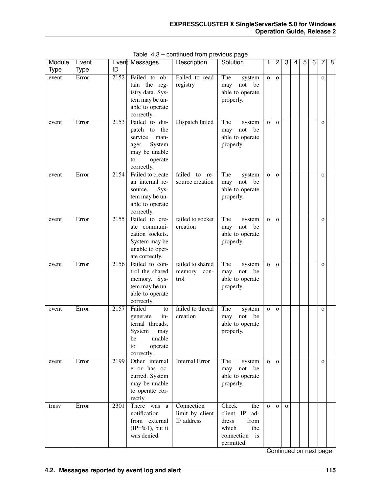| Module      | Event       |      | Event Messages                                                                                                       | Description                                 | Solution                                                                                            | 1            | $\overline{2}$ | 3            | 4 | 5 | $\overline{6}$ | 7              | $\overline{8}$ |
|-------------|-------------|------|----------------------------------------------------------------------------------------------------------------------|---------------------------------------------|-----------------------------------------------------------------------------------------------------|--------------|----------------|--------------|---|---|----------------|----------------|----------------|
| <b>Type</b> | <b>Type</b> | ID   |                                                                                                                      |                                             |                                                                                                     |              |                |              |   |   |                |                |                |
| event       | Error       | 2152 | Failed to ob-<br>tain the reg-<br>istry data. Sys-<br>tem may be un-<br>able to operate<br>correctly.                | Failed to read<br>registry                  | The<br>system<br>not<br>be<br>may<br>able to operate<br>properly.                                   | $\mathbf{O}$ | $\mathbf{O}$   |              |   |   |                | $\mathbf{O}$   |                |
| event       | Error       | 2153 | Failed to dis-<br>patch to the<br>service<br>man-<br>System<br>ager.<br>may be unable<br>to<br>operate<br>correctly. | Dispatch failed                             | The<br>system<br>not<br>be<br>may<br>able to operate<br>properly.                                   | $\mathbf{O}$ | $\mathbf{O}$   |              |   |   |                | $\mathbf{o}$   |                |
| event       | Error       | 2154 | Failed to create<br>an internal re-<br>Sys-<br>source.<br>tem may be un-<br>able to operate<br>correctly.            | failed<br>to<br>re-<br>source creation      | The<br>system<br>not<br>may<br>be<br>able to operate<br>properly.                                   | $\mathbf{O}$ | $\mathbf{O}$   |              |   |   |                | $\overline{O}$ |                |
| event       | Error       | 2155 | Failed to cre-<br>ate communi-<br>cation sockets.<br>System may be<br>unable to oper-<br>ate correctly.              | failed to socket<br>creation                | The<br>system<br>not<br>be<br>may<br>able to operate<br>properly.                                   | $\mathbf{O}$ | $\mathbf{o}$   |              |   |   |                | $\mathbf{o}$   |                |
| event       | Error       | 2156 | Failed to con-<br>trol the shared<br>memory. Sys-<br>tem may be un-<br>able to operate<br>correctly.                 | failed to shared<br>memory<br>con-<br>trol  | The<br>system<br>not<br>be<br>may<br>able to operate<br>properly.                                   | $\mathbf 0$  | $\mathbf{o}$   |              |   |   |                | $\mathbf{o}$   |                |
| event       | Error       | 2157 | Failed<br>to<br>in-<br>generate<br>ternal threads.<br>System<br>may<br>be<br>unable<br>operate<br>to<br>correctly.   | failed to thread<br>creation                | The<br>system<br>not<br>be<br>may<br>able to operate<br>properly.                                   | $\mathbf{O}$ | $\mathbf{o}$   |              |   |   |                | $\mathbf{o}$   |                |
| event       | Error       | 2199 | Other internal<br>error has oc-<br>curred. System<br>may be unable<br>to operate cor-<br>rectly.                     | <b>Internal Error</b>                       | The<br>system<br>$\operatorname*{not}% \mathcal{M}(n)$<br>be<br>may<br>able to operate<br>properly. | $\mathbf{O}$ | $\mathbf{O}$   |              |   |   |                | $\mathbf{O}$   |                |
| trnsv       | Error       | 2301 | There was<br>a<br>notification<br>from external<br>$(IP=\%1)$ , but it<br>was denied.                                | Connection<br>limit by client<br>IP address | Check<br>the<br>client IP<br>ad-<br>dress<br>from<br>which<br>the<br>connection is<br>permitted.    | $\mathbf{O}$ | $\mathbf{O}$   | $\mathbf{O}$ |   |   |                |                |                |

Table 4.3 – continued from previous page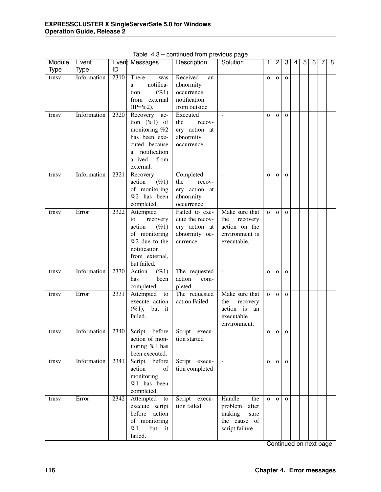| Module      | Event       |      | Event Messages                    | Description     | Solution                 | 1            | $\overline{2}$ | 3            | 4 | 5 | 6 | 7 | $\overline{\mathbf{8}}$ |
|-------------|-------------|------|-----------------------------------|-----------------|--------------------------|--------------|----------------|--------------|---|---|---|---|-------------------------|
| <b>Type</b> | <b>Type</b> | ID   |                                   |                 |                          |              |                |              |   |   |   |   |                         |
| trnsv       | Information | 2310 | There<br>was                      | Received<br>an  | $\overline{\phantom{a}}$ | $\mathbf{o}$ | $\mathbf{O}$   | $\mathbf{O}$ |   |   |   |   |                         |
|             |             |      | notifica-<br>a                    | abnormity       |                          |              |                |              |   |   |   |   |                         |
|             |             |      | $(\%1)$<br>tion                   | occurrence      |                          |              |                |              |   |   |   |   |                         |
|             |             |      | from external                     | notification    |                          |              |                |              |   |   |   |   |                         |
|             |             |      | $(IP=\%2)$ .                      | from outside    |                          |              |                |              |   |   |   |   |                         |
| trnsv       | Information | 2320 | Recovery<br>ac-                   | Executed        | $\blacksquare$           | $\mathbf{o}$ | $\mathbf{O}$   | $\mathbf{O}$ |   |   |   |   |                         |
|             |             |      | tion $(\%1)$ of                   | the<br>recov-   |                          |              |                |              |   |   |   |   |                         |
|             |             |      | monitoring %2                     | ery action at   |                          |              |                |              |   |   |   |   |                         |
|             |             |      | has been exe-                     | abnormity       |                          |              |                |              |   |   |   |   |                         |
|             |             |      | cuted because                     | occurrence      |                          |              |                |              |   |   |   |   |                         |
|             |             |      | notification<br>a                 |                 |                          |              |                |              |   |   |   |   |                         |
|             |             |      | arrived<br>from                   |                 |                          |              |                |              |   |   |   |   |                         |
|             |             |      | external.                         |                 |                          |              |                |              |   |   |   |   |                         |
| trnsv       | Information | 2321 | Recovery                          | Completed       | $\blacksquare$           | $\mathbf O$  | $\mathbf 0$    | $\mathbf{O}$ |   |   |   |   |                         |
|             |             |      | action<br>$( \% 1)$               | the<br>recov-   |                          |              |                |              |   |   |   |   |                         |
|             |             |      | of monitoring                     | ery action at   |                          |              |                |              |   |   |   |   |                         |
|             |             |      | %2 has been                       | abnormity       |                          |              |                |              |   |   |   |   |                         |
|             |             |      | completed.                        | occurrence      |                          |              |                |              |   |   |   |   |                         |
| trnsv       | Error       | 2322 | Attempted                         | Failed to exe-  | Make sure that           | $\mathbf{o}$ | $\mathbf{O}$   | $\mathbf{o}$ |   |   |   |   |                         |
|             |             |      | recovery<br>to                    | cute the recov- | the<br>recovery          |              |                |              |   |   |   |   |                         |
|             |             |      | action<br>$(\%1)$                 | ery action at   | action on the            |              |                |              |   |   |   |   |                         |
|             |             |      | of monitoring                     | abnormity oc-   | environment is           |              |                |              |   |   |   |   |                         |
|             |             |      | %2 due to the                     | currence        | executable.              |              |                |              |   |   |   |   |                         |
|             |             |      | notification                      |                 |                          |              |                |              |   |   |   |   |                         |
|             |             |      | from external,                    |                 |                          |              |                |              |   |   |   |   |                         |
|             |             |      | but failed.                       |                 |                          |              |                |              |   |   |   |   |                         |
| trnsv       | Information | 2330 | Action<br>$(\%1)$                 | The requested   | $\bar{\phantom{a}}$      | $\mathbf{O}$ | $\mathbf{O}$   | $\mathbf O$  |   |   |   |   |                         |
|             |             |      | been<br>has                       | action<br>com-  |                          |              |                |              |   |   |   |   |                         |
|             |             |      | completed.                        | pleted          |                          |              |                |              |   |   |   |   |                         |
| trnsv       | Error       | 2331 | Attempted<br>to                   | The requested   | Make sure that           | $\mathbf{o}$ | $\mathbf O$    | $\mathbf{o}$ |   |   |   |   |                         |
|             |             |      | execute action                    | action Failed   | the<br>recovery          |              |                |              |   |   |   |   |                         |
|             |             |      | $(\%1),$<br>but it                |                 | action is<br>an          |              |                |              |   |   |   |   |                         |
|             |             |      | failed.                           |                 | executable               |              |                |              |   |   |   |   |                         |
|             |             |      |                                   |                 | environment.             |              |                |              |   |   |   |   |                         |
| trnsv       | Information | 2340 | before<br>Script                  | Script execu-   |                          | $\mathbf O$  |                |              |   |   |   |   |                         |
|             |             |      | action of mon-                    | tion started    |                          |              | $\mathbf 0$    | $\mathbf{O}$ |   |   |   |   |                         |
|             |             |      | itoring %1 has                    |                 |                          |              |                |              |   |   |   |   |                         |
|             |             |      | been executed.                    |                 |                          |              |                |              |   |   |   |   |                         |
| trnsv       | Information | 2341 | Script<br>before                  | Script execu-   | $\sim$                   | $\mathbf{O}$ | $\mathbf{O}$   | $\mathbf{o}$ |   |   |   |   |                         |
|             |             |      | action<br>of                      | tion completed  |                          |              |                |              |   |   |   |   |                         |
|             |             |      | monitoring                        |                 |                          |              |                |              |   |   |   |   |                         |
|             |             |      | %1 has been                       |                 |                          |              |                |              |   |   |   |   |                         |
|             |             |      |                                   |                 |                          |              |                |              |   |   |   |   |                         |
|             |             | 2342 | completed.                        |                 | Handle                   |              |                |              |   |   |   |   |                         |
| trnsv       | Error       |      | Attempted<br>to<br>execute script | Script execu-   | the<br>after             | $\mathbf{o}$ | $\mathbf{O}$   | $\mathbf{o}$ |   |   |   |   |                         |
|             |             |      |                                   | tion failed     | problem                  |              |                |              |   |   |   |   |                         |
|             |             |      | before<br>action                  |                 | making<br>sure           |              |                |              |   |   |   |   |                         |
|             |             |      | of monitoring                     |                 | the cause of             |              |                |              |   |   |   |   |                         |
|             |             |      | $\%1,$<br>but<br>it               |                 | script failure.          |              |                |              |   |   |   |   |                         |
|             |             |      | failed.                           |                 |                          |              |                |              |   |   |   |   |                         |

Table 4.3 – continued from previous page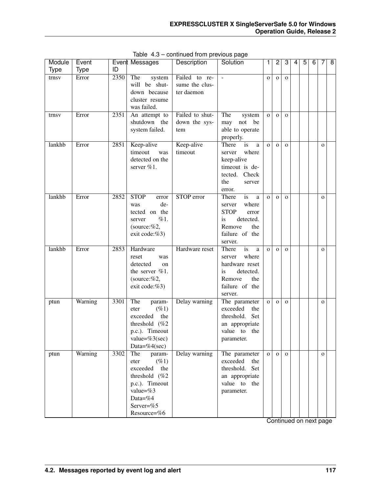| Module<br><b>Type</b> | Event<br><b>Type</b> | ID   | Event Messages                                                                                                                                | Description                                   | Solution                                                                                                                     | 1.           | $\overline{c}$ | 3            | 4 | 5 | 6 | 7            | 8 |
|-----------------------|----------------------|------|-----------------------------------------------------------------------------------------------------------------------------------------------|-----------------------------------------------|------------------------------------------------------------------------------------------------------------------------------|--------------|----------------|--------------|---|---|---|--------------|---|
| trnsv                 | Error                | 2350 | The<br>system<br>will be shut-<br>down because<br>cluster resume<br>was failed.                                                               | Failed to re-<br>sume the clus-<br>ter daemon |                                                                                                                              | $\mathbf{O}$ | $\mathbf{o}$   | $\mathbf{O}$ |   |   |   |              |   |
| trnsv                 | Error                | 2351 | An attempt to<br>shutdown the<br>system failed.                                                                                               | Failed to shut-<br>down the sys-<br>tem       | The<br>system<br>not be<br>may<br>able to operate<br>properly.                                                               | $\mathbf{O}$ | $\mathbf{O}$   | $\Omega$     |   |   |   |              |   |
| lankhb                | Error                | 2851 | Keep-alive<br>timeout<br>was<br>detected on the<br>server %1.                                                                                 | Keep-alive<br>timeout                         | There<br>is<br>a<br>where<br>server<br>keep-alive<br>timeout is de-<br>tected. Check<br>the<br>server<br>error.              | $\Omega$     | $\mathbf{O}$   | $\Omega$     |   |   |   | $\Omega$     |   |
| lankhb                | Error                | 2852 | <b>STOP</b><br>error<br>de-<br>was<br>tected on the<br>$\%1.$<br>server<br>(source:%2,<br>exit code:%3)                                       | STOP error                                    | is<br>There<br>a<br>where<br>server<br><b>STOP</b><br>error<br>detected.<br>is<br>Remove<br>the<br>failure of the<br>server. | $\Omega$     | $\mathbf{O}$   | $\Omega$     |   |   |   | $\Omega$     |   |
| lankhb                | Error                | 2853 | Hardware<br>reset<br>was<br>detected<br>on<br>the server %1.<br>(source:%2,<br>exit code:%3)                                                  | Hardware reset                                | is<br>There<br>a<br>where<br>server<br>hardware reset<br>is<br>detected.<br>Remove<br>the<br>failure of the<br>server.       | $\Omega$     | $\mathbf{O}$   | $\mathbf{O}$ |   |   |   | $\mathbf{O}$ |   |
| ptun                  | Warning              | 3301 | The<br>param-<br>$( \% 1)$<br>eter<br>exceeded<br>the<br>threshold (%2<br>p.c.). Timeout<br>value= $%3(sec)$<br>Data=%4(sec)                  | Delay warning                                 | The parameter<br>exceeded<br>the<br>threshold. Set<br>an appropriate<br>value to the<br>parameter.                           | $\mathbf{O}$ | $\mathbf{O}$   | $\mathbf{O}$ |   |   |   | $\mathbf{O}$ |   |
| ptun                  | Warning              | 3302 | The<br>param-<br>$(\%1)$<br>eter<br>exceeded<br>the<br>threshold (%2)<br>p.c.). Timeout<br>value= $%3$<br>Data=%4<br>Server=%5<br>Resource=%6 | Delay warning                                 | The parameter<br>exceeded<br>the<br>threshold.<br>Set<br>an appropriate<br>value to the<br>parameter.                        | $\mathbf{O}$ | $\mathbf{o}$   | $\mathbf{O}$ |   |   |   | $\mathbf{o}$ |   |

Table 4.3 – continued from previous page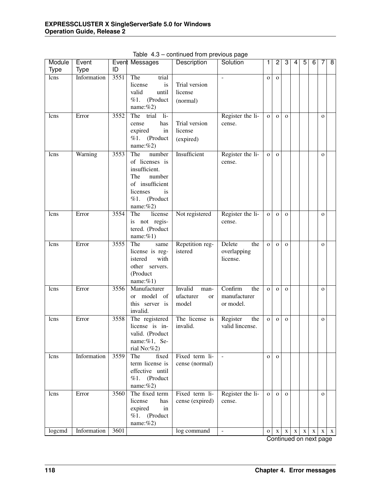| Module      | Event       |                   | Event Messages                                                                                                                        | Description                                 | Solution                                    | 1              | $\overline{2}$ | 3            | 4           | $\overline{5}$ | 6           | 7            | $\overline{8}$ |
|-------------|-------------|-------------------|---------------------------------------------------------------------------------------------------------------------------------------|---------------------------------------------|---------------------------------------------|----------------|----------------|--------------|-------------|----------------|-------------|--------------|----------------|
| <b>Type</b> | <b>Type</b> | ID                |                                                                                                                                       |                                             |                                             |                |                |              |             |                |             |              |                |
| lcns        | Information | 3551              | The<br>trial<br>license<br>is<br>valid<br>until<br>%1.<br>(Product<br>name: $%2)$                                                     | Trial version<br>license<br>(normal)        | $\sim$                                      | $\overline{O}$ | $\mathbf{O}$   |              |             |                |             |              |                |
| lcns        | Error       | 3552              | The<br>trial<br>$\overline{\mathbf{h}}$<br>has<br>cense<br>expired<br>in<br>%1. (Product<br>name: $%2)$                               | Trial version<br>license<br>(expired)       | Register the li-<br>cense.                  | $\mathbf{o}$   | $\mathbf{O}$   | $\mathbf{o}$ |             |                |             | $\mathbf O$  |                |
| lcns        | Warning     | 3553              | The<br>number<br>of licenses is<br>insufficient.<br>The<br>number<br>of insufficient<br>licenses<br>is<br>%1. (Product<br>name: $%2)$ | Insufficient                                | Register the li-<br>cense.                  | $\mathbf O$    | $\mathbf{O}$   |              |             |                |             | $\mathbf O$  |                |
| lcns        | Error       | 3554              | The<br>license<br>is not regis-<br>tered. (Product<br>name: $%1$ )                                                                    | Not registered                              | Register the li-<br>cense.                  | $\mathbf O$    | $\mathbf{O}$   | $\mathbf{O}$ |             |                |             | $\mathbf O$  |                |
| lcns        | Error       | 3555              | The<br>same<br>license is reg-<br>with<br>istered<br>other servers.<br>(Product<br>name: $%1$ )                                       | Repetition reg-<br>istered                  | Delete<br>the<br>overlapping<br>license.    | $\mathbf{O}$   | $\mathbf{O}$   | $\mathbf{O}$ |             |                |             | $\mathbf{o}$ |                |
| lcns        | Error       | 3556              | Manufacturer<br>or model<br>of<br>this server is<br>invalid.                                                                          | Invalid<br>man-<br>ufacturer<br>or<br>model | Confirm<br>the<br>manufacturer<br>or model. | $\mathbf{o}$   | $\mathbf{O}$   | $\mathbf{O}$ |             |                |             | $\mathbf{O}$ |                |
| lcns        | Error       | 3558              | The registered<br>license is in-<br>valid. (Product<br>name:%1, Se-<br>rial No:%2)                                                    | The license is<br>invalid.                  | Register<br>the<br>valid lincense.          | $\mathbf{o}$   | $\mathbf{O}$   | $\mathbf{O}$ |             |                |             | $\mathbf O$  |                |
| lcns        | Information | 3559              | The<br>fixed<br>term license is<br>effective until<br>%1. (Product<br>name: $%2)$                                                     | Fixed term li-<br>cense (normal)            |                                             | $\mathbf{O}$   | $\Omega$       |              |             |                |             |              |                |
| lcns        | Error       | 3560              | The fixed term<br>license<br>has<br>expired<br>in<br>%1. (Product<br>name: $%2)$                                                      | Fixed term li-<br>cense (expired)           | Register the li-<br>cense.                  | $\mathbf{O}$   | $\mathbf{O}$   | $\mathbf{O}$ |             |                |             | $\mathbf{O}$ |                |
| logcmd      | Information | $\overline{360}1$ |                                                                                                                                       | log command                                 | $\blacksquare$                              | $\mathbf{o}$   | $\mathbf X$    | $\mathbf X$  | $\mathbf X$ | $\mathbf X$    | $\mathbf X$ | $\mathbf X$  | $\mathbf{X}$   |

Table 4.3 – continued from previous page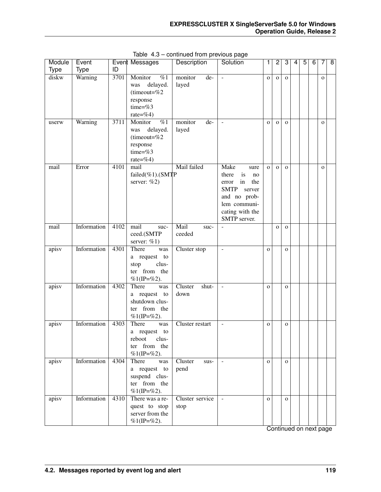| Module | Event       |      | Event Messages                                                                                   | Description              | Solution                                                                                                                                            | 1            | $\overline{c}$ | 3            | 4 | 5 | 6 | 7            | 8 |
|--------|-------------|------|--------------------------------------------------------------------------------------------------|--------------------------|-----------------------------------------------------------------------------------------------------------------------------------------------------|--------------|----------------|--------------|---|---|---|--------------|---|
| Type   | <b>Type</b> | ID   |                                                                                                  |                          |                                                                                                                                                     |              |                |              |   |   |   |              |   |
| diskw  | Warning     | 3701 | $\overline{\%1}$<br>Monitor<br>delayed.<br>was<br>(timeout=%2<br>response<br>time=%3<br>rate=%4) | monitor<br>de-<br>layed  | $\overline{\phantom{a}}$                                                                                                                            | $\mathbf{o}$ | $\mathbf{O}$   | $\mathbf{O}$ |   |   |   | $\mathbf{O}$ |   |
| userw  | Warning     | 3711 | $\overline{\%1}$<br>Monitor<br>delayed.<br>was<br>(timeout=%2<br>response<br>time=%3<br>rate=%4) | monitor<br>de-<br>layed  | $\blacksquare$                                                                                                                                      | $\mathbf{o}$ | $\mathbf{O}$   | $\mathbf{O}$ |   |   |   | $\mathbf{O}$ |   |
| mail   | Error       | 4101 | mail<br>failed $(\%1)$ . (SMTP<br>server: $%2)$                                                  | Mail failed              | Make<br>sure<br>is<br>there<br>no<br>in<br>the<br>error<br><b>SMTP</b><br>server<br>and no prob-<br>lem communi-<br>cating with the<br>SMTP server. | $\mathbf{o}$ | $\mathbf{O}$   | $\mathbf{O}$ |   |   |   | $\mathbf{O}$ |   |
| mail   | Information | 4102 | mail<br>suc-<br>ceed.(SMTP<br>server: $%1)$                                                      | Mail<br>suc-<br>ceeded   | $\overline{\phantom{a}}$                                                                                                                            |              | $\mathbf{O}$   | $\mathbf{O}$ |   |   |   |              |   |
| apisv  | Information | 4301 | There<br>was<br>a request to<br>clus-<br>stop<br>ter from the<br>$%1$ (IP=%2).                   | Cluster stop             | $\blacksquare$                                                                                                                                      | $\mathbf{O}$ |                | $\mathbf{O}$ |   |   |   |              |   |
| apisv  | Information | 4302 | There<br>was<br>a request to<br>shutdown clus-<br>from the<br>ter<br>$%1$ (IP=%2).               | Cluster<br>shut-<br>down | $\equiv$                                                                                                                                            | $\mathbf O$  |                | $\mathbf{O}$ |   |   |   |              |   |
| apisv  | Information | 4303 | There<br>was<br>a request to<br>clus-<br>reboot<br>ter from the<br>%1(IP=%2).                    | Cluster restart          | $\overline{\phantom{a}}$                                                                                                                            | $\mathbf{o}$ |                | $\mathbf{O}$ |   |   |   |              |   |
| apisv  | Information | 4304 | There<br>was<br>a request to<br>suspend clus-<br>ter from the<br>%1(IP=%2).                      | Cluster<br>sus-<br>pend  | $\equiv$                                                                                                                                            | $\mathbf O$  |                | $\mathbf{O}$ |   |   |   |              |   |
| apisv  | Information | 4310 | There was a re-<br>quest to stop<br>server from the<br>$%1$ (IP=%2).                             | Cluster service<br>stop  | $\overline{\phantom{a}}$                                                                                                                            | $\mathbf O$  |                | $\mathbf{O}$ |   |   |   |              |   |

Table 4.3 – continued from previous page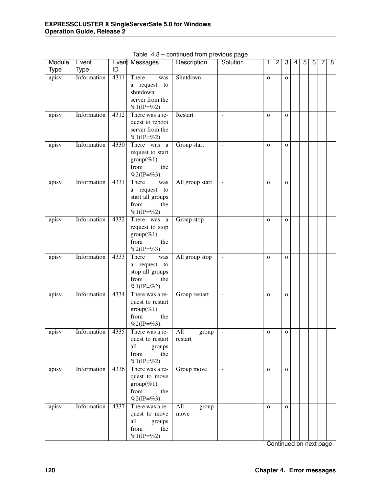| Module      | Event       |      | Event Messages                                                                    | Description             | Solution                 | 1              | $\overline{2}$ | 3            | 4 | $\overline{5}$ | $\overline{6}$ | 7 | $\overline{\mathbf{8}}$ |
|-------------|-------------|------|-----------------------------------------------------------------------------------|-------------------------|--------------------------|----------------|----------------|--------------|---|----------------|----------------|---|-------------------------|
| <b>Type</b> | <b>Type</b> | ID   |                                                                                   |                         |                          |                |                |              |   |                |                |   |                         |
| apisv       | Information | 4311 | There<br>was<br>a request to<br>shutdown<br>server from the<br>$%1$ (IP=%2).      | Shutdown                | $\overline{a}$           | $\overline{O}$ |                | $\mathbf{O}$ |   |                |                |   |                         |
| apisv       | Information | 4312 | There was a re-<br>quest to reboot<br>server from the<br>$%1$ (IP=%2).            | Restart                 | $\equiv$                 | $\mathbf{o}$   |                | $\mathbf O$  |   |                |                |   |                         |
| apisv       | Information | 4330 | There was<br>a<br>request to start<br>$group(\%1)$<br>from<br>the<br>%2(IP=%3).   | Group start             | $\blacksquare$           | $\mathbf{o}$   |                | $\mathbf O$  |   |                |                |   |                         |
| apisv       | Information | 4331 | There<br>was<br>a request to<br>start all groups<br>from<br>the<br>$%1$ (IP=%2).  | All group start         | $\equiv$                 | $\mathbf{O}$   |                | $\mathbf{O}$ |   |                |                |   |                         |
| apisv       | Information | 4332 | There was<br>a<br>request to stop<br>$group(\%1)$<br>from<br>the<br>%2(IP=%3).    | Group stop              |                          | $\mathbf{O}$   |                | $\mathbf{O}$ |   |                |                |   |                         |
| apisv       | Information | 4333 | There<br>was<br>a request to<br>stop all groups<br>from<br>the<br>%1(IP=%2).      | All group stop          | ÷,                       | $\mathbf{o}$   |                | $\mathbf{O}$ |   |                |                |   |                         |
| apisv       | Information | 4334 | There was a re-<br>quest to restart<br>$group(\%1)$<br>from<br>the<br>%2(IP=%3).  | Group restart           | ÷,                       | $\mathbf{o}$   |                | $\mathbf{o}$ |   |                |                |   |                         |
| apisv       | Information | 4335 | There was a re-<br>quest to restart<br>all<br>groups<br>from<br>the<br>%1(IP=%2). | All<br>group<br>restart | $\overline{\phantom{0}}$ | $\mathbf{o}$   |                | $\mathbf{o}$ |   |                |                |   |                         |
| apisv       | Information | 4336 | There was a re-<br>quest to move<br>$group(\%1)$<br>from<br>the<br>%2(IP=%3).     | Group move              | $\mathbb{Z}^2$           | $\mathbf O$    |                | $\mathbf{O}$ |   |                |                |   |                         |
| apisv       | Information | 4337 | There was a re-<br>quest to move<br>all<br>groups<br>from<br>the<br>%1(IP=%2).    | All<br>group<br>move    | $\sim$                   | $\mathbf O$    |                | $\mathbf{O}$ |   |                |                |   |                         |

Table 4.3 – continued from previous page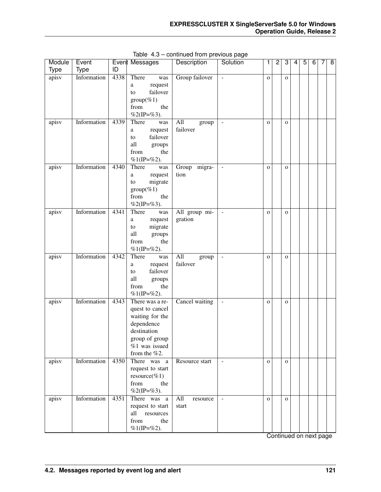| Module      | Event       |      | Event Messages                                                                                                                          | Description              | Solution                 | 1            | $\overline{c}$ | 3            | 4 | 5 | $\overline{6}$ | 7 | $\overline{\infty}$ |
|-------------|-------------|------|-----------------------------------------------------------------------------------------------------------------------------------------|--------------------------|--------------------------|--------------|----------------|--------------|---|---|----------------|---|---------------------|
| <b>Type</b> | <b>Type</b> | ID   |                                                                                                                                         |                          |                          |              |                |              |   |   |                |   |                     |
| apisv       | Information | 4338 | There<br>was<br>request<br>a<br>failover<br>to<br>$group(\%1)$<br>from<br>the<br>%2(IP=%3).                                             | Group failover           | $\overline{\phantom{a}}$ | $\mathbf{O}$ |                | $\mathbf 0$  |   |   |                |   |                     |
| apisv       | Information | 4339 | There<br>was<br>request<br>a<br>failover<br>to<br>all<br>groups<br>from<br>the<br>$%1$ (IP=%2).                                         | All<br>group<br>failover | $\overline{\phantom{a}}$ | $\mathbf{O}$ |                | $\mathbf 0$  |   |   |                |   |                     |
| apisv       | Information | 4340 | There<br>was<br>request<br>a<br>migrate<br>to<br>$group(\%1)$<br>from<br>the<br>%2(IP=%3).                                              | Group migra-<br>tion     | $\overline{\phantom{a}}$ | $\mathbf{O}$ |                | $\mathbf{O}$ |   |   |                |   |                     |
| apisv       | Information | 4341 | There<br>was<br>request<br>a<br>migrate<br>to<br>all<br>groups<br>from<br>the<br>%1(IP=%2).                                             | All group mi-<br>gration | $\overline{\phantom{a}}$ | $\mathbf{o}$ |                | $\mathbf{O}$ |   |   |                |   |                     |
| apisv       | Information | 4342 | There<br>was<br>request<br>a<br>failover<br>to<br>all<br>groups<br>from<br>the<br>$%1$ (IP=%2).                                         | All<br>group<br>failover | $\overline{\phantom{a}}$ | $\mathbf{o}$ |                | $\mathbf{O}$ |   |   |                |   |                     |
| apisv       | Information | 4343 | There was a re-<br>quest to cancel<br>waiting for the<br>dependence<br>destination<br>group of group<br>$%1$ was issued<br>from the %2. | Cancel waiting           | $\blacksquare$           | $\mathbf{o}$ |                | $\mathbf{O}$ |   |   |                |   |                     |
| apisv       | Information | 4350 | There was a<br>request to start<br>resource(%1)<br>from<br>the<br>%2(IP=%3).                                                            | Resource start           | $\blacksquare$           | $\mathbf{O}$ |                | $\mathbf{O}$ |   |   |                |   |                     |
| apisv       | Information | 4351 | There was a<br>request to start<br>all<br>resources<br>from<br>the<br>%1(IP=%2).                                                        | All<br>resource<br>start | $\blacksquare$           | $\mathbf{O}$ |                | $\mathbf{O}$ |   |   |                |   |                     |

Table 4.3 – continued from previous page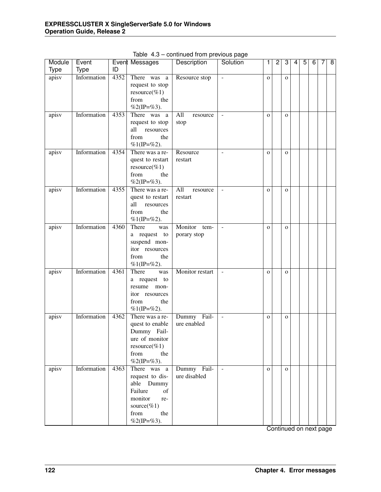| Module | Event       |      | Event Messages   | Description     | Solution                 | 1            | $\overline{2}$ | 3            | 4 | 5 | 6 | 7 | $\overline{\infty}$ |
|--------|-------------|------|------------------|-----------------|--------------------------|--------------|----------------|--------------|---|---|---|---|---------------------|
| Type   | Type        | ID   |                  |                 |                          |              |                |              |   |   |   |   |                     |
| apisv  | Information | 4352 | There was a      | Resource stop   | $\overline{\phantom{a}}$ | $\mathbf{o}$ |                | $\mathbf O$  |   |   |   |   |                     |
|        |             |      | request to stop  |                 |                          |              |                |              |   |   |   |   |                     |
|        |             |      | $resource(\%1)$  |                 |                          |              |                |              |   |   |   |   |                     |
|        |             |      | from<br>the      |                 |                          |              |                |              |   |   |   |   |                     |
|        |             |      | %2(IP=%3).       |                 |                          |              |                |              |   |   |   |   |                     |
| apisv  | Information | 4353 | There was a      | All<br>resource | $\overline{\phantom{a}}$ | $\mathbf{o}$ |                | $\mathbf{O}$ |   |   |   |   |                     |
|        |             |      | request to stop  | stop            |                          |              |                |              |   |   |   |   |                     |
|        |             |      | resources<br>all |                 |                          |              |                |              |   |   |   |   |                     |
|        |             |      | from<br>the      |                 |                          |              |                |              |   |   |   |   |                     |
|        |             |      | $%1$ (IP=%2).    |                 |                          |              |                |              |   |   |   |   |                     |
| apisv  | Information | 4354 | There was a re-  | Resource        | $\sim$                   | $\mathbf{o}$ |                | $\mathbf{O}$ |   |   |   |   |                     |
|        |             |      | quest to restart | restart         |                          |              |                |              |   |   |   |   |                     |
|        |             |      | $resource(\%1)$  |                 |                          |              |                |              |   |   |   |   |                     |
|        |             |      | from<br>the      |                 |                          |              |                |              |   |   |   |   |                     |
|        |             |      | %2(IP=%3).       |                 |                          |              |                |              |   |   |   |   |                     |
| apisv  | Information | 4355 | There was a re-  | All<br>resource | $\overline{\phantom{a}}$ | $\mathbf{o}$ |                | $\mathbf O$  |   |   |   |   |                     |
|        |             |      | quest to restart | restart         |                          |              |                |              |   |   |   |   |                     |
|        |             |      | all<br>resources |                 |                          |              |                |              |   |   |   |   |                     |
|        |             |      | from<br>the      |                 |                          |              |                |              |   |   |   |   |                     |
|        |             |      | $%1$ (IP=%2).    |                 |                          |              |                |              |   |   |   |   |                     |
| apisv  | Information | 4360 | There<br>was     | Monitor tem-    | $\blacksquare$           | $\mathbf{o}$ |                | $\mathbf O$  |   |   |   |   |                     |
|        |             |      | a request to     | porary stop     |                          |              |                |              |   |   |   |   |                     |
|        |             |      | suspend mon-     |                 |                          |              |                |              |   |   |   |   |                     |
|        |             |      | itor resources   |                 |                          |              |                |              |   |   |   |   |                     |
|        |             |      | from<br>the      |                 |                          |              |                |              |   |   |   |   |                     |
|        |             |      | $%1$ (IP=%2).    |                 |                          |              |                |              |   |   |   |   |                     |
| apisv  | Information | 4361 | There<br>was     | Monitor restart | $\overline{\phantom{a}}$ | $\mathbf{O}$ |                | $\mathbf O$  |   |   |   |   |                     |
|        |             |      | a request to     |                 |                          |              |                |              |   |   |   |   |                     |
|        |             |      | resume<br>mon-   |                 |                          |              |                |              |   |   |   |   |                     |
|        |             |      | itor resources   |                 |                          |              |                |              |   |   |   |   |                     |
|        |             |      | the<br>from      |                 |                          |              |                |              |   |   |   |   |                     |
|        |             |      | $%1$ (IP=%2).    |                 |                          |              |                |              |   |   |   |   |                     |
| apisv  | Information | 4362 | There was a re-  | Dummy Fail-     | $\sim$                   | $\mathbf O$  |                | $\mathbf O$  |   |   |   |   |                     |
|        |             |      | quest to enable  | ure enabled     |                          |              |                |              |   |   |   |   |                     |
|        |             |      | Dummy Fail-      |                 |                          |              |                |              |   |   |   |   |                     |
|        |             |      | ure of monitor   |                 |                          |              |                |              |   |   |   |   |                     |
|        |             |      | $resource(\%1)$  |                 |                          |              |                |              |   |   |   |   |                     |
|        |             |      | from<br>the      |                 |                          |              |                |              |   |   |   |   |                     |
|        |             |      | %2(IP=%3).       |                 |                          |              |                |              |   |   |   |   |                     |
| apisv  | Information | 4363 | There was a      | Dummy Fail-     | $\sim$                   | $\mathbf{O}$ |                | $\mathbf{O}$ |   |   |   |   |                     |
|        |             |      | request to dis-  | ure disabled    |                          |              |                |              |   |   |   |   |                     |
|        |             |      | able Dummy       |                 |                          |              |                |              |   |   |   |   |                     |
|        |             |      | Failure<br>of    |                 |                          |              |                |              |   |   |   |   |                     |
|        |             |      | monitor<br>re-   |                 |                          |              |                |              |   |   |   |   |                     |
|        |             |      | source(% $1)$    |                 |                          |              |                |              |   |   |   |   |                     |
|        |             |      | from<br>the      |                 |                          |              |                |              |   |   |   |   |                     |
|        |             |      | %2(IP=%3).       |                 |                          |              |                |              |   |   |   |   |                     |

Table 4.3 – continued from previous page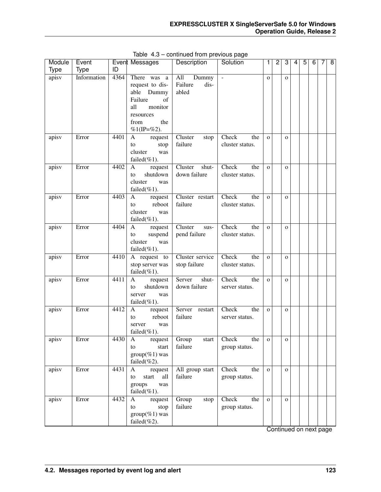| Module      | Event       |      | Event Messages                                                                                                                  | Description                              | Solution                        | 1            | $\overline{c}$ | 3            | 4 | $\overline{5}$ | 6 | 7 | $\overline{8}$ |
|-------------|-------------|------|---------------------------------------------------------------------------------------------------------------------------------|------------------------------------------|---------------------------------|--------------|----------------|--------------|---|----------------|---|---|----------------|
| <b>Type</b> | <b>Type</b> | ID   |                                                                                                                                 |                                          |                                 |              |                |              |   |                |   |   |                |
| apisv       | Information | 4364 | There was<br>a<br>request to dis-<br>able Dummy<br>Failure<br>of<br>all<br>monitor<br>resources<br>the<br>from<br>$%1$ (IP=%2). | All<br>Dummy<br>Failure<br>dis-<br>abled | $\sim$                          | $\mathbf{O}$ |                | $\mathbf{o}$ |   |                |   |   |                |
| apisv       | Error       | 4401 | A<br>request<br>stop<br>to<br>cluster<br>was<br>failed $(\%1)$ .                                                                | Cluster<br>stop<br>failure               | Check<br>the<br>cluster status. | $\mathbf{O}$ |                | $\Omega$     |   |                |   |   |                |
| apisv       | Error       | 4402 | A<br>request<br>shutdown<br>to<br>cluster<br>was<br>failed $(\%1)$ .                                                            | shut-<br>Cluster<br>down failure         | Check<br>the<br>cluster status. | $\mathbf{o}$ |                | $\Omega$     |   |                |   |   |                |
| apisv       | Error       | 4403 | A<br>request<br>reboot<br>to<br>cluster<br>was<br>failed $(\%1)$ .                                                              | Cluster restart<br>failure               | Check<br>the<br>cluster status. | $\mathbf{o}$ |                | $\Omega$     |   |                |   |   |                |
| apisv       | Error       | 4404 | $\mathbf{A}$<br>request<br>suspend<br>to<br>cluster<br>was<br>failed $(\%1)$ .                                                  | Cluster<br>sus-<br>pend failure          | Check<br>the<br>cluster status. | $\mathbf{o}$ |                | $\Omega$     |   |                |   |   |                |
| apisv       | Error       | 4410 | A request to<br>stop server was<br>failed $(\%1)$ .                                                                             | Cluster service<br>stop failure          | Check<br>the<br>cluster status. | $\mathbf{o}$ |                | $\mathbf{o}$ |   |                |   |   |                |
| apisv       | Error       | 4411 | A<br>request<br>shutdown<br>to<br>server<br>was<br>failed $(\%1)$ .                                                             | shut-<br>Server<br>down failure          | Check<br>the<br>server status.  | $\mathbf{o}$ |                | $\mathbf{o}$ |   |                |   |   |                |
| apisv       | Error       | 4412 | A<br>request<br>reboot<br>to<br>server<br>was<br>failed(%1).                                                                    | Server<br>restart<br>failure             | Check<br>the<br>server status.  | $\mathbf{o}$ |                | $\mathbf{o}$ |   |                |   |   |                |
| apisy       | Error       | 4430 | A<br>request<br>start<br>to<br>$group(\%1)$ was<br>failed $(\%2)$ .                                                             | Group<br>start<br>failure                | Check<br>the<br>group status.   | O            |                | $\mathbf O$  |   |                |   |   |                |
| apisv       | Error       | 4431 | A<br>request<br>start<br>all<br>to<br>groups<br>was<br>failed $(\%1)$ .                                                         | All group start<br>failure               | Check<br>the<br>group status.   | $\mathbf{O}$ |                | $\mathbf{O}$ |   |                |   |   |                |
| apisv       | Error       | 4432 | A<br>request<br>stop<br>to<br>$group(\%1)$ was<br>failed $(\%2)$ .                                                              | Group<br>stop<br>failure                 | Check<br>the<br>group status.   | $\mathbf{O}$ |                | $\mathbf{O}$ |   |                |   |   |                |

Table 4.3 – continued from previous page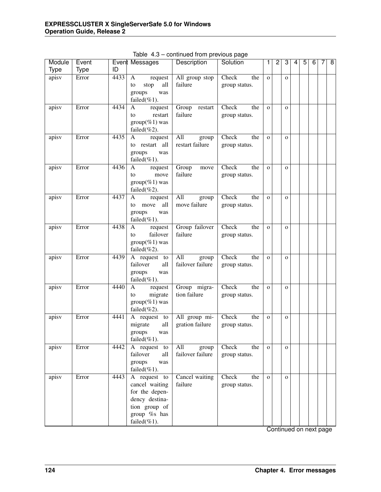| <b>Type</b><br><b>Type</b><br>ID<br>Error<br>4433<br>apisv<br>All group stop<br>Check<br>the<br>A<br>request<br>$\mathbf{o}$<br>$\mathbf{o}$<br>failure<br>all<br>stop<br>group status.<br>to<br>groups<br>was<br>failed $(\%1)$ .<br>Error<br>4434<br>Group<br>Check<br>apisv<br>the<br>A<br>request<br>restart<br>$\mathbf{o}$<br>$\overline{O}$<br>failure<br>restart<br>group status.<br>to<br>$group(\%1)$ was<br>failed $(\%2)$ .<br>Error<br>4435<br>All<br>Check<br>apisv<br>the<br>A<br>request<br>group<br>$\mathbf{o}$<br>$\mathbf{o}$<br>restart failure<br>restart all<br>group status.<br>to<br>groups<br>was<br>failed $(\%1)$ .<br>Error<br>4436<br>Group<br>Check<br>apisv<br>the<br>A<br>request<br>move<br>$\mathbf{o}$<br>$\mathbf{o}$<br>failure<br>move<br>group status.<br>to<br>$group(\%1)$ was<br>failed $(\%2)$ .<br>Error<br>4437<br>Check<br>apisv<br>All<br>the<br>A<br>request<br>group<br>$\mathbf{o}$<br>$\mathbf{o}$<br>move failure<br>all<br>move<br>group status.<br>to<br>groups<br>was<br>failed $(\%1)$ .<br>Group failover<br>Error<br>4438<br>Check<br>the<br>apisv<br>A<br>request<br>$\overline{O}$<br>$\mathbf{o}$<br>failure<br>failover<br>group status.<br>to<br>$group(\%1)$ was<br>failed $(\%2)$ .<br>apisv<br>Error<br>4439<br>Check<br>the<br>A request to<br>All<br>group<br>$\mathbf{o}$<br>$\mathbf{o}$<br>failover failure<br>failover<br>all<br>group status.<br>groups<br>was<br>failed $(\%1)$ .<br>Group migra-<br>Check<br>apisv<br>Error<br>4440<br>the<br>A<br>request<br>$\mathbf{o}$<br>$\mathbf{o}$<br>tion failure<br>migrate<br>group status.<br>to<br>$group(\%1)$ was<br>failed $(\%2)$ .<br>All group mi-<br>Check<br>Error<br>4441<br>the<br>apisv<br>A request<br>to<br>$\mathbf{o}$<br>$\mathbf{o}$<br>gration failure<br>migrate<br>all<br>group status.<br>groups<br>was<br>failed $(\%1)$ .<br>4442<br>A request to<br>All<br>Check<br>Error<br>the<br>apisv<br>group<br>$\mathbf{O}$<br>$\mathbf{O}$<br>failover failure<br>failover<br>all<br>group status. | Module | Event | Event Messages | Description | Solution | 1 | $\overline{2}$ | 3 | 4 | $\overline{5}$ | $\overline{6}$ | 7 | $\overline{8}$ |
|---------------------------------------------------------------------------------------------------------------------------------------------------------------------------------------------------------------------------------------------------------------------------------------------------------------------------------------------------------------------------------------------------------------------------------------------------------------------------------------------------------------------------------------------------------------------------------------------------------------------------------------------------------------------------------------------------------------------------------------------------------------------------------------------------------------------------------------------------------------------------------------------------------------------------------------------------------------------------------------------------------------------------------------------------------------------------------------------------------------------------------------------------------------------------------------------------------------------------------------------------------------------------------------------------------------------------------------------------------------------------------------------------------------------------------------------------------------------------------------------------------------------------------------------------------------------------------------------------------------------------------------------------------------------------------------------------------------------------------------------------------------------------------------------------------------------------------------------------------------------------------------------------------------------------------------------------------------------------------------------------------------------------------------------|--------|-------|----------------|-------------|----------|---|----------------|---|---|----------------|----------------|---|----------------|
|                                                                                                                                                                                                                                                                                                                                                                                                                                                                                                                                                                                                                                                                                                                                                                                                                                                                                                                                                                                                                                                                                                                                                                                                                                                                                                                                                                                                                                                                                                                                                                                                                                                                                                                                                                                                                                                                                                                                                                                                                                             |        |       |                |             |          |   |                |   |   |                |                |   |                |
|                                                                                                                                                                                                                                                                                                                                                                                                                                                                                                                                                                                                                                                                                                                                                                                                                                                                                                                                                                                                                                                                                                                                                                                                                                                                                                                                                                                                                                                                                                                                                                                                                                                                                                                                                                                                                                                                                                                                                                                                                                             |        |       |                |             |          |   |                |   |   |                |                |   |                |
|                                                                                                                                                                                                                                                                                                                                                                                                                                                                                                                                                                                                                                                                                                                                                                                                                                                                                                                                                                                                                                                                                                                                                                                                                                                                                                                                                                                                                                                                                                                                                                                                                                                                                                                                                                                                                                                                                                                                                                                                                                             |        |       |                |             |          |   |                |   |   |                |                |   |                |
|                                                                                                                                                                                                                                                                                                                                                                                                                                                                                                                                                                                                                                                                                                                                                                                                                                                                                                                                                                                                                                                                                                                                                                                                                                                                                                                                                                                                                                                                                                                                                                                                                                                                                                                                                                                                                                                                                                                                                                                                                                             |        |       |                |             |          |   |                |   |   |                |                |   |                |
|                                                                                                                                                                                                                                                                                                                                                                                                                                                                                                                                                                                                                                                                                                                                                                                                                                                                                                                                                                                                                                                                                                                                                                                                                                                                                                                                                                                                                                                                                                                                                                                                                                                                                                                                                                                                                                                                                                                                                                                                                                             |        |       |                |             |          |   |                |   |   |                |                |   |                |
|                                                                                                                                                                                                                                                                                                                                                                                                                                                                                                                                                                                                                                                                                                                                                                                                                                                                                                                                                                                                                                                                                                                                                                                                                                                                                                                                                                                                                                                                                                                                                                                                                                                                                                                                                                                                                                                                                                                                                                                                                                             |        |       |                |             |          |   |                |   |   |                |                |   |                |
|                                                                                                                                                                                                                                                                                                                                                                                                                                                                                                                                                                                                                                                                                                                                                                                                                                                                                                                                                                                                                                                                                                                                                                                                                                                                                                                                                                                                                                                                                                                                                                                                                                                                                                                                                                                                                                                                                                                                                                                                                                             |        |       |                |             |          |   |                |   |   |                |                |   |                |
|                                                                                                                                                                                                                                                                                                                                                                                                                                                                                                                                                                                                                                                                                                                                                                                                                                                                                                                                                                                                                                                                                                                                                                                                                                                                                                                                                                                                                                                                                                                                                                                                                                                                                                                                                                                                                                                                                                                                                                                                                                             |        |       |                |             |          |   |                |   |   |                |                |   |                |
|                                                                                                                                                                                                                                                                                                                                                                                                                                                                                                                                                                                                                                                                                                                                                                                                                                                                                                                                                                                                                                                                                                                                                                                                                                                                                                                                                                                                                                                                                                                                                                                                                                                                                                                                                                                                                                                                                                                                                                                                                                             |        |       |                |             |          |   |                |   |   |                |                |   |                |
|                                                                                                                                                                                                                                                                                                                                                                                                                                                                                                                                                                                                                                                                                                                                                                                                                                                                                                                                                                                                                                                                                                                                                                                                                                                                                                                                                                                                                                                                                                                                                                                                                                                                                                                                                                                                                                                                                                                                                                                                                                             |        |       |                |             |          |   |                |   |   |                |                |   |                |
|                                                                                                                                                                                                                                                                                                                                                                                                                                                                                                                                                                                                                                                                                                                                                                                                                                                                                                                                                                                                                                                                                                                                                                                                                                                                                                                                                                                                                                                                                                                                                                                                                                                                                                                                                                                                                                                                                                                                                                                                                                             |        |       |                |             |          |   |                |   |   |                |                |   |                |
|                                                                                                                                                                                                                                                                                                                                                                                                                                                                                                                                                                                                                                                                                                                                                                                                                                                                                                                                                                                                                                                                                                                                                                                                                                                                                                                                                                                                                                                                                                                                                                                                                                                                                                                                                                                                                                                                                                                                                                                                                                             |        |       |                |             |          |   |                |   |   |                |                |   |                |
|                                                                                                                                                                                                                                                                                                                                                                                                                                                                                                                                                                                                                                                                                                                                                                                                                                                                                                                                                                                                                                                                                                                                                                                                                                                                                                                                                                                                                                                                                                                                                                                                                                                                                                                                                                                                                                                                                                                                                                                                                                             |        |       |                |             |          |   |                |   |   |                |                |   |                |
|                                                                                                                                                                                                                                                                                                                                                                                                                                                                                                                                                                                                                                                                                                                                                                                                                                                                                                                                                                                                                                                                                                                                                                                                                                                                                                                                                                                                                                                                                                                                                                                                                                                                                                                                                                                                                                                                                                                                                                                                                                             |        |       |                |             |          |   |                |   |   |                |                |   |                |
|                                                                                                                                                                                                                                                                                                                                                                                                                                                                                                                                                                                                                                                                                                                                                                                                                                                                                                                                                                                                                                                                                                                                                                                                                                                                                                                                                                                                                                                                                                                                                                                                                                                                                                                                                                                                                                                                                                                                                                                                                                             |        |       |                |             |          |   |                |   |   |                |                |   |                |
|                                                                                                                                                                                                                                                                                                                                                                                                                                                                                                                                                                                                                                                                                                                                                                                                                                                                                                                                                                                                                                                                                                                                                                                                                                                                                                                                                                                                                                                                                                                                                                                                                                                                                                                                                                                                                                                                                                                                                                                                                                             |        |       |                |             |          |   |                |   |   |                |                |   |                |
|                                                                                                                                                                                                                                                                                                                                                                                                                                                                                                                                                                                                                                                                                                                                                                                                                                                                                                                                                                                                                                                                                                                                                                                                                                                                                                                                                                                                                                                                                                                                                                                                                                                                                                                                                                                                                                                                                                                                                                                                                                             |        |       |                |             |          |   |                |   |   |                |                |   |                |
|                                                                                                                                                                                                                                                                                                                                                                                                                                                                                                                                                                                                                                                                                                                                                                                                                                                                                                                                                                                                                                                                                                                                                                                                                                                                                                                                                                                                                                                                                                                                                                                                                                                                                                                                                                                                                                                                                                                                                                                                                                             |        |       |                |             |          |   |                |   |   |                |                |   |                |
|                                                                                                                                                                                                                                                                                                                                                                                                                                                                                                                                                                                                                                                                                                                                                                                                                                                                                                                                                                                                                                                                                                                                                                                                                                                                                                                                                                                                                                                                                                                                                                                                                                                                                                                                                                                                                                                                                                                                                                                                                                             |        |       |                |             |          |   |                |   |   |                |                |   |                |
|                                                                                                                                                                                                                                                                                                                                                                                                                                                                                                                                                                                                                                                                                                                                                                                                                                                                                                                                                                                                                                                                                                                                                                                                                                                                                                                                                                                                                                                                                                                                                                                                                                                                                                                                                                                                                                                                                                                                                                                                                                             |        |       |                |             |          |   |                |   |   |                |                |   |                |
|                                                                                                                                                                                                                                                                                                                                                                                                                                                                                                                                                                                                                                                                                                                                                                                                                                                                                                                                                                                                                                                                                                                                                                                                                                                                                                                                                                                                                                                                                                                                                                                                                                                                                                                                                                                                                                                                                                                                                                                                                                             |        |       |                |             |          |   |                |   |   |                |                |   |                |
|                                                                                                                                                                                                                                                                                                                                                                                                                                                                                                                                                                                                                                                                                                                                                                                                                                                                                                                                                                                                                                                                                                                                                                                                                                                                                                                                                                                                                                                                                                                                                                                                                                                                                                                                                                                                                                                                                                                                                                                                                                             |        |       |                |             |          |   |                |   |   |                |                |   |                |
|                                                                                                                                                                                                                                                                                                                                                                                                                                                                                                                                                                                                                                                                                                                                                                                                                                                                                                                                                                                                                                                                                                                                                                                                                                                                                                                                                                                                                                                                                                                                                                                                                                                                                                                                                                                                                                                                                                                                                                                                                                             |        |       |                |             |          |   |                |   |   |                |                |   |                |
|                                                                                                                                                                                                                                                                                                                                                                                                                                                                                                                                                                                                                                                                                                                                                                                                                                                                                                                                                                                                                                                                                                                                                                                                                                                                                                                                                                                                                                                                                                                                                                                                                                                                                                                                                                                                                                                                                                                                                                                                                                             |        |       |                |             |          |   |                |   |   |                |                |   |                |
|                                                                                                                                                                                                                                                                                                                                                                                                                                                                                                                                                                                                                                                                                                                                                                                                                                                                                                                                                                                                                                                                                                                                                                                                                                                                                                                                                                                                                                                                                                                                                                                                                                                                                                                                                                                                                                                                                                                                                                                                                                             |        |       |                |             |          |   |                |   |   |                |                |   |                |
|                                                                                                                                                                                                                                                                                                                                                                                                                                                                                                                                                                                                                                                                                                                                                                                                                                                                                                                                                                                                                                                                                                                                                                                                                                                                                                                                                                                                                                                                                                                                                                                                                                                                                                                                                                                                                                                                                                                                                                                                                                             |        |       |                |             |          |   |                |   |   |                |                |   |                |
|                                                                                                                                                                                                                                                                                                                                                                                                                                                                                                                                                                                                                                                                                                                                                                                                                                                                                                                                                                                                                                                                                                                                                                                                                                                                                                                                                                                                                                                                                                                                                                                                                                                                                                                                                                                                                                                                                                                                                                                                                                             |        |       |                |             |          |   |                |   |   |                |                |   |                |
|                                                                                                                                                                                                                                                                                                                                                                                                                                                                                                                                                                                                                                                                                                                                                                                                                                                                                                                                                                                                                                                                                                                                                                                                                                                                                                                                                                                                                                                                                                                                                                                                                                                                                                                                                                                                                                                                                                                                                                                                                                             |        |       |                |             |          |   |                |   |   |                |                |   |                |
|                                                                                                                                                                                                                                                                                                                                                                                                                                                                                                                                                                                                                                                                                                                                                                                                                                                                                                                                                                                                                                                                                                                                                                                                                                                                                                                                                                                                                                                                                                                                                                                                                                                                                                                                                                                                                                                                                                                                                                                                                                             |        |       |                |             |          |   |                |   |   |                |                |   |                |
|                                                                                                                                                                                                                                                                                                                                                                                                                                                                                                                                                                                                                                                                                                                                                                                                                                                                                                                                                                                                                                                                                                                                                                                                                                                                                                                                                                                                                                                                                                                                                                                                                                                                                                                                                                                                                                                                                                                                                                                                                                             |        |       |                |             |          |   |                |   |   |                |                |   |                |
|                                                                                                                                                                                                                                                                                                                                                                                                                                                                                                                                                                                                                                                                                                                                                                                                                                                                                                                                                                                                                                                                                                                                                                                                                                                                                                                                                                                                                                                                                                                                                                                                                                                                                                                                                                                                                                                                                                                                                                                                                                             |        |       |                |             |          |   |                |   |   |                |                |   |                |
|                                                                                                                                                                                                                                                                                                                                                                                                                                                                                                                                                                                                                                                                                                                                                                                                                                                                                                                                                                                                                                                                                                                                                                                                                                                                                                                                                                                                                                                                                                                                                                                                                                                                                                                                                                                                                                                                                                                                                                                                                                             |        |       |                |             |          |   |                |   |   |                |                |   |                |
|                                                                                                                                                                                                                                                                                                                                                                                                                                                                                                                                                                                                                                                                                                                                                                                                                                                                                                                                                                                                                                                                                                                                                                                                                                                                                                                                                                                                                                                                                                                                                                                                                                                                                                                                                                                                                                                                                                                                                                                                                                             |        |       |                |             |          |   |                |   |   |                |                |   |                |
|                                                                                                                                                                                                                                                                                                                                                                                                                                                                                                                                                                                                                                                                                                                                                                                                                                                                                                                                                                                                                                                                                                                                                                                                                                                                                                                                                                                                                                                                                                                                                                                                                                                                                                                                                                                                                                                                                                                                                                                                                                             |        |       |                |             |          |   |                |   |   |                |                |   |                |
|                                                                                                                                                                                                                                                                                                                                                                                                                                                                                                                                                                                                                                                                                                                                                                                                                                                                                                                                                                                                                                                                                                                                                                                                                                                                                                                                                                                                                                                                                                                                                                                                                                                                                                                                                                                                                                                                                                                                                                                                                                             |        |       |                |             |          |   |                |   |   |                |                |   |                |
|                                                                                                                                                                                                                                                                                                                                                                                                                                                                                                                                                                                                                                                                                                                                                                                                                                                                                                                                                                                                                                                                                                                                                                                                                                                                                                                                                                                                                                                                                                                                                                                                                                                                                                                                                                                                                                                                                                                                                                                                                                             |        |       |                |             |          |   |                |   |   |                |                |   |                |
|                                                                                                                                                                                                                                                                                                                                                                                                                                                                                                                                                                                                                                                                                                                                                                                                                                                                                                                                                                                                                                                                                                                                                                                                                                                                                                                                                                                                                                                                                                                                                                                                                                                                                                                                                                                                                                                                                                                                                                                                                                             |        |       |                |             |          |   |                |   |   |                |                |   |                |
|                                                                                                                                                                                                                                                                                                                                                                                                                                                                                                                                                                                                                                                                                                                                                                                                                                                                                                                                                                                                                                                                                                                                                                                                                                                                                                                                                                                                                                                                                                                                                                                                                                                                                                                                                                                                                                                                                                                                                                                                                                             |        |       |                |             |          |   |                |   |   |                |                |   |                |
|                                                                                                                                                                                                                                                                                                                                                                                                                                                                                                                                                                                                                                                                                                                                                                                                                                                                                                                                                                                                                                                                                                                                                                                                                                                                                                                                                                                                                                                                                                                                                                                                                                                                                                                                                                                                                                                                                                                                                                                                                                             |        |       |                |             |          |   |                |   |   |                |                |   |                |
| groups<br>was<br>failed $(\%1)$ .                                                                                                                                                                                                                                                                                                                                                                                                                                                                                                                                                                                                                                                                                                                                                                                                                                                                                                                                                                                                                                                                                                                                                                                                                                                                                                                                                                                                                                                                                                                                                                                                                                                                                                                                                                                                                                                                                                                                                                                                           |        |       |                |             |          |   |                |   |   |                |                |   |                |
| Cancel waiting<br>A request to<br>Check<br>Error<br>4443<br>the<br>apisv<br>$\mathbf{O}$<br>$\mathbf{O}$                                                                                                                                                                                                                                                                                                                                                                                                                                                                                                                                                                                                                                                                                                                                                                                                                                                                                                                                                                                                                                                                                                                                                                                                                                                                                                                                                                                                                                                                                                                                                                                                                                                                                                                                                                                                                                                                                                                                    |        |       |                |             |          |   |                |   |   |                |                |   |                |
| failure<br>cancel waiting<br>group status.                                                                                                                                                                                                                                                                                                                                                                                                                                                                                                                                                                                                                                                                                                                                                                                                                                                                                                                                                                                                                                                                                                                                                                                                                                                                                                                                                                                                                                                                                                                                                                                                                                                                                                                                                                                                                                                                                                                                                                                                  |        |       |                |             |          |   |                |   |   |                |                |   |                |
| for the depen-                                                                                                                                                                                                                                                                                                                                                                                                                                                                                                                                                                                                                                                                                                                                                                                                                                                                                                                                                                                                                                                                                                                                                                                                                                                                                                                                                                                                                                                                                                                                                                                                                                                                                                                                                                                                                                                                                                                                                                                                                              |        |       |                |             |          |   |                |   |   |                |                |   |                |
| dency destina-                                                                                                                                                                                                                                                                                                                                                                                                                                                                                                                                                                                                                                                                                                                                                                                                                                                                                                                                                                                                                                                                                                                                                                                                                                                                                                                                                                                                                                                                                                                                                                                                                                                                                                                                                                                                                                                                                                                                                                                                                              |        |       |                |             |          |   |                |   |   |                |                |   |                |
| tion group of                                                                                                                                                                                                                                                                                                                                                                                                                                                                                                                                                                                                                                                                                                                                                                                                                                                                                                                                                                                                                                                                                                                                                                                                                                                                                                                                                                                                                                                                                                                                                                                                                                                                                                                                                                                                                                                                                                                                                                                                                               |        |       |                |             |          |   |                |   |   |                |                |   |                |
| group %s has                                                                                                                                                                                                                                                                                                                                                                                                                                                                                                                                                                                                                                                                                                                                                                                                                                                                                                                                                                                                                                                                                                                                                                                                                                                                                                                                                                                                                                                                                                                                                                                                                                                                                                                                                                                                                                                                                                                                                                                                                                |        |       |                |             |          |   |                |   |   |                |                |   |                |
| failed(%1).                                                                                                                                                                                                                                                                                                                                                                                                                                                                                                                                                                                                                                                                                                                                                                                                                                                                                                                                                                                                                                                                                                                                                                                                                                                                                                                                                                                                                                                                                                                                                                                                                                                                                                                                                                                                                                                                                                                                                                                                                                 |        |       |                |             |          |   |                |   |   |                |                |   |                |

Table 4.3 – continued from previous page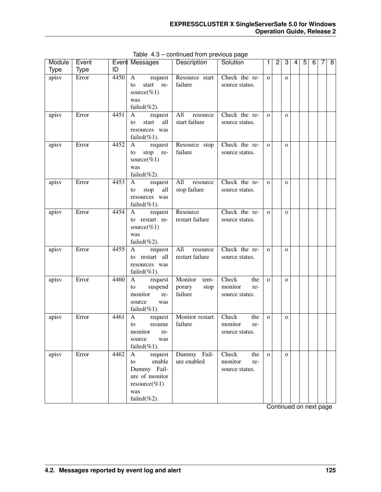| Module<br><b>Type</b> | Event<br><b>Type</b> | ID   | Event Messages                                                                                                         | Description                                  | Solution                                         | 1.           | $\overline{c}$ | 3            | 4 | 5 | 6 | 7 | 8 |
|-----------------------|----------------------|------|------------------------------------------------------------------------------------------------------------------------|----------------------------------------------|--------------------------------------------------|--------------|----------------|--------------|---|---|---|---|---|
| apisv                 | Error                | 4450 | $\mathbf{A}$<br>request<br>start re-<br>to<br>source(% $1)$<br>was<br>failed $(\%2)$ .                                 | Resource start<br>failure                    | Check the re-<br>source status.                  | $\Omega$     |                | $\mathbf{O}$ |   |   |   |   |   |
| apisv                 | Error                | 4451 | A<br>request<br>start<br>all<br>to<br>resources was<br>failed $(\%1)$ .                                                | All<br>resource<br>start failure             | Check the re-<br>source status.                  | $\Omega$     |                | $\mathbf{O}$ |   |   |   |   |   |
| apisv                 | Error                | 4452 | A<br>request<br>stop re-<br>to<br>source(%1)<br>was<br>failed $(\%2)$ .                                                | Resource stop<br>failure                     | Check the re-<br>source status.                  | $\Omega$     |                | $\mathbf{O}$ |   |   |   |   |   |
| apisv                 | Error                | 4453 | $\mathbf{A}$<br>request<br>stop<br>all<br>to<br>resources was<br>failed $(\%1)$ .                                      | All<br>resource<br>stop failure              | Check the re-<br>source status.                  | $\Omega$     |                | $\mathbf{O}$ |   |   |   |   |   |
| apisv                 | Error                | 4454 | $\mathbf{A}$<br>request<br>to restart re-<br>source(%1)<br>was<br>failed(%2).                                          | Resource<br>restart failure                  | Check the re-<br>source status.                  | $\mathbf{O}$ |                | $\mathbf{O}$ |   |   |   |   |   |
| apisv                 | Error                | 4455 | $\mathbf{A}$<br>request<br>restart all<br>to<br>resources was<br>failed $(\%1)$ .                                      | All<br>resource<br>restart failure           | Check the re-<br>source status.                  | $\Omega$     |                | $\mathbf{O}$ |   |   |   |   |   |
| apisv                 | Error                | 4460 | A<br>request<br>to<br>suspend<br>monitor<br>re-<br>source<br>was<br>failed $(\%1)$ .                                   | Monitor<br>tem-<br>porary<br>stop<br>failure | Check<br>the<br>monitor<br>re-<br>source status. | $\Omega$     |                | $\mathbf{O}$ |   |   |   |   |   |
| apisv                 | Error                | 4461 | A<br>request<br>resume<br>to<br>monitor<br>re-<br>source<br>was<br>failed $(\%1)$ .                                    | Monitor restart<br>failure                   | Check<br>the<br>monitor<br>re-<br>source status. | $\Omega$     |                | $\mathbf{O}$ |   |   |   |   |   |
| apisv                 | Error                | 4462 | request<br>$\mathbf{A}$<br>enable<br>to<br>Dummy Fail-<br>ure of monitor<br>$resource(\%1)$<br>was<br>failed $(\%2)$ . | Dummy Fail-<br>ure enabled                   | Check<br>the<br>monitor<br>re-<br>source status. | $\mathbf{O}$ |                | $\mathbf{O}$ |   |   |   |   |   |

Table 4.3 – continued from previous page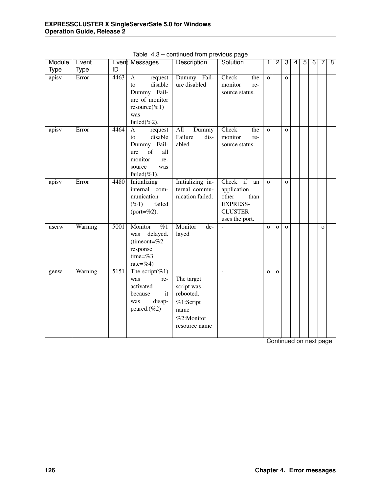| Module      | Event       |                   | Event Messages                                                                                                                     | Description                                                                               | Solution                                                                                              | 1            | $\overline{2}$ | 3            | 4                      | $\overline{5}$ | $\overline{6}$ | 7            | $\overline{8}$ |
|-------------|-------------|-------------------|------------------------------------------------------------------------------------------------------------------------------------|-------------------------------------------------------------------------------------------|-------------------------------------------------------------------------------------------------------|--------------|----------------|--------------|------------------------|----------------|----------------|--------------|----------------|
| <b>Type</b> | <b>Type</b> | ID                |                                                                                                                                    |                                                                                           |                                                                                                       |              |                |              |                        |                |                |              |                |
| apisv       | Error       | 4463              | request<br>$\mathbf{A}$<br>disable<br>to<br>Dummy Fail-<br>ure of monitor<br>resource(%1)<br>was<br>failed $(\%2)$ .               | Dummy Fail-<br>ure disabled                                                               | Check<br>the<br>monitor<br>re-<br>source status.                                                      | $\mathbf{o}$ |                | $\mathbf{o}$ |                        |                |                |              |                |
| apisv       | Error       | 4464              | $\mathbf{A}$<br>request<br>disable<br>to<br>Dummy Fail-<br>of<br>all<br>ure<br>monitor<br>re-<br>source<br>was<br>failed $(\%1)$ . | All<br>Dummy<br>Failure<br>dis-<br>abled                                                  | Check<br>the<br>monitor<br>re-<br>source status.                                                      | $\Omega$     |                | $\mathbf{o}$ |                        |                |                |              |                |
| apisv       | Error       | 4480              | <b>Initializing</b><br>internal com-<br>munication<br>$( \% 1)$<br>failed<br>(port= $%2$ ).                                        | Initializing in-<br>ternal commu-<br>nication failed.                                     | Check if<br>an<br>application<br>other<br>than<br><b>EXPRESS-</b><br><b>CLUSTER</b><br>uses the port. | $\mathbf{o}$ |                | $\mathbf{o}$ |                        |                |                |              |                |
| userw       | Warning     | $\overline{500}1$ | Monitor<br>$\overline{\%1}$<br>delayed.<br>was<br>(timeout= $%2$<br>response<br>time=% $3$<br>rate=%4)                             | Monitor<br>$de-$<br>layed                                                                 | L.                                                                                                    | $\mathbf{o}$ | $\mathbf{o}$   | $\mathbf{o}$ |                        |                |                | $\mathbf{O}$ |                |
| genw        | Warning     | $\overline{5151}$ | The script(%1)<br>was<br>re-<br>activated<br>it<br>because<br>disap-<br>was<br>peared.(%2)                                         | The target<br>script was<br>rebooted.<br>%1:Script<br>name<br>%2:Monitor<br>resource name |                                                                                                       | $\mathbf{o}$ | $\mathbf{O}$   |              |                        |                |                |              |                |
|             |             |                   |                                                                                                                                    |                                                                                           |                                                                                                       |              |                |              | Continued on next page |                |                |              |                |

Table 4.3 – continued from previous page

**126 Chapter 4. Error messages**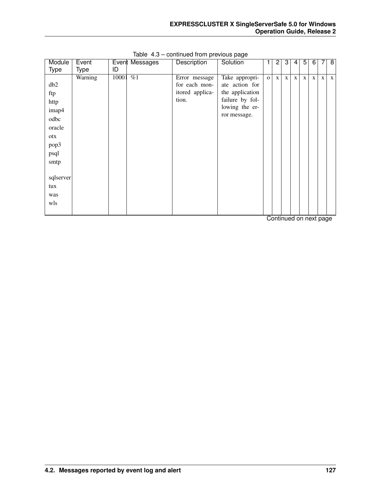| Module          | Event   |       | Event Messages   | Description     | Solution        |              | $\mathbf{2}$         | 3            | 4            | 5            | 6            |   | 8            |
|-----------------|---------|-------|------------------|-----------------|-----------------|--------------|----------------------|--------------|--------------|--------------|--------------|---|--------------|
| Type            | Type    | ID    |                  |                 |                 |              |                      |              |              |              |              |   |              |
|                 | Warning | 10001 | $\overline{\%1}$ | Error message   | Take appropri-  | $\mathbf{O}$ | $\mathbf{X}$         | $\mathbf{x}$ | $\mathbf{x}$ | $\mathbf{X}$ | $\mathbf{X}$ | X | $\mathbf{X}$ |
| db <sub>2</sub> |         |       |                  | for each mon-   | ate action for  |              |                      |              |              |              |              |   |              |
| ftp             |         |       |                  | itored applica- | the application |              |                      |              |              |              |              |   |              |
| http            |         |       |                  | tion.           | failure by fol- |              |                      |              |              |              |              |   |              |
| imap4           |         |       |                  |                 | lowing the er-  |              |                      |              |              |              |              |   |              |
| odbc            |         |       |                  |                 | ror message.    |              |                      |              |              |              |              |   |              |
| oracle          |         |       |                  |                 |                 |              |                      |              |              |              |              |   |              |
| otx             |         |       |                  |                 |                 |              |                      |              |              |              |              |   |              |
| pop3            |         |       |                  |                 |                 |              |                      |              |              |              |              |   |              |
| psql            |         |       |                  |                 |                 |              |                      |              |              |              |              |   |              |
|                 |         |       |                  |                 |                 |              |                      |              |              |              |              |   |              |
| smtp            |         |       |                  |                 |                 |              |                      |              |              |              |              |   |              |
| sqlserver       |         |       |                  |                 |                 |              |                      |              |              |              |              |   |              |
|                 |         |       |                  |                 |                 |              |                      |              |              |              |              |   |              |
| tux             |         |       |                  |                 |                 |              |                      |              |              |              |              |   |              |
| was             |         |       |                  |                 |                 |              |                      |              |              |              |              |   |              |
| wls             |         |       |                  |                 |                 |              |                      |              |              |              |              |   |              |
|                 |         |       |                  |                 |                 |              | $\sim$ $\sim$ $\sim$ |              | $-1$         |              |              |   |              |

Table 4.3 – continued from previous page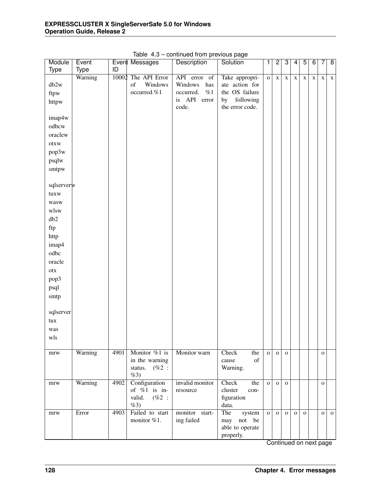| Module                 | Event   |      | Event Messages      | Description        | Solution                                                                                                    | 1            | $\overline{2}$ | 3            | 4            | $\overline{5}$ | $\overline{6}$ | 7            | $\overline{\mathbf{8}}$ |
|------------------------|---------|------|---------------------|--------------------|-------------------------------------------------------------------------------------------------------------|--------------|----------------|--------------|--------------|----------------|----------------|--------------|-------------------------|
| Type                   | Type    | ID   |                     |                    |                                                                                                             |              |                |              |              |                |                |              |                         |
|                        | Warning |      | 10002 The API Error | API error of       | Take appropri-                                                                                              | $\mathbf 0$  | $\mathbf X$    | $\mathbf X$  | $\mathbf X$  | $\mathbf X$    | $\mathbf X$    | $\mathbf X$  | $\mathbf X$             |
| db2w                   |         |      | of<br>Windows       | Windows<br>has     | ate action for                                                                                              |              |                |              |              |                |                |              |                         |
| ftpw                   |         |      | occurred.%1         | occurred.<br>$\%1$ | the OS failure                                                                                              |              |                |              |              |                |                |              |                         |
| httpw                  |         |      |                     | is API<br>error    | following<br>by                                                                                             |              |                |              |              |                |                |              |                         |
|                        |         |      |                     | code.              | the error code.                                                                                             |              |                |              |              |                |                |              |                         |
| imap4w                 |         |      |                     |                    |                                                                                                             |              |                |              |              |                |                |              |                         |
| odbcw                  |         |      |                     |                    |                                                                                                             |              |                |              |              |                |                |              |                         |
| oraclew                |         |      |                     |                    |                                                                                                             |              |                |              |              |                |                |              |                         |
| otxw                   |         |      |                     |                    |                                                                                                             |              |                |              |              |                |                |              |                         |
|                        |         |      |                     |                    |                                                                                                             |              |                |              |              |                |                |              |                         |
| pop3w                  |         |      |                     |                    |                                                                                                             |              |                |              |              |                |                |              |                         |
| psqlw                  |         |      |                     |                    |                                                                                                             |              |                |              |              |                |                |              |                         |
| smtpw                  |         |      |                     |                    |                                                                                                             |              |                |              |              |                |                |              |                         |
|                        |         |      |                     |                    |                                                                                                             |              |                |              |              |                |                |              |                         |
| sqlserverw             |         |      |                     |                    |                                                                                                             |              |                |              |              |                |                |              |                         |
| tuxw                   |         |      |                     |                    |                                                                                                             |              |                |              |              |                |                |              |                         |
| wasw                   |         |      |                     |                    |                                                                                                             |              |                |              |              |                |                |              |                         |
| wlsw                   |         |      |                     |                    |                                                                                                             |              |                |              |              |                |                |              |                         |
| db2                    |         |      |                     |                    |                                                                                                             |              |                |              |              |                |                |              |                         |
| ftp                    |         |      |                     |                    |                                                                                                             |              |                |              |              |                |                |              |                         |
| http                   |         |      |                     |                    |                                                                                                             |              |                |              |              |                |                |              |                         |
|                        |         |      |                     |                    |                                                                                                             |              |                |              |              |                |                |              |                         |
| imap4                  |         |      |                     |                    |                                                                                                             |              |                |              |              |                |                |              |                         |
| odbc                   |         |      |                     |                    |                                                                                                             |              |                |              |              |                |                |              |                         |
| oracle                 |         |      |                     |                    |                                                                                                             |              |                |              |              |                |                |              |                         |
| $_{\mbox{\small otx}}$ |         |      |                     |                    |                                                                                                             |              |                |              |              |                |                |              |                         |
| pop3                   |         |      |                     |                    |                                                                                                             |              |                |              |              |                |                |              |                         |
| psql                   |         |      |                     |                    |                                                                                                             |              |                |              |              |                |                |              |                         |
| smtp                   |         |      |                     |                    |                                                                                                             |              |                |              |              |                |                |              |                         |
|                        |         |      |                     |                    |                                                                                                             |              |                |              |              |                |                |              |                         |
| sqlserver              |         |      |                     |                    |                                                                                                             |              |                |              |              |                |                |              |                         |
| tux                    |         |      |                     |                    |                                                                                                             |              |                |              |              |                |                |              |                         |
| was                    |         |      |                     |                    |                                                                                                             |              |                |              |              |                |                |              |                         |
| wls                    |         |      |                     |                    |                                                                                                             |              |                |              |              |                |                |              |                         |
|                        |         |      |                     |                    |                                                                                                             |              |                |              |              |                |                |              |                         |
| $\operatorname{mrw}$   | Warning | 4901 | Monitor %1 is       | Monitor warn       | Check<br>the                                                                                                | $\mathbf{o}$ | $\mathbf{O}$   | $\mathbf 0$  |              |                |                | $\mathbf O$  |                         |
|                        |         |      | in the warning      |                    | $% \left( \left( \mathcal{A},\mathcal{A}\right) \right) =\left( \mathcal{A},\mathcal{A}\right)$ of<br>cause |              |                |              |              |                |                |              |                         |
|                        |         |      | status.<br>$(\%2:$  |                    | Warning.                                                                                                    |              |                |              |              |                |                |              |                         |
|                        |         |      | %3)                 |                    |                                                                                                             |              |                |              |              |                |                |              |                         |
| mrw                    | Warning | 4902 | Configuration       | invalid monitor    | Check<br>the                                                                                                | $\mathbf{o}$ | $\mathbf 0$    | $\mathbf{O}$ |              |                |                | $\mathbf{O}$ |                         |
|                        |         |      | of $%1$ is in-      | resource           | cluster<br>con-                                                                                             |              |                |              |              |                |                |              |                         |
|                        |         |      | valid.<br>$(\%2:$   |                    | figuration                                                                                                  |              |                |              |              |                |                |              |                         |
|                        |         |      | %3)                 |                    | data.                                                                                                       |              |                |              |              |                |                |              |                         |
| mrw                    | Error   | 4903 | Failed to start     | monitor start-     | The<br>system                                                                                               | $\mathbf{o}$ | $\mathbf 0$    | $\mathbf{O}$ | $\mathbf{o}$ | $\mathbf 0$    |                | $\mathbf O$  | $\mathbf 0$             |
|                        |         |      | monitor %1.         | ing failed         | $\operatorname*{not}% \mathcal{M}(n)$<br>be<br>may                                                          |              |                |              |              |                |                |              |                         |
|                        |         |      |                     |                    | able to operate                                                                                             |              |                |              |              |                |                |              |                         |
|                        |         |      |                     |                    | properly.                                                                                                   |              |                |              |              |                |                |              |                         |

Table 4.3 – continued from previous page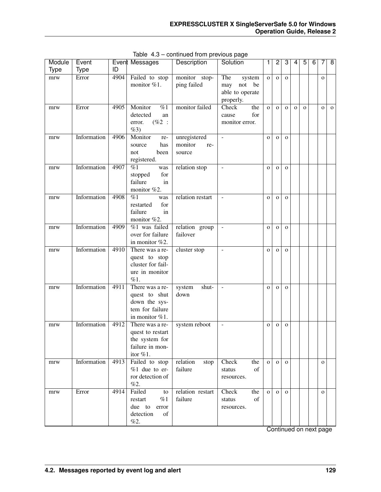| Module      | Event       |      | Event Messages                                                                         | Description                              | Solution                                                                                            | 1            | $\overline{2}$ | 3            | 4            | $\overline{5}$ | $\overline{6}$ | 7              | $\overline{8}$ |
|-------------|-------------|------|----------------------------------------------------------------------------------------|------------------------------------------|-----------------------------------------------------------------------------------------------------|--------------|----------------|--------------|--------------|----------------|----------------|----------------|----------------|
| <b>Type</b> | <b>Type</b> | ID   |                                                                                        |                                          |                                                                                                     |              |                |              |              |                |                |                |                |
| mrw         | Error       | 4904 | Failed to stop<br>monitor %1.                                                          | monitor stop-<br>ping failed             | The<br>system<br>$\operatorname*{not}% \mathcal{M}(n)$<br>be<br>may<br>able to operate<br>properly. | $\mathbf{o}$ | $\mathbf{o}$   | $\mathbf O$  |              |                |                | $\mathbf{o}$   |                |
| mrw         | Error       | 4905 | Monitor<br>$\overline{\%1}$<br>detected<br>an<br>$(\%2:$<br>error.<br>%3)              | monitor failed                           | Check<br>the<br>for<br>cause<br>monitor error.                                                      | $\mathbf{o}$ | $\mathbf{o}$   | $\mathbf{o}$ | $\mathbf{o}$ | $\mathbf{o}$   |                | $\overline{O}$ | $\mathbf{o}$   |
| mrw         | Information | 4906 | Monitor<br>re-<br>has<br>source<br>been<br>not<br>registered.                          | unregistered<br>monitor<br>re-<br>source | $\bar{\phantom{a}}$                                                                                 | $\mathbf{o}$ | $\mathbf{O}$   | $\mathbf{O}$ |              |                |                |                |                |
| mrw         | Information | 4907 | %1<br>was<br>stopped<br>for<br>failure<br>in<br>monitor %2.                            | relation stop                            | $\overline{\phantom{a}}$                                                                            | $\mathbf{o}$ | $\mathbf{O}$   | $\mathbf{O}$ |              |                |                |                |                |
| mrw         | Information | 4908 | $\%1$<br>was<br>restarted<br>for<br>failure<br>in<br>monitor %2.                       | relation restart                         | $\blacksquare$                                                                                      | $\mathbf{o}$ | $\mathbf{O}$   | $\mathbf{O}$ |              |                |                |                |                |
| mrw         | Information | 4909 | $%1$ was failed<br>over for failure<br>in monitor %2.                                  | relation group<br>failover               | $\equiv$                                                                                            | $\mathbf O$  | $\mathbf{O}$   | $\mathbf{O}$ |              |                |                |                |                |
| mrw         | Information | 4910 | There was a re-<br>quest to stop<br>cluster for fail-<br>ure in monitor<br>%1.         | cluster stop                             | $\equiv$                                                                                            | $\mathbf{o}$ | $\mathbf{O}$   | $\mathbf{O}$ |              |                |                |                |                |
| mrw         | Information | 4911 | There was a re-<br>quest to shut<br>down the sys-<br>tem for failure<br>in monitor %1. | shut-<br>system<br>down                  | $\blacksquare$                                                                                      | $\mathbf{o}$ | $\mathbf{O}$   | $\mathbf{O}$ |              |                |                |                |                |
| mrw         | Information | 4912 | There was a re-<br>quest to restart<br>the system for<br>failure in mon-<br>itor %1.   | system reboot                            | $\blacksquare$                                                                                      | $\mathbf{o}$ | $\mathbf{O}$   | $\mathbf{O}$ |              |                |                |                |                |
| mrw         | Information | 4913 | Failed to stop<br>$%1$ due to er-<br>ror detection of<br>%2.                           | relation<br>stop<br>failure              | Check<br>the<br>of<br>status<br>resources.                                                          | $\mathbf{O}$ | $\mathbf{o}$   | $\mathbf{O}$ |              |                |                | $\mathbf{O}$   |                |
| mrw         | Error       | 4914 | Failed<br>to<br>%1<br>restart<br>due to error<br>detection<br>of<br>%2.                | relation restart<br>failure              | Check<br>the<br>of<br>status<br>resources.                                                          | $\mathbf{O}$ | $\Omega$       | $\mathbf{o}$ |              |                |                | $\mathbf{O}$   |                |

Table 4.3 – continued from previous page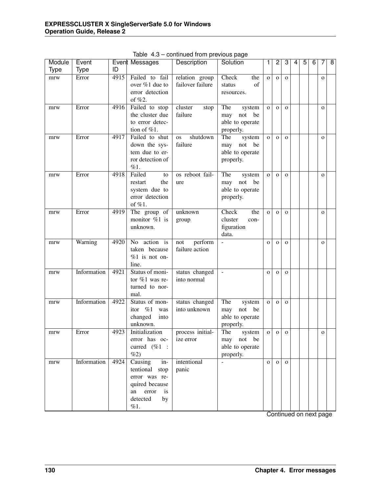| Module | Event       |      | Event Messages                                                                                                   | Description                        | Solution                                                          | 1            | 2            | 3            | 4 | 5 | 6 | 7              | 8 |
|--------|-------------|------|------------------------------------------------------------------------------------------------------------------|------------------------------------|-------------------------------------------------------------------|--------------|--------------|--------------|---|---|---|----------------|---|
| Type   | <b>Type</b> | ID   |                                                                                                                  |                                    |                                                                   |              |              |              |   |   |   |                |   |
| mrw    | Error       | 4915 | Failed to fail<br>over %1 due to<br>error detection<br>of $%2$ .                                                 | relation group<br>failover failure | Check<br>the<br>of<br>status<br>resources.                        | $\mathbf{o}$ | $\mathbf{o}$ | $\mathbf{O}$ |   |   |   | $\mathbf{o}$   |   |
| mrw    | Error       | 4916 | Failed to stop<br>the cluster due<br>to error detec-<br>tion of %1.                                              | cluster<br>stop<br>failure         | The<br>system<br>be<br>may not<br>able to operate<br>properly.    | $\mathbf{o}$ | $\mathbf{o}$ | $\mathbf{o}$ |   |   |   | $\mathbf{o}$   |   |
| mrw    | Error       | 4917 | Failed to shut<br>down the sys-<br>tem due to er-<br>ror detection of<br>%1.                                     | shutdown<br><b>OS</b><br>failure   | The<br>system<br>may not<br>be<br>able to operate<br>properly.    | $\mathbf{o}$ | $\mathbf{o}$ | $\mathbf{o}$ |   |   |   | $\mathbf{o}$   |   |
| mrw    | Error       | 4918 | Failed<br>to<br>the<br>restart<br>system due to<br>error detection<br>of $%1$ .                                  | os reboot fail-<br>ure             | The<br>system<br>may not<br>be<br>able to operate<br>properly.    | $\mathbf{o}$ | $\mathbf{o}$ | $\mathbf{o}$ |   |   |   | $\mathbf{o}$   |   |
| mrw    | Error       | 4919 | The group of<br>monitor %1 is<br>unknown.                                                                        | unknown<br>group                   | <b>Check</b><br>the<br>cluster<br>con-<br>figuration<br>data.     | $\mathbf{o}$ | $\mathbf{o}$ | $\mathbf{o}$ |   |   |   | $\mathbf{o}$   |   |
| mrw    | Warning     | 4920 | No action is<br>taken because<br>$%1$ is not on-<br>line.                                                        | perform<br>not<br>failure action   | $\overline{\phantom{a}}$                                          | $\mathbf{o}$ | $\mathbf{o}$ | $\mathbf{o}$ |   |   |   | $\overline{O}$ |   |
| mrw    | Information | 4921 | Status of moni-<br>tor %1 was re-<br>turned to nor-<br>mal.                                                      | status changed<br>into normal      | $\mathcal{L}$                                                     | $\mathbf{o}$ | $\mathbf{o}$ | $\mathbf{o}$ |   |   |   |                |   |
| mrw    | Information | 4922 | Status of mon-<br>itor %1<br>was<br>changed<br>into<br>unknown.                                                  | status changed<br>into unknown     | The<br>system<br>be<br>may<br>not<br>able to operate<br>properly. | $\mathbf{o}$ | $\mathbf{o}$ | $\mathbf{o}$ |   |   |   |                |   |
| mrw    | Error       | 4923 | Initialization<br>error has oc-<br>curred $(\%1$ :<br>$\%2)$                                                     | process initial-<br>ize error      | The<br>system<br>may not be<br>able to operate<br>properly.       | $\mathbf O$  | $\mathbf{O}$ | $\mathbf O$  |   |   |   | $\mathbf{o}$   |   |
| mrw    | Information | 4924 | Causing<br>$in-$<br>tentional stop<br>error was re-<br>quired because<br>an error<br>is<br>detected<br>by<br>%1. | intentional<br>panic               |                                                                   | $\mathbf{O}$ | $\mathbf{O}$ | $\Omega$     |   |   |   |                |   |

Table 4.3 – continued from previous page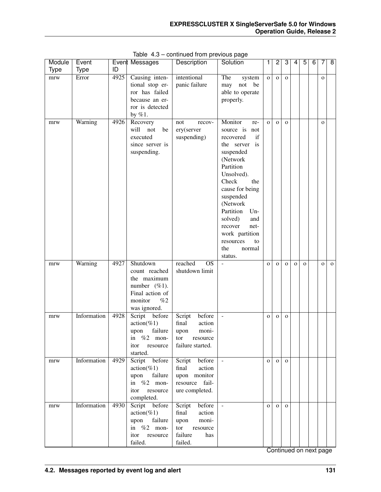| Module      | Event       |      | Event Messages                                                                                                   | <b>Description</b>                                                                                   | Solution                                                                                                                                                                                                                                                                                                            | 1            | $\overline{2}$ | 3            | 4            | $\overline{5}$ | $\overline{6}$ | 7            | $\overline{\infty}$ |
|-------------|-------------|------|------------------------------------------------------------------------------------------------------------------|------------------------------------------------------------------------------------------------------|---------------------------------------------------------------------------------------------------------------------------------------------------------------------------------------------------------------------------------------------------------------------------------------------------------------------|--------------|----------------|--------------|--------------|----------------|----------------|--------------|---------------------|
| <b>Type</b> | <b>Type</b> | ID   |                                                                                                                  |                                                                                                      |                                                                                                                                                                                                                                                                                                                     |              |                |              |              |                |                |              |                     |
| mrw         | Error       | 4925 | Causing inten-<br>tional stop er-<br>ror has failed<br>because an er-<br>ror is detected<br>by $%1$ .            | intentional<br>panic failure                                                                         | The<br>system<br>not<br>be<br>may<br>able to operate<br>properly.                                                                                                                                                                                                                                                   | $\mathbf 0$  | $\mathbf O$    | $\mathbf{o}$ |              |                |                | $\mathbf{o}$ |                     |
| mrw         | Warning     | 4926 | Recovery<br>will<br>not<br>be<br>executed<br>since server is<br>suspending.                                      | recov-<br>not<br>ery(server<br>suspending)                                                           | Monitor<br>re-<br>source is<br>not<br>if<br>recovered<br>is<br>the server<br>suspended<br>(Network<br>Partition<br>Unsolved).<br>Check<br>the<br>cause for being<br>suspended<br>(Network<br>Partition<br>Un-<br>solved)<br>and<br>recover<br>net-<br>work partition<br>resources<br>to<br>the<br>normal<br>status. | $\mathbf{o}$ | $\mathbf{O}$   | $\mathbf{o}$ |              |                |                | $\mathbf{o}$ |                     |
| mrw         | Warning     | 4927 | Shutdown<br>count reached<br>the maximum<br>number $(\%1)$ .<br>Final action of<br>monitor<br>%2<br>was ignored. | reached<br>$\overline{OS}$<br>shutdown limit                                                         | $\overline{a}$                                                                                                                                                                                                                                                                                                      | $\mathbf{o}$ | $\mathbf{O}$   | $\mathbf{O}$ | $\mathbf{o}$ | $\mathbf{O}$   |                | $\mathbf{o}$ | $\mathbf{o}$        |
| mrw         | Information | 4928 | Script before<br>$action(\%1)$<br>failure<br>upon<br>$%2$ mon-<br>1n<br>itor<br>resource<br>started.             | before<br>Script<br>final<br>action<br>moni-<br>upon<br>tor<br>resource<br>failure started.          | $\bar{\phantom{a}}$                                                                                                                                                                                                                                                                                                 | $\mathbf{o}$ | $\mathbf{O}$   | $\mathbf O$  |              |                |                |              |                     |
| mrw         | Information | 4929 | Script before<br>$action(\%1)$<br>failure<br>upon<br>in $%2$ mon-<br>itor<br>resource<br>completed.              | Script<br>before<br>final<br>action<br>upon monitor<br>resource<br>fail-<br>ure completed.           | $\omega$                                                                                                                                                                                                                                                                                                            | $\mathbf{o}$ | $\mathbf 0$    | $\mathbf{o}$ |              |                |                |              |                     |
| mrw         | Information | 4930 | Script before<br>$action(\%1)$<br>failure<br>upon<br>in $%2$ mon-<br>itor<br>resource<br>failed.                 | before<br>Script<br>final<br>action<br>moni-<br>upon<br>tor<br>resource<br>failure<br>has<br>failed. | $\blacksquare$                                                                                                                                                                                                                                                                                                      | $\mathbf{o}$ | $\mathbf 0$    | $\mathbf O$  |              |                |                |              |                     |

Table 4.3 – continued from previous page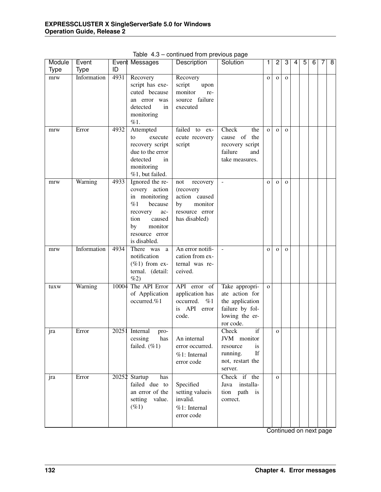| Module      | Event       |       | Event Messages                                                                                                                                             | Description                                                                                       | Solution                                                                                              | 1            | $\overline{2}$ | 3            | 4 | 5 | 6 | 7 | 8 |
|-------------|-------------|-------|------------------------------------------------------------------------------------------------------------------------------------------------------------|---------------------------------------------------------------------------------------------------|-------------------------------------------------------------------------------------------------------|--------------|----------------|--------------|---|---|---|---|---|
| <b>Type</b> | <b>Type</b> | ID    |                                                                                                                                                            |                                                                                                   |                                                                                                       |              |                |              |   |   |   |   |   |
| mrw         | Information | 4931  | Recovery<br>script has exe-<br>cuted because<br>an error was<br>detected<br>in<br>monitoring<br>%1.                                                        | Recovery<br>script<br>upon<br>monitor<br>re-<br>source failure<br>executed                        |                                                                                                       | $\mathbf 0$  | $\mathbf{o}$   | $\mathbf{O}$ |   |   |   |   |   |
| mrw         | Error       | 4932  | Attempted<br>execute<br>to<br>recovery script<br>due to the error<br>detected<br>in<br>monitoring<br>%1, but failed.                                       | failed to ex-<br>ecute recovery<br>script                                                         | Check<br>the<br>cause of the<br>recovery script<br>failure<br>and<br>take measures.                   | $\mathbf{o}$ | $\mathbf{O}$   | $\mathbf{o}$ |   |   |   |   |   |
| mrw         | Warning     | 4933  | Ignored the re-<br>covery action<br>in monitoring<br>%1<br>because<br>recovery<br>ac-<br>caused<br>tion<br>monitor<br>by<br>resource error<br>is disabled. | not<br>recovery<br>(recovery<br>action caused<br>monitor<br>by<br>resource error<br>has disabled) | ÷,                                                                                                    | $\mathbf O$  | $\mathbf{o}$   | $\mathbf O$  |   |   |   |   |   |
| mrw         | Information | 4934  | There was<br>a<br>notification<br>$(\%1)$ from ex-<br>ternal. (detail:<br>%2)                                                                              | An error notifi-<br>cation from ex-<br>ternal was re-<br>ceived.                                  | $\overline{a}$                                                                                        | $\mathbf O$  | $\mathbf{o}$   | $\mathbf O$  |   |   |   |   |   |
| tuxw        | Warning     | 10004 | The API Error<br>of Application<br>occurred.%1                                                                                                             | API error of<br>application has<br>occurred.<br>%1<br>is API error<br>code.                       | Take appropri-<br>ate action for<br>the application<br>failure by fol-<br>lowing the er-<br>ror code. | $\mathbf{o}$ |                |              |   |   |   |   |   |
| jra         | Error       |       | 20251 Internal<br>pro-<br>cessing<br>has<br>failed. (%1)                                                                                                   | An internal<br>error occurred.<br>%1: Internal<br>error code                                      | Check<br>if<br>JVM monitor<br>resource<br>is<br>If<br>running.<br>not, restart the<br>server.         |              | $\mathbf{O}$   |              |   |   |   |   |   |
| jra         | Error       |       | 20252 Startup<br>has<br>failed due to<br>an error of the<br>setting value.<br>$(\%1)$                                                                      | Specified<br>setting valueis<br>invalid.<br>%1: Internal<br>error code                            | Check if the<br>installa-<br>Java<br>path is<br>tion<br>correct.                                      |              | $\mathbf{O}$   |              |   |   |   |   |   |

Table 4.3 – continued from previous page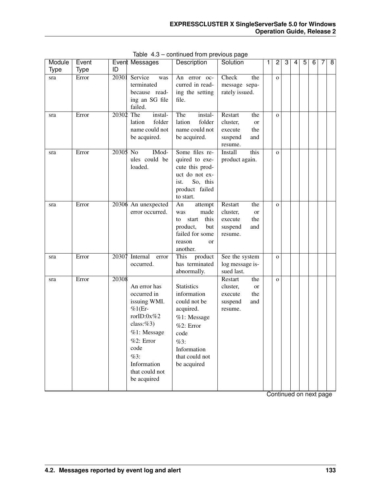| Module      | Event       |           | Event Messages           | <b>Description</b>      | Solution        | 1 | $\overline{c}$ | 3 | 4 | 5 | 6 | 7 | 8 |
|-------------|-------------|-----------|--------------------------|-------------------------|-----------------|---|----------------|---|---|---|---|---|---|
| <b>Type</b> | <b>Type</b> | ID        |                          |                         |                 |   |                |   |   |   |   |   |   |
| sra         | Error       | 20301     | Service<br>was           | An error oc-            | Check<br>the    |   | $\mathbf{O}$   |   |   |   |   |   |   |
|             |             |           | terminated               | curred in read-         | message sepa-   |   |                |   |   |   |   |   |   |
|             |             |           | because read-            | ing the setting         | rately issued.  |   |                |   |   |   |   |   |   |
|             |             |           | ing an SG file           | file.                   |                 |   |                |   |   |   |   |   |   |
|             |             |           | failed.                  |                         |                 |   |                |   |   |   |   |   |   |
| sra         | Error       | 20302 The | instal-                  | The<br>instal-          | Restart<br>the  |   | $\mathbf{O}$   |   |   |   |   |   |   |
|             |             |           | folder<br>lation         | lation<br>folder        | cluster,<br>or  |   |                |   |   |   |   |   |   |
|             |             |           | name could not           | name could not          | the<br>execute  |   |                |   |   |   |   |   |   |
|             |             |           | be acquired.             | be acquired.            | suspend<br>and  |   |                |   |   |   |   |   |   |
|             |             |           |                          |                         | resume.         |   |                |   |   |   |   |   |   |
| sra         | Error       | 20305     | $\overline{No}$<br>IMod- | Some files re-          | this<br>Install |   | $\mathbf{O}$   |   |   |   |   |   |   |
|             |             |           | ules could be            | quired to exe-          | product again.  |   |                |   |   |   |   |   |   |
|             |             |           | loaded.                  | cute this prod-         |                 |   |                |   |   |   |   |   |   |
|             |             |           |                          | uct do not ex-          |                 |   |                |   |   |   |   |   |   |
|             |             |           |                          | So, this<br>ist.        |                 |   |                |   |   |   |   |   |   |
|             |             |           |                          | product failed          |                 |   |                |   |   |   |   |   |   |
|             |             |           |                          | to start.               |                 |   |                |   |   |   |   |   |   |
| sra         | Error       |           | 20306 An unexpected      | An<br>attempt           | Restart<br>the  |   | $\mathbf{O}$   |   |   |   |   |   |   |
|             |             |           | error occurred.          | made<br>was             | cluster,<br>or  |   |                |   |   |   |   |   |   |
|             |             |           |                          | this<br>start<br>to     | the<br>execute  |   |                |   |   |   |   |   |   |
|             |             |           |                          | product,<br>but         | suspend<br>and  |   |                |   |   |   |   |   |   |
|             |             |           |                          | failed for some         | resume.         |   |                |   |   |   |   |   |   |
|             |             |           |                          | reason<br><sub>or</sub> |                 |   |                |   |   |   |   |   |   |
|             |             |           |                          | another.                |                 |   |                |   |   |   |   |   |   |
| sra         | Error       | 20307     | Internal<br>error        | This<br>product         | See the system  |   | $\mathbf{O}$   |   |   |   |   |   |   |
|             |             |           | occurred.                | has terminated          | log message is- |   |                |   |   |   |   |   |   |
|             |             |           |                          | abnormally.             | sued last.      |   |                |   |   |   |   |   |   |
| sra         | Error       | 20308     |                          |                         | Restart<br>the  |   | $\mathbf{O}$   |   |   |   |   |   |   |
|             |             |           | An error has             | <b>Statistics</b>       | cluster,<br>or  |   |                |   |   |   |   |   |   |
|             |             |           | occurred in              | information             | the<br>execute  |   |                |   |   |   |   |   |   |
|             |             |           | issuing WMI.             | could not be            | suspend<br>and  |   |                |   |   |   |   |   |   |
|             |             |           | $%1(Er-$                 | acquired.               | resume.         |   |                |   |   |   |   |   |   |
|             |             |           | rorID:0x%2               | %1: Message             |                 |   |                |   |   |   |   |   |   |
|             |             |           | class: $%3$ )            | %2: Error               |                 |   |                |   |   |   |   |   |   |
|             |             |           | %1: Message              | code                    |                 |   |                |   |   |   |   |   |   |
|             |             |           | %2: Error                | %3:                     |                 |   |                |   |   |   |   |   |   |
|             |             |           | code                     | Information             |                 |   |                |   |   |   |   |   |   |
|             |             |           | %3:                      | that could not          |                 |   |                |   |   |   |   |   |   |
|             |             |           | Information              | be acquired             |                 |   |                |   |   |   |   |   |   |
|             |             |           | that could not           |                         |                 |   |                |   |   |   |   |   |   |
|             |             |           | be acquired              |                         |                 |   |                |   |   |   |   |   |   |
|             |             |           |                          |                         |                 |   |                |   |   |   |   |   |   |

Table 4.3 – continued from previous page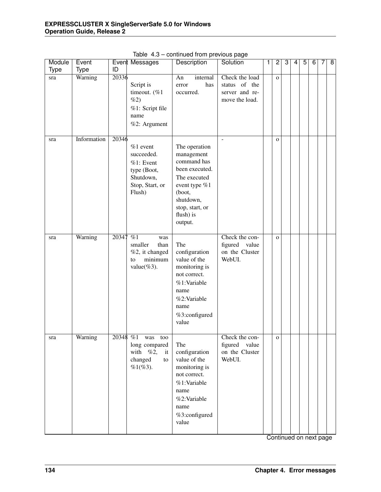| Module | Event       |       | Event Messages                                                                                   | Description                                                                                                                                                     | Solution                                                            | 1 | $\overline{2}$ | 3 | 4 | $\overline{5}$ | $\overline{6}$ | 7 | $\overline{\mathbf{8}}$ |
|--------|-------------|-------|--------------------------------------------------------------------------------------------------|-----------------------------------------------------------------------------------------------------------------------------------------------------------------|---------------------------------------------------------------------|---|----------------|---|---|----------------|----------------|---|-------------------------|
| Type   | <b>Type</b> | ID    |                                                                                                  |                                                                                                                                                                 |                                                                     |   |                |   |   |                |                |   |                         |
| sra    | Warning     | 20336 | Script is<br>timeout. (%1<br>$\%2)$<br>%1: Script file<br>name<br>%2: Argument                   | An<br>internal<br>has<br>error<br>occurred.                                                                                                                     | Check the load<br>status of the<br>server and re-<br>move the load. |   | $\mathbf{o}$   |   |   |                |                |   |                         |
| sra    | Information | 20346 | $%1$ event<br>succeeded.<br>$%1:$ Event<br>type (Boot,<br>Shutdown,<br>Stop, Start, or<br>Flush) | The operation<br>management<br>command has<br>been executed.<br>The executed<br>event type %1<br>(boot,<br>shutdown,<br>stop, start, or<br>flush) is<br>output. |                                                                     |   | $\mathbf{O}$   |   |   |                |                |   |                         |
| sra    | Warning     | 20347 | $\overline{\%1}$<br>was<br>smaller<br>than<br>%2, it changed<br>minimum<br>to<br>value $(\%3)$ . | The<br>configuration<br>value of the<br>monitoring is<br>not correct.<br>%1:Variable<br>name<br>%2:Variable<br>name<br>%3:configured<br>value                   | Check the con-<br>figured<br>value<br>on the Cluster<br>WebUI.      |   | $\mathbf{o}$   |   |   |                |                |   |                         |
| sra    | Warning     |       | 20348 %1 was too<br>long compared<br>with<br>%2,<br>it<br>changed<br>to<br>$%1(%3)$ .            | The<br>configuration<br>value of the<br>monitoring is<br>not correct.<br>%1:Variable<br>name<br>%2:Variable<br>name<br>%3:configured<br>value                   | Check the con-<br>figured<br>value<br>on the Cluster<br>WebUI.      |   | $\mathbf{o}$   |   |   |                |                |   |                         |

Table 4.3 – continued from previous page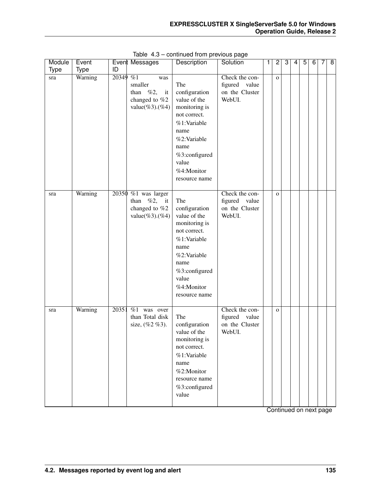| Module      | Event       |          | Event Messages                                                              | Description                                                                                                                                                                  | Solution                                                       | 1 | $\overline{c}$ | 3 | 4 | 5 | 6 | 7 | 8 |
|-------------|-------------|----------|-----------------------------------------------------------------------------|------------------------------------------------------------------------------------------------------------------------------------------------------------------------------|----------------------------------------------------------------|---|----------------|---|---|---|---|---|---|
| <b>Type</b> | <b>Type</b> | ID       |                                                                             |                                                                                                                                                                              |                                                                |   |                |   |   |   |   |   |   |
| sra         | Warning     | 20349 %1 | was<br>smaller<br>than $\%2,$<br>it<br>changed to %2<br>$value(\%3)(\%4)$   | The<br>configuration<br>value of the<br>monitoring is<br>not correct.<br>%1:Variable<br>name<br>%2:Variable<br>name<br>%3:configured<br>value<br>%4:Monitor<br>resource name | Check the con-<br>figured<br>value<br>on the Cluster<br>WebUI. |   | $\mathbf 0$    |   |   |   |   |   |   |
| sra         | Warning     |          | 20350 %1 was larger<br>%2,<br>than<br>it<br>changed to %2<br>value(%3).(%4) | The<br>configuration<br>value of the<br>monitoring is<br>not correct.<br>%1:Variable<br>name<br>%2:Variable<br>name<br>%3:configured<br>value<br>%4:Monitor<br>resource name | Check the con-<br>figured value<br>on the Cluster<br>WebUI.    |   | $\mathbf{O}$   |   |   |   |   |   |   |
| sra         | Warning     | 20351    | $\sqrt{\frac{9}{61}}$ was over<br>than Total disk<br>size, $(\%2\%3)$ .     | The<br>configuration<br>value of the<br>monitoring is<br>not correct.<br>%1:Variable<br>name<br>%2:Monitor<br>resource name<br>%3:configured<br>value                        | Check the con-<br>figured<br>value<br>on the Cluster<br>WebUI. |   | $\mathbf{O}$   |   |   |   |   |   |   |

Table 4.3 – continued from previous page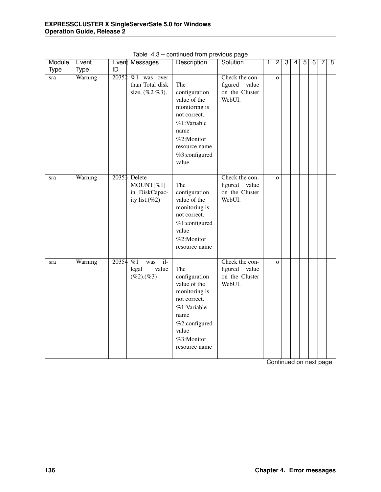| Module | Event   |          | <b>Event Messages</b>                                           | Description                                                                                                                                           | Solution                                                    | 1 | $\overline{2}$ | $\overline{3}$ | $\overline{4}$ | $\overline{5}$ | $\overline{6}$ | 7 | $\overline{8}$ |
|--------|---------|----------|-----------------------------------------------------------------|-------------------------------------------------------------------------------------------------------------------------------------------------------|-------------------------------------------------------------|---|----------------|----------------|----------------|----------------|----------------|---|----------------|
| Type   | Type    | ID       |                                                                 |                                                                                                                                                       |                                                             |   |                |                |                |                |                |   |                |
| sra    | Warning |          | 20352 %1 was over<br>than Total disk<br>size, (%2 %3).          | The<br>configuration<br>value of the<br>monitoring is<br>not correct.<br>%1:Variable<br>name<br>%2:Monitor<br>resource name<br>%3:configured<br>value | Check the con-<br>figured value<br>on the Cluster<br>WebUI. |   | $\mathbf{O}$   |                |                |                |                |   |                |
| sra    | Warning |          | 20353 Delete<br>MOUNT[%1]<br>in DiskCapac-<br>ity list. $(\%2)$ | The<br>configuration<br>value of the<br>monitoring is<br>not correct.<br>%1:configured<br>value<br>%2:Monitor<br>resource name                        | Check the con-<br>figured value<br>on the Cluster<br>WebUI. |   | $\mathbf{O}$   |                |                |                |                |   |                |
| sra    | Warning | 20354 %1 | $i$ -<br>was<br>value<br>legal<br>$(\%2)$ . $(\%3)$             | The<br>configuration<br>value of the<br>monitoring is<br>not correct.<br>%1:Variable<br>name<br>%2:configured<br>value<br>%3:Monitor<br>resource name | Check the con-<br>figured value<br>on the Cluster<br>WebUI. |   | $\Omega$       |                |                |                |                |   |                |

Table 4.3 – continued from previous page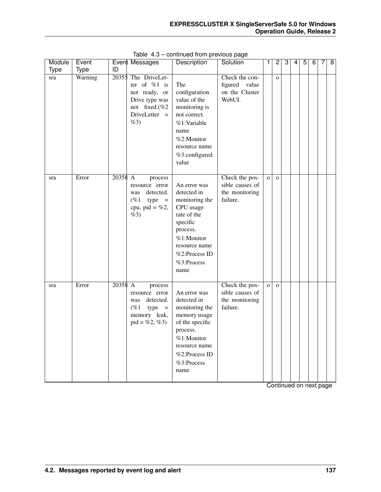| Module | Event       |         | Event Messages                                                                                               | Description                                                                                                                                                             | Solution                                                        | 1              | $\mathbf{2}$ | $\overline{3}$ | 4 | 5 | $\overline{6}$ | 7 | $\overline{8}$ |
|--------|-------------|---------|--------------------------------------------------------------------------------------------------------------|-------------------------------------------------------------------------------------------------------------------------------------------------------------------------|-----------------------------------------------------------------|----------------|--------------|----------------|---|---|----------------|---|----------------|
| Type   | <b>Type</b> | ID      |                                                                                                              |                                                                                                                                                                         |                                                                 |                |              |                |   |   |                |   |                |
| sra    | Warning     | 20355   | The DriveLet-<br>ter of $%1$ is<br>not ready, or<br>Drive type was<br>not fixed.(%2<br>DriveLetter =<br>%3)  | The<br>configuration<br>value of the<br>monitoring is<br>not correct.<br>%1:Variable<br>name<br>%2:Monitor<br>resource name<br>%3:configured<br>value                   | Check the con-<br>figured<br>value<br>on the Cluster<br>WebUI.  |                | $\mathbf{o}$ |                |   |   |                |   |                |
| sra    | Error       | 20358 A | process<br>resource error<br>detected.<br>was<br>(%1)<br>type<br>$=$<br>cpu, pid = $%2,$<br>%3)              | An error was<br>detected in<br>monitoring the<br>CPU usage<br>rate of the<br>specific<br>process.<br>%1:Monitor<br>resource name<br>%2:Process ID<br>%3:Process<br>name | Check the pos-<br>sible causes of<br>the monitoring<br>failure. | $\overline{O}$ | $\mathbf{o}$ |                |   |   |                |   |                |
| sra    | Error       | 20358 A | process<br>resource error<br>detected.<br>was<br>$(\%1)$<br>type<br>$=$<br>memory leak,<br>$pid = \%2, \%3)$ | An error was<br>detected in<br>monitoring the<br>memory usage<br>of the specific<br>process.<br>%1:Monitor<br>resource name<br>%2:Process ID<br>%3:Process<br>name      | Check the pos-<br>sible causes of<br>the monitoring<br>failure. | $\mathbf{o}$   | $\mathbf{o}$ |                |   |   |                |   |                |

Table 4.3 – continued from previous page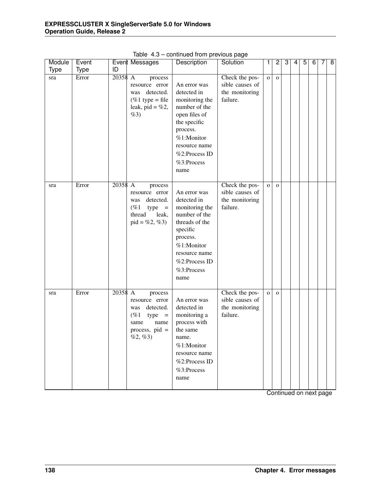| Module      | Event       |         | Event Messages                                                                                                      | Description                                                                                                                                                                       | Solution                                                        | 1            | $\overline{2}$ | 3 | 4 | $\overline{5}$ | 6 | 7 | $\overline{8}$ |
|-------------|-------------|---------|---------------------------------------------------------------------------------------------------------------------|-----------------------------------------------------------------------------------------------------------------------------------------------------------------------------------|-----------------------------------------------------------------|--------------|----------------|---|---|----------------|---|---|----------------|
| <b>Type</b> | <b>Type</b> | ID      |                                                                                                                     |                                                                                                                                                                                   |                                                                 |              |                |   |   |                |   |   |                |
| sra         | Error       | 20358 A | process<br>resource error<br>detected.<br>was<br>$(\%1 \text{ type} = \text{file})$<br>leak, pid = $%2$ ,<br>%3)    | An error was<br>detected in<br>monitoring the<br>number of the<br>open files of<br>the specific<br>process.<br>%1:Monitor<br>resource name<br>%2:Process ID<br>%3:Process<br>name | Check the pos-<br>sible causes of<br>the monitoring<br>failure. | $\mathbf{o}$ | $\mathbf{O}$   |   |   |                |   |   |                |
| sra         | Error       | 20358 A | process<br>resource error<br>detected.<br>was<br>(%1)<br>type<br>$=$<br>thread<br>leak,<br>$pid = \%2, \%3)$        | An error was<br>detected in<br>monitoring the<br>number of the<br>threads of the<br>specific<br>process.<br>%1:Monitor<br>resource name<br>%2:Process ID<br>%3:Process<br>name    | Check the pos-<br>sible causes of<br>the monitoring<br>failure. | $\mathbf{o}$ | $\mathbf{O}$   |   |   |                |   |   |                |
| sra         | Error       | 20358 A | process<br>resource error<br>detected.<br>was<br>(%1)<br>$type =$<br>name<br>same<br>process, $pid =$<br>$\%2,\%3)$ | An error was<br>detected in<br>monitoring a<br>process with<br>the same<br>name.<br>%1:Monitor<br>resource name<br>%2:Process ID<br>%3:Process<br>name                            | Check the pos-<br>sible causes of<br>the monitoring<br>failure. | $\mathbf{O}$ | $\mathbf{O}$   |   |   |                |   |   |                |

Table 4.3 – continued from previous page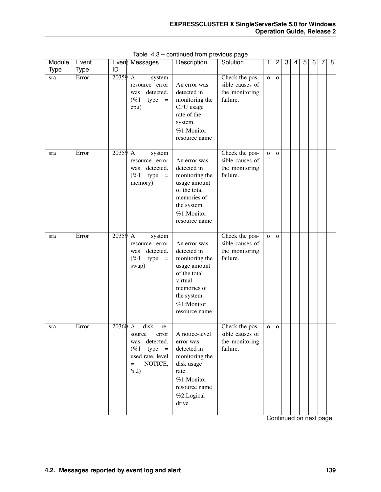| Module | Event       |           | Event Messages                                                                                                         | Description                                                                                                                                           | Solution                                                        | 1            | $\overline{2}$ | 3 | 4 | $\overline{5}$ | $\overline{6}$ | 7 | $\overline{8}$ |
|--------|-------------|-----------|------------------------------------------------------------------------------------------------------------------------|-------------------------------------------------------------------------------------------------------------------------------------------------------|-----------------------------------------------------------------|--------------|----------------|---|---|----------------|----------------|---|----------------|
| Type   | <b>Type</b> | ID        |                                                                                                                        |                                                                                                                                                       |                                                                 |              |                |   |   |                |                |   |                |
| sra    | Error       | 20359     | $\mathbf{A}$<br>system<br>resource error<br>detected.<br>was<br>(%1)<br>type<br>$\equiv$<br>cpu)                       | An error was<br>detected in<br>monitoring the<br>CPU usage<br>rate of the<br>system.<br>%1:Monitor<br>resource name                                   | Check the pos-<br>sible causes of<br>the monitoring<br>failure. | $\mathbf{o}$ | $\mathbf{o}$   |   |   |                |                |   |                |
| sra    | Error       | $20359$ A | system<br>resource error<br>detected.<br>was<br>$(\%1)$<br>type<br>$\equiv$<br>memory)                                 | An error was<br>detected in<br>monitoring the<br>usage amount<br>of the total<br>memories of<br>the system.<br>%1:Monitor<br>resource name            | Check the pos-<br>sible causes of<br>the monitoring<br>failure. | $\mathbf{o}$ | $\mathbf{O}$   |   |   |                |                |   |                |
| sra    | Error       | 20359 A   | system<br>resource error<br>detected.<br>was<br>$(\%1)$<br>type<br>$\,=\,$<br>swap)                                    | An error was<br>detected in<br>monitoring the<br>usage amount<br>of the total<br>virtual<br>memories of<br>the system.<br>%1:Monitor<br>resource name | Check the pos-<br>sible causes of<br>the monitoring<br>failure. | $\mathbf{o}$ | $\mathbf{O}$   |   |   |                |                |   |                |
| sra    | Error       | 20360 A   | disk<br>re-<br>source<br>error<br>detected.<br>was<br>$(\%1)$<br>$type =$<br>used rate, level<br>NOTICE,<br>$=$<br>%2) | A notice-level<br>error was<br>detected in<br>monitoring the<br>disk usage<br>rate.<br>%1:Monitor<br>resource name<br>%2:Logical<br>drive             | Check the pos-<br>sible causes of<br>the monitoring<br>failure. | $\mathbf O$  | $\mathbf{O}$   |   |   |                |                |   |                |

Table 4.3 – continued from previous page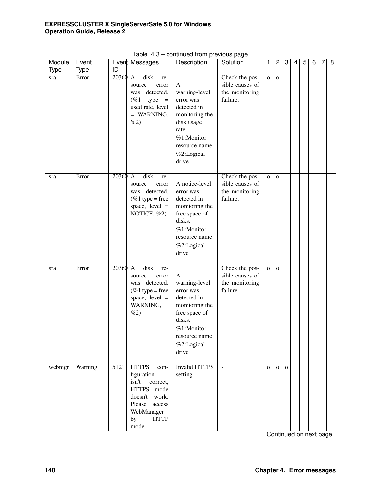| Module<br>Type | Event<br><b>Type</b> | ID      | Event Messages                                                                                                                                         | Description                                                                                                                                       | Solution                                                        | 1            | $\overline{2}$ | 3            | 4 | $\overline{5}$ | 6 | 7 | $\overline{\infty}$ |
|----------------|----------------------|---------|--------------------------------------------------------------------------------------------------------------------------------------------------------|---------------------------------------------------------------------------------------------------------------------------------------------------|-----------------------------------------------------------------|--------------|----------------|--------------|---|----------------|---|---|---------------------|
| sra            | Error                | 20360   | disk<br>$\mathbf{A}$<br>re-<br>source<br>error<br>detected.<br>was<br>$(\%1)$<br>$type =$<br>used rate, level<br>$=$ WARNING,<br>$\%2)$                | A<br>warning-level<br>error was<br>detected in<br>monitoring the<br>disk usage<br>rate.<br>%1:Monitor<br>resource name<br>%2:Logical<br>drive     | Check the pos-<br>sible causes of<br>the monitoring<br>failure. | $\mathbf O$  | $\mathbf 0$    |              |   |                |   |   |                     |
| sra            | Error                | 20360 A | disk<br>re-<br>source<br>error<br>detected.<br>was<br>$%1$ type = free<br>space, $level =$<br>NOTICE, %2)                                              | A notice-level<br>error was<br>detected in<br>monitoring the<br>free space of<br>disks.<br>%1:Monitor<br>resource name<br>%2:Logical<br>drive     | Check the pos-<br>sible causes of<br>the monitoring<br>failure. | $\mathbf O$  | $\Omega$       |              |   |                |   |   |                     |
| sra            | Error                | 20360 A | disk<br>re-<br>source<br>error<br>was detected.<br>$%1$ type = free<br>space, $level =$<br>WARNING,<br>$\%2)$                                          | A<br>warning-level<br>error was<br>detected in<br>monitoring the<br>free space of<br>disks.<br>%1:Monitor<br>resource name<br>%2:Logical<br>drive | Check the pos-<br>sible causes of<br>the monitoring<br>failure. | $\mathbf{o}$ | $\mathbf{O}$   |              |   |                |   |   |                     |
| webmgr         | Warning              | 5121    | <b>HTTPS</b><br>con-<br>figuration<br>isn't<br>correct,<br>HTTPS mode<br>doesn't work.<br>Please<br>access<br>WebManager<br><b>HTTP</b><br>by<br>mode. | <b>Invalid HTTPS</b><br>setting                                                                                                                   | $\equiv$                                                        | $\mathbf{O}$ | $\Omega$       | $\mathbf{O}$ |   |                |   |   |                     |

Table 4.3 – continued from previous page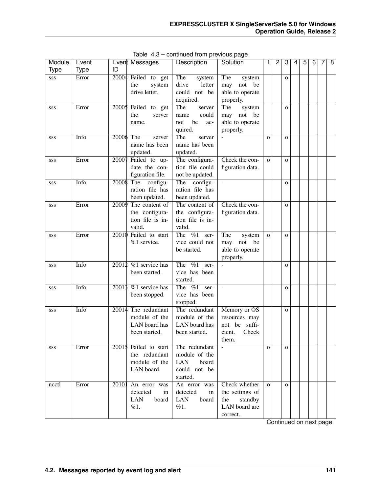| Module | Event       |       | Event Messages          | Description                        | Solution         | 1            | $\overline{c}$ | 3            | 4 | 5 | 6 | 7 | 8 |
|--------|-------------|-------|-------------------------|------------------------------------|------------------|--------------|----------------|--------------|---|---|---|---|---|
| Type   | <b>Type</b> | ID    |                         |                                    |                  |              |                |              |   |   |   |   |   |
| SSS    | Error       |       | $20004$ Failed to get   | The<br>system                      | The<br>system    |              |                | $\mathbf{O}$ |   |   |   |   |   |
|        |             |       | the<br>system           | drive<br>letter                    | not be<br>may    |              |                |              |   |   |   |   |   |
|        |             |       | drive letter.           | could not be                       | able to operate  |              |                |              |   |   |   |   |   |
|        |             |       |                         | acquired.                          | properly.        |              |                |              |   |   |   |   |   |
| SSS    | Error       | 20005 | Failed to get           | The<br>server                      | The<br>system    |              |                | $\mathbf{O}$ |   |   |   |   |   |
|        |             |       | the<br>server           | could<br>name                      | not be<br>may    |              |                |              |   |   |   |   |   |
|        |             |       | name.                   | be<br>not<br>ac-                   | able to operate  |              |                |              |   |   |   |   |   |
|        |             |       |                         | quired.                            | properly.        |              |                |              |   |   |   |   |   |
| SSS    | Info        |       | 20006 The<br>server     | The<br>server                      |                  | $\Omega$     |                | $\mathbf{O}$ |   |   |   |   |   |
|        |             |       | name has been           | name has been                      |                  |              |                |              |   |   |   |   |   |
|        |             |       | updated.                | updated.                           |                  |              |                |              |   |   |   |   |   |
| SSS    | Error       | 20007 | Failed to up-           | The configura-                     | Check the con-   | $\Omega$     |                | $\Omega$     |   |   |   |   |   |
|        |             |       | date the con-           | tion file could                    | figuration data. |              |                |              |   |   |   |   |   |
|        |             |       | figuration file.        | not be updated.                    |                  |              |                |              |   |   |   |   |   |
| SSS    | Info        |       | 20008 The<br>configu-   | configu-<br>The                    | $\overline{a}$   |              |                | $\mathbf{O}$ |   |   |   |   |   |
|        |             |       | ration file has         | ration file has                    |                  |              |                |              |   |   |   |   |   |
|        |             |       | been updated.           | been updated.                      |                  |              |                |              |   |   |   |   |   |
| SSS    | Error       |       | 20009 The content of    | The content of                     | Check the con-   |              |                | $\Omega$     |   |   |   |   |   |
|        |             |       | the configura-          | the configura-                     | figuration data. |              |                |              |   |   |   |   |   |
|        |             |       | tion file is in-        | tion file is in-                   |                  |              |                |              |   |   |   |   |   |
|        |             |       | valid.                  | valid.                             |                  |              |                |              |   |   |   |   |   |
| SSS    | Error       | 20010 | Failed to start         | The $\%1$<br>ser-                  | The<br>system    | $\mathbf{o}$ |                | $\mathbf{o}$ |   |   |   |   |   |
|        |             |       | %1 service.             | vice could not                     | not<br>be<br>may |              |                |              |   |   |   |   |   |
|        |             |       |                         | be started.                        | able to operate  |              |                |              |   |   |   |   |   |
|        |             |       |                         |                                    | properly.        |              |                |              |   |   |   |   |   |
| SSS    | Info        | 20012 | $%1$ service has        | $\frac{6}{1}$<br>The<br>ser-       |                  |              |                | $\mathbf{O}$ |   |   |   |   |   |
|        |             |       | been started.           | vice has been                      |                  |              |                |              |   |   |   |   |   |
|        |             |       |                         | started.                           |                  |              |                |              |   |   |   |   |   |
| SSS    | Info        | 20013 | $%1$ service has        | $\sqrt[6]{\alpha}1$<br>The<br>ser- | $\Box$           |              |                | $\mathbf{O}$ |   |   |   |   |   |
|        |             |       | been stopped.           | vice has been                      |                  |              |                |              |   |   |   |   |   |
|        |             |       |                         | stopped.                           |                  |              |                |              |   |   |   |   |   |
| SSS    | Info        | 20014 | The redundant           | The redundant                      | Memory or OS     |              |                | $\mathbf{O}$ |   |   |   |   |   |
|        |             |       | module of the           | module of the                      | resources may    |              |                |              |   |   |   |   |   |
|        |             |       | LAN board has           | LAN board has                      | suffi-<br>not be |              |                |              |   |   |   |   |   |
|        |             |       | been started.           | been started.                      | Check<br>cient.  |              |                |              |   |   |   |   |   |
|        |             |       |                         |                                    | them.            |              |                |              |   |   |   |   |   |
| SSS    | Error       |       | $20015$ Failed to start | The redundant                      | $\overline{a}$   | $\mathbf{O}$ |                | $\mathbf{O}$ |   |   |   |   |   |
|        |             |       | the redundant           | module of the                      |                  |              |                |              |   |   |   |   |   |
|        |             |       | module of the           | <b>LAN</b><br>board                |                  |              |                |              |   |   |   |   |   |
|        |             |       | LAN board.              | could not be                       |                  |              |                |              |   |   |   |   |   |
|        |             |       |                         | started.                           |                  |              |                |              |   |   |   |   |   |
| ncctl  | Error       | 20101 | An error was            | An error was                       | Check whether    | $\Omega$     |                | $\mathbf{O}$ |   |   |   |   |   |
|        |             |       | detected<br>in          | detected<br>in                     | the settings of  |              |                |              |   |   |   |   |   |
|        |             |       | LAN<br>board            | <b>LAN</b><br>board                | standby<br>the   |              |                |              |   |   |   |   |   |
|        |             |       | %1.                     | %1.                                | LAN board are    |              |                |              |   |   |   |   |   |
|        |             |       |                         |                                    | correct.         |              |                |              |   |   |   |   |   |

Table 4.3 – continued from previous page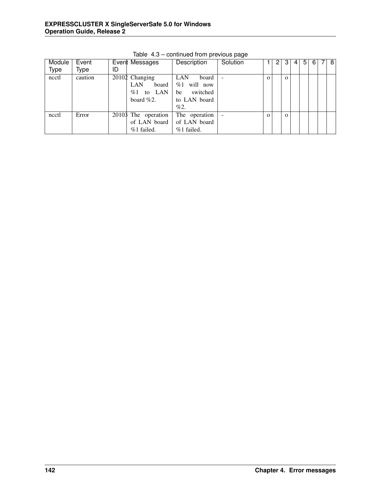| Module      | Event   |    | Event Messages              | Description    | Solution                 |          | 3        | 4 | 5 | 6 | 8 |
|-------------|---------|----|-----------------------------|----------------|--------------------------|----------|----------|---|---|---|---|
| <b>Type</b> | Type    | ID |                             |                |                          |          |          |   |   |   |   |
| ncctl       | caution |    | $\overline{20102}$ Changing | LAN<br>board   |                          | $\Omega$ | $\Omega$ |   |   |   |   |
|             |         |    | LAN<br>board                | will now<br>%1 |                          |          |          |   |   |   |   |
|             |         |    | LAN<br>%1<br>to             | switched<br>be |                          |          |          |   |   |   |   |
|             |         |    | board $\%2$ .               | to LAN board   |                          |          |          |   |   |   |   |
|             |         |    |                             | %2.            |                          |          |          |   |   |   |   |
| ncctl       | Error   |    | 20103 The operation         | The operation  | $\overline{\phantom{a}}$ | $\Omega$ | $\Omega$ |   |   |   |   |
|             |         |    | of LAN board                | of LAN board   |                          |          |          |   |   |   |   |
|             |         |    | %1 failed.                  | %1 failed.     |                          |          |          |   |   |   |   |

Table 4.3 – continued from previous page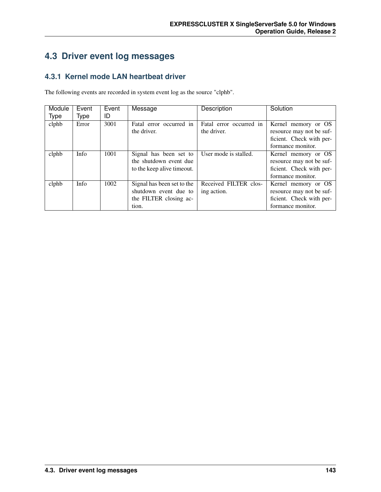# **4.3 Driver event log messages**

### **4.3.1 Kernel mode LAN heartbeat driver**

The following events are recorded in system event log as the source "clphb".

| Module<br><b>Type</b> | Event<br>Type | Event<br>ID | Message                    | Description             | Solution                 |
|-----------------------|---------------|-------------|----------------------------|-------------------------|--------------------------|
|                       |               |             |                            |                         |                          |
| clphb                 | Error         | 3001        | Fatal error occurred in    | Fatal error occurred in | Kernel memory or OS      |
|                       |               |             | the driver.                | the driver.             | resource may not be suf- |
|                       |               |             |                            |                         | ficient. Check with per- |
|                       |               |             |                            |                         | formance monitor.        |
| clphb                 | Info          | 1001        | Signal has been set to     | User mode is stalled.   | Kernel memory or OS      |
|                       |               |             | the shutdown event due     |                         | resource may not be suf- |
|                       |               |             | to the keep alive timeout. |                         | ficient. Check with per- |
|                       |               |             |                            |                         | formance monitor.        |
| clphb                 | Info          | 1002        | Signal has been set to the | Received FILTER clos-   | Kernel memory or OS      |
|                       |               |             | shutdown event due to      | ing action.             | resource may not be suf- |
|                       |               |             | the FILTER closing ac-     |                         | ficient. Check with per- |
|                       |               |             | tion.                      |                         | formance monitor.        |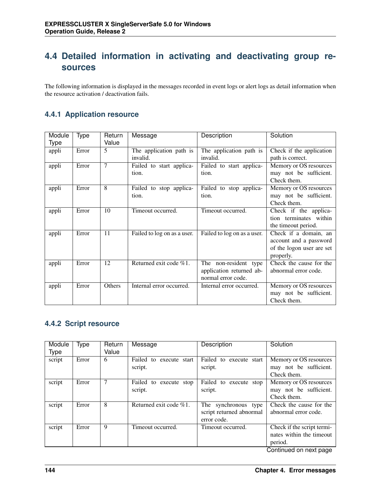# **4.4 Detailed information in activating and deactivating group resources**

The following information is displayed in the messages recorded in event logs or alert logs as detail information when the resource activation / deactivation fails.

#### **4.4.1 Application resource**

| Module      | Type  | Return | Message                     | Description                 | Solution                  |
|-------------|-------|--------|-----------------------------|-----------------------------|---------------------------|
| <b>Type</b> |       | Value  |                             |                             |                           |
| appli       | Error | 5      | The application path is     | The application path is     | Check if the application  |
|             |       |        | invalid.                    | invalid.                    | path is correct.          |
| appli       | Error | 7      | Failed to start applica-    | Failed to start applica-    | Memory or OS resources    |
|             |       |        | tion.                       | tion.                       | may not be sufficient.    |
|             |       |        |                             |                             | Check them.               |
| appli       | Error | 8      | Failed to stop applica-     | Failed to stop applica-     | Memory or OS resources    |
|             |       |        | tion.                       | tion.                       | may not be sufficient.    |
|             |       |        |                             |                             | Check them.               |
| appli       | Error | 10     | Timeout occurred.           | Timeout occurred.           | Check if the applica-     |
|             |       |        |                             |                             | tion terminates within    |
|             |       |        |                             |                             | the timeout period.       |
| appli       | Error | 11     | Failed to log on as a user. | Failed to log on as a user. | Check if a domain, an     |
|             |       |        |                             |                             | account and a password    |
|             |       |        |                             |                             | of the logon user are set |
|             |       |        |                             |                             | properly.                 |
| appli       | Error | 12     | Returned exit code %1.      | The non-resident type       | Check the cause for the   |
|             |       |        |                             | application returned ab-    | abnormal error code.      |
|             |       |        |                             | normal error code.          |                           |
| appli       | Error | Others | Internal error occurred.    | Internal error occurred.    | Memory or OS resources    |
|             |       |        |                             |                             | may not be sufficient.    |
|             |       |        |                             |                             | Check them.               |

#### **4.4.2 Script resource**

| Module | Type  | Return | Message                   | Description              | Solution                   |
|--------|-------|--------|---------------------------|--------------------------|----------------------------|
| Type   |       | Value  |                           |                          |                            |
| script | Error | 6      | Failed to execute start   | Failed to execute start  | Memory or OS resources     |
|        |       |        | script.                   | script.                  | may not be sufficient.     |
|        |       |        |                           |                          | Check them.                |
| script | Error |        | Failed to execute stop    | Failed to execute stop   | Memory or OS resources     |
|        |       |        | script.                   | script.                  | may not be sufficient.     |
|        |       |        |                           |                          | Check them.                |
| script | Error | 8      | Returned exit code $%1$ . | The synchronous type     | Check the cause for the    |
|        |       |        |                           | script returned abnormal | abnormal error code.       |
|        |       |        |                           | error code.              |                            |
| script | Error | 9      | Timeout occurred.         | Timeout occurred.        | Check if the script termi- |
|        |       |        |                           |                          | nates within the timeout   |
|        |       |        |                           |                          | period.                    |
|        |       |        |                           |                          | Continued on next page     |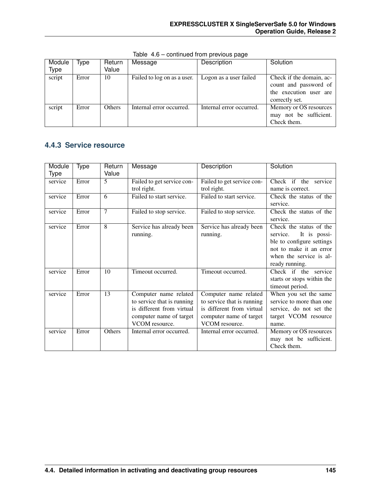| Module | Type  | Return        | Message                     | Description              | Solution                                                                                      |
|--------|-------|---------------|-----------------------------|--------------------------|-----------------------------------------------------------------------------------------------|
| Type   |       | Value         |                             |                          |                                                                                               |
| script | Error | 10            | Failed to log on as a user. | Logon as a user failed   | Check if the domain, ac-<br>count and password of<br>the execution user are<br>correctly set. |
| script | Error | <b>Others</b> | Internal error occurred.    | Internal error occurred. | Memory or OS resources<br>may not be sufficient.<br>Check them.                               |

Table 4.6 – continued from previous page

#### **4.4.3 Service resource**

| Module  | Type  | Return | Message                    | <b>Description</b>         | Solution                   |
|---------|-------|--------|----------------------------|----------------------------|----------------------------|
| Type    |       | Value  |                            |                            |                            |
| service | Error | 5      | Failed to get service con- | Failed to get service con- | Check if the service       |
|         |       |        | trol right.                | trol right.                | name is correct.           |
| service | Error | 6      | Failed to start service.   | Failed to start service.   | Check the status of the    |
|         |       |        |                            |                            | service.                   |
| service | Error | 7      | Failed to stop service.    | Failed to stop service.    | Check the status of the    |
|         |       |        |                            |                            | service.                   |
| service | Error | 8      | Service has already been   | Service has already been   | Check the status of the    |
|         |       |        | running.                   | running.                   | service. It is possi-      |
|         |       |        |                            |                            | ble to configure settings  |
|         |       |        |                            |                            | not to make it an error    |
|         |       |        |                            |                            | when the service is al-    |
|         |       |        |                            |                            | ready running.             |
| service | Error | 10     | Timeout occurred.          | Timeout occurred.          | Check if the service       |
|         |       |        |                            |                            | starts or stops within the |
|         |       |        |                            |                            | timeout period.            |
| service | Error | 13     | Computer name related      | Computer name related      | When you set the same      |
|         |       |        | to service that is running | to service that is running | service to more than one   |
|         |       |        | is different from virtual  | is different from virtual  | service, do not set the    |
|         |       |        | computer name of target    | computer name of target    | target VCOM resource       |
|         |       |        | VCOM resource.             | VCOM resource.             | name.                      |
| service | Error | Others | Internal error occurred.   | Internal error occurred.   | Memory or OS resources     |
|         |       |        |                            |                            | may not be sufficient.     |
|         |       |        |                            |                            | Check them.                |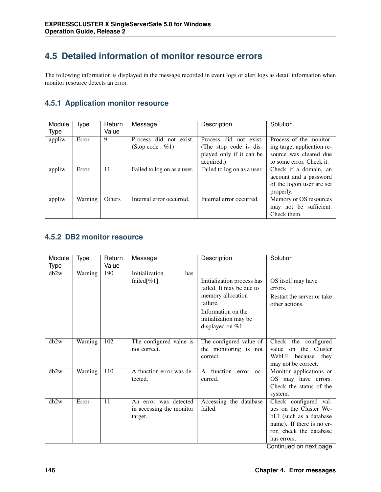# **4.5 Detailed information of monitor resource errors**

The following information is displayed in the message recorded in event logs or alert logs as detail information when monitor resource detects an error.

## **4.5.1 Application monitor resource**

| Module<br><b>Type</b> | Type    | Return<br>Value | Message                                       | Description                                                                                | Solution                                                                                                    |
|-----------------------|---------|-----------------|-----------------------------------------------|--------------------------------------------------------------------------------------------|-------------------------------------------------------------------------------------------------------------|
| appliw                | Error   | 9               | Process did not exist.<br>(Stop code : $%1$ ) | Process did not exist.<br>(The stop code is dis-<br>played only if it can be<br>acquired.) | Process of the monitor-<br>ing target application re-<br>source was cleared due<br>to some error. Check it. |
| appliw                | Error   | 11              | Failed to log on as a user.                   | Failed to log on as a user.                                                                | Check if a domain, an<br>account and a password<br>of the logon user are set<br>properly.                   |
| appliw                | Warning | Others          | Internal error occurred.                      | Internal error occurred.                                                                   | Memory or OS resources<br>may not be sufficient.<br>Check them.                                             |

#### **4.5.2 DB2 monitor resource**

| Module | Type    | Return | Message                                                      | Description                                                                                                                                                | Solution                                                                                                                                                                    |
|--------|---------|--------|--------------------------------------------------------------|------------------------------------------------------------------------------------------------------------------------------------------------------------|-----------------------------------------------------------------------------------------------------------------------------------------------------------------------------|
| Type   |         | Value  |                                                              |                                                                                                                                                            |                                                                                                                                                                             |
| db2w   | Warning | 190    | Initialization<br>has<br>failed $[\%1]$ .                    | Initialization process has<br>failed. It may be due to<br>memory allocation<br>failure.<br>Information on the<br>initialization may be<br>displayed on %1. | OS itself may have<br>errors.<br>Restart the server or take<br>other actions.                                                                                               |
| db2w   | Warning | 102    | The configured value is<br>not correct.                      | The configured value of<br>the monitoring is not<br>correct.                                                                                               | Check the configured<br>on the Cluster<br>value<br>WebUI<br>because<br>they<br>may not be correct.                                                                          |
| db2w   | Warning | 110    | A function error was de-<br>tected.                          | A function error oc-<br>curred.                                                                                                                            | Monitor applications or<br>OS may have errors.<br>Check the status of the<br>system.                                                                                        |
| dh2w   | Error   | 11     | An error was detected<br>in accessing the monitor<br>target. | Accessing the database<br>failed.                                                                                                                          | Check configured val-<br>ues on the Cluster We-<br>bUI (such as a database<br>name). If there is no er-<br>ror, check the database<br>has errors.<br>Continued on next page |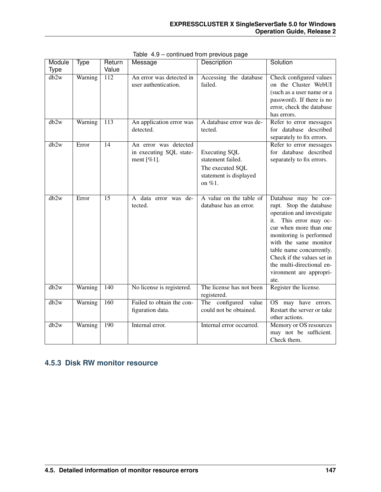| Module      | <b>Type</b> | Return          | Message                                                            | <b>Description</b>                                                                                   | Solution                                                                                                                                                                                                                                                                                                          |
|-------------|-------------|-----------------|--------------------------------------------------------------------|------------------------------------------------------------------------------------------------------|-------------------------------------------------------------------------------------------------------------------------------------------------------------------------------------------------------------------------------------------------------------------------------------------------------------------|
| <b>Type</b> |             | Value           |                                                                    |                                                                                                      |                                                                                                                                                                                                                                                                                                                   |
| db2w        | Warning     | 112             | An error was detected in<br>user authentication.                   | Accessing the database<br>failed.                                                                    | Check configured values<br>on the Cluster WebUI<br>(such as a user name or a<br>password). If there is no<br>error, check the database<br>has errors.                                                                                                                                                             |
| db2w        | Warning     | 113             | An application error was<br>detected.                              | A database error was de-<br>tected.                                                                  | Refer to error messages<br>for database described<br>separately to fix errors.                                                                                                                                                                                                                                    |
| db2w        | Error       | $\overline{14}$ | An error was detected<br>in executing SQL state-<br>ment [ $%1$ ]. | <b>Executing SQL</b><br>statement failed.<br>The executed SQL<br>statement is displayed<br>on $%1$ . | Refer to error messages<br>for database described<br>separately to fix errors.                                                                                                                                                                                                                                    |
| db2w        | Error       | $\overline{15}$ | A data error was de-<br>tected.                                    | A value on the table of<br>database has an error.                                                    | Database may be cor-<br>rupt. Stop the database<br>operation and investigate<br>This error may oc-<br>it.<br>cur when more than one<br>monitoring is performed<br>with the same monitor<br>table name concurrently.<br>Check if the values set in<br>the multi-directional en-<br>vironment are appropri-<br>ate. |
| db2w        | Warning     | 140             | No license is registered.                                          | The license has not been<br>registered.                                                              | Register the license.                                                                                                                                                                                                                                                                                             |
| db2w        | Warning     | 160             | Failed to obtain the con-<br>figuration data.                      | The configured value<br>could not be obtained.                                                       | OS may have errors.<br>Restart the server or take<br>other actions.                                                                                                                                                                                                                                               |
| db2w        | Warning     | 190             | Internal error.                                                    | Internal error occurred.                                                                             | Memory or OS resources<br>may not be sufficient.<br>Check them.                                                                                                                                                                                                                                                   |

Table 4.9 – continued from previous page

## **4.5.3 Disk RW monitor resource**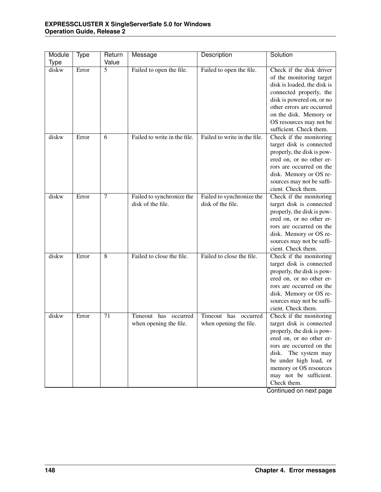| Module<br><b>Type</b> | Type  | Return<br>Value | Message                                           | Description                                       | Solution                                                                                                                                                                                                                                                          |
|-----------------------|-------|-----------------|---------------------------------------------------|---------------------------------------------------|-------------------------------------------------------------------------------------------------------------------------------------------------------------------------------------------------------------------------------------------------------------------|
| diskw                 | Error | 5               | Failed to open the file.                          | Failed to open the file.                          | Check if the disk driver<br>of the monitoring target<br>disk is loaded, the disk is<br>connected properly, the<br>disk is powered on, or no<br>other errors are occurred<br>on the disk. Memory or<br>OS resources may not be<br>sufficient. Check them.          |
| diskw                 | Error | 6               | Failed to write in the file.                      | Failed to write in the file.                      | Check if the monitoring<br>target disk is connected<br>properly, the disk is pow-<br>ered on, or no other er-<br>rors are occurred on the<br>disk. Memory or OS re-<br>sources may not be suffi-<br>cient. Check them.                                            |
| diskw                 | Error | $\tau$          | Failed to synchronize the<br>disk of the file.    | Failed to synchronize the<br>disk of the file.    | Check if the monitoring<br>target disk is connected<br>properly, the disk is pow-<br>ered on, or no other er-<br>rors are occurred on the<br>disk. Memory or OS re-<br>sources may not be suffi-<br>cient. Check them.                                            |
| diskw                 | Error | 8               | Failed to close the file.                         | Failed to close the file.                         | Check if the monitoring<br>target disk is connected<br>properly, the disk is pow-<br>ered on, or no other er-<br>rors are occurred on the<br>disk. Memory or OS re-<br>sources may not be suffi-<br>cient. Check them.                                            |
| diskw                 | Error | 71              | occurred<br>Timeout has<br>when opening the file. | Timeout has<br>occurred<br>when opening the file. | Check if the monitoring<br>target disk is connected<br>properly, the disk is pow-<br>ered on, or no other er-<br>rors are occurred on the<br>The system may<br>disk.<br>be under high load, or<br>memory or OS resources<br>may not be sufficient.<br>Check them. |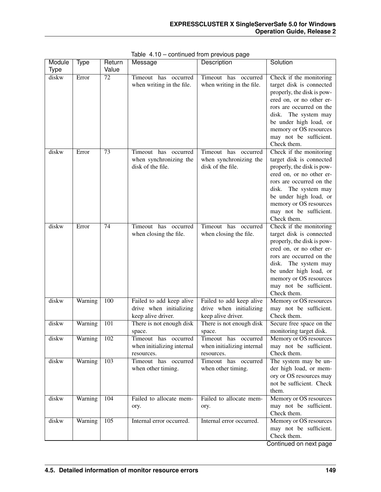| Module      | Type    | Return           | Message                                                                   | Description                                                               | Solution                                                                                                                                                                                                                                                          |
|-------------|---------|------------------|---------------------------------------------------------------------------|---------------------------------------------------------------------------|-------------------------------------------------------------------------------------------------------------------------------------------------------------------------------------------------------------------------------------------------------------------|
| <b>Type</b> |         | Value            |                                                                           |                                                                           |                                                                                                                                                                                                                                                                   |
| diskw       | Error   | 72               | Timeout has occurred<br>when writing in the file.                         | Timeout has<br>occurred<br>when writing in the file.                      | Check if the monitoring<br>target disk is connected<br>properly, the disk is pow-<br>ered on, or no other er-<br>rors are occurred on the<br>The system may<br>disk.<br>be under high load, or<br>memory or OS resources<br>may not be sufficient.<br>Check them. |
| diskw       | Error   | 73               | Timeout has occurred<br>when synchronizing the<br>disk of the file.       | Timeout has occurred<br>when synchronizing the<br>disk of the file.       | Check if the monitoring<br>target disk is connected<br>properly, the disk is pow-<br>ered on, or no other er-<br>rors are occurred on the<br>The system may<br>disk.<br>be under high load, or<br>memory or OS resources<br>may not be sufficient.<br>Check them. |
| diskw       | Error   | 74               | Timeout has occurred<br>when closing the file.                            | Timeout has occurred<br>when closing the file.                            | Check if the monitoring<br>target disk is connected<br>properly, the disk is pow-<br>ered on, or no other er-<br>rors are occurred on the<br>The system may<br>disk.<br>be under high load, or<br>memory or OS resources<br>may not be sufficient.<br>Check them. |
| diskw       | Warning | 100              | Failed to add keep alive<br>drive when initializing<br>keep alive driver. | Failed to add keep alive<br>drive when initializing<br>keep alive driver. | Memory or OS resources<br>may not be sufficient.<br>Check them.                                                                                                                                                                                                   |
| diskw       | Warning | 101              | There is not enough disk<br>space.                                        | There is not enough disk<br>space.                                        | Secure free space on the<br>monitoring target disk.                                                                                                                                                                                                               |
| diskw       | Warning | 102              | Timeout has occurred<br>when initializing internal<br>resources.          | Timeout has occurred<br>when initializing internal<br>resources.          | Memory or OS resources<br>may not be sufficient.<br>Check them.                                                                                                                                                                                                   |
| diskw       | Warning | $\overline{103}$ | Timeout has occurred<br>when other timing.                                | Timeout has occurred<br>when other timing.                                | The system may be un-<br>der high load, or mem-<br>ory or OS resources may<br>not be sufficient. Check<br>them.                                                                                                                                                   |
| diskw       | Warning | 104              | Failed to allocate mem-<br>ory.                                           | Failed to allocate mem-<br>ory.                                           | Memory or OS resources<br>may not be sufficient.<br>Check them.                                                                                                                                                                                                   |
| diskw       | Warning | $\overline{105}$ | Internal error occurred.                                                  | Internal error occurred.                                                  | Memory or OS resources<br>may not be sufficient.<br>Check them.<br>$Confinuod$ on now nogo                                                                                                                                                                        |

Table 4.10 – continued from previous page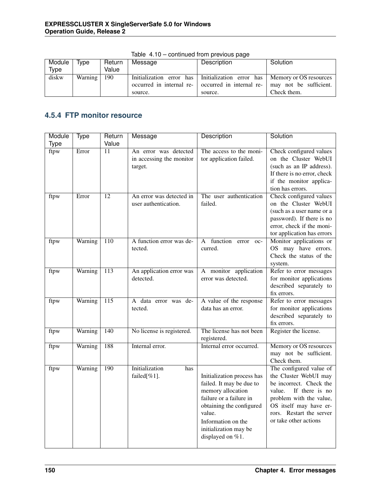| Module | Type    | Return | Message | Description                                                                              | Solution    |
|--------|---------|--------|---------|------------------------------------------------------------------------------------------|-------------|
| Type   |         | Value  |         |                                                                                          |             |
| diskw  | Warning | 190    |         | Initialization error has   Initialization error has   Memory or OS resources             |             |
|        |         |        |         | occurred in internal re- $\vert$ occurred in internal re- $\vert$ may not be sufficient. |             |
|        |         |        | source. | source.                                                                                  | Check them. |

Table 4.10 – continued from previous page

## **4.5.4 FTP monitor resource**

| Module | <b>Type</b> | Return           | Message                         | Description                                   | Solution                                            |
|--------|-------------|------------------|---------------------------------|-----------------------------------------------|-----------------------------------------------------|
| Type   |             | Value            |                                 |                                               |                                                     |
| ftpw   | Error       | 11               | An error was detected           | The access to the moni-                       | Check configured values                             |
|        |             |                  | in accessing the monitor        | tor application failed.                       | on the Cluster WebUI                                |
|        |             |                  | target.                         |                                               | (such as an IP address).                            |
|        |             |                  |                                 |                                               | If there is no error, check                         |
|        |             |                  |                                 |                                               | if the monitor applica-                             |
|        |             |                  |                                 |                                               | tion has errors.                                    |
| ftpw   | Error       | $\overline{12}$  | An error was detected in        | The user authentication                       | Check configured values                             |
|        |             |                  | user authentication.            | failed.                                       | on the Cluster WebUI                                |
|        |             |                  |                                 |                                               | (such as a user name or a                           |
|        |             |                  |                                 |                                               | password). If there is no                           |
|        |             |                  |                                 |                                               | error, check if the moni-                           |
|        |             |                  |                                 |                                               | tor application has errors                          |
| ftpw   | Warning     | 110              | A function error was de-        | function<br>A<br>error<br>$OC-$               | Monitor applications or                             |
|        |             |                  | tected.                         | curred.                                       | OS may have errors.                                 |
|        |             |                  |                                 |                                               | Check the status of the                             |
|        |             |                  |                                 |                                               | system.                                             |
| ftpw   | Warning     | 113              | An application error was        | A monitor application                         | Refer to error messages                             |
|        |             |                  | detected.                       | error was detected.                           | for monitor applications                            |
|        |             |                  |                                 |                                               | described separately to                             |
|        | Warning     | $\overline{115}$ |                                 |                                               | fix errors.                                         |
| ftpw   |             |                  | A data error was de-<br>tected. | A value of the response<br>data has an error. | Refer to error messages<br>for monitor applications |
|        |             |                  |                                 |                                               | described separately to                             |
|        |             |                  |                                 |                                               | fix errors.                                         |
| ftpw   | Warning     | 140              | No license is registered.       | The license has not been                      | Register the license.                               |
|        |             |                  |                                 | registered.                                   |                                                     |
| ftpw   | Warning     | 188              | Internal error.                 | Internal error occurred.                      | Memory or OS resources                              |
|        |             |                  |                                 |                                               | may not be sufficient.                              |
|        |             |                  |                                 |                                               | Check them.                                         |
| ftpw   | Warning     | 190              | Initialization<br>has           |                                               | The configured value of                             |
|        |             |                  | failed[%1].                     | Initialization process has                    | the Cluster WebUI may                               |
|        |             |                  |                                 | failed. It may be due to                      | be incorrect. Check the                             |
|        |             |                  |                                 | memory allocation                             | value.<br>If there is no                            |
|        |             |                  |                                 | failure or a failure in                       | problem with the value,                             |
|        |             |                  |                                 | obtaining the configured                      | OS itself may have er-                              |
|        |             |                  |                                 | value.                                        | rors. Restart the server                            |
|        |             |                  |                                 | Information on the                            | or take other actions                               |
|        |             |                  |                                 | initialization may be                         |                                                     |
|        |             |                  |                                 | displayed on $%1$ .                           |                                                     |
|        |             |                  |                                 |                                               |                                                     |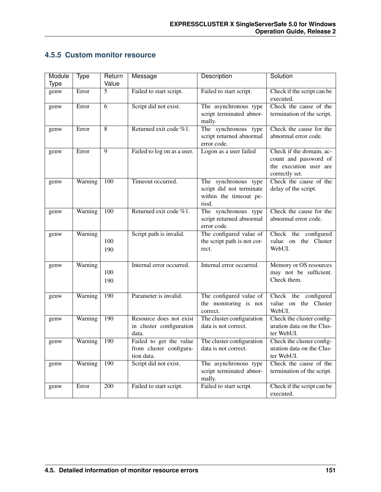## **4.5.5 Custom monitor resource**

| Module      | <b>Type</b> | Return     | Message                                                          | Description                                                                         | Solution                                                                                      |
|-------------|-------------|------------|------------------------------------------------------------------|-------------------------------------------------------------------------------------|-----------------------------------------------------------------------------------------------|
| <b>Type</b> |             | Value      |                                                                  |                                                                                     |                                                                                               |
| genw        | Error       | 5          | Failed to start script.                                          | Failed to start script.                                                             | Check if the script can be<br>executed.                                                       |
| genw        | Error       | 6          | Script did not exist.                                            | The asynchronous type<br>script terminated abnor-<br>mally.                         | Check the cause of the<br>termination of the script.                                          |
| genw        | Error       | 8          | Returned exit code %1.                                           | The synchronous type<br>script returned abnormal<br>error code.                     | Check the cause for the<br>abnormal error code.                                               |
| genw        | Error       | 9          | Failed to log on as a user.                                      | Logon as a user failed                                                              | Check if the domain, ac-<br>count and password of<br>the execution user are<br>correctly set. |
| genw        | Warning     | 100        | Timeout occurred.                                                | The synchronous type<br>script did not terminate<br>within the timeout pe-<br>riod. | Check the cause of the<br>delay of the script.                                                |
| genw        | Warning     | 100        | Returned exit code %1.                                           | The synchronous type<br>script returned abnormal<br>error code.                     | Check the cause for the<br>abnormal error code.                                               |
| genw        | Warning     | 100<br>190 | Script path is invalid.                                          | The configured value of<br>the script path is not cor-<br>rect.                     | Check the configured<br>value on the Cluster<br>WebUI.                                        |
| genw        | Warning     | 100<br>190 | Internal error occurred.                                         | Internal error occurred.                                                            | Memory or OS resources<br>may not be sufficient.<br>Check them.                               |
| genw        | Warning     | 190        | Parameter is invalid.                                            | The configured value of<br>the monitoring is not<br>correct.                        | Check the configured<br>value on the Cluster<br>WebUI.                                        |
| genw        | Warning     | 190        | Resource does not exist<br>in cluster configuration<br>data.     | The cluster configuration<br>data is not correct.                                   | Check the cluster config-<br>uration data on the Clus-<br>ter WebUI.                          |
| genw        | Warning     | 190        | Failed to get the value<br>from cluster configura-<br>tion data. | The cluster configuration<br>data is not correct.                                   | Check the cluster config-<br>uration data on the Clus-<br>ter WebUI.                          |
| genw        | Warning     | 190        | Script did not exist.                                            | The asynchronous type<br>script terminated abnor-<br>mally.                         | Check the cause of the<br>termination of the script.                                          |
| genw        | Error       | 200        | Failed to start script.                                          | Failed to start script.                                                             | Check if the script can be<br>executed.                                                       |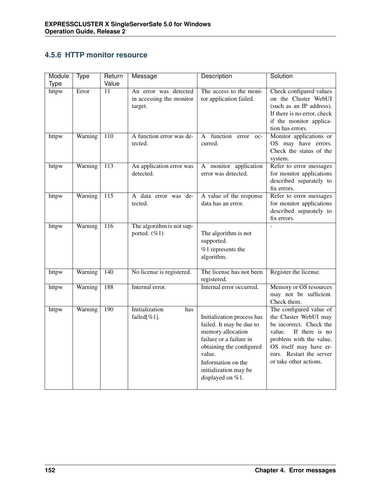## **4.5.6 HTTP monitor resource**

| Module | <b>Type</b> | Return           | Message                                                      | Description                                                                                                                                                                                                     | Solution                                                                                                                                                                                                           |
|--------|-------------|------------------|--------------------------------------------------------------|-----------------------------------------------------------------------------------------------------------------------------------------------------------------------------------------------------------------|--------------------------------------------------------------------------------------------------------------------------------------------------------------------------------------------------------------------|
| Type   |             | Value            |                                                              |                                                                                                                                                                                                                 |                                                                                                                                                                                                                    |
| httpw  | Error       | 11               | An error was detected<br>in accessing the monitor<br>target. | The access to the moni-<br>tor application failed.                                                                                                                                                              | Check configured values<br>on the Cluster WebUI<br>(such as an IP address).<br>If there is no error, check<br>if the monitor applica-<br>tion has errors.                                                          |
| httpw  | Warning     | $\overline{110}$ | A function error was de-<br>tected.                          | function error<br>$\mathsf{A}$<br>$OC-$<br>curred.                                                                                                                                                              | Monitor applications or<br>OS may have errors.<br>Check the status of the<br>system.                                                                                                                               |
| httpw  | Warning     | $\overline{113}$ | An application error was<br>detected.                        | A monitor application<br>error was detected.                                                                                                                                                                    | Refer to error messages<br>for monitor applications<br>described separately to<br>fix errors.                                                                                                                      |
| httpw  | Warning     | $\overline{115}$ | A data error was de-<br>tected.                              | A value of the response<br>data has an error.                                                                                                                                                                   | Refer to error messages<br>for monitor applications<br>described separately to<br>fix errors.                                                                                                                      |
| httpw  | Warning     | $\overline{116}$ | The algorithm is not sup-<br>ported. $(\%1)$                 | The algorithm is not<br>supported.<br>%1 represents the<br>algorithm.                                                                                                                                           |                                                                                                                                                                                                                    |
| httpw  | Warning     | 140              | No license is registered.                                    | The license has not been<br>registered.                                                                                                                                                                         | Register the license.                                                                                                                                                                                              |
| httpw  | Warning     | 188              | Internal error.                                              | Internal error occurred.                                                                                                                                                                                        | Memory or OS resources<br>may not be sufficient.<br>Check them.                                                                                                                                                    |
| httpw  | Warning     | 190              | Initialization<br>has<br>failed[%1].                         | Initialization process has<br>failed. It may be due to<br>memory allocation<br>failure or a failure in<br>obtaining the configured<br>value.<br>Information on the<br>initialization may be<br>displayed on %1. | The configured value of<br>the Cluster WebUI may<br>be incorrect. Check the<br>value.<br>If there is no<br>problem with the value,<br>OS itself may have er-<br>rors. Restart the server<br>or take other actions. |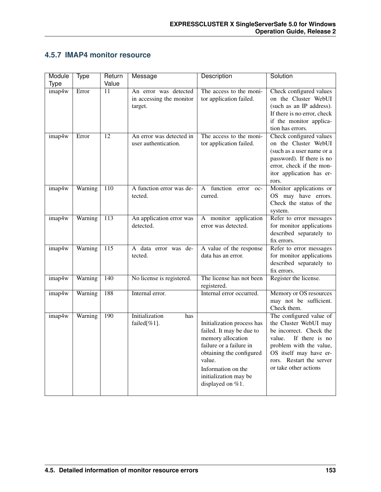## **4.5.7 IMAP4 monitor resource**

| Module<br>Type | <b>Type</b> | Return<br>Value  | Message                                                      | <b>Description</b>                                                                                                                                                                                              | Solution                                                                                                                                                                                                          |
|----------------|-------------|------------------|--------------------------------------------------------------|-----------------------------------------------------------------------------------------------------------------------------------------------------------------------------------------------------------------|-------------------------------------------------------------------------------------------------------------------------------------------------------------------------------------------------------------------|
| imap4w         | Error       | 11               | An error was detected<br>in accessing the monitor<br>target. | The access to the moni-<br>tor application failed.                                                                                                                                                              | Check configured values<br>on the Cluster WebUI<br>(such as an IP address).<br>If there is no error, check<br>if the monitor applica-<br>tion has errors.                                                         |
| imap4w         | Error       | $\overline{12}$  | An error was detected in<br>user authentication.             | The access to the moni-<br>tor application failed.                                                                                                                                                              | Check configured values<br>on the Cluster WebUI<br>(such as a user name or a<br>password). If there is no<br>error, check if the mon-<br>itor application has er-<br>rors.                                        |
| imap4w         | Warning     | 110              | A function error was de-<br>tected.                          | function<br>A<br>error<br>$OC-$<br>curred.                                                                                                                                                                      | Monitor applications or<br>OS may have errors.<br>Check the status of the<br>system.                                                                                                                              |
| imap4w         | Warning     | $\overline{113}$ | An application error was<br>detected.                        | A monitor application<br>error was detected.                                                                                                                                                                    | Refer to error messages<br>for monitor applications<br>described separately to<br>fix errors.                                                                                                                     |
| imap4w         | Warning     | 115              | A data error was de-<br>tected.                              | A value of the response<br>data has an error.                                                                                                                                                                   | Refer to error messages<br>for monitor applications<br>described separately to<br>fix errors.                                                                                                                     |
| imap4w         | Warning     | 140              | No license is registered.                                    | The license has not been<br>registered.                                                                                                                                                                         | Register the license.                                                                                                                                                                                             |
| imap4w         | Warning     | 188              | Internal error.                                              | Internal error occurred.                                                                                                                                                                                        | Memory or OS resources<br>may not be sufficient.<br>Check them.                                                                                                                                                   |
| imap4w         | Warning     | 190              | Initialization<br>has<br>failed[%1].                         | Initialization process has<br>failed. It may be due to<br>memory allocation<br>failure or a failure in<br>obtaining the configured<br>value.<br>Information on the<br>initialization may be<br>displayed on %1. | The configured value of<br>the Cluster WebUI may<br>be incorrect. Check the<br>If there is no<br>value.<br>problem with the value,<br>OS itself may have er-<br>rors. Restart the server<br>or take other actions |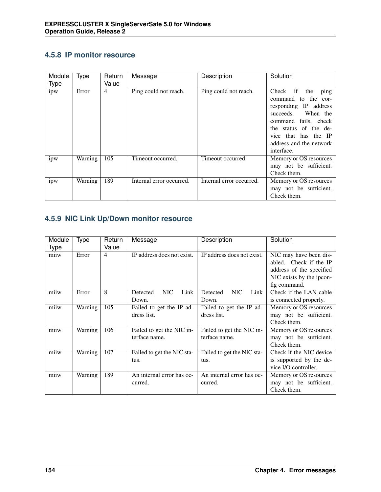### **4.5.8 IP monitor resource**

| Module<br><b>Type</b> | Type    | Return<br>Value | Message                  | Description              | Solution                                                                                                                                                                                                        |
|-----------------------|---------|-----------------|--------------------------|--------------------------|-----------------------------------------------------------------------------------------------------------------------------------------------------------------------------------------------------------------|
| ipw                   | Error   | 4               | Ping could not reach.    | Ping could not reach.    | Check if<br>the<br>ping<br>command to the cor-<br>responding IP address<br>succeeds. When the<br>command fails, check<br>the status of the de-<br>vice that has the IP<br>address and the network<br>interface. |
| ipw                   | Warning | 105             | Timeout occurred.        | Timeout occurred.        | Memory or OS resources<br>may not be sufficient.<br>Check them.                                                                                                                                                 |
| ipw                   | Warning | 189             | Internal error occurred. | Internal error occurred. | Memory or OS resources<br>may not be sufficient.<br>Check them.                                                                                                                                                 |

## **4.5.9 NIC Link Up/Down monitor resource**

| Module      | Type    | Return | Message                        | Description                    | Solution                 |
|-------------|---------|--------|--------------------------------|--------------------------------|--------------------------|
| <b>Type</b> |         | Value  |                                |                                |                          |
| miiw        | Error   | 4      | IP address does not exist.     | IP address does not exist.     | NIC may have been dis-   |
|             |         |        |                                |                                | abled. Check if the IP   |
|             |         |        |                                |                                | address of the specified |
|             |         |        |                                |                                | NIC exists by the ipcon- |
|             |         |        |                                |                                | fig command.             |
| miiw        | Error   | 8      | <b>NIC</b><br>Link<br>Detected | <b>NIC</b><br>Link<br>Detected | Check if the LAN cable   |
|             |         |        | Down.                          | Down.                          | is connected properly.   |
| miiw        | Warning | 105    | Failed to get the IP ad-       | Failed to get the IP ad-       | Memory or OS resources   |
|             |         |        | dress list.                    | dress list.                    | may not be sufficient.   |
|             |         |        |                                |                                | Check them.              |
| miiw        | Warning | 106    | Failed to get the NIC in-      | Failed to get the NIC in-      | Memory or OS resources   |
|             |         |        | terface name.                  | terface name.                  | may not be sufficient.   |
|             |         |        |                                |                                | Check them.              |
| miiw        | Warning | 107    | Failed to get the NIC sta-     | Failed to get the NIC sta-     | Check if the NIC device  |
|             |         |        | tus.                           | tus.                           | is supported by the de-  |
|             |         |        |                                |                                | vice I/O controller.     |
| miiw        | Warning | 189    | An internal error has oc-      | An internal error has oc-      | Memory or OS resources   |
|             |         |        | curred.                        | curred.                        | may not be sufficient.   |
|             |         |        |                                |                                | Check them.              |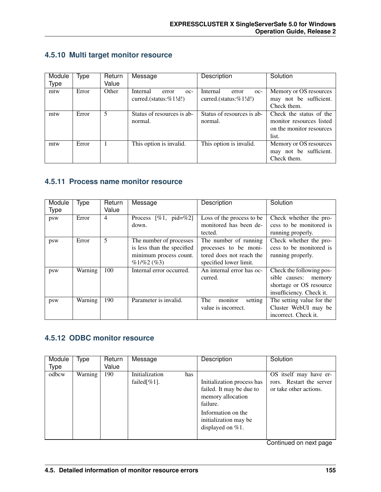| Module      | Type  | Return | Message                    | Description                | Solution                 |
|-------------|-------|--------|----------------------------|----------------------------|--------------------------|
| <b>Type</b> |       | Value  |                            |                            |                          |
| mtw         | Error | Other  | Internal<br>error<br>$OC-$ | Internal<br>error<br>$OC-$ | Memory or OS resources   |
|             |       |        | curred.(status: %1!d!)     | curred.(status:%1!d!)      | may not be sufficient.   |
|             |       |        |                            |                            | Check them.              |
| mtw         | Error | 5      | Status of resources is ab- | Status of resources is ab- | Check the status of the  |
|             |       |        | normal.                    | normal.                    | monitor resources listed |
|             |       |        |                            |                            | on the monitor resources |
|             |       |        |                            |                            | list.                    |
| mtw         | Error |        | This option is invalid.    | This option is invalid.    | Memory or OS resources   |
|             |       |        |                            |                            | may not be sufficient.   |
|             |       |        |                            |                            | Check them.              |

### **4.5.10 Multi target monitor resource**

#### **4.5.11 Process name monitor resource**

| Module<br><b>Type</b> | Type    | Return<br>Value | Message                                                                                           | Description                                                                                          | Solution                                                                                                   |
|-----------------------|---------|-----------------|---------------------------------------------------------------------------------------------------|------------------------------------------------------------------------------------------------------|------------------------------------------------------------------------------------------------------------|
| psw                   | Error   | $\overline{4}$  | Process $[\%1, \text{ pid}=\%2]$<br>down.                                                         | Loss of the process to be<br>monitored has been de-<br>tected.                                       | Check whether the pro-<br>cess to be monitored is<br>running properly.                                     |
| psw                   | Error   | 5               | The number of processes<br>is less than the specified<br>minimum process count.<br>$\%1/\%2$ (%3) | The number of running<br>processes to be moni-<br>tored does not reach the<br>specified lower limit. | Check whether the pro-<br>cess to be monitored is<br>running properly.                                     |
| psw                   | Warning | 100             | Internal error occurred.                                                                          | An internal error has oc-<br>curred.                                                                 | Check the following pos-<br>sible causes:<br>memory<br>shortage or OS resource<br>insufficiency. Check it. |
| psw                   | Warning | 190             | Parameter is invalid.                                                                             | monitor<br>The<br>setting<br>value is incorrect.                                                     | The setting value for the<br>Cluster WebUI may be<br>incorrect. Check it.                                  |

## **4.5.12 ODBC monitor resource**

| Module<br><b>Type</b> | Type    | Return<br>Value | Message                                 | Description                                                                                                                                                   | Solution                                                                     |
|-----------------------|---------|-----------------|-----------------------------------------|---------------------------------------------------------------------------------------------------------------------------------------------------------------|------------------------------------------------------------------------------|
| odbcw                 | Warning | 190             | Initialization<br>has<br>failed $\%1$ . | Initialization process has<br>failed. It may be due to<br>memory allocation<br>failure.<br>Information on the<br>initialization may be<br>displayed on $%1$ . | OS itself may have er-<br>rors. Restart the server<br>or take other actions. |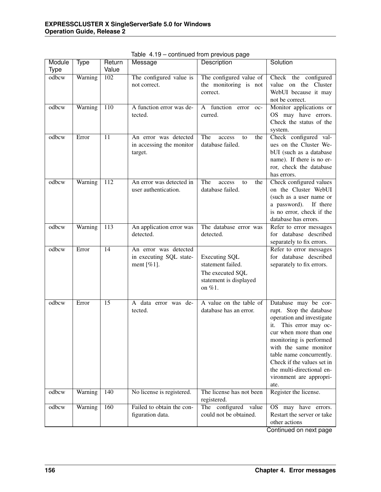| Module      | Type    | Return          | Message                                          | - פיין - -<br>Description                        | Solution                                             |
|-------------|---------|-----------------|--------------------------------------------------|--------------------------------------------------|------------------------------------------------------|
| <b>Type</b> |         | Value           |                                                  |                                                  |                                                      |
| odbcw       | Warning | 102             | The configured value is<br>not correct.          | The configured value of<br>the monitoring is not | Check the configured<br>value on the Cluster         |
|             |         |                 |                                                  | correct.                                         | WebUI because it may                                 |
|             |         |                 |                                                  |                                                  | not be correct.                                      |
| odbcw       | Warning | 110             | A function error was de-                         | A function error<br>$OC-$                        | Monitor applications or                              |
|             |         |                 | tected.                                          | curred.                                          | OS may have errors.                                  |
|             |         |                 |                                                  |                                                  | Check the status of the                              |
| odbcw       | Error   | 11              | An error was detected                            | The<br>access<br>the<br>to                       | system.<br>Check configured val-                     |
|             |         |                 | in accessing the monitor                         | database failed.                                 | ues on the Cluster We-                               |
|             |         |                 | target.                                          |                                                  | bUI (such as a database                              |
|             |         |                 |                                                  |                                                  | name). If there is no er-                            |
|             |         |                 |                                                  |                                                  | ror, check the database                              |
|             |         |                 |                                                  |                                                  | has errors.                                          |
| odbcw       | Warning | 112             | An error was detected in<br>user authentication. | The<br>access<br>the<br>to                       | Check configured values                              |
|             |         |                 |                                                  | database failed.                                 | on the Cluster WebUI<br>(such as a user name or      |
|             |         |                 |                                                  |                                                  | a password). If there                                |
|             |         |                 |                                                  |                                                  | is no error, check if the                            |
|             |         |                 |                                                  |                                                  | database has errors.                                 |
| odbcw       | Warning | 113             | An application error was                         | The database error was                           | Refer to error messages                              |
|             |         |                 | detected.                                        | detected.                                        | for database described                               |
| odbcw       | Error   | $\overline{14}$ | An error was detected                            |                                                  | separately to fix errors.<br>Refer to error messages |
|             |         |                 | in executing SQL state-                          | <b>Executing SQL</b>                             | for database described                               |
|             |         |                 | ment $[\%1]$ .                                   | statement failed.                                | separately to fix errors.                            |
|             |         |                 |                                                  | The executed SQL                                 |                                                      |
|             |         |                 |                                                  | statement is displayed                           |                                                      |
|             |         |                 |                                                  | on $\%1$ .                                       |                                                      |
| odbcw       | Error   | 15              | A data error was de-                             | A value on the table of                          | Database may be cor-                                 |
|             |         |                 | tected.                                          | database has an error.                           | rupt. Stop the database                              |
|             |         |                 |                                                  |                                                  | operation and investigate                            |
|             |         |                 |                                                  |                                                  | This error may oc-<br>it.                            |
|             |         |                 |                                                  |                                                  | cur when more than one                               |
|             |         |                 |                                                  |                                                  | monitoring is performed                              |
|             |         |                 |                                                  |                                                  | with the same monitor<br>table name concurrently.    |
|             |         |                 |                                                  |                                                  | Check if the values set in                           |
|             |         |                 |                                                  |                                                  | the multi-directional en-                            |
|             |         |                 |                                                  |                                                  | vironment are appropri-                              |
|             |         |                 |                                                  |                                                  | ate.                                                 |
| odbcw       | Warning | 140             | No license is registered.                        | The license has not been                         | Register the license.                                |
| odbcw       |         | 160             | Failed to obtain the con-                        | registered.                                      |                                                      |
|             | Warning |                 | figuration data.                                 | The configured value<br>could not be obtained.   | OS may have errors.<br>Restart the server or take    |
|             |         |                 |                                                  |                                                  | other actions                                        |
|             |         |                 |                                                  |                                                  | Continued on next page                               |

Table 4.19 – continued from previous page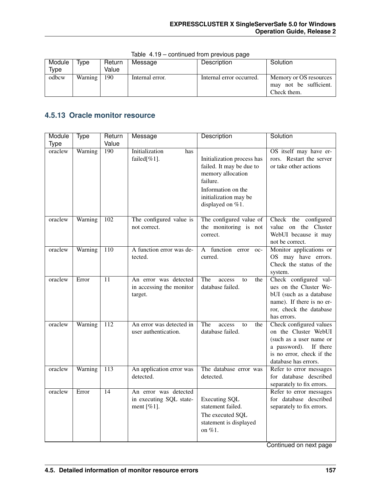| Module<br>Type | ivpe.   | Return<br>Value | Message         | Description              | Solution                                                        |
|----------------|---------|-----------------|-----------------|--------------------------|-----------------------------------------------------------------|
| odbcw          | Warning | 190             | Internal error. | Internal error occurred. | Memory or OS resources<br>may not be sufficient.<br>Check them. |

Table 4.19 – continued from previous page

## **4.5.13 Oracle monitor resource**

| Module      | <b>Type</b> | Return          | Message                               | Description                         | Solution                                          |
|-------------|-------------|-----------------|---------------------------------------|-------------------------------------|---------------------------------------------------|
| <b>Type</b> |             | Value           |                                       |                                     |                                                   |
| oraclew     | Warning     | 190             | Initialization<br>has                 |                                     | OS itself may have er-                            |
|             |             |                 | failed $[\%1]$ .                      | Initialization process has          | rors. Restart the server                          |
|             |             |                 |                                       | failed. It may be due to            | or take other actions                             |
|             |             |                 |                                       | memory allocation                   |                                                   |
|             |             |                 |                                       | failure.                            |                                                   |
|             |             |                 |                                       | Information on the                  |                                                   |
|             |             |                 |                                       | initialization may be               |                                                   |
|             |             |                 |                                       | displayed on %1.                    |                                                   |
| oraclew     | Warning     | 102             | The configured value is               | The configured value of             | Check the configured                              |
|             |             |                 | not correct.                          | the monitoring is not               | value on the Cluster                              |
|             |             |                 |                                       | correct.                            | WebUI because it may                              |
|             |             |                 |                                       |                                     | not be correct.                                   |
| oraclew     | Warning     | 110             | A function error was de-              | A function error<br>$OC-$           | Monitor applications or                           |
|             |             |                 | tected.                               | curred.                             | OS may have errors.                               |
|             |             |                 |                                       |                                     | Check the status of the                           |
|             |             |                 |                                       |                                     | system.                                           |
| oraclew     | Error       | 11              | An error was detected                 | The<br>access<br>the<br>to          | Check configured val-                             |
|             |             |                 | in accessing the monitor              | database failed.                    | ues on the Cluster We-<br>bUI (such as a database |
|             |             |                 | target.                               |                                     | name). If there is no er-                         |
|             |             |                 |                                       |                                     | ror, check the database                           |
|             |             |                 |                                       |                                     | has errors.                                       |
| oraclew     | Warning     | 112             | An error was detected in              | The<br>access<br>the<br>to          | Check configured values                           |
|             |             |                 | user authentication.                  | database failed.                    | on the Cluster WebUI                              |
|             |             |                 |                                       |                                     | (such as a user name or                           |
|             |             |                 |                                       |                                     | a password).<br>If there                          |
|             |             |                 |                                       |                                     | is no error, check if the                         |
|             |             |                 |                                       |                                     | database has errors.                              |
| oraclew     | Warning     | 113             | An application error was<br>detected. | The database error was<br>detected. | Refer to error messages<br>for database described |
|             |             |                 |                                       |                                     | separately to fix errors.                         |
| oraclew     | Error       | $\overline{14}$ | An error was detected                 |                                     | Refer to error messages                           |
|             |             |                 | in executing SQL state-               | <b>Executing SQL</b>                | for database described                            |
|             |             |                 | ment $[\%1]$ .                        | statement failed.                   | separately to fix errors.                         |
|             |             |                 |                                       | The executed SQL                    |                                                   |
|             |             |                 |                                       | statement is displayed              |                                                   |
|             |             |                 |                                       | on %1.                              |                                                   |
|             |             |                 |                                       |                                     |                                                   |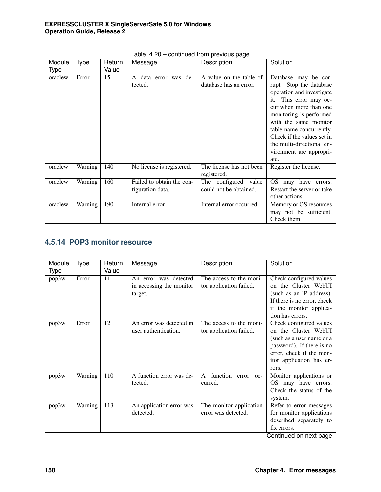| Module  | Type    | Return | Message                                       | Description                                       | Solution                                                                                                                                                                                                                                                                                                          |
|---------|---------|--------|-----------------------------------------------|---------------------------------------------------|-------------------------------------------------------------------------------------------------------------------------------------------------------------------------------------------------------------------------------------------------------------------------------------------------------------------|
| Type    |         | Value  |                                               |                                                   |                                                                                                                                                                                                                                                                                                                   |
| oraclew | Error   | 15     | data error was de-<br>$\mathsf{A}$<br>tected. | A value on the table of<br>database has an error. | Database may be cor-<br>rupt. Stop the database<br>operation and investigate<br>This error may oc-<br>it.<br>cur when more than one<br>monitoring is performed<br>with the same monitor<br>table name concurrently.<br>Check if the values set in<br>the multi-directional en-<br>vironment are appropri-<br>ate. |
| oraclew | Warning | 140    | No license is registered.                     | The license has not been<br>registered.           | Register the license.                                                                                                                                                                                                                                                                                             |
| oraclew | Warning | 160    | Failed to obtain the con-<br>figuration data. | The configured value<br>could not be obtained.    | may have errors.<br>OS<br>Restart the server or take<br>other actions.                                                                                                                                                                                                                                            |
| oraclew | Warning | 190    | Internal error.                               | Internal error occurred.                          | Memory or OS resources<br>may not be sufficient.<br>Check them.                                                                                                                                                                                                                                                   |

Table 4.20 – continued from previous page

#### **4.5.14 POP3 monitor resource**

| Module | Type    | Return | Message                  | Description                           | Solution                    |
|--------|---------|--------|--------------------------|---------------------------------------|-----------------------------|
| Type   |         | Value  |                          |                                       |                             |
| pop3w  | Error   | 11     | An error was detected    | The access to the moni-               | Check configured values     |
|        |         |        | in accessing the monitor | tor application failed.               | on the Cluster WebUI        |
|        |         |        | target.                  |                                       | (such as an IP address).    |
|        |         |        |                          |                                       | If there is no error, check |
|        |         |        |                          |                                       | if the monitor applica-     |
|        |         |        |                          |                                       | tion has errors.            |
| pop3w  | Error   | 12     | An error was detected in | The access to the moni-               | Check configured values     |
|        |         |        | user authentication.     | tor application failed.               | on the Cluster WebUI        |
|        |         |        |                          |                                       | (such as a user name or a   |
|        |         |        |                          |                                       | password). If there is no   |
|        |         |        |                          |                                       | error, check if the mon-    |
|        |         |        |                          |                                       | itor application has er-    |
|        |         |        |                          |                                       | rors.                       |
| pop3w  | Warning | 110    | A function error was de- | function<br>$\mathsf{A}$<br>error oc- | Monitor applications or     |
|        |         |        | tected.                  | curred.                               | OS may have errors.         |
|        |         |        |                          |                                       | Check the status of the     |
|        |         |        |                          |                                       | system.                     |
| pop3w  | Warning | 113    | An application error was | The monitor application               | Refer to error messages     |
|        |         |        | detected.                | error was detected.                   | for monitor applications    |
|        |         |        |                          |                                       | described separately to     |
|        |         |        |                          |                                       | fix errors.                 |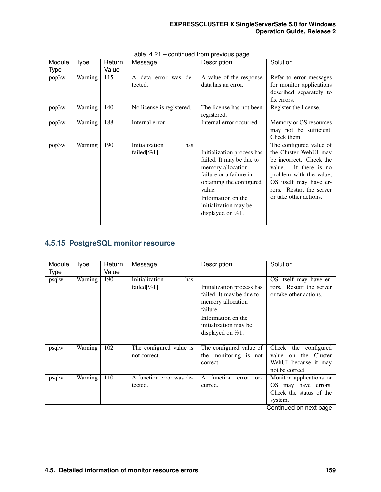| Module | Type    | Return | Message                            | Description                | Solution                 |
|--------|---------|--------|------------------------------------|----------------------------|--------------------------|
| Type   |         | Value  |                                    |                            |                          |
| pop3w  | Warning | 115    | data error was de-<br>$\mathsf{A}$ | A value of the response    | Refer to error messages  |
|        |         |        | tected.                            | data has an error.         | for monitor applications |
|        |         |        |                                    |                            | described separately to  |
|        |         |        |                                    |                            | fix errors.              |
| pop3w  | Warning | 140    | No license is registered.          | The license has not been   | Register the license.    |
|        |         |        |                                    | registered.                |                          |
| pop3w  | Warning | 188    | Internal error.                    | Internal error occurred.   | Memory or OS resources   |
|        |         |        |                                    |                            | may not be sufficient.   |
|        |         |        |                                    |                            | Check them.              |
| pop3w  | Warning | 190    | Initialization<br>has              |                            | The configured value of  |
|        |         |        | failed $[\%1]$ .                   | Initialization process has | the Cluster WebUI may    |
|        |         |        |                                    | failed. It may be due to   | be incorrect. Check the  |
|        |         |        |                                    | memory allocation          | If there is no<br>value. |
|        |         |        |                                    | failure or a failure in    | problem with the value,  |
|        |         |        |                                    | obtaining the configured   | OS itself may have er-   |
|        |         |        |                                    | value.                     | rors. Restart the server |
|        |         |        |                                    | Information on the         | or take other actions.   |
|        |         |        |                                    | initialization may be      |                          |
|        |         |        |                                    | displayed on $%1$ .        |                          |
|        |         |        |                                    |                            |                          |

Table 4.21 – continued from previous page

## **4.5.15 PostgreSQL monitor resource**

| Module<br><b>Type</b> | Type    | Return<br>Value | Message                                   | Description                                                                                                                                                   | Solution                                                                                   |
|-----------------------|---------|-----------------|-------------------------------------------|---------------------------------------------------------------------------------------------------------------------------------------------------------------|--------------------------------------------------------------------------------------------|
| psqlw                 | Warning | 190             | Initialization<br>has<br>failed $[\%1]$ . | Initialization process has<br>failed. It may be due to<br>memory allocation<br>failure.<br>Information on the<br>initialization may be<br>displayed on $%1$ . | OS itself may have er-<br>rors. Restart the server<br>or take other actions.               |
| psqlw                 | Warning | 102             | The configured value is<br>not correct.   | The configured value of<br>the monitoring is not<br>correct.                                                                                                  | Check the configured<br>on the Cluster<br>value<br>WebUI because it may<br>not be correct. |
| psqlw                 | Warning | 110             | A function error was de-<br>tected.       | function<br>$\mathsf{A}$<br>error oc-<br>curred.                                                                                                              | Monitor applications or<br>may have errors.<br>OS.<br>Check the status of the<br>system.   |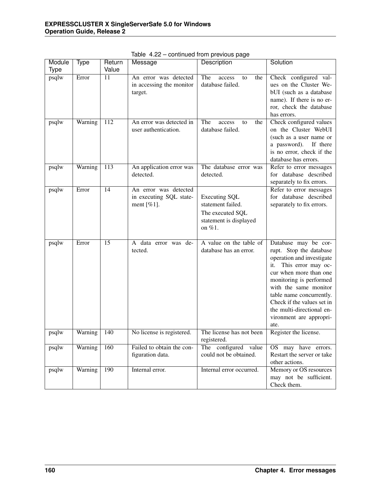| Module      | Type    | Return           | Message                                          | Description                                       | Solution                                          |
|-------------|---------|------------------|--------------------------------------------------|---------------------------------------------------|---------------------------------------------------|
| <b>Type</b> |         | Value            |                                                  |                                                   |                                                   |
| psqlw       | Error   | 11               | An error was detected                            | The<br>access<br>the<br>to                        | Check configured val-                             |
|             |         |                  | in accessing the monitor                         | database failed.                                  | ues on the Cluster We-                            |
|             |         |                  | target.                                          |                                                   | bUI (such as a database                           |
|             |         |                  |                                                  |                                                   | name). If there is no er-                         |
|             |         |                  |                                                  |                                                   | ror, check the database                           |
|             |         |                  |                                                  |                                                   | has errors.                                       |
| psqlw       | Warning | 112              | An error was detected in<br>user authentication. | The<br>access<br>the<br>to<br>database failed.    | Check configured values<br>on the Cluster WebUI   |
|             |         |                  |                                                  |                                                   | (such as a user name or                           |
|             |         |                  |                                                  |                                                   | a password).<br>If there                          |
|             |         |                  |                                                  |                                                   | is no error, check if the                         |
|             |         |                  |                                                  |                                                   | database has errors.                              |
| psqlw       | Warning | $\overline{113}$ | An application error was                         | The database error was                            | Refer to error messages                           |
|             |         |                  | detected.                                        | detected.                                         | for database described                            |
|             |         |                  |                                                  |                                                   | separately to fix errors.                         |
| psqlw       | Error   | 14               | An error was detected                            |                                                   | Refer to error messages                           |
|             |         |                  | in executing SQL state-                          | <b>Executing SQL</b>                              | for database described                            |
|             |         |                  | ment $[\%1]$ .                                   | statement failed.                                 | separately to fix errors.                         |
|             |         |                  |                                                  | The executed SQL                                  |                                                   |
|             |         |                  |                                                  | statement is displayed                            |                                                   |
|             |         |                  |                                                  | on %1.                                            |                                                   |
|             |         |                  |                                                  |                                                   |                                                   |
| psqlw       | Error   | 15               | A data error was de-<br>tected.                  | A value on the table of<br>database has an error. | Database may be cor-<br>rupt. Stop the database   |
|             |         |                  |                                                  |                                                   | operation and investigate                         |
|             |         |                  |                                                  |                                                   | This error may oc-<br>it.                         |
|             |         |                  |                                                  |                                                   | cur when more than one                            |
|             |         |                  |                                                  |                                                   | monitoring is performed                           |
|             |         |                  |                                                  |                                                   | with the same monitor                             |
|             |         |                  |                                                  |                                                   | table name concurrently.                          |
|             |         |                  |                                                  |                                                   | Check if the values set in                        |
|             |         |                  |                                                  |                                                   | the multi-directional en-                         |
|             |         |                  |                                                  |                                                   | vironment are appropri-                           |
|             |         |                  |                                                  |                                                   | ate.                                              |
| psqlw       | Warning | 140              | No license is registered.                        | The license has not been                          | Register the license.                             |
|             |         |                  |                                                  | registered.                                       |                                                   |
| psqlw       | Warning | 160              | Failed to obtain the con-                        | The configured value<br>could not be obtained.    | OS may have errors.<br>Restart the server or take |
|             |         |                  | figuration data.                                 |                                                   | other actions.                                    |
| psqlw       | Warning | 190              | Internal error.                                  | Internal error occurred.                          | Memory or OS resources                            |
|             |         |                  |                                                  |                                                   | may not be sufficient.                            |
|             |         |                  |                                                  |                                                   | Check them.                                       |

Table 4.22 – continued from previous page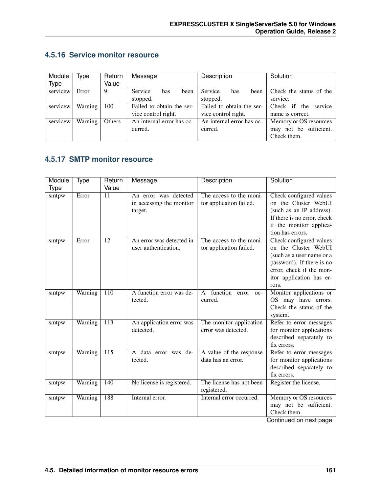|  |  |  | 4.5.16 Service monitor resource |
|--|--|--|---------------------------------|
|--|--|--|---------------------------------|

| Module      | Type    | Return | Message                       | Description               | Solution                |
|-------------|---------|--------|-------------------------------|---------------------------|-------------------------|
| <b>Type</b> |         | Value  |                               |                           |                         |
| servicew    | Error   | 9      | <b>Service</b><br>been<br>has | Service<br>has<br>been    | Check the status of the |
|             |         |        | stopped.                      | stopped.                  | service.                |
| servicew    | Warning | 100    | Failed to obtain the ser-     | Failed to obtain the ser- | service<br>Check if the |
|             |         |        | vice control right.           | vice control right.       | name is correct.        |
| servicew    | Warning | Others | An internal error has oc-     | An internal error has oc- | Memory or OS resources  |
|             |         |        | curred.                       | curred.                   | may not be sufficient.  |
|             |         |        |                               |                           | Check them.             |

## **4.5.17 SMTP monitor resource**

| Module      | Type    | Return           | Message                                                      | Description                                           | Solution                                                                                                                                                                   |
|-------------|---------|------------------|--------------------------------------------------------------|-------------------------------------------------------|----------------------------------------------------------------------------------------------------------------------------------------------------------------------------|
| <b>Type</b> |         | Value            |                                                              |                                                       |                                                                                                                                                                            |
| smtpw       | Error   | 11               | An error was detected<br>in accessing the monitor<br>target. | The access to the moni-<br>tor application failed.    | Check configured values<br>on the Cluster WebUI<br>(such as an IP address).<br>If there is no error, check<br>if the monitor applica-<br>tion has errors.                  |
| smtpw       | Error   | 12               | An error was detected in<br>user authentication.             | The access to the moni-<br>tor application failed.    | Check configured values<br>on the Cluster WebUI<br>(such as a user name or a<br>password). If there is no<br>error, check if the mon-<br>itor application has er-<br>rors. |
| smtpw       | Warning | 110              | A function error was de-<br>tected.                          | function<br>$\mathsf{A}$<br>error<br>$OC-$<br>curred. | Monitor applications or<br>may have errors.<br>OS —<br>Check the status of the<br>system.                                                                                  |
| smtpw       | Warning | 113              | An application error was<br>detected.                        | The monitor application<br>error was detected.        | Refer to error messages<br>for monitor applications<br>described separately to<br>fix errors.                                                                              |
| smtpw       | Warning | $\overline{115}$ | A data error was de-<br>tected.                              | A value of the response<br>data has an error.         | Refer to error messages<br>for monitor applications<br>described separately to<br>fix errors.                                                                              |
| smtpw       | Warning | 140              | No license is registered.                                    | The license has not been<br>registered.               | Register the license.                                                                                                                                                      |
| smtpw       | Warning | 188              | Internal error.                                              | Internal error occurred.                              | Memory or OS resources<br>may not be sufficient.<br>Check them.                                                                                                            |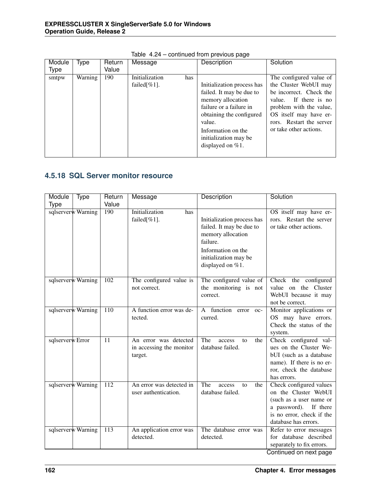| Module<br><b>Type</b> | Type    | Return<br>Value | Message                                   | Description                                                                                                                                                                                                        | Solution                                                                                                                                                                                                           |
|-----------------------|---------|-----------------|-------------------------------------------|--------------------------------------------------------------------------------------------------------------------------------------------------------------------------------------------------------------------|--------------------------------------------------------------------------------------------------------------------------------------------------------------------------------------------------------------------|
| smtpw                 | Warning | 190             | Initialization<br>has<br>failed $[\%1]$ . | Initialization process has<br>failed. It may be due to<br>memory allocation<br>failure or a failure in<br>obtaining the configured<br>value.<br>Information on the<br>initialization may be<br>displayed on $%1$ . | The configured value of<br>the Cluster WebUI may<br>be incorrect. Check the<br>If there is no<br>value.<br>problem with the value,<br>OS itself may have er-<br>rors. Restart the server<br>or take other actions. |

Table 4.24 – continued from previous page

## **4.5.18 SQL Server monitor resource**

| Module<br>Type     | Return           | Message                                                      | Description                                                                                                                                                | Solution                                                                                                                                                 |
|--------------------|------------------|--------------------------------------------------------------|------------------------------------------------------------------------------------------------------------------------------------------------------------|----------------------------------------------------------------------------------------------------------------------------------------------------------|
| Type               | Value            |                                                              |                                                                                                                                                            |                                                                                                                                                          |
| sqlserverw Warning | 190              | <b>Initialization</b><br>has<br>failed[%1].                  | Initialization process has<br>failed. It may be due to<br>memory allocation<br>failure.<br>Information on the<br>initialization may be<br>displayed on %1. | OS itself may have er-<br>rors. Restart the server<br>or take other actions.                                                                             |
| sqlserverw Warning | 102              | The configured value is<br>not correct.                      | The configured value of<br>the monitoring is not<br>correct.                                                                                               | Check the configured<br>value on the Cluster<br>WebUI because it may<br>not be correct.                                                                  |
| sqlserverw Warning | 110              | A function error was de-<br>tected.                          | A function error oc-<br>curred.                                                                                                                            | Monitor applications or<br>OS may have errors.<br>Check the status of the<br>system.                                                                     |
| sqlserverw Error   | 11               | An error was detected<br>in accessing the monitor<br>target. | The<br>the<br>access<br>to<br>database failed.                                                                                                             | Check configured val-<br>ues on the Cluster We-<br>bUI (such as a database<br>name). If there is no er-<br>ror, check the database<br>has errors.        |
| sqlserverw Warning | $\overline{112}$ | An error was detected in<br>user authentication.             | The<br>access<br>the<br>to<br>database failed.                                                                                                             | Check configured values<br>on the Cluster WebUI<br>(such as a user name or<br>a password). If there<br>is no error, check if the<br>database has errors. |
| sqlserverw Warning | 113              | An application error was<br>detected.                        | The database error was<br>detected.                                                                                                                        | Refer to error messages<br>for database described<br>separately to fix errors.<br>Continued on next page                                                 |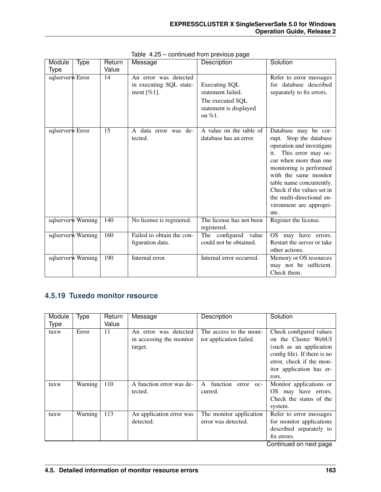| Module           | Type               | Return | Message                                                            | Description                                                                                          | Solution                                                                                                                                                                                                                                                                                                          |
|------------------|--------------------|--------|--------------------------------------------------------------------|------------------------------------------------------------------------------------------------------|-------------------------------------------------------------------------------------------------------------------------------------------------------------------------------------------------------------------------------------------------------------------------------------------------------------------|
| Type             |                    | Value  |                                                                    |                                                                                                      |                                                                                                                                                                                                                                                                                                                   |
| sqlserverw Error |                    | 14     | An error was detected<br>in executing SQL state-<br>ment [ $%1$ ]. | <b>Executing SQL</b><br>statement failed.<br>The executed SQL<br>statement is displayed<br>on $%1$ . | Refer to error messages<br>for database described<br>separately to fix errors.                                                                                                                                                                                                                                    |
| sqlserverw Error |                    | 15     | A data error was de-<br>tected.                                    | A value on the table of<br>database has an error.                                                    | Database may be cor-<br>rupt. Stop the database<br>operation and investigate<br>This error may oc-<br>it.<br>cur when more than one<br>monitoring is performed<br>with the same monitor<br>table name concurrently.<br>Check if the values set in<br>the multi-directional en-<br>vironment are appropri-<br>ate. |
|                  | sqlserverw Warning | 140    | No license is registered.                                          | The license has not been<br>registered.                                                              | Register the license.                                                                                                                                                                                                                                                                                             |
|                  | sqlserverw Warning | 160    | Failed to obtain the con-<br>figuration data.                      | The configured value<br>could not be obtained.                                                       | OS may have errors.<br>Restart the server or take<br>other actions.                                                                                                                                                                                                                                               |
|                  | sqlserverw Warning | 190    | Internal error.                                                    | Internal error occurred.                                                                             | Memory or OS resources<br>may not be sufficient.<br>Check them.                                                                                                                                                                                                                                                   |

Table 4.25 – continued from previous page

## **4.5.19 Tuxedo monitor resource**

| Module | <b>Type</b> | Return | Message                  | Description                           | Solution                     |
|--------|-------------|--------|--------------------------|---------------------------------------|------------------------------|
| Type   |             | Value  |                          |                                       |                              |
| tuxw   | Error       | 11     | An error was detected    | The access to the moni-               | Check configured values      |
|        |             |        | in accessing the monitor | tor application failed.               | on the Cluster WebUI         |
|        |             |        | target.                  |                                       | (such as an application      |
|        |             |        |                          |                                       | config file). If there is no |
|        |             |        |                          |                                       | error, check if the mon-     |
|        |             |        |                          |                                       | itor application has er-     |
|        |             |        |                          |                                       | rors.                        |
| tuxw   | Warning     | 110    | A function error was de- | function<br>$\mathsf{A}$<br>error oc- | Monitor applications or      |
|        |             |        | tected.                  | curred.                               | OS may have errors.          |
|        |             |        |                          |                                       | Check the status of the      |
|        |             |        |                          |                                       | system.                      |
| tuxw   | Warning     | 113    | An application error was | The monitor application               | Refer to error messages      |
|        |             |        | detected.                | error was detected.                   | for monitor applications     |
|        |             |        |                          |                                       | described separately to      |
|        |             |        |                          |                                       | fix errors.                  |
|        |             |        |                          |                                       | Continued on novt nago       |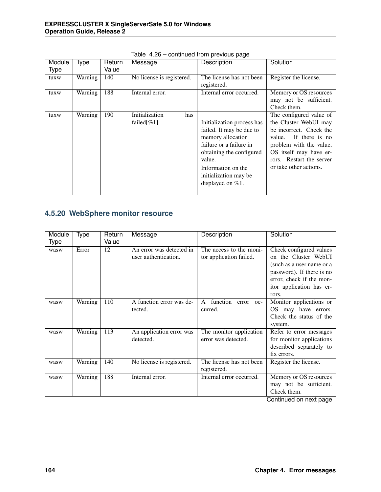| Module<br><b>Type</b> | Type    | Return<br>Value | Message                                   | Description                                                                                                                                                                                                        | Solution                                                                                                                                                                                                           |
|-----------------------|---------|-----------------|-------------------------------------------|--------------------------------------------------------------------------------------------------------------------------------------------------------------------------------------------------------------------|--------------------------------------------------------------------------------------------------------------------------------------------------------------------------------------------------------------------|
| tuxw                  | Warning | 140             | No license is registered.                 | The license has not been<br>registered.                                                                                                                                                                            | Register the license.                                                                                                                                                                                              |
| tuxw                  | Warning | 188             | Internal error.                           | Internal error occurred.                                                                                                                                                                                           | Memory or OS resources<br>may not be sufficient.<br>Check them.                                                                                                                                                    |
| tuxw                  | Warning | 190             | Initialization<br>has<br>failed $[\%1]$ . | Initialization process has<br>failed. It may be due to<br>memory allocation<br>failure or a failure in<br>obtaining the configured<br>value.<br>Information on the<br>initialization may be<br>displayed on $%1$ . | The configured value of<br>the Cluster WebUI may<br>be incorrect. Check the<br>If there is no<br>value.<br>problem with the value,<br>OS itself may have er-<br>rors. Restart the server<br>or take other actions. |

Table 4.26 – continued from previous page

## **4.5.20 WebSphere monitor resource**

| Module      | Type    | Return | Message                   | <b>Description</b>              | Solution                  |
|-------------|---------|--------|---------------------------|---------------------------------|---------------------------|
| <b>Type</b> |         | Value  |                           |                                 |                           |
| wasw        | Error   | 12     | An error was detected in  | The access to the moni-         | Check configured values   |
|             |         |        | user authentication.      | tor application failed.         | on the Cluster WebUI      |
|             |         |        |                           |                                 | (such as a user name or a |
|             |         |        |                           |                                 | password). If there is no |
|             |         |        |                           |                                 | error, check if the mon-  |
|             |         |        |                           |                                 | itor application has er-  |
|             |         |        |                           |                                 | rors.                     |
| wasw        | Warning | 110    | A function error was de-  | function<br>A<br>error<br>$OC-$ | Monitor applications or   |
|             |         |        | tected.                   | curred.                         | OS may have errors.       |
|             |         |        |                           |                                 | Check the status of the   |
|             |         |        |                           |                                 | system.                   |
| wasw        | Warning | 113    | An application error was  | The monitor application         | Refer to error messages   |
|             |         |        | detected.                 | error was detected.             | for monitor applications  |
|             |         |        |                           |                                 | described separately to   |
|             |         |        |                           |                                 | fix errors.               |
| wasw        | Warning | 140    | No license is registered. | The license has not been        | Register the license.     |
|             |         |        |                           | registered.                     |                           |
| wasw        | Warning | 188    | Internal error.           | Internal error occurred.        | Memory or OS resources    |
|             |         |        |                           |                                 | may not be sufficient.    |
|             |         |        |                           |                                 | Check them.               |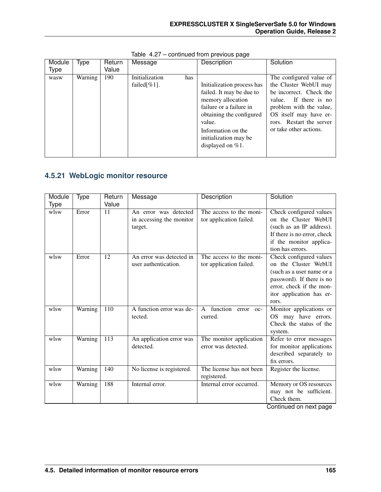| Module | Type    | Return | Message                                   | Description                                                                                                                                                        | Solution                                                                                                                                                                                                           |
|--------|---------|--------|-------------------------------------------|--------------------------------------------------------------------------------------------------------------------------------------------------------------------|--------------------------------------------------------------------------------------------------------------------------------------------------------------------------------------------------------------------|
| Type   |         | Value  |                                           |                                                                                                                                                                    |                                                                                                                                                                                                                    |
| wasw   | Warning | 190    | Initialization<br>has<br>failed $[\%1]$ . | Initialization process has<br>failed. It may be due to<br>memory allocation<br>failure or a failure in<br>obtaining the configured<br>value.<br>Information on the | The configured value of<br>the Cluster WebUI may<br>be incorrect. Check the<br>If there is no<br>value.<br>problem with the value,<br>OS itself may have er-<br>rors. Restart the server<br>or take other actions. |
|        |         |        |                                           | initialization may be<br>displayed on $%1$ .                                                                                                                       |                                                                                                                                                                                                                    |

Table 4.27 – continued from previous page

## **4.5.21 WebLogic monitor resource**

| Module | Type    | Return           | Message                                                      | Description                                        | Solution                                                                                                                                                                   |
|--------|---------|------------------|--------------------------------------------------------------|----------------------------------------------------|----------------------------------------------------------------------------------------------------------------------------------------------------------------------------|
| Type   |         | Value            |                                                              |                                                    |                                                                                                                                                                            |
| wlsw   | Error   | 11               | An error was detected<br>in accessing the monitor<br>target. | The access to the moni-<br>tor application failed. | Check configured values<br>on the Cluster WebUI<br>(such as an IP address).<br>If there is no error, check<br>if the monitor applica-<br>tion has errors.                  |
| wlsw   | Error   | 12               | An error was detected in<br>user authentication.             | The access to the moni-<br>tor application failed. | Check configured values<br>on the Cluster WebUI<br>(such as a user name or a<br>password). If there is no<br>error, check if the mon-<br>itor application has er-<br>rors. |
| wlsw   | Warning | 110              | A function error was de-<br>tected.                          | function error oc-<br>$\mathsf{A}$<br>curred.      | Monitor applications or<br>OS may have errors.<br>Check the status of the<br>system.                                                                                       |
| wlsw   | Warning | $\overline{113}$ | An application error was<br>detected.                        | The monitor application<br>error was detected.     | Refer to error messages<br>for monitor applications<br>described separately to<br>fix errors.                                                                              |
| wlsw   | Warning | 140              | No license is registered.                                    | The license has not been<br>registered.            | Register the license.                                                                                                                                                      |
| wlsw   | Warning | 188              | Internal error.                                              | Internal error occurred.                           | Memory or OS resources<br>may not be sufficient.<br>Check them.<br>Continued on novt nago                                                                                  |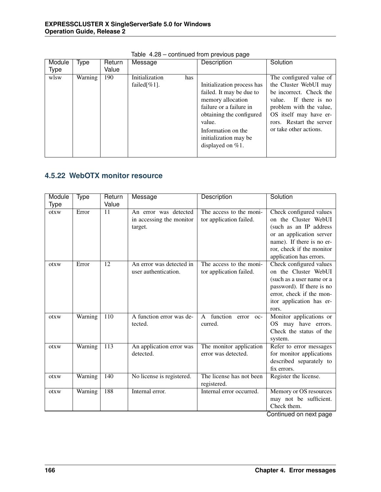| Module<br>Type | Type    | Return<br>Value | Message                                   | Description                                                                                                                                                                                                        | Solution                                                                                                                                                                                                           |
|----------------|---------|-----------------|-------------------------------------------|--------------------------------------------------------------------------------------------------------------------------------------------------------------------------------------------------------------------|--------------------------------------------------------------------------------------------------------------------------------------------------------------------------------------------------------------------|
| wlsw           | Warning | 190             | Initialization<br>has<br>failed $[\%1]$ . | Initialization process has<br>failed. It may be due to<br>memory allocation<br>failure or a failure in<br>obtaining the configured<br>value.<br>Information on the<br>initialization may be<br>displayed on $%1$ . | The configured value of<br>the Cluster WebUI may<br>be incorrect. Check the<br>If there is no<br>value.<br>problem with the value,<br>OS itself may have er-<br>rors. Restart the server<br>or take other actions. |

Table 4.28 – continued from previous page

## **4.5.22 WebOTX monitor resource**

| Module<br>Type | Type    | Return<br>Value | Message                                                      | Description                                         | Solution                                                                                                                                                                                   |
|----------------|---------|-----------------|--------------------------------------------------------------|-----------------------------------------------------|--------------------------------------------------------------------------------------------------------------------------------------------------------------------------------------------|
| otxw           | Error   | 11              | An error was detected<br>in accessing the monitor<br>target. | The access to the moni-<br>tor application failed.  | Check configured values<br>on the Cluster WebUI<br>(such as an IP address<br>or an application server<br>name). If there is no er-<br>ror, check if the monitor<br>application has errors. |
| otxw           | Error   | 12              | An error was detected in<br>user authentication.             | The access to the moni-<br>tor application failed.  | Check configured values<br>on the Cluster WebUI<br>(such as a user name or a<br>password). If there is no<br>error, check if the mon-<br>itor application has er-<br>rors.                 |
| otxw           | Warning | 110             | A function error was de-<br>tected.                          | function<br>$\mathsf{A}$<br>error<br>oc-<br>curred. | Monitor applications or<br>OS may have errors.<br>Check the status of the<br>system.                                                                                                       |
| otxw           | Warning | 113             | An application error was<br>detected.                        | The monitor application<br>error was detected.      | Refer to error messages<br>for monitor applications<br>described separately to<br>fix errors.                                                                                              |
| otxw           | Warning | 140             | No license is registered.                                    | The license has not been<br>registered.             | Register the license.                                                                                                                                                                      |
| otxw           | Warning | 188             | Internal error.                                              | Internal error occurred.                            | Memory or OS resources<br>may not be sufficient.<br>Check them.                                                                                                                            |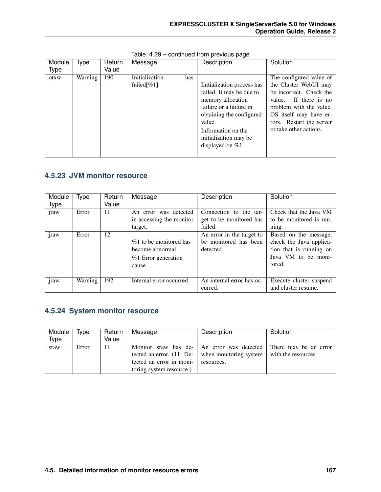| Module      | Type    | Return | Message                                   | Description                                                                                                                                                                                                        | Solution                                                                                                                                                                                                           |
|-------------|---------|--------|-------------------------------------------|--------------------------------------------------------------------------------------------------------------------------------------------------------------------------------------------------------------------|--------------------------------------------------------------------------------------------------------------------------------------------------------------------------------------------------------------------|
| <b>Type</b> |         | Value  |                                           |                                                                                                                                                                                                                    |                                                                                                                                                                                                                    |
| otxw        | Warning | 190    | Initialization<br>has<br>failed $[\%1]$ . | Initialization process has<br>failed. It may be due to<br>memory allocation<br>failure or a failure in<br>obtaining the configured<br>value.<br>Information on the<br>initialization may be<br>displayed on $%1$ . | The configured value of<br>the Cluster WebUI may<br>be incorrect. Check the<br>If there is no<br>value.<br>problem with the value,<br>OS itself may have er-<br>rors. Restart the server<br>or take other actions. |
|             |         |        |                                           |                                                                                                                                                                                                                    |                                                                                                                                                                                                                    |

Table 4.29 – continued from previous page

## **4.5.23 JVM monitor resource**

| Module<br><b>Type</b> | Type    | Return<br>Value | Message                                                                        | Description                                                     | Solution                                                                                                     |
|-----------------------|---------|-----------------|--------------------------------------------------------------------------------|-----------------------------------------------------------------|--------------------------------------------------------------------------------------------------------------|
| jraw                  | Error   | 11              | detected<br>An error was<br>in accessing the monitor<br>target.                | Connection to the tar-<br>get to be monitored has<br>failed.    | Check that the Java VM<br>to be monitored is run-<br>ning.                                                   |
| jraw                  | Error   | 12              | $%1$ to be monitored has<br>become abnormal.<br>$%1:Error$ generation<br>cause | An error in the target to<br>be monitored has been<br>detected. | Based on the message,<br>check the Java applica-<br>tion that is running on<br>Java VM to be moni-<br>tored. |
| jraw                  | Warning | 192             | Internal error occurred.                                                       | An internal error has oc-<br>curred.                            | Execute cluster suspend<br>and cluster resume.                                                               |

### **4.5.24 System monitor resource**

| Module | Type  | Return | Message                                              | Description                                                                                                          | Solution                                     |
|--------|-------|--------|------------------------------------------------------|----------------------------------------------------------------------------------------------------------------------|----------------------------------------------|
| Type   |       | Value  |                                                      |                                                                                                                      |                                              |
| sraw   | Error | 11     | tected an error in moni-<br>toring system resource.) | Monitor sraw has de-   An error was detected  <br>tected an error. $(11:$ De- when monitoring system  <br>resources. | There may be an error<br>with the resources. |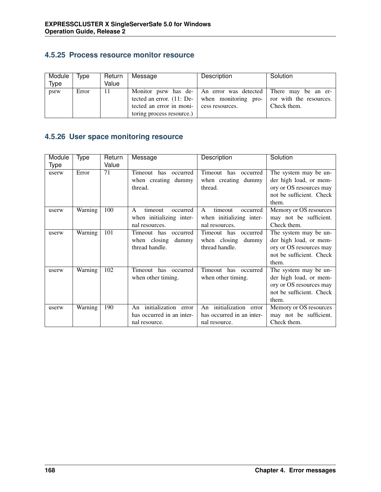#### **4.5.25 Process resource monitor resource**

| Module | Type  | Return | Message                                  | Description                                                                  | Solution    |
|--------|-------|--------|------------------------------------------|------------------------------------------------------------------------------|-------------|
| Type   |       | Value  |                                          |                                                                              |             |
| psrw   | Error | 11     |                                          | Monitor psrw has de-   An error was detected   There may be an er-           |             |
|        |       |        |                                          | tected an error. $(11:$ De-   when monitoring pro-   ror with the resources. |             |
|        |       |        | tected an error in moni- cess resources. |                                                                              | Check them. |
|        |       |        | toring process resource.)                |                                                                              |             |

## **4.5.26 User space monitoring resource**

| Module | Type    | Return | Message                             | Description               | Solution                 |
|--------|---------|--------|-------------------------------------|---------------------------|--------------------------|
| Type   |         | Value  |                                     |                           |                          |
| userw  | Error   | 71     | Timeout<br>has<br>occurred          | Timeout has<br>occurred   | The system may be un-    |
|        |         |        | when creating dummy                 | when creating dummy       | der high load, or mem-   |
|        |         |        | thread.                             | thread.                   | ory or OS resources may  |
|        |         |        |                                     |                           | not be sufficient. Check |
|        |         |        |                                     |                           | them.                    |
| userw  | Warning | 100    | $\mathsf{A}$<br>timeout<br>occurred | timeout<br>A<br>occurred  | Memory or OS resources   |
|        |         |        | when initializing inter-            | when initializing inter-  | may not be sufficient.   |
|        |         |        | nal resources.                      | nal resources.            | Check them.              |
| userw  | Warning | 101    | Timeout has<br>occurred             | Timeout has<br>occurred   | The system may be un-    |
|        |         |        | when closing dummy                  | when closing<br>dummy     | der high load, or mem-   |
|        |         |        | thread handle.                      | thread handle.            | ory or OS resources may  |
|        |         |        |                                     |                           | not be sufficient. Check |
|        |         |        |                                     |                           | them.                    |
| userw  | Warning | 102    | Timeout has occurred                | Timeout has<br>occurred   | The system may be un-    |
|        |         |        | when other timing.                  | when other timing.        | der high load, or mem-   |
|        |         |        |                                     |                           | ory or OS resources may  |
|        |         |        |                                     |                           | not be sufficient. Check |
|        |         |        |                                     |                           | them.                    |
| userw  | Warning | 190    | An initialization error             | An initialization error   | Memory or OS resources   |
|        |         |        | has occurred in an inter-           | has occurred in an inter- | may not be sufficient.   |
|        |         |        | nal resource.                       | nal resource.             | Check them.              |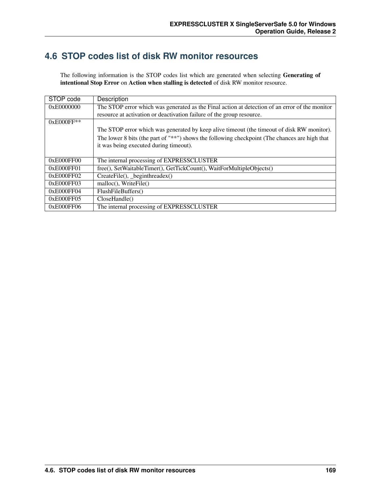## **4.6 STOP codes list of disk RW monitor resources**

The following information is the STOP codes list which are generated when selecting Generating of intentional Stop Error on Action when stalling is detected of disk RW monitor resource.

| STOP code    | Description                                                                                    |
|--------------|------------------------------------------------------------------------------------------------|
| 0xE0000000   | The STOP error which was generated as the Final action at detection of an error of the monitor |
|              | resource at activation or deactivation failure of the group resource.                          |
| $0xE000FF**$ |                                                                                                |
|              | The STOP error which was generated by keep alive timeout (the timeout of disk RW monitor).     |
|              | The lower 8 bits (the part of "**") shows the following checkpoint (The chances are high that  |
|              | it was being executed during timeout).                                                         |
|              |                                                                                                |
| 0xE000FF00   | The internal processing of EXPRESSCLUSTER                                                      |
| 0xE000FF01   | free(), SetWaitableTimer(), GetTickCount(), WaitForMultipleObjects()                           |
| 0xE000FF02   | $CreateFile(), \_\text{beginthreadex()}$                                                       |
| 0xE000FF03   | malloc(), WriteFile()                                                                          |
| 0xE000FF04   | FlushFileBuffers()                                                                             |
| 0xE000FF05   | CloseHandle()                                                                                  |
| 0xE000FF06   | The internal processing of EXPRESSCLUSTER                                                      |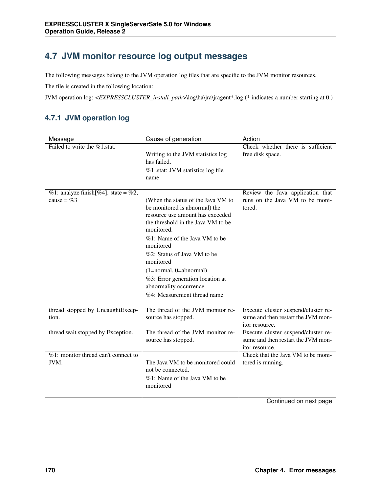# **4.7 JVM monitor resource log output messages**

The following messages belong to the JVM operation log files that are specific to the JVM monitor resources.

The file is created in the following location:

JVM operation log: <*EXPRESSCLUSTER\_install\_path*>\log\ha\jra\jragent\*.log (\* indicates a number starting at 0.)

### **4.7.1 JVM operation log**

| Message<br>Cause of generation        |                                                                        | Action                                                |
|---------------------------------------|------------------------------------------------------------------------|-------------------------------------------------------|
| Failed to write the %1.stat.          | Writing to the JVM statistics log<br>has failed.                       | Check whether there is sufficient<br>free disk space. |
|                                       |                                                                        |                                                       |
|                                       | %1 .stat: JVM statistics log file<br>name                              |                                                       |
|                                       |                                                                        |                                                       |
| %1: analyze finish [%4]. state = %2,  |                                                                        | Review the Java application that                      |
| cause = $%3$                          | (When the status of the Java VM to                                     | runs on the Java VM to be moni-                       |
|                                       | be monitored is abnormal) the                                          | tored.                                                |
|                                       | resource use amount has exceeded<br>the threshold in the Java VM to be |                                                       |
|                                       | monitored.                                                             |                                                       |
|                                       | %1: Name of the Java VM to be                                          |                                                       |
|                                       | monitored                                                              |                                                       |
|                                       | %2: Status of Java VM to be                                            |                                                       |
|                                       | monitored                                                              |                                                       |
|                                       | $(1=normal, 0=abnormal)$                                               |                                                       |
|                                       | %3: Error generation location at                                       |                                                       |
|                                       | abnormality occurrence                                                 |                                                       |
|                                       | %4: Measurement thread name                                            |                                                       |
| thread stopped by UncaughtExcep-      | The thread of the JVM monitor re-                                      | Execute cluster suspend/cluster re-                   |
| tion.                                 | source has stopped.                                                    | sume and then restart the JVM mon-                    |
|                                       |                                                                        | itor resource.                                        |
| thread wait stopped by Exception.     | The thread of the JVM monitor re-                                      | Execute cluster suspend/cluster re-                   |
|                                       | source has stopped.                                                    | sume and then restart the JVM mon-<br>itor resource.  |
| $%1:$ monitor thread can't connect to |                                                                        | Check that the Java VM to be moni-                    |
| JVM.                                  | The Java VM to be monitored could                                      | tored is running.                                     |
|                                       | not be connected.                                                      |                                                       |
|                                       | %1: Name of the Java VM to be                                          |                                                       |
|                                       | monitored                                                              |                                                       |
|                                       |                                                                        |                                                       |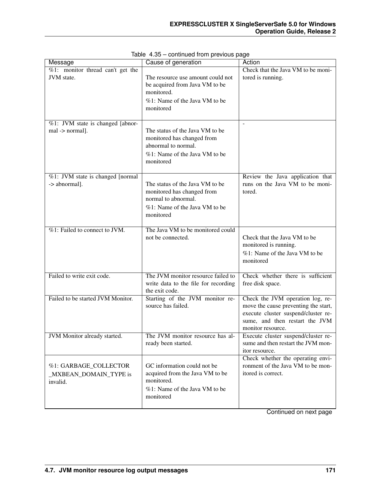| Message                                                     | Cause of generation                                                                                                                | Action                                                                                                                                                                 |
|-------------------------------------------------------------|------------------------------------------------------------------------------------------------------------------------------------|------------------------------------------------------------------------------------------------------------------------------------------------------------------------|
| $\sqrt[6]{61}$ : monitor thread can't get the<br>JVM state. | The resource use amount could not<br>be acquired from Java VM to be<br>monitored.<br>%1: Name of the Java VM to be<br>monitored    | Check that the Java VM to be moni-<br>tored is running.                                                                                                                |
| %1: JVM state is changed [abnor-<br>mal -> normal].         | The status of the Java VM to be<br>monitored has changed from<br>abnormal to normal.<br>%1: Name of the Java VM to be<br>monitored |                                                                                                                                                                        |
| %1: JVM state is changed [normal<br>-> abnormal].           | The status of the Java VM to be<br>monitored has changed from<br>normal to abnormal.<br>%1: Name of the Java VM to be<br>monitored | Review the Java application that<br>runs on the Java VM to be moni-<br>tored.                                                                                          |
| %1: Failed to connect to JVM.                               | The Java VM to be monitored could<br>not be connected.                                                                             | Check that the Java VM to be<br>monitored is running.<br>%1: Name of the Java VM to be<br>monitored                                                                    |
| Failed to write exit code.                                  | The JVM monitor resource failed to<br>write data to the file for recording<br>the exit code.                                       | Check whether there is sufficient<br>free disk space.                                                                                                                  |
| Failed to be started JVM Monitor.                           | Starting of the JVM monitor re-<br>source has failed.                                                                              | Check the JVM operation log, re-<br>move the cause preventing the start,<br>execute cluster suspend/cluster re-<br>sume, and then restart the JVM<br>monitor resource. |
| JVM Monitor already started.                                | The JVM monitor resource has al-<br>ready been started.                                                                            | Execute cluster suspend/cluster re-<br>sume and then restart the JVM mon-<br>itor resource.                                                                            |
| %1: GARBAGE_COLLECTOR<br>MXBEAN_DOMAIN_TYPE is<br>invalid.  | GC information could not be<br>acquired from the Java VM to be<br>monitored.<br>%1: Name of the Java VM to be<br>monitored         | Check whether the operating envi-<br>ronment of the Java VM to be mon-<br>itored is correct.                                                                           |

|  | Table 4.35 - continued from previous page |  |  |
|--|-------------------------------------------|--|--|
|  |                                           |  |  |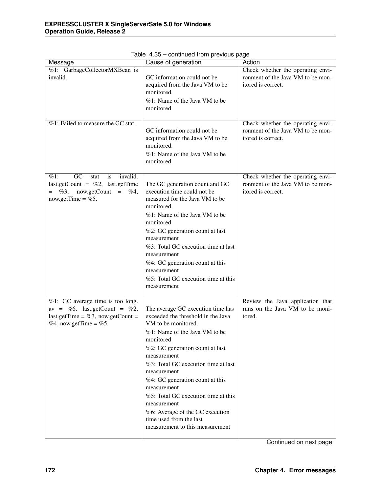| Cause of generation<br>Action<br>Message                         |                                                            |                                                                     |  |
|------------------------------------------------------------------|------------------------------------------------------------|---------------------------------------------------------------------|--|
| %1: GarbageCollectorMXBean is                                    |                                                            | Check whether the operating envi-                                   |  |
| invalid.                                                         | GC information could not be                                | ronment of the Java VM to be mon-                                   |  |
|                                                                  | acquired from the Java VM to be                            | itored is correct.                                                  |  |
|                                                                  | monitored.                                                 |                                                                     |  |
|                                                                  | %1: Name of the Java VM to be                              |                                                                     |  |
|                                                                  | monitored                                                  |                                                                     |  |
|                                                                  |                                                            |                                                                     |  |
| %1: Failed to measure the GC stat.                               |                                                            | Check whether the operating envi-                                   |  |
|                                                                  | GC information could not be                                | ronment of the Java VM to be mon-                                   |  |
|                                                                  | acquired from the Java VM to be<br>monitored.              | itored is correct.                                                  |  |
|                                                                  | %1: Name of the Java VM to be                              |                                                                     |  |
|                                                                  | monitored                                                  |                                                                     |  |
|                                                                  |                                                            |                                                                     |  |
| GC<br>invalid.<br>$\%1$ :<br>stat<br>is                          |                                                            | Check whether the operating envi-                                   |  |
| last.getCount = $\%2$ , last.getTime                             | The GC generation count and GC                             | ronment of the Java VM to be mon-                                   |  |
| now.getCount = $%4,$<br>$=$ %3,                                  | execution time could not be                                | itored is correct.                                                  |  |
| now.getTime = $%5$ .                                             | measured for the Java VM to be                             |                                                                     |  |
|                                                                  | monitored.                                                 |                                                                     |  |
|                                                                  | %1: Name of the Java VM to be<br>monitored                 |                                                                     |  |
|                                                                  | %2: GC generation count at last                            |                                                                     |  |
|                                                                  | measurement                                                |                                                                     |  |
|                                                                  | %3: Total GC execution time at last                        |                                                                     |  |
|                                                                  | measurement                                                |                                                                     |  |
|                                                                  | %4: GC generation count at this                            |                                                                     |  |
|                                                                  | measurement                                                |                                                                     |  |
|                                                                  | %5: Total GC execution time at this                        |                                                                     |  |
|                                                                  | measurement                                                |                                                                     |  |
|                                                                  |                                                            |                                                                     |  |
| %1: GC average time is too long.<br>av = %6, last.getCount = %2, | The average GC execution time has                          | Review the Java application that<br>runs on the Java VM to be moni- |  |
| last.getTime = %3, now.getCount =                                | exceeded the threshold in the Java                         | tored.                                                              |  |
| %4, now.getTime = %5.                                            | VM to be monitored.                                        |                                                                     |  |
|                                                                  | %1: Name of the Java VM to be                              |                                                                     |  |
|                                                                  | monitored                                                  |                                                                     |  |
|                                                                  | %2: GC generation count at last                            |                                                                     |  |
|                                                                  | measurement                                                |                                                                     |  |
|                                                                  | %3: Total GC execution time at last                        |                                                                     |  |
|                                                                  | measurement                                                |                                                                     |  |
|                                                                  | %4: GC generation count at this                            |                                                                     |  |
|                                                                  | measurement                                                |                                                                     |  |
|                                                                  | %5: Total GC execution time at this                        |                                                                     |  |
|                                                                  | measurement                                                |                                                                     |  |
|                                                                  | %6: Average of the GC execution<br>time used from the last |                                                                     |  |
|                                                                  | measurement to this measurement                            |                                                                     |  |
|                                                                  |                                                            |                                                                     |  |

Table 4.35 – continued from previous page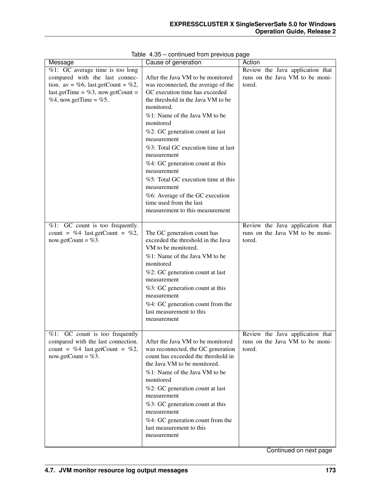| Message                               | Cause of generation                        | Action                           |
|---------------------------------------|--------------------------------------------|----------------------------------|
| $%1$ : GC average time is too long    |                                            | Review the Java application that |
| compared with the last connec-        | After the Java VM to be monitored          | runs on the Java VM to be moni-  |
| tion. av = %6, last.getCount = %2,    | was reconnected, the average of the        | tored.                           |
| last.getTime = %3, now.getCount =     | GC execution time has exceeded             |                                  |
| %4, now.getTime = %5.                 | the threshold in the Java VM to be         |                                  |
|                                       | monitored.                                 |                                  |
|                                       | %1: Name of the Java VM to be              |                                  |
|                                       | monitored                                  |                                  |
|                                       | %2: GC generation count at last            |                                  |
|                                       | measurement                                |                                  |
|                                       | %3: Total GC execution time at last        |                                  |
|                                       | measurement                                |                                  |
|                                       | %4: GC generation count at this            |                                  |
|                                       | measurement                                |                                  |
|                                       | %5: Total GC execution time at this        |                                  |
|                                       | measurement                                |                                  |
|                                       | %6: Average of the GC execution            |                                  |
|                                       | time used from the last                    |                                  |
|                                       | measurement to this measurement            |                                  |
|                                       |                                            |                                  |
| %1: GC count is too frequently.       |                                            | Review the Java application that |
| count = %4 last.getCount = %2,        | The GC generation count has                | runs on the Java VM to be moni-  |
| now.getCount = $%3$ .                 | exceeded the threshold in the Java         | tored.                           |
|                                       | VM to be monitored.                        |                                  |
|                                       | %1: Name of the Java VM to be<br>monitored |                                  |
|                                       | %2: GC generation count at last            |                                  |
|                                       | measurement                                |                                  |
|                                       | %3: GC generation count at this            |                                  |
|                                       | measurement                                |                                  |
|                                       | %4: GC generation count from the           |                                  |
|                                       | last measurement to this                   |                                  |
|                                       | measurement                                |                                  |
|                                       |                                            |                                  |
| GC count is too frequently<br>$\%1$ : |                                            | Review the Java application that |
| compared with the last connection.    | After the Java VM to be monitored          | runs on the Java VM to be moni-  |
| count = %4 last.getCount = %2,        | was reconnected, the GC generation         | tored.                           |
| now.getCount = $%3$ .                 | count has exceeded the threshold in        |                                  |
|                                       | the Java VM to be monitored.               |                                  |
|                                       | %1: Name of the Java VM to be              |                                  |
|                                       | monitored                                  |                                  |
|                                       | %2: GC generation count at last            |                                  |
|                                       | measurement                                |                                  |
|                                       | %3: GC generation count at this            |                                  |
|                                       | measurement                                |                                  |
|                                       | %4: GC generation count from the           |                                  |
|                                       | last measurement to this                   |                                  |
|                                       | measurement                                |                                  |
|                                       |                                            |                                  |

Table 4.35 – continued from previous page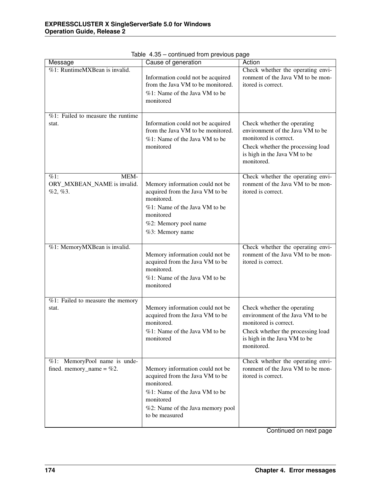| Message                                                      | Cause of generation                                                                                                                                                                  | Action                                                                                                                                                                      |
|--------------------------------------------------------------|--------------------------------------------------------------------------------------------------------------------------------------------------------------------------------------|-----------------------------------------------------------------------------------------------------------------------------------------------------------------------------|
| %1: RuntimeMXBean is invalid.                                | Information could not be acquired<br>from the Java VM to be monitored.<br>%1: Name of the Java VM to be<br>monitored                                                                 | Check whether the operating envi-<br>ronment of the Java VM to be mon-<br>itored is correct.                                                                                |
| %1: Failed to measure the runtime<br>stat.                   | Information could not be acquired<br>from the Java VM to be monitored.<br>%1: Name of the Java VM to be<br>monitored                                                                 | Check whether the operating<br>environment of the Java VM to be<br>monitored is correct.<br>Check whether the processing load<br>is high in the Java VM to be<br>monitored. |
| $\%1$ :<br>MEM-<br>ORY_MXBEAN_NAME is invalid.<br>$%2, \%3.$ | Memory information could not be<br>acquired from the Java VM to be<br>monitored.<br>%1: Name of the Java VM to be<br>monitored<br>%2: Memory pool name<br>%3: Memory name            | Check whether the operating envi-<br>ronment of the Java VM to be mon-<br>itored is correct.                                                                                |
| %1: MemoryMXBean is invalid.                                 | Memory information could not be<br>acquired from the Java VM to be<br>monitored.<br>%1: Name of the Java VM to be<br>monitored                                                       | Check whether the operating envi-<br>ronment of the Java VM to be mon-<br>itored is correct.                                                                                |
| %1: Failed to measure the memory<br>stat.                    | Memory information could not be<br>acquired from the Java VM to be<br>monitored.<br>%1: Name of the Java VM to be<br>monitored                                                       | Check whether the operating<br>environment of the Java VM to be<br>monitored is correct.<br>Check whether the processing load<br>is high in the Java VM to be<br>monitored. |
| %1: MemoryPool name is unde-<br>fined. memory_name = $%2$ .  | Memory information could not be<br>acquired from the Java VM to be<br>monitored.<br>%1: Name of the Java VM to be<br>monitored<br>%2: Name of the Java memory pool<br>to be measured | Check whether the operating envi-<br>ronment of the Java VM to be mon-<br>itored is correct.                                                                                |

Table 4.35 – continued from previous page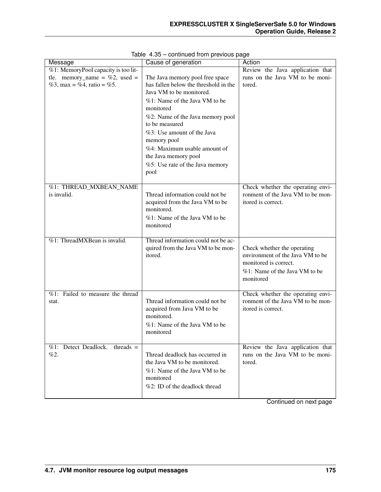| Message                                                        | Cause of generation                                                                                                                                                                                                                                                                                                                                      | Action                                                                                                                                 |
|----------------------------------------------------------------|----------------------------------------------------------------------------------------------------------------------------------------------------------------------------------------------------------------------------------------------------------------------------------------------------------------------------------------------------------|----------------------------------------------------------------------------------------------------------------------------------------|
| %1: MemoryPool capacity is too lit-                            |                                                                                                                                                                                                                                                                                                                                                          | Review the Java application that                                                                                                       |
| tle. memory_name = $\%2$ , used =<br>%3, max = %4, ratio = %5. | The Java memory pool free space<br>has fallen below the threshold in the<br>Java VM to be monitored.<br>%1: Name of the Java VM to be<br>monitored<br>%2: Name of the Java memory pool<br>to be measured<br>%3: Use amount of the Java<br>memory pool<br>%4: Maximum usable amount of<br>the Java memory pool<br>%5: Use rate of the Java memory<br>pool | runs on the Java VM to be moni-<br>tored.                                                                                              |
| %1: THREAD_MXBEAN_NAME<br>is invalid.                          | Thread information could not be<br>acquired from the Java VM to be<br>monitored.<br>%1: Name of the Java VM to be<br>monitored                                                                                                                                                                                                                           | Check whether the operating envi-<br>ronment of the Java VM to be mon-<br>itored is correct.                                           |
| %1: ThreadMXBean is invalid.                                   | Thread information could not be ac-<br>quired from the Java VM to be mon-<br>itored.                                                                                                                                                                                                                                                                     | Check whether the operating<br>environment of the Java VM to be<br>monitored is correct.<br>%1: Name of the Java VM to be<br>monitored |
| %1: Failed to measure the thread<br>stat.                      | Thread information could not be<br>acquired from Java VM to be<br>monitored.<br>%1: Name of the Java VM to be<br>monitored                                                                                                                                                                                                                               | Check whether the operating envi-<br>ronment of the Java VM to be mon-<br>itored is correct.                                           |
| %1: Detect Deadlock.<br>$threads =$<br>%2.                     | Thread deadlock has occurred in<br>the Java VM to be monitored.<br>%1: Name of the Java VM to be<br>monitored<br>%2: ID of the deadlock thread                                                                                                                                                                                                           | Review the Java application that<br>runs on the Java VM to be moni-<br>tored.                                                          |

Table 4.35 – continued from previous page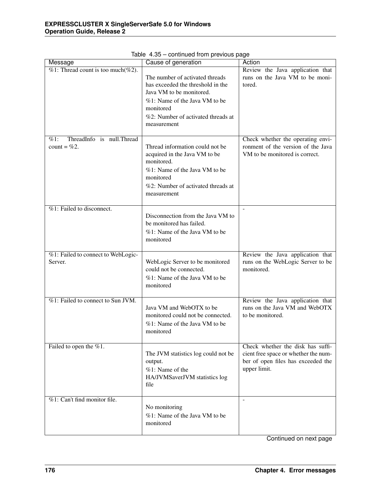| sonalized it only provided by<br>Cause of generation<br>Action<br>Message |                                                                                |                                                                            |  |
|---------------------------------------------------------------------------|--------------------------------------------------------------------------------|----------------------------------------------------------------------------|--|
| $\sqrt{\frac{m}{2}}$ . Thread count is too much(%2).                      | The number of activated threads                                                | Review the Java application that<br>runs on the Java VM to be moni-        |  |
|                                                                           | has exceeded the threshold in the<br>Java VM to be monitored.                  | tored.                                                                     |  |
|                                                                           | %1: Name of the Java VM to be                                                  |                                                                            |  |
|                                                                           | monitored                                                                      |                                                                            |  |
|                                                                           | %2: Number of activated threads at<br>measurement                              |                                                                            |  |
| ThreadInfo is null.Thread<br>$\%1$ :                                      |                                                                                | Check whether the operating envi-                                          |  |
| count = $%2$ .                                                            | Thread information could not be<br>acquired in the Java VM to be<br>monitored. | ronment of the version of the Java<br>VM to be monitored is correct.       |  |
|                                                                           | %1: Name of the Java VM to be<br>monitored                                     |                                                                            |  |
|                                                                           | %2: Number of activated threads at<br>measurement                              |                                                                            |  |
| %1: Failed to disconnect.                                                 | Disconnection from the Java VM to                                              |                                                                            |  |
|                                                                           | be monitored has failed.                                                       |                                                                            |  |
|                                                                           | %1: Name of the Java VM to be<br>monitored                                     |                                                                            |  |
| %1: Failed to connect to WebLogic-<br>Server.                             | WebLogic Server to be monitored                                                | Review the Java application that<br>runs on the WebLogic Server to be      |  |
|                                                                           | could not be connected.<br>%1: Name of the Java VM to be<br>monitored          | monitored.                                                                 |  |
| %1: Failed to connect to Sun JVM.                                         |                                                                                | Review the Java application that                                           |  |
|                                                                           | Java VM and WebOTX to be<br>monitored could not be connected.                  | runs on the Java VM and WebOTX<br>to be monitored.                         |  |
|                                                                           | %1: Name of the Java VM to be<br>monitored                                     |                                                                            |  |
| Failed to open the $\%1$ .                                                |                                                                                | Check whether the disk has suffi-                                          |  |
|                                                                           | The JVM statistics log could not be<br>output.                                 | cient free space or whether the num-<br>ber of open files has exceeded the |  |
|                                                                           | %1: Name of the                                                                | upper limit.                                                               |  |
|                                                                           | HA/JVMSaverJVM statistics log<br>file                                          |                                                                            |  |
| %1: Can't find monitor file.                                              |                                                                                | $\overline{a}$                                                             |  |
|                                                                           | No monitoring<br>%1: Name of the Java VM to be                                 |                                                                            |  |
|                                                                           | monitored                                                                      |                                                                            |  |

Table 4.35 – continued from previous page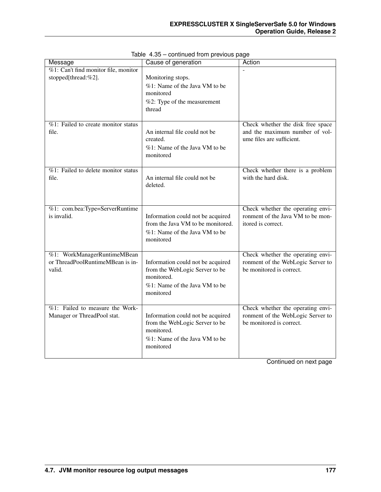| Message                                                                   | Cause of generation                                                                                                             | Action                                                                                             |
|---------------------------------------------------------------------------|---------------------------------------------------------------------------------------------------------------------------------|----------------------------------------------------------------------------------------------------|
| %1: Can't find monitor file, monitor<br>stopped[thread:%2].               | Monitoring stops.<br>%1: Name of the Java VM to be<br>monitored<br>%2: Type of the measurement<br>thread                        |                                                                                                    |
| %1: Failed to create monitor status<br>file.                              | An internal file could not be<br>created.<br>%1: Name of the Java VM to be<br>monitored                                         | Check whether the disk free space<br>and the maximum number of vol-<br>ume files are sufficient.   |
| $%1$ : Failed to delete monitor status<br>file.                           | An internal file could not be<br>deleted.                                                                                       | Check whether there is a problem<br>with the hard disk.                                            |
| %1: com.bea:Type=ServerRuntime<br>is invalid.                             | Information could not be acquired<br>from the Java VM to be monitored.<br>%1: Name of the Java VM to be<br>monitored            | Check whether the operating envi-<br>ronment of the Java VM to be mon-<br>itored is correct.       |
| %1: WorkManagerRuntimeMBean<br>or ThreadPoolRuntimeMBean is in-<br>valid. | Information could not be acquired<br>from the WebLogic Server to be<br>monitored.<br>%1: Name of the Java VM to be<br>monitored | Check whether the operating envi-<br>ronment of the WebLogic Server to<br>be monitored is correct. |
| %1: Failed to measure the Work-<br>Manager or ThreadPool stat.            | Information could not be acquired<br>from the WebLogic Server to be<br>monitored.<br>%1: Name of the Java VM to be<br>monitored | Check whether the operating envi-<br>ronment of the WebLogic Server to<br>be monitored is correct. |

Table 4.35 – continued from previous page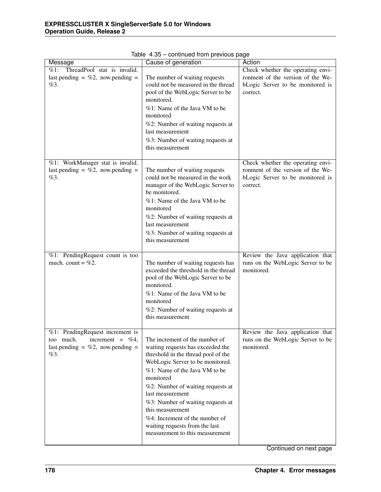| Message                                          | Cause of generation                                               | Action                            |
|--------------------------------------------------|-------------------------------------------------------------------|-----------------------------------|
| $\sqrt{\frac{m}{k}}$ ThreadPool stat is invalid. |                                                                   | Check whether the operating envi- |
| last.pending = $\%2$ , now.pending =             | The number of waiting requests                                    | ronment of the version of the We- |
| %3.                                              | could not be measured in the thread                               | bLogic Server to be monitored is  |
|                                                  | pool of the WebLogic Server to be                                 | correct.                          |
|                                                  | monitored.                                                        |                                   |
|                                                  | %1: Name of the Java VM to be                                     |                                   |
|                                                  | monitored                                                         |                                   |
|                                                  | %2: Number of waiting requests at                                 |                                   |
|                                                  | last measurement                                                  |                                   |
|                                                  | %3: Number of waiting requests at                                 |                                   |
|                                                  | this measurement                                                  |                                   |
| %1: WorkManager stat is invalid.                 |                                                                   | Check whether the operating envi- |
| last.pending = $\%2$ , now.pending =             | The number of waiting requests                                    | ronment of the version of the We- |
| %3.                                              | could not be measured in the work                                 | bLogic Server to be monitored is  |
|                                                  | manager of the WebLogic Server to                                 | correct.                          |
|                                                  | be monitored.                                                     |                                   |
|                                                  | %1: Name of the Java VM to be                                     |                                   |
|                                                  | monitored                                                         |                                   |
|                                                  | %2: Number of waiting requests at                                 |                                   |
|                                                  | last measurement                                                  |                                   |
|                                                  | %3: Number of waiting requests at                                 |                                   |
|                                                  | this measurement                                                  |                                   |
| %1: PendingRequest count is too                  |                                                                   | Review the Java application that  |
| much. count = $\%2$ .                            | The number of waiting requests has                                | runs on the WebLogic Server to be |
|                                                  | exceeded the threshold in the thread                              | monitored.                        |
|                                                  | pool of the WebLogic Server to be                                 |                                   |
|                                                  | monitored.                                                        |                                   |
|                                                  | %1: Name of the Java VM to be<br>monitored                        |                                   |
|                                                  | %2: Number of waiting requests at                                 |                                   |
|                                                  | this measurement                                                  |                                   |
|                                                  |                                                                   |                                   |
| %1: PendingRequest increment is                  |                                                                   | Review the Java application that  |
| too much.<br>increment = $\%4$ ,                 | The increment of the number of                                    | runs on the WebLogic Server to be |
| last.pending = $\%2$ , now.pending =             | waiting requests has exceeded the                                 | monitored.                        |
| %3.                                              | threshold in the thread pool of the                               |                                   |
|                                                  | WebLogic Server to be monitored.<br>%1: Name of the Java VM to be |                                   |
|                                                  | monitored                                                         |                                   |
|                                                  | %2: Number of waiting requests at                                 |                                   |
|                                                  | last measurement                                                  |                                   |
|                                                  | %3: Number of waiting requests at                                 |                                   |
|                                                  | this measurement                                                  |                                   |
|                                                  | %4: Increment of the number of                                    |                                   |
|                                                  | waiting requests from the last                                    |                                   |
|                                                  | measurement to this measurement                                   |                                   |
|                                                  |                                                                   |                                   |

Table 4.35 – continued from previous page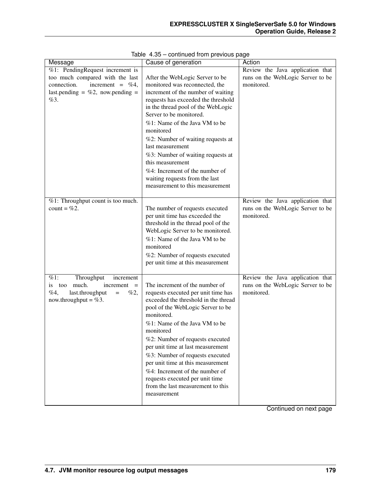| Message                              | Cause of generation                  | Action                            |
|--------------------------------------|--------------------------------------|-----------------------------------|
| %1: PendingRequest increment is      |                                      | Review the Java application that  |
| too much compared with the last      | After the WebLogic Server to be      | runs on the WebLogic Server to be |
| connection.<br>increment = $\%4$ ,   | monitored was reconnected, the       | monitored.                        |
| last.pending = $\%2$ , now.pending = | increment of the number of waiting   |                                   |
| %3.                                  | requests has exceeded the threshold  |                                   |
|                                      | in the thread pool of the WebLogic   |                                   |
|                                      | Server to be monitored.              |                                   |
|                                      | %1: Name of the Java VM to be        |                                   |
|                                      | monitored                            |                                   |
|                                      | %2: Number of waiting requests at    |                                   |
|                                      | last measurement                     |                                   |
|                                      | %3: Number of waiting requests at    |                                   |
|                                      | this measurement                     |                                   |
|                                      | %4: Increment of the number of       |                                   |
|                                      | waiting requests from the last       |                                   |
|                                      | measurement to this measurement      |                                   |
|                                      |                                      |                                   |
| %1: Throughput count is too much.    |                                      | Review the Java application that  |
| count = $\%2$ .                      | The number of requests executed      | runs on the WebLogic Server to be |
|                                      | per unit time has exceeded the       | monitored.                        |
|                                      | threshold in the thread pool of the  |                                   |
|                                      | WebLogic Server to be monitored.     |                                   |
|                                      | %1: Name of the Java VM to be        |                                   |
|                                      | monitored                            |                                   |
|                                      | %2: Number of requests executed      |                                   |
|                                      | per unit time at this measurement    |                                   |
|                                      |                                      |                                   |
| %1:<br>Throughput<br>increment       |                                      | Review the Java application that  |
| too much.<br>increment<br>1S<br>$=$  | The increment of the number of       | runs on the WebLogic Server to be |
| %4,<br>last.throughput<br>%2,<br>$=$ | requests executed per unit time has  | monitored.                        |
| now.throughput = $%3$ .              | exceeded the threshold in the thread |                                   |
|                                      | pool of the WebLogic Server to be    |                                   |
|                                      | monitored.                           |                                   |
|                                      | %1: Name of the Java VM to be        |                                   |
|                                      | monitored                            |                                   |
|                                      | %2: Number of requests executed      |                                   |
|                                      | per unit time at last measurement    |                                   |
|                                      | %3: Number of requests executed      |                                   |
|                                      | per unit time at this measurement    |                                   |
|                                      | %4: Increment of the number of       |                                   |
|                                      | requests executed per unit time      |                                   |
|                                      | from the last measurement to this    |                                   |
|                                      | measurement                          |                                   |
|                                      |                                      |                                   |

|  |  | Table 4.35 - continued from previous page |  |  |  |
|--|--|-------------------------------------------|--|--|--|
|--|--|-------------------------------------------|--|--|--|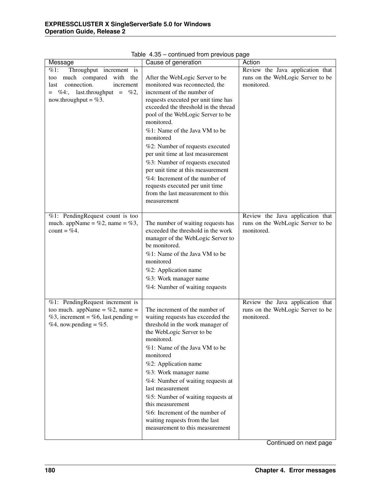| Message                                                                                                                                                                 | Cause of generation                                                                                                                                                                                                                                                                                                                                                                                                                                                                                                                                      | Action                                                                              |
|-------------------------------------------------------------------------------------------------------------------------------------------------------------------------|----------------------------------------------------------------------------------------------------------------------------------------------------------------------------------------------------------------------------------------------------------------------------------------------------------------------------------------------------------------------------------------------------------------------------------------------------------------------------------------------------------------------------------------------------------|-------------------------------------------------------------------------------------|
| Throughput increment is<br>$\%1$ :<br>much compared<br>with the<br>too<br>connection.<br>increment<br>last<br>$=$ %4:, last.throughput = %2,<br>now.throughput = $%3$ . | After the WebLogic Server to be<br>monitored was reconnected, the<br>increment of the number of<br>requests executed per unit time has<br>exceeded the threshold in the thread<br>pool of the WebLogic Server to be<br>monitored.<br>%1: Name of the Java VM to be<br>monitored<br>%2: Number of requests executed<br>per unit time at last measurement<br>%3: Number of requests executed<br>per unit time at this measurement<br>%4: Increment of the number of<br>requests executed per unit time<br>from the last measurement to this<br>measurement | Review the Java application that<br>runs on the WebLogic Server to be<br>monitored. |
| %1: PendingRequest count is too<br>much. appName = %2, name = %3,<br>count = $%4$ .                                                                                     | The number of waiting requests has<br>exceeded the threshold in the work<br>manager of the WebLogic Server to<br>be monitored.<br>%1: Name of the Java VM to be<br>monitored<br>%2: Application name<br>%3: Work manager name<br>%4: Number of waiting requests                                                                                                                                                                                                                                                                                          | Review the Java application that<br>runs on the WebLogic Server to be<br>monitored. |
| %1: PendingRequest increment is<br>too much. appName = $%2$ , name =<br>%3, increment = %6, last.pending =<br>%4, now.pending = %5.                                     | The increment of the number of<br>waiting requests has exceeded the<br>threshold in the work manager of<br>the WebLogic Server to be<br>monitored.<br>%1: Name of the Java VM to be<br>monitored<br>%2: Application name<br>%3: Work manager name<br>%4: Number of waiting requests at<br>last measurement<br>%5: Number of waiting requests at<br>this measurement<br>$%6$ : Increment of the number of<br>waiting requests from the last<br>measurement to this measurement                                                                            | Review the Java application that<br>runs on the WebLogic Server to be<br>monitored. |

Table 4.35 – continued from previous page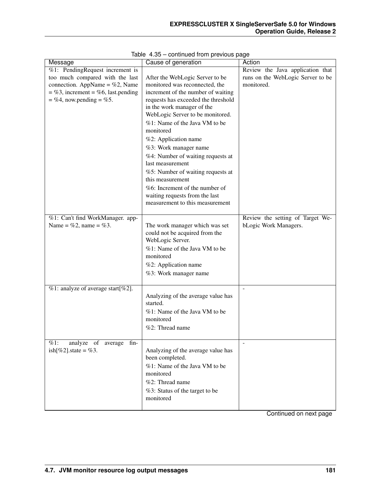| Message                                 | Cause of generation                 | Action                            |
|-----------------------------------------|-------------------------------------|-----------------------------------|
| $%1$ : PendingRequest increment is      |                                     | Review the Java application that  |
| too much compared with the last         | After the WebLogic Server to be     | runs on the WebLogic Server to be |
| connection. AppName = $%2$ , Name       | monitored was reconnected, the      | monitored.                        |
| $=$ %3, increment = %6, last.pending    | increment of the number of waiting  |                                   |
| $=$ %4, now.pending $=$ %5.             | requests has exceeded the threshold |                                   |
|                                         | in the work manager of the          |                                   |
|                                         | WebLogic Server to be monitored.    |                                   |
|                                         | %1: Name of the Java VM to be       |                                   |
|                                         | monitored                           |                                   |
|                                         | %2: Application name                |                                   |
|                                         | %3: Work manager name               |                                   |
|                                         | %4: Number of waiting requests at   |                                   |
|                                         | last measurement                    |                                   |
|                                         | %5: Number of waiting requests at   |                                   |
|                                         | this measurement                    |                                   |
|                                         | %6: Increment of the number of      |                                   |
|                                         | waiting requests from the last      |                                   |
|                                         | measurement to this measurement     |                                   |
| %1: Can't find WorkManager. app-        |                                     | Review the setting of Target We-  |
| Name = $\%2$ , name = $\%3$ .           | The work manager which was set      | bLogic Work Managers.             |
|                                         | could not be acquired from the      |                                   |
|                                         | WebLogic Server.                    |                                   |
|                                         | %1: Name of the Java VM to be       |                                   |
|                                         | monitored                           |                                   |
|                                         | %2: Application name                |                                   |
|                                         |                                     |                                   |
|                                         | %3: Work manager name               |                                   |
| $%1$ : analyze of average start[%2].    |                                     |                                   |
|                                         | Analyzing of the average value has  |                                   |
|                                         | started.                            |                                   |
|                                         | %1: Name of the Java VM to be       |                                   |
|                                         | monitored                           |                                   |
|                                         | %2: Thread name                     |                                   |
|                                         |                                     |                                   |
| analyze of average<br>$fin-$<br>$\%1$ : |                                     |                                   |
| ish[%2].state = %3.                     | Analyzing of the average value has  |                                   |
|                                         | been completed.                     |                                   |
|                                         | %1: Name of the Java VM to be       |                                   |
|                                         | monitored                           |                                   |
|                                         | %2: Thread name                     |                                   |
|                                         | %3: Status of the target to be      |                                   |
|                                         | monitored                           |                                   |
|                                         |                                     |                                   |

|  |  | Table 4.35 - continued from previous page |  |  |  |
|--|--|-------------------------------------------|--|--|--|
|--|--|-------------------------------------------|--|--|--|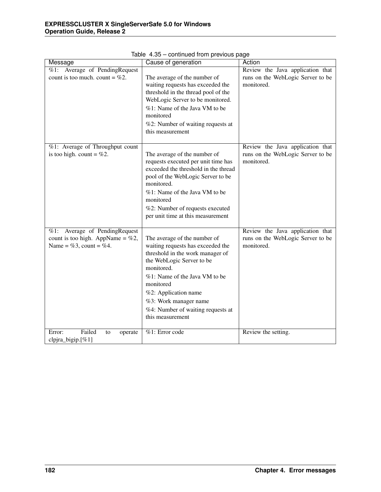| Message                                                                                                    | Cause of generation                                                                                                                                                                                                                                                                                      | Action                                                                              |
|------------------------------------------------------------------------------------------------------------|----------------------------------------------------------------------------------------------------------------------------------------------------------------------------------------------------------------------------------------------------------------------------------------------------------|-------------------------------------------------------------------------------------|
| $\sqrt[6]{61}$ : Average of PendingRequest<br>count is too much. count = $\%2$ .                           | The average of the number of<br>waiting requests has exceeded the<br>threshold in the thread pool of the<br>WebLogic Server to be monitored.<br>%1: Name of the Java VM to be<br>monitored<br>%2: Number of waiting requests at<br>this measurement                                                      | Review the Java application that<br>runs on the WebLogic Server to be<br>monitored. |
| %1: Average of Throughput count<br>is too high. count = $%2$ .                                             | The average of the number of<br>requests executed per unit time has<br>exceeded the threshold in the thread<br>pool of the WebLogic Server to be<br>monitored.<br>%1: Name of the Java VM to be<br>monitored<br>%2: Number of requests executed<br>per unit time at this measurement                     | Review the Java application that<br>runs on the WebLogic Server to be<br>monitored. |
| Average of PendingRequest<br>%1:<br>count is too high. AppName = $\%2$ ,<br>Name = $\%3$ , count = $\%4$ . | The average of the number of<br>waiting requests has exceeded the<br>threshold in the work manager of<br>the WebLogic Server to be<br>monitored.<br>%1: Name of the Java VM to be<br>monitored<br>%2: Application name<br>%3: Work manager name<br>%4: Number of waiting requests at<br>this measurement | Review the Java application that<br>runs on the WebLogic Server to be<br>monitored. |
| Failed<br>Error:<br>to<br>operate<br>clpjra_bigip.[%1]                                                     | %1: Error code                                                                                                                                                                                                                                                                                           | Review the setting.                                                                 |

Table 4.35 – continued from previous page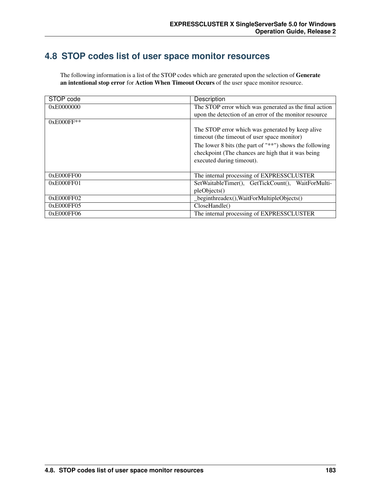## **4.8 STOP codes list of user space monitor resources**

The following information is a list of the STOP codes which are generated upon the selection of Generate an intentional stop error for Action When Timeout Occurs of the user space monitor resource.

| STOP code  | Description                                                 |
|------------|-------------------------------------------------------------|
| 0xE0000000 | The STOP error which was generated as the final action      |
|            | upon the detection of an error of the monitor resource      |
| 0xE000FF** |                                                             |
|            | The STOP error which was generated by keep alive            |
|            | timeout (the timeout of user space monitor)                 |
|            | The lower 8 bits (the part of " $**$ ") shows the following |
|            | checkpoint (The chances are high that it was being          |
|            | executed during timeout).                                   |
|            |                                                             |
| 0xE000FF00 | The internal processing of EXPRESSCLUSTER                   |
| 0xE000FF01 | SetWaitableTimer(), GetTickCount(), WaitForMulti-           |
|            | pleObjects()                                                |
| 0xE000FF02 | _beginthreadex(), WaitForMultipleObjects()                  |
| 0xE000FF05 | CloseHandle()                                               |
| 0xE000FF06 | The internal processing of EXPRESSCLUSTER                   |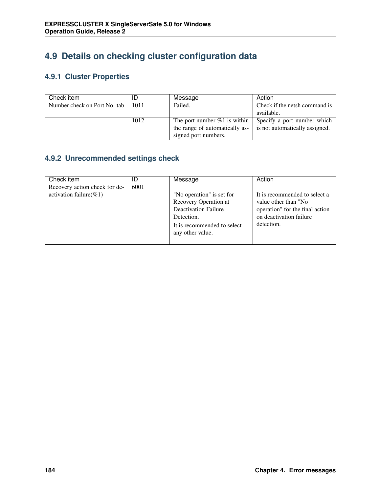# **4.9 Details on checking cluster configuration data**

#### **4.9.1 Cluster Properties**

| Check item                   |      | Message                         | Action                         |
|------------------------------|------|---------------------------------|--------------------------------|
| Number check on Port No. tab | 1011 | Failed.                         | Check if the netsh command is  |
|                              |      |                                 | available.                     |
|                              | 1012 | The port number $\%1$ is within | Specify a port number which    |
|                              |      | the range of automatically as-  | is not automatically assigned. |
|                              |      | signed port numbers.            |                                |

#### **4.9.2 Unrecommended settings check**

| Check item                                                   |      | Message                                                                                                                                            | Action                                                                                                                            |
|--------------------------------------------------------------|------|----------------------------------------------------------------------------------------------------------------------------------------------------|-----------------------------------------------------------------------------------------------------------------------------------|
| Recovery action check for de-<br>activation failure( $\%1$ ) | 6001 | "No operation" is set for<br>Recovery Operation at<br><b>Deactivation Failure</b><br>Detection.<br>It is recommended to select<br>any other value. | It is recommended to select a<br>value other than "No<br>operation" for the final action<br>on deactivation failure<br>detection. |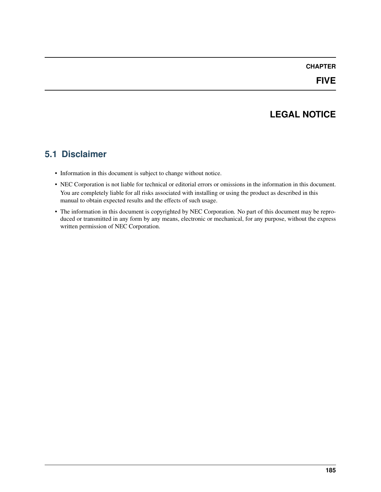#### **CHAPTER**

## **LEGAL NOTICE**

### **5.1 Disclaimer**

- Information in this document is subject to change without notice.
- NEC Corporation is not liable for technical or editorial errors or omissions in the information in this document. You are completely liable for all risks associated with installing or using the product as described in this manual to obtain expected results and the effects of such usage.
- The information in this document is copyrighted by NEC Corporation. No part of this document may be reproduced or transmitted in any form by any means, electronic or mechanical, for any purpose, without the express written permission of NEC Corporation.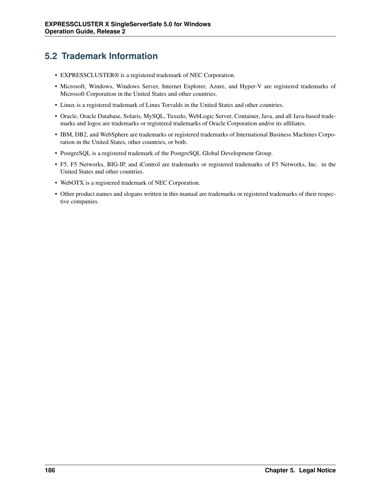## **5.2 Trademark Information**

- EXPRESSCLUSTER® is a registered trademark of NEC Corporation.
- Microsoft, Windows, Windows Server, Internet Explorer, Azure, and Hyper-V are registered trademarks of Microsoft Corporation in the United States and other countries.
- Linux is a registered trademark of Linus Torvalds in the United States and other countries.
- Oracle, Oracle Database, Solaris, MySQL, Tuxedo, WebLogic Server, Container, Java, and all Java-based trademarks and logos are trademarks or registered trademarks of Oracle Corporation and/or its affiliates.
- IBM, DB2, and WebSphere are trademarks or registered trademarks of International Business Machines Corporation in the United States, other countries, or both.
- PostgreSQL is a registered trademark of the PostgreSQL Global Development Group.
- F5, F5 Networks, BIG-IP, and iControl are trademarks or registered trademarks of F5 Networks, Inc. in the United States and other countries.
- WebOTX is a registered trademark of NEC Corporation.
- Other product names and slogans written in this manual are trademarks or registered trademarks of their respective companies.